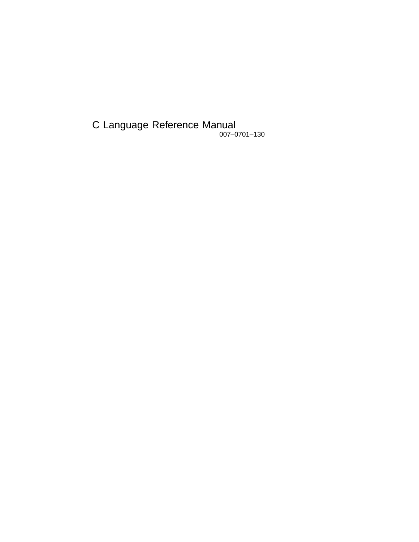C Language Reference Manual 007–0701–130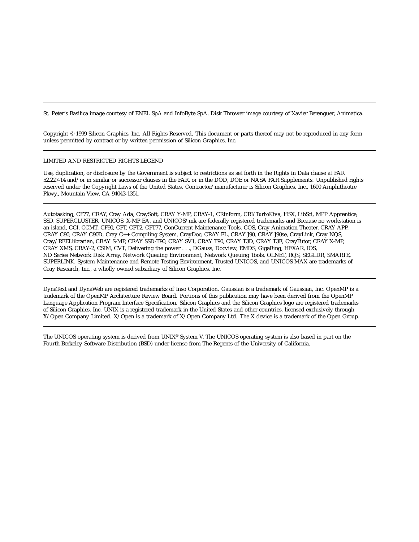St. Peter's Basilica image courtesy of ENEL SpA and InfoByte SpA. Disk Thrower image courtesy of Xavier Berenguer, Animatica.

Copyright © 1999 Silicon Graphics, Inc. All Rights Reserved. This document or parts thereof may not be reproduced in any form unless permitted by contract or by written permission of Silicon Graphics, Inc.

#### LIMITED AND RESTRICTED RIGHTS LEGEND

Use, duplication, or disclosure by the Government is subject to restrictions as set forth in the Rights in Data clause at FAR 52.227-14 and/or in similar or successor clauses in the FAR, or in the DOD, DOE or NASA FAR Supplements. Unpublished rights reserved under the Copyright Laws of the United States. Contractor/manufacturer is Silicon Graphics, Inc., 1600 Amphitheatre Pkwy., Mountain View, CA 94043-1351.

Autotasking, CF77, CRAY, Cray Ada, CraySoft, CRAY Y-MP, CRAY-1, CRInform, CRI/*Turbo*Kiva, HSX, LibSci, MPP Apprentice, SSD, SUPERCLUSTER, UNICOS, X-MP EA, and UNICOS/mk are federally registered trademarks and Because no workstation is an island, CCI, CCMT, CF90, CFT, CFT2, CFT77, ConCurrent Maintenance Tools, COS, Cray Animation Theater, CRAY APP, CRAY C90, CRAY C90D, Cray C++ Compiling System, CrayDoc, CRAY EL, CRAY J90, CRAY J90se, CrayLink, Cray NQS, Cray/REELlibrarian, CRAY S-MP, CRAY SSD-T90, CRAY SV1, CRAY T90, CRAY T3D, CRAY T3E, CrayTutor, CRAY X-MP, CRAY XMS, CRAY-2, CSIM, CVT, Delivering the power . . ., DGauss, Docview, EMDS, GigaRing, HEXAR, IOS, ND Series Network Disk Array, Network Queuing Environment, Network Queuing Tools, OLNET, RQS, SEGLDR, SMARTE, SUPERLINK, System Maintenance and Remote Testing Environment, Trusted UNICOS, and UNICOS MAX are trademarks of Cray Research, Inc., a wholly owned subsidiary of Silicon Graphics, Inc.

DynaText and DynaWeb are registered trademarks of Inso Corporation. Gaussian is a trademark of Gaussian, Inc. OpenMP is a trademark of the OpenMP Architecture Review Board. Portions of this publication may have been derived from the OpenMP Language Application Program Interface Specification. Silicon Graphics and the Silicon Graphics logo are registered trademarks of Silicon Graphics, Inc. UNIX is a registered trademark in the United States and other countries, licensed exclusively through X/Open Company Limited. X/Open is a trademark of X/Open Company Ltd. The X device is a trademark of the Open Group.

The UNICOS operating system is derived from UNIX® System V. The UNICOS operating system is also based in part on the Fourth Berkeley Software Distribution (BSD) under license from The Regents of the University of California.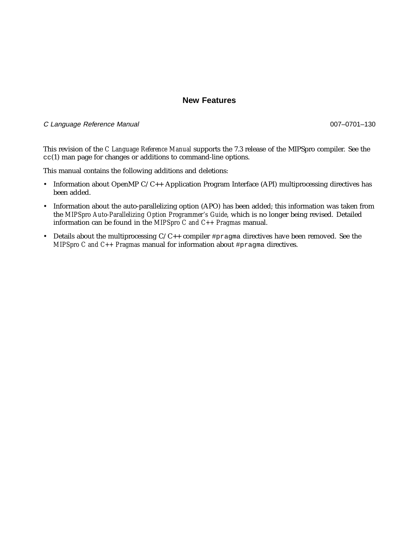# **New Features**

#### C Language Reference Manual 007–0701–130

This revision of the *C Language Reference Manual* supports the 7.3 release of the MIPSpro compiler. See the cc(1) man page for changes or additions to command-line options.

This manual contains the following additions and deletions:

- Information about OpenMP C/C++ Application Program Interface (API) multiprocessing directives has been added.
- Information about the auto-parallelizing option (APO) has been added; this information was taken from the *MIPSpro Auto-Parallelizing Option Programmer's Guide*, which is no longer being revised. Detailed information can be found in the *MIPSpro C and C++ Pragmas* manual.
- Details about the multiprocessing  $C/C++$  compiler #pragma directives have been removed. See the *MIPSpro C and C++ Pragmas* manual for information about #pragma directives.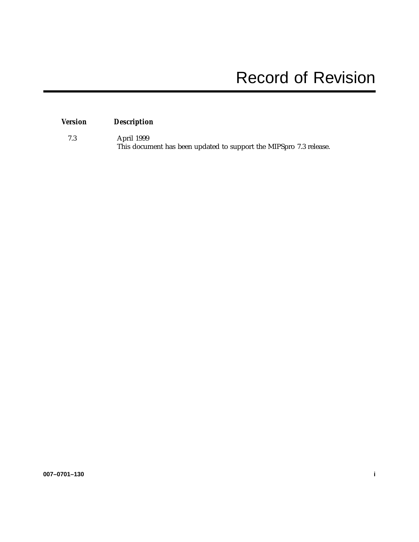# *Version Description*

7.3 April 1999 This document has been updated to support the MIPSpro 7.3 release.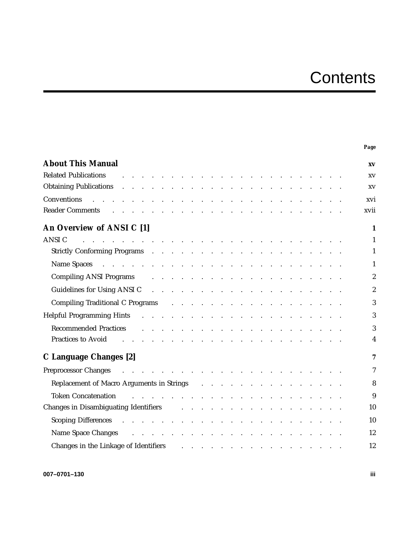# **Contents**

|                                                                                                                                                                                                                                                                |                                                                               | Page             |
|----------------------------------------------------------------------------------------------------------------------------------------------------------------------------------------------------------------------------------------------------------------|-------------------------------------------------------------------------------|------------------|
| <b>About This Manual</b>                                                                                                                                                                                                                                       |                                                                               | XV               |
| <b>Related Publications</b><br>and the contract of the contract of the contract of the contract of the contract of                                                                                                                                             |                                                                               | XV               |
| Obtaining Publications and a series and a series of the series and series and series and series and series and                                                                                                                                                 |                                                                               | XV               |
| والمتعاون والمتعاون والمتعاون والمتعاون والمتعاون والمتعاون والمتعاون والمتعاون والمتعاون والمتعاون<br>Conventions                                                                                                                                             |                                                                               | xvi              |
| Reader Comments residence and contact the contact the contact of the contact of the contact of the contact of the contact of the contact of the contact of the contact of the contact of the contact of the contact of the con                                 |                                                                               | xvii             |
| An Overview of ANSI C [1]                                                                                                                                                                                                                                      |                                                                               | $\mathbf{1}$     |
| <b>ANSI C</b><br>and the contract of the contract of the contract of the contract of the contract of                                                                                                                                                           |                                                                               | $\mathbf{1}$     |
|                                                                                                                                                                                                                                                                |                                                                               | $\mathbf{1}$     |
| Name Spaces and a contract of the contract of the state of the contract of the contract of the contract of the contract of the contract of the contract of the contract of the contract of the contract of the contract of the                                 |                                                                               | $\mathbf{1}$     |
| Compiling ANSI Programs and a series and a series of the contract of the contract of the contract of the contract of the contract of the contract of the contract of the contract of the contract of the contract of the contr                                 |                                                                               | $\boldsymbol{2}$ |
| Guidelines for Using ANSI C and a contract the contract of the Counter of the Counter of the Counter of the Counter of the Counter of the Counter of the Counter of the Counter of the Counter of the Counter of the Counter o                                 |                                                                               | $\boldsymbol{2}$ |
| Compiling Traditional C Programs resources and resources and resources and resources are a set of the contract of the C and T                                                                                                                                  |                                                                               | 3                |
| Helpful Programming Hints Fig. The Review Programming Hints Fig. 2014 Programming Hints                                                                                                                                                                        |                                                                               | 3                |
|                                                                                                                                                                                                                                                                |                                                                               |                  |
| <b>Recommended Practices</b><br>a construction of the contract of the construction of the construction of the construction of the construction of the construction of the construction of the construction of the construction of the construction of the cons |                                                                               | 3                |
| Practices to Avoid <b>Fig. 1. Access</b> to Avoid <b>Fig. 2. Access to Avoid Fig. 2. Access to Avoid Fig. 2. Access to Avoid Fig. 2. Access to Avoid Fig. 2. Access to Avoid Fig. 2. Access</b> to Avoid <b>Fig. 2.</b>                                        |                                                                               | 4                |
| C Language Changes [2]                                                                                                                                                                                                                                         |                                                                               | 7                |
|                                                                                                                                                                                                                                                                |                                                                               | $\tau$           |
| Replacement of Macro Arguments in Strings (Fig. 1, Fig. 1, Fig. 1, Fig. 1, Fig. 1, Fig. 1, Fig. 1, Fig. 1, Fig. 1, Fig. 1, Fig. 1, Fig. 1, Fig. 1, Fig. 1, Fig. 1, Fig. 1, Fig. 1, Fig. 1, Fig. 1, Fig. 1, Fig. 1, Fig. 1, Fig                                 |                                                                               | 8                |
| المتعاون والمتعاون والمتعاون والمتعاون والمتعاون والمتعاون والمتعاون والمتعاون والمتعاون<br><b>Token Concatenation</b>                                                                                                                                         |                                                                               | 9                |
| Changes in Disambiguating Identifiers and the contract of the contract of the contract of the contract of the contract of the contract of the contract of the contract of the contract of the contract of the contract of the                                  |                                                                               | 10               |
| Scoping Differences and a contract the contract of the contract of the contract of the contract of the contract of the contract of the contract of the contract of the contract of the contract of the contract of the contrac                                 |                                                                               | 10               |
| Name Space Changes resources and contact the set of the space Changes resources and contact the set of the space of the space of the space of the space of the space of the space of the space of the space of the space of th                                 |                                                                               | 12               |
|                                                                                                                                                                                                                                                                |                                                                               |                  |
| Changes in the Linkage of Identifiers                                                                                                                                                                                                                          | فالمتواط والمتناقل والمتناقل والمتناقل والمتناقل والمتناقل والمتناقل والمناقل | 12               |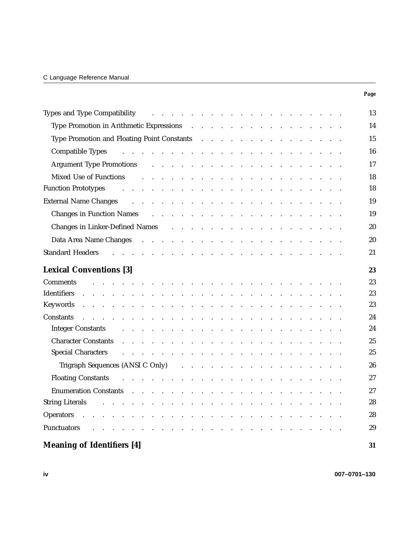|                                                                                                                                                                                                                                                          | Page |
|----------------------------------------------------------------------------------------------------------------------------------------------------------------------------------------------------------------------------------------------------------|------|
| and the contract of the contract of the contract of the contract of<br><b>Types and Type Compatibility</b>                                                                                                                                               | 13   |
| Type Promotion in Arithmetic Expressions (e.g. in the case of the contract of the Promotion in Arithmetic Expressions (e.g. in the case of the case of the Promotion in Arithmetic Expressions (e.g. in the case of the case o                           | 14   |
|                                                                                                                                                                                                                                                          | 15   |
| Compatible Types<br>والمتعاون والمتعاون والمتعاون والمتعاون والمتعاونة والمتعاونة والمتعاونة والمتعاونة                                                                                                                                                  | 16   |
| Argument Type Promotions and a subset of the contract of the contract of the Promotions and a subset of the contract of the contract of the contract of the contract of the contract of the contract of the contract of the co                           | 17   |
| Mixed Use of Functions<br>and the company of the company of the company of the company of the company of the company of the company of the company of the company of the company of the company of the company of the company of the company of the comp | 18   |
| <b>Function Prototypes</b><br>والمناور والمناور والمناور والمناور والمناور والمناور والمناور والمناور والمناور                                                                                                                                           | 18   |
| External Name Changes and a contract that is a contract the contract of the contract of the contract of the contract of the contract of the contract of the contract of the contract of the contract of the contract of the co                           | 19   |
| Changes in Function Names and a subset of the contract of the contract of the Names and America and America and America and America and America and America and America and America and America and America and America and Am                           | 19   |
| Changes in Linker-Defined Names (e.g., e.g., e.g., e.g., e.g., e.g., e.g., e.g., e.g., e.g., e.g., e.g., e.g., e.g., e.g., e.g., e.g., e.g., e.g., e.g., e.g., e.g., e.g., e.g., e.g., e.g., e.g., e.g., e.g., e.g., e.g., e.g                           | 20   |
| Data Area Name Changes (a) and a contract the contract of the Changes (a) and a contract of the contract of the Changes (a) and a contract of the contract of the Changes (a) and a contract of the contract of the Changes (a                           | 20   |
| <b>Standard Headers</b><br>والمتعاون والمتعاون والمتعاون والمتعاون والمتعاون والمتعاون والمتعاون والمتعاون والمتعاون                                                                                                                                     | 21   |
|                                                                                                                                                                                                                                                          |      |
| <b>Lexical Conventions [3]</b>                                                                                                                                                                                                                           | 23   |
| <b>Comments</b><br>and the contract of the contract of the contract of the contract of the contract of                                                                                                                                                   | 23   |
| <b>Identifiers</b><br>and the contract of the contract of the contract of the contract of the contract of the contract of the contract of the contract of the contract of the contract of the contract of the contract of the contract of the contra     | 23   |
|                                                                                                                                                                                                                                                          | 23   |
| Constants<br>and the contract of the contract of the contract of the contract of the contract of the contract of the contract of the contract of the contract of the contract of the contract of the contract of the contract of the contra              | 24   |
| <b>Integer Constants</b><br>والمتواطن والمتناول والمتناول والمتناول والمتناول والمتناول والمتناول والمتناول والمتناول                                                                                                                                    | 24   |
| <b>Character Constants</b><br>والمتواطن والمتناول والمتناول والمتناول والمتناول والمتناول والمتناول والمتناول والمتناول والمناول                                                                                                                         | 25   |
| Special Characters and a contract to contact the contract of the contract of the contract of the contract of the contract of the contract of the contract of the contract of the contract of the contract of the contract of t                           | 25   |
| Trigraph Sequences (ANSI C Only) $\cdots$ $\cdots$ $\cdots$ $\cdots$ $\cdots$ $\cdots$ $\cdots$ $\cdots$                                                                                                                                                 | 26   |
| <b>Floating Constants</b><br>والمتواطن والمتواطن والمتواطن والمتواطن والمتواطن والمتواطن والمتواطن والمتواطن والمتواطن                                                                                                                                   | 27   |
| Enumeration Constants (e.g. contracts) and the contract of the contract of the contract of the contract of the contract of the contract of the contract of the contract of the contract of the contract of the contract of the                           | 27   |
| <b>String Literals</b>                                                                                                                                                                                                                                   | 28   |
| <b>Operators</b><br>the contract of the contract of the contract of the                                                                                                                                                                                  | 28   |
| Punctuators<br>and a series of the contract of the contract of the contract of the contract of the contract of the contract of                                                                                                                           | 29   |
| <b>Meaning of Identifiers [4]</b>                                                                                                                                                                                                                        | 31   |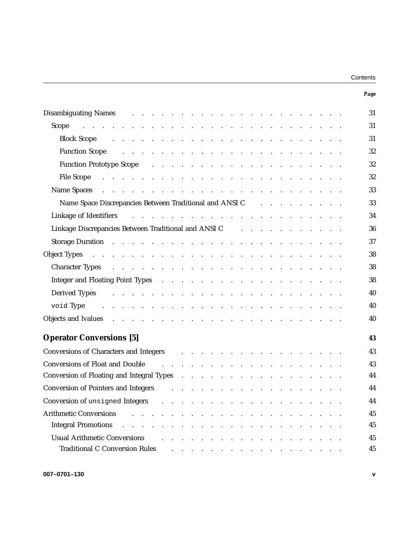| Contents |  |
|----------|--|
|----------|--|

| Disambiguating Names and the contract of the contract of the contract of the contract of the contract of the contract of the contract of the contract of the contract of the contract of the contract of the contract of the c                                 | 31 |
|----------------------------------------------------------------------------------------------------------------------------------------------------------------------------------------------------------------------------------------------------------------|----|
| Scope described by a series and construction of the series of the series of the series of the series of the series of the series of the series of the series of the series of the series of the series of the series of the se                                 | 31 |
| <b>Block Scope</b><br>and the contract of the contract of the contract of the contract of the contract of the contract of the contract of the contract of the contract of the contract of the contract of the contract of the contract of the contra           | 31 |
| <b>Function Scope</b><br>and the contract of the contract of the contract of the contract of the contract of                                                                                                                                                   | 32 |
| Function Prototype Scope and a subset of the subset of the set of the Scope and the subset of the set of the set of the set of the set of the set of the set of the set of the set of the set of the set of the set of the set                                 | 32 |
| File Scope<br>and the property of the contract of the contract of the contract of the contract of the contract of the contract of the contract of the contract of the contract of the contract of the contract of the contract of the contra                   | 32 |
| Name Spaces (example and example and example and example and example and example and example and example and example and example and example and example and example and example and example and example and example and examp                                 | 33 |
| Name Space Discrepancies Between Traditional and ANSI C and all $\sim$ . A control of the Space Discrepancies Between Traditional and ANSI C                                                                                                                   | 33 |
| Linkage of Identifiers<br>والمتواطن والمتواطن والمتواطن والمتواطن والمتواطن والمتواطن والمتواطن والمتواطن                                                                                                                                                      | 34 |
| Linkage Discrepancies Between Traditional and ANSI C and a subset of the state of the state of the state of the                                                                                                                                                | 36 |
| Storage Duration Fig. The Review Processor and Process and Process and Process and Process and Process and Process and Process and Process and Process and Process and Process and Process and Process and Process and Process                                 | 37 |
| <b>Object Types</b><br>فالقارب والمناقل والمنافر والمنافر والمنافر والمنافر والمنافر والمنافر والمنافر والمنافر والمنافر                                                                                                                                       | 38 |
| Character Types and a subsequently and a subsequently and a subsequently contact the contact of the contact of the contact of the contact of the contact of the contact of the contact of the contact of the contact of the co                                 | 38 |
|                                                                                                                                                                                                                                                                | 38 |
| Derived Types<br>والمتواطن والمتواطن والمتواطن والمتواطن والمتواطن والمتواطن والمتواطن والمتواطن والمتواطن والمتواطن                                                                                                                                           | 40 |
| void Type<br>and the contract of the contract of the contract of the contract of the contract of the contract of the contract of the contract of the contract of the contract of the contract of the contract of the contract of the contra                    | 40 |
| Objects and Ivalues entering the contract of the contract of the contract of the contract of the contract of the contract of the contract of the contract of the contract of the contract of the contract of the contract of t                                 | 40 |
|                                                                                                                                                                                                                                                                |    |
| <b>Operator Conversions</b> [5]                                                                                                                                                                                                                                | 43 |
| Conversions of Characters and Integers and Express to the contracters and Integers and Lemma and Lemma and Lemma and Lemma and Lemma and Lemma and Lemma and Lemma and Lemma and Lemma and Lemma and Lemma and Lemma and Lemma                                 | 43 |
| Conversions of Float and Double (e.g. and e.g. and e.g. and e.g. and e.g. and e.g. and e.g. and e.g. and e.g. a                                                                                                                                                | 43 |
| Conversion of Floating and Integral Types (Conversion of Floating and Integral Types (Conversion of Conversion                                                                                                                                                 | 44 |
| Conversion of Pointers and Integers and European contract the contract of Pointers and Integers and American contract the contract of Pointers and Integers and American contract of the contract of Pointers and Integers and                                 | 44 |
|                                                                                                                                                                                                                                                                | 44 |
| <b>Arithmetic Conversions</b><br>the contract of the contract of the contract of the contract of the contract of                                                                                                                                               | 45 |
| Integral Promotions                                                                                                                                                                                                                                            | 45 |
| Usual Arithmetic Conversions<br>and the contract of the contract of the contract of the contract of the contract of the contract of the contract of the contract of the contract of the contract of the contract of the contract of the contract of the contra | 45 |
| <b>Traditional C Conversion Rules</b><br>$\mathbf{r} = \mathbf{r} + \mathbf{r} + \mathbf{r} + \mathbf{r} + \mathbf{r}$<br>$\sim$ $\sim$ $\sim$                                                                                                                 | 45 |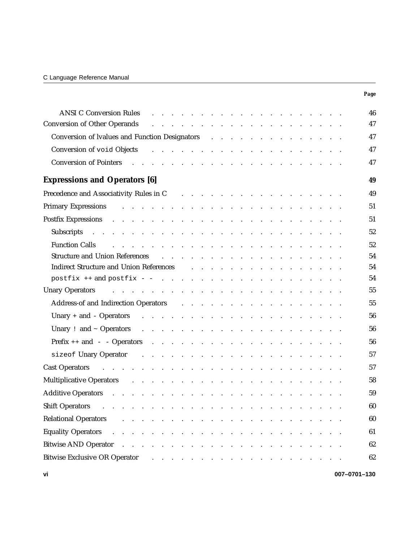|                                                                                                                                                                                                                                                                           | Page         |
|---------------------------------------------------------------------------------------------------------------------------------------------------------------------------------------------------------------------------------------------------------------------------|--------------|
| <b>ANSI C Conversion Rules</b><br>a construction of the construction of the construction of the construction of the construction of the construction of the construction of the construction of the construction of the construction of the construction of the           | 46           |
| <b>Conversion of Other Operands</b>                                                                                                                                                                                                                                       | 47           |
| Conversion of Ivalues and Function Designators (European Conversion of Ivalues and Function Designators (European Conversion Conversion Conversion Conversion Conversion Conversion Conversion Conversion Conversion Conversio                                            | 47           |
|                                                                                                                                                                                                                                                                           | 47           |
| Conversion of Pointers (e.g., e.g., e.g., e.g., e.g., e.g., e.g., e.g., e.g., e.g., e.g., e.g., e.g., e.g., e.g., e.g., e.g., e.g., e.g., e.g., e.g., e.g., e.g., e.g., e.g., e.g., e.g., e.g., e.g., e.g., e.g., e.g., e.g.,                                             | 47           |
| <b>Expressions and Operators [6]</b>                                                                                                                                                                                                                                      | 49           |
| Precedence and Associativity Rules in C and Associativity Rules in C and Associativity Rules in C and Associativity Rules in C and Associativity Rules in C and Associativity Rules in C and Associativity Rules in C and Asso                                            | 49           |
|                                                                                                                                                                                                                                                                           | 51           |
| Postfix Expressions and a contract the contract of the contract of the contract of the contract of the contract of the contract of the contract of the contract of the contract of the contract of the contract of the contrac                                            | 51           |
| Subscripts and a contract the contract of the contract of the contract of the contract of the contract of the contract of the contract of the contract of the contract of the contract of the contract of the contract of the                                             | 52           |
| <b>Function Calls</b>                                                                                                                                                                                                                                                     | 52           |
|                                                                                                                                                                                                                                                                           | 54           |
| Indirect Structure and Union References and the state of the state of the state of the state of the state of the state of the state of the state of the state of the state of the state of the state of the state of the state                                            | 54           |
|                                                                                                                                                                                                                                                                           | 54           |
| Unary Operators and the contract of the contract of the contract of the contract of the contract of the contract of the contract of the contract of the contract of the contract of the contract of the contract of the contra                                            | 55           |
| Address-of and Indirection Operators and all all the contract of the contract of the contract of the contract of the contract of the contract of the contract of the contract of the contract of the contract of the contract                                             | 55           |
|                                                                                                                                                                                                                                                                           | 56           |
|                                                                                                                                                                                                                                                                           | 56           |
|                                                                                                                                                                                                                                                                           | 56           |
|                                                                                                                                                                                                                                                                           | 57           |
| Cast Operators and a contract that is a contract of the contract of the contract of the contract of the contract of the contract of the contract of the contract of the contract of the contract of the contract of the contra                                            | 57           |
|                                                                                                                                                                                                                                                                           | 58           |
| <b>Additive Operators</b><br>. The contract of the contract of the contract of the contract of the contract of the contract of $\mathcal{A}$                                                                                                                              | 59           |
| <b>Shift Operators</b><br>والمعاونة والمستقيلة والمستقيلة والمستقيلة والمستقيلة والمستقيلة والمستقيلة والمستقيلة والمستقيلة                                                                                                                                               | 60           |
| <b>Relational Operators</b><br>and a series of the contract of the contract of the contract of the contract of the contract of the contract of                                                                                                                            | 60           |
| <b>Equality Operators</b>                                                                                                                                                                                                                                                 | 61           |
| فكالمحافظ والمنافر والمنافر والمنافر والمنافر والمنافر والمنافر والمنافر والمنافر والمنافر<br>Bitwise AND Operator                                                                                                                                                        | 62           |
|                                                                                                                                                                                                                                                                           |              |
| <b>Bitwise Exclusive OR Operator</b><br>$\mathbf{r}$ . The set of the set of the set of the set of the set of the set of the set of the set of the set of the set of the set of the set of the set of the set of the set of the set of the set of the set of the set of t | 62           |
| ٧i                                                                                                                                                                                                                                                                        | 007-0701-130 |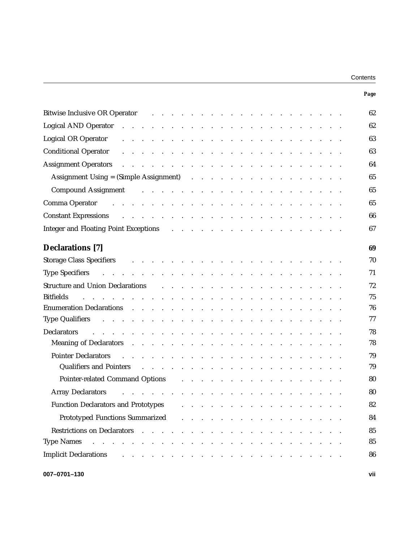| Contents |  |
|----------|--|
|----------|--|

| Page                                                                                                                                                                                                                                                                              |  |
|-----------------------------------------------------------------------------------------------------------------------------------------------------------------------------------------------------------------------------------------------------------------------------------|--|
| 62<br>Bitwise Inclusive OR Operator (b) and the contract of the contract of the contract of the contract of the contract of the contract of the contract of the contract of the contract of the contract of the contract of the cont                                              |  |
| 62<br>Logical AND Operator research and research and research and research and research and research and research and                                                                                                                                                             |  |
| 63<br><b>Logical OR Operator</b><br>and the contract of the contract of the contract of the contract of the contract of the contract of the contract of the contract of the contract of the contract of the contract of the contract of the contract of the contra                |  |
| 63                                                                                                                                                                                                                                                                                |  |
| 64<br><b>Assignment Operators</b><br>والمتواطن والمتواطن والمتواطن والمتواطن والمتواطن والمتواطن والمتواطن والمتواطن                                                                                                                                                              |  |
| 65                                                                                                                                                                                                                                                                                |  |
| 65<br>Compound Assignment that is a contract that is a contract of the South Assignment to the contract of the contract of the contract of the contract of the contract of the contract of the contract of the contract of the contr                                              |  |
| Comma Operator and a series and a series and a series and a series and a series and a series and a series and a<br>65                                                                                                                                                             |  |
| Constant Expressions (a) and (b) and (b) and (b) and (b) and (b) and (b) and (b) and (b) and (b) and (b) and (b) and (b) and (b) and (b) and (b) and (b) and (b) and (b) and (b) and (b) and (b) and (b) and (b) and (b) and (<br>66                                              |  |
| Integer and Floating Point Exceptions (enteries and Floating Point Exceptions (enteries and enteries and enteries and enteries and enteries and enteries and enteries and enteries and enteries and enteries and enteries and<br>67                                               |  |
| <b>Declarations</b> [7]<br>69                                                                                                                                                                                                                                                     |  |
| Storage Class Specifiers and the contract of the contract of the contract of the contract of the contract of the contract of the contract of the contract of the contract of the contract of the contract of the contract of t<br>70                                              |  |
| 71                                                                                                                                                                                                                                                                                |  |
| 72<br>Structure and Union Declarations and the contract of the contract of the contract of the contract of the contract of the contract of the contract of the contract of the contract of the contract of the contract of the contr                                              |  |
| 75<br><b>Bitfields</b><br>and the company of the company of the company of the company of the company of the company of the company of the company of the company of the company of the company of the company of the company of the company of the comp                          |  |
| 76                                                                                                                                                                                                                                                                                |  |
| 77<br>Type Qualifiers resources and a series and a series and a series and a series are series and a series of the s                                                                                                                                                              |  |
| Declarators resources and the contract of the contract of the contract of the contract of the contract of the contract of the contract of the contract of the contract of the contract of the contract of the contract of the<br>78                                               |  |
| 78<br>Meaning of Declarators research and research and research and research and research and research and research                                                                                                                                                               |  |
| 79<br><b>Pointer Declarators</b><br>the contract of the contract of the contract of the contract of the contract of                                                                                                                                                               |  |
| Qualifiers and Pointers and Pointers and Allen Allen and Allen Allen Allen Allen Allen Allen Allen Allen Allen<br>79                                                                                                                                                              |  |
| Pointer-related Command Options<br>80<br>and the contract of the contract of the contract of the contract of the contract of the contract of the contract of the contract of the contract of the contract of the contract of the contract of the contract of the contra           |  |
| 80<br><b>Array Declarators</b>                                                                                                                                                                                                                                                    |  |
| <b>Function Declarators and Prototypes</b><br>82<br>a construction of the construction of the construction of the construction of the construction of the construction of the construction of the construction of the construction of the construction of the construction of the |  |
| Prototyped Functions Summarized<br>84<br>and a series of the contract of the contract of the contract of the contract of the contract of the contract of                                                                                                                          |  |
| Restrictions on Declarators (Change Alexander Alexander Alexander Alexander Alexander Alexander Alexander Alexander Alexander Alexander Alexander Alexander Alexander Alexander Alexander Alexander Alexander Alexander Alexan<br>85                                              |  |
| 85<br><b>Type Names</b><br>and the contract of the contract of the<br>$\ddot{\phantom{a}}$<br><b>Contract</b><br>$\sim$                                                                                                                                                           |  |
| <b>Implicit Declarations</b><br>86                                                                                                                                                                                                                                                |  |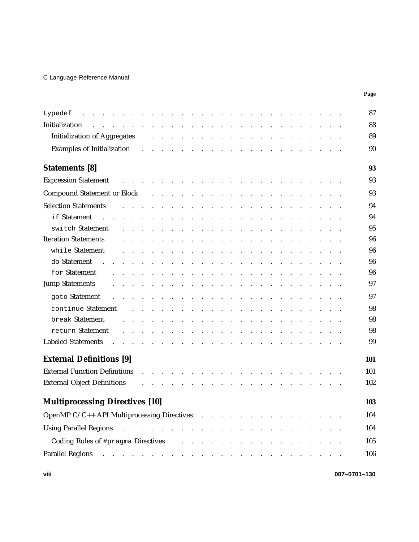# C Language Reference Manual

|                                                                                                                                                                                                                                                           |  |                                            |                           |                                                                |                                                                                 |                        |                      |                  |                                                                                           |                                   |                      |                                  |                          |                                                                                 |        |                              |  | Page         |
|-----------------------------------------------------------------------------------------------------------------------------------------------------------------------------------------------------------------------------------------------------------|--|--------------------------------------------|---------------------------|----------------------------------------------------------------|---------------------------------------------------------------------------------|------------------------|----------------------|------------------|-------------------------------------------------------------------------------------------|-----------------------------------|----------------------|----------------------------------|--------------------------|---------------------------------------------------------------------------------|--------|------------------------------|--|--------------|
| typedef                                                                                                                                                                                                                                                   |  |                                            | $\cdot$                   |                                                                | $\bullet$                                                                       | $\sim$                 | $\sim$               |                  | $\mathcal{L}(\mathbf{z})$ . The contribution of $\mathcal{L}(\mathbf{z})$                 |                                   |                      | $\sim$                           |                          | $\bullet$ .<br><br><br><br><br><br><br><br><br><br><br>                         |        |                              |  | 87           |
| Initialization<br>$\mathbf{r}$ . The contract of the contract of the contract of the contract of the contract of the contract of the contract of the contract of the contract of the contract of the contract of the contract of the contract of th       |  | $\sim$                                     |                           |                                                                | the contract of the contract of                                                 |                        |                      |                  | the contract of the contract of the contract of the con-                                  |                                   |                      |                                  |                          |                                                                                 |        |                              |  | 88           |
| <b>Initialization of Aggregates</b>                                                                                                                                                                                                                       |  |                                            |                           |                                                                | and a strong control of the state of                                            |                        |                      |                  | the contract of the contract of the                                                       |                                   |                      |                                  |                          |                                                                                 |        |                              |  | 89           |
| <b>Examples of Initialization</b>                                                                                                                                                                                                                         |  |                                            |                           |                                                                | the contract of the contract of the contract of the contract of                 |                        |                      |                  |                                                                                           |                                   |                      |                                  |                          |                                                                                 |        |                              |  | 90           |
| <b>Statements</b> [8]                                                                                                                                                                                                                                     |  |                                            |                           |                                                                |                                                                                 |                        |                      |                  |                                                                                           |                                   |                      |                                  |                          |                                                                                 |        |                              |  | 93           |
| <b>Expression Statement</b>                                                                                                                                                                                                                               |  |                                            |                           |                                                                |                                                                                 | $\ddot{\phantom{0}}$   |                      |                  |                                                                                           |                                   |                      |                                  |                          | the contract of the contract of the contract of the contract of the contract of |        |                              |  | 93           |
| <b>Compound Statement or Block</b>                                                                                                                                                                                                                        |  |                                            | $\mathbf{L}^{\text{max}}$ | $\mathcal{L}(\mathbf{z})$ and $\mathcal{L}(\mathbf{z})$ . Then |                                                                                 | $\ddot{\phantom{a}}$   |                      |                  |                                                                                           |                                   | $\blacksquare$ .     | $\sim$                           | $\sim$ $\sim$            |                                                                                 |        |                              |  | 93           |
| <b>Selection Statements</b>                                                                                                                                                                                                                               |  |                                            |                           |                                                                | $\mathcal{L}(\mathcal{A})$ , and $\mathcal{L}(\mathcal{A})$ , and               |                        | $\sim$               |                  | $\mathcal{A} \times \mathcal{A} \times \mathcal{A} \times \mathcal{A} \times \mathcal{A}$ |                                   |                      | the contract of the state of the |                          |                                                                                 | $\sim$ | and the contract of the con- |  | 94           |
| if Statement<br>$\mathbf{r}$                                                                                                                                                                                                                              |  | $\mathbf{r}$ , $\mathbf{r}$ , $\mathbf{r}$ |                           |                                                                |                                                                                 |                        |                      |                  |                                                                                           |                                   |                      |                                  |                          |                                                                                 |        |                              |  | 94           |
| switch Statement                                                                                                                                                                                                                                          |  |                                            |                           |                                                                |                                                                                 |                        |                      |                  |                                                                                           |                                   |                      |                                  |                          |                                                                                 |        |                              |  | 95           |
| <b>Iteration Statements</b>                                                                                                                                                                                                                               |  |                                            |                           |                                                                |                                                                                 |                        |                      |                  | <b>Contract Contract Service</b>                                                          |                                   | $\sim$               | $\sim$                           | <b>Contract Contract</b> |                                                                                 |        |                              |  | 96           |
| while Statement                                                                                                                                                                                                                                           |  |                                            |                           |                                                                |                                                                                 |                        |                      |                  |                                                                                           |                                   |                      |                                  |                          |                                                                                 |        |                              |  | 96           |
| do Statement                                                                                                                                                                                                                                              |  |                                            |                           |                                                                |                                                                                 |                        |                      |                  |                                                                                           |                                   |                      |                                  |                          |                                                                                 |        |                              |  | 96           |
| for Statement                                                                                                                                                                                                                                             |  |                                            |                           |                                                                |                                                                                 |                        | $\ddot{\phantom{1}}$ | $\blacksquare$ . | the contract of the contract of                                                           |                                   |                      |                                  |                          |                                                                                 |        |                              |  | 96           |
| <b>Jump Statements</b>                                                                                                                                                                                                                                    |  |                                            |                           |                                                                |                                                                                 |                        |                      |                  |                                                                                           |                                   |                      |                                  |                          |                                                                                 |        |                              |  | 97           |
| goto Statement                                                                                                                                                                                                                                            |  |                                            | $\sim$                    |                                                                |                                                                                 | $\ddot{\phantom{a}}$ . | $\blacksquare$ .     |                  | and the state of the state of                                                             |                                   |                      | the contract of the state of     |                          |                                                                                 | $\sim$ |                              |  | 97           |
| continue Statement                                                                                                                                                                                                                                        |  |                                            |                           |                                                                |                                                                                 | $\ddot{\phantom{a}}$   | $\sim$               |                  |                                                                                           |                                   | $\ddot{\phantom{a}}$ | $\sim$                           |                          |                                                                                 |        |                              |  | 98           |
| break Statement                                                                                                                                                                                                                                           |  |                                            |                           |                                                                |                                                                                 | $\ddot{\phantom{a}}$   | $\sim$               |                  |                                                                                           |                                   | $\cdot$ $\cdot$      |                                  |                          |                                                                                 |        |                              |  | 98           |
| return Statement                                                                                                                                                                                                                                          |  | $\sim$ .                                   | $\sim$                    |                                                                |                                                                                 | $\sim$                 | $\sim$               |                  |                                                                                           | $\sim 10^{-1}$ and $\sim 10^{-1}$ |                      | $\sim$                           |                          |                                                                                 |        |                              |  | 98           |
| <b>Labeled Statements</b>                                                                                                                                                                                                                                 |  |                                            |                           |                                                                |                                                                                 |                        |                      |                  |                                                                                           |                                   |                      |                                  |                          |                                                                                 |        |                              |  | 99           |
| <b>External Definitions [9]</b>                                                                                                                                                                                                                           |  |                                            |                           |                                                                |                                                                                 |                        |                      |                  |                                                                                           |                                   |                      |                                  |                          |                                                                                 |        |                              |  | 101          |
| <b>External Function Definitions</b>                                                                                                                                                                                                                      |  |                                            |                           |                                                                |                                                                                 |                        |                      |                  |                                                                                           |                                   |                      |                                  |                          |                                                                                 |        |                              |  | 101          |
| <b>External Object Definitions</b>                                                                                                                                                                                                                        |  |                                            |                           |                                                                |                                                                                 |                        |                      |                  |                                                                                           |                                   |                      |                                  |                          |                                                                                 |        |                              |  | 102          |
| <b>Multiprocessing Directives [10]</b>                                                                                                                                                                                                                    |  |                                            |                           |                                                                |                                                                                 |                        |                      |                  |                                                                                           |                                   |                      |                                  |                          |                                                                                 |        |                              |  | 103          |
| OpenMP C/C++ API Multiprocessing Directives                                                                                                                                                                                                               |  |                                            |                           |                                                                |                                                                                 |                        |                      |                  |                                                                                           |                                   |                      |                                  |                          |                                                                                 |        |                              |  | 104          |
|                                                                                                                                                                                                                                                           |  |                                            |                           |                                                                |                                                                                 |                        |                      |                  |                                                                                           |                                   |                      |                                  |                          |                                                                                 |        |                              |  | 104          |
| Coding Rules of #pragma Directives                                                                                                                                                                                                                        |  |                                            |                           |                                                                | the contract of the contract of the contract of the contract of the contract of |                        |                      |                  |                                                                                           |                                   |                      |                                  |                          |                                                                                 |        |                              |  | 105          |
| <b>Parallel Regions</b><br>the contract of the contract of the contract of the contract of the contract of the contract of the contract of the contract of the contract of the contract of the contract of the contract of the contract of the contract o |  |                                            |                           |                                                                |                                                                                 |                        |                      |                  |                                                                                           |                                   |                      |                                  |                          |                                                                                 |        |                              |  | 106          |
|                                                                                                                                                                                                                                                           |  |                                            |                           |                                                                |                                                                                 |                        |                      |                  |                                                                                           |                                   |                      |                                  |                          |                                                                                 |        |                              |  |              |
| viii                                                                                                                                                                                                                                                      |  |                                            |                           |                                                                |                                                                                 |                        |                      |                  |                                                                                           |                                   |                      |                                  |                          |                                                                                 |        |                              |  | 007-0701-130 |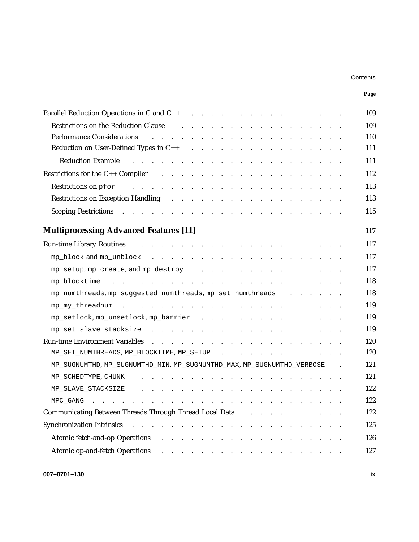| Contents |  |
|----------|--|
|----------|--|

|                                                                                                                                                                                                                                | Page |
|--------------------------------------------------------------------------------------------------------------------------------------------------------------------------------------------------------------------------------|------|
|                                                                                                                                                                                                                                | 109  |
| Restrictions on the Reduction Clause expansion of the Restrictions on the Reduction Clause                                                                                                                                     | 109  |
| والمتعاون والمتعاون والمتعاون والمتعاون والمتعاون والمتعاون والمتعاون والمتعاون<br><b>Performance Considerations</b>                                                                                                           | 110  |
|                                                                                                                                                                                                                                | 111  |
| Reduction Example response to the contract of the contract of the contract of the contract of the contract of the contract of the contract of the contract of the contract of the contract of the contract of the contract of  | 111  |
| Restrictions for the C++ Compiler (b) and (b) and (b) and (b) and (b) and (b) and (b) and (b) and (b) and (b) and (b) and (b) and (b) and (b) and (b) and (b) and (b) and (b) and (b) and (b) and (b) and (b) and (b) and (b)  | 112  |
| المتعاون والمتعاون والمتعاون والمتعاون والمتعاون والمتعاون والمتعاون والمتعاون والمتعاون<br>Restrictions on pfor                                                                                                               | 113  |
| Restrictions on Exception Handling (e.g., e.g., e.g., e.g., e.g., e.g., e.g., e.g., e.g., e.g., e.g., e.g., e.g., e.g., e.g., e.g., e.g., e.g., e.g., e.g., e.g., e.g., e.g., e.g., e.g., e.g., e.g., e.g., e.g., e.g., e.g.,  | 113  |
| Scoping Restrictions (Contact of Contact of Contact of Contact of Contact of Contact of Contact of Contact of Contact of Contact of Contact of Contact of Contact of Contact of Contact of Contact of Contact of Contact of Co | 115  |
| <b>Multiprocessing Advanced Features [11]</b>                                                                                                                                                                                  | 117  |
| والمتواطن والمتواطن والمتواطن والمتواطن والمتواطن والمتواطن والمتواطن والمتواطن<br><b>Run-time Library Routines</b>                                                                                                            | 117  |
|                                                                                                                                                                                                                                | 117  |
| mp_setup, mp_create, and mp_destroy                                                                                                                                                                                            | 117  |
|                                                                                                                                                                                                                                | 118  |
| mp_numthreads, mp_suggested_numthreads, mp_set_numthreads                                                                                                                                                                      | 118  |
|                                                                                                                                                                                                                                | 119  |
| mp_setlock, mp_unsetlock, mp_barrier                                                                                                                                                                                           | 119  |
|                                                                                                                                                                                                                                | 119  |
|                                                                                                                                                                                                                                | 120  |
| MP_SET_NUMTHREADS, MP_BLOCKTIME, MP_SETUP                                                                                                                                                                                      | 120  |
| MP_SUGNUMTHD, MP_SUGNUMTHD_MIN, MP_SUGNUMTHD_MAX, MP_SUGNUMTHD_VERBOSE .                                                                                                                                                       | 121  |
| the contract of the contract of the contract of the contract of the contract of the contract of the contract of<br>MP_SCHEDTYPE, CHUNK                                                                                         | 121  |
| MP SLAVE STACKSIZE                                                                                                                                                                                                             | 122  |
| MPC GANG<br>$\sim$ $\sim$ $\sim$ $\sim$ $\sim$                                                                                                                                                                                 | 122  |
| Communicating Between Threads Through Thread Local Data                                                                                                                                                                        | 122  |
| <b>Synchronization Intrinsics</b><br>$\mathbf{r}$ and $\mathbf{r}$ and $\mathbf{r}$ and $\mathbf{r}$<br>$\sim$ $\sim$ $\sim$                                                                                                   | 125  |
| Atomic fetch-and-op Operations<br>$\mathbf{r}$ , and $\mathbf{r}$ , and $\mathbf{r}$                                                                                                                                           | 126  |
| Atomic op-and-fetch Operations<br>. The contract of the contract of the contract $\alpha$                                                                                                                                      | 127  |
|                                                                                                                                                                                                                                |      |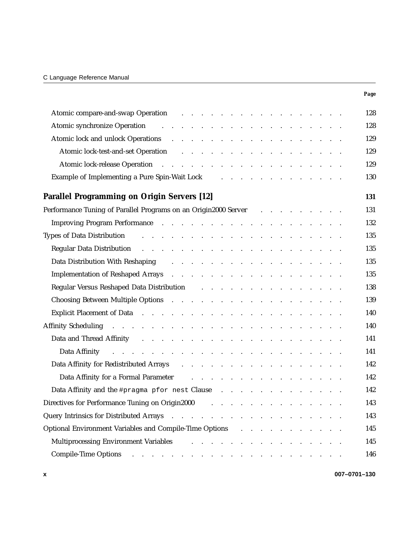|                                                                                                                                                                                                                                      | Page |
|--------------------------------------------------------------------------------------------------------------------------------------------------------------------------------------------------------------------------------------|------|
| Atomic compare-and-swap Operation and all the contract of the contract of the contract of the contract of the contract of the contract of the contract of the contract of the contract of the contract of the contract of the        | 128  |
| Atomic synchronize Operation and a subset of the state of the state of the state of the state of the state of the state of the state of the state of the state of the state of the state of the state of the state of the stat       | 128  |
| Atomic lock and unlock Operations and a series and a series and unlock Operations and a series and a series of the series of the series of the series of the series of the series of the series of the series of the series of       | 129  |
| Atomic lock-test-and-set Operation                                                                                                                                                                                                   | 129  |
|                                                                                                                                                                                                                                      | 129  |
| Example of Implementing a Pure Spin-Wait Lock and a series and a series of Implementing a Pure Spin-Wait Lock                                                                                                                        | 130  |
| <b>Parallel Programming on Origin Servers [12]</b>                                                                                                                                                                                   | 131  |
| Performance Tuning of Parallel Programs on an Origin2000 Server [1] Allen Langers and Allen Langers And Territorium Control of Parallel Programs on an Origin2000 Server [1] Allen Langers Andrew Langers Andrew Langers Andre       | 131  |
| Improving Program Performance (Contact Contact Contact Contact Contact Contact Contact Contact Contact Contact Contact Contact Contact Contact Contact Contact Contact Contact Contact Contact Contact Contact Contact Contact       | 132  |
| Types of Data Distribution and a contract to the contract of the contract of the contract of the contract of the contract of the contract of the contract of the contract of the contract of the contract of the contract of t       | 135  |
| Regular Data Distribution research and research and research and research and research and research and research and research and research and research and research and research and research and research and research and r       | 135  |
| Data Distribution With Reshaping (Ed. 2010) and the contract of the Reshaping (Ed. 2010) and the contract of the District of the Reshaping (Ed. 2010) and the contract of the Reshaping (Ed. 2010) and the Contract of the Dis       | 135  |
| Implementation of Reshaped Arrays and a subset of the set of the set of the Reshaped Arrays and a subset of the set of the set of the set of the set of the set of the set of the set of the set of the set of the set of the        | 135  |
| Regular Versus Reshaped Data Distribution and a subset of the set of the set of the Regular Versus Reshaped Data Distribution                                                                                                        | 138  |
|                                                                                                                                                                                                                                      | 139  |
| Explicit Placement of Data resources and resources and resources and resources and resources are the set of the                                                                                                                      | 140  |
| Affinity Scheduling (executive and executive and executive and executive and executive and executive and executive and executive and executive and executive and executive and executive and executive and executive and execu       | 140  |
|                                                                                                                                                                                                                                      | 141  |
| Data Affinity <b>Executive Contract Contract Contract Contract Contract Contract Contract Contract Contract Contract Contract Contract Contract Contract Contract Contract Contract Contract Contract Contract Contract Contract</b> | 141  |
| Data Affinity for Redistributed Arrays and a subset of the set of the set of the Redistributed Arrays and a subset of the set of the set of the set of the set of the set of the set of the set of the set of the set of the s       | 142  |
| Data Affinity for a Formal Parameter and all the contract of the contract of the Parameter and all the contract of the contract of the contract of the contract of the contract of the contract of the contract of the contrac       | 142  |
| Data Affinity and the #pragma pfor nest Clause                                                                                                                                                                                       | 142  |
| Directives for Performance Tuning on Origin2000<br>and the contract of the contract of the contract of                                                                                                                               | 143  |
| Query Intrinsics for Distributed Arrays                                                                                                                                                                                              | 143  |
| Optional Environment Variables and Compile-Time Options<br>and a series of the contract of the series of                                                                                                                             | 145  |
| Multiprocessing Environment Variables<br>and a strain and a strain and                                                                                                                                                               | 145  |
| <b>Compile-Time Options</b><br>and a series of the contract of the contract of the contract of the contract of                                                                                                                       | 146  |

**x 007–0701–130**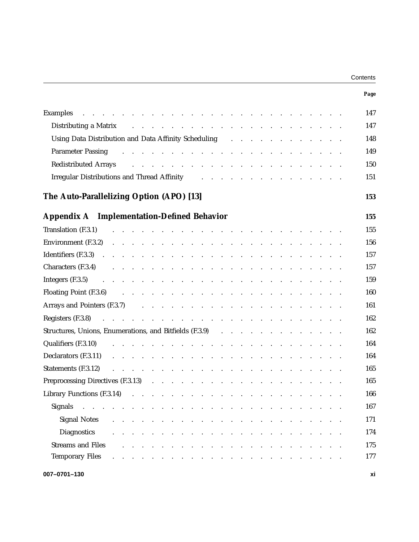| Contents |  |
|----------|--|
|----------|--|

|                                                                                                                                                                                                                                                                                                                                                                                                                                                                                   | Page |
|-----------------------------------------------------------------------------------------------------------------------------------------------------------------------------------------------------------------------------------------------------------------------------------------------------------------------------------------------------------------------------------------------------------------------------------------------------------------------------------|------|
| والمتعاون والمتعاون والمتعاون والمتعاون والمتعاون والمتعاون والمتعاون والمتعاون والمتعاون والمتعاون<br>Examples                                                                                                                                                                                                                                                                                                                                                                   | 147  |
| Distributing a Matrix and a series and a series and a series of the series of the series of the series of the series of the series of the series of the series of the series of the series of the series of the series of the                                                                                                                                                                                                                                                     | 147  |
| Using Data Distribution and Data Affinity Scheduling Fig. 2. All Property Affinity Scheduling Fig. 2. All Property Affinity Scheduling Fig. 2. All Property Affinity Scheduling Fig. 2. All Property Affinity Scheduling Fig.                                                                                                                                                                                                                                                     | 148  |
| والمتعاون والمتعاون والمتعاون والمتعاون والمتعاونة والمتعاونة والمتعاونة والمتعاونة<br><b>Parameter Passing</b>                                                                                                                                                                                                                                                                                                                                                                   | 149  |
| <b>Redistributed Arrays</b><br>and the contract of the contract of the contract of the contract of the contract of                                                                                                                                                                                                                                                                                                                                                                | 150  |
| Irregular Distributions and Thread Affinity Theorem 2014 Contract to the Contract of Theorem 2014 Contract and Thread Affinity                                                                                                                                                                                                                                                                                                                                                    | 151  |
| The Auto-Parallelizing Option (APO) [13]                                                                                                                                                                                                                                                                                                                                                                                                                                          | 153  |
| <b>Appendix A</b> Implementation-Defined Behavior                                                                                                                                                                                                                                                                                                                                                                                                                                 | 155  |
| Translation (F.3.1)<br>والمتعاون والمتعاون والمتعاون والمتعاون والمتعاون والمتعاون والمتعاون والمتعاون والمتعاون                                                                                                                                                                                                                                                                                                                                                                  | 155  |
| <b>Environment</b> (F.3.2) $\therefore$ $\therefore$ $\therefore$ $\therefore$ $\therefore$ $\therefore$ $\therefore$ $\therefore$ $\therefore$ $\therefore$ $\therefore$ $\therefore$ $\therefore$ $\therefore$ $\therefore$ $\therefore$ $\therefore$ $\therefore$ $\therefore$ $\therefore$ $\therefore$ $\therefore$ $\therefore$ $\therefore$ $\therefore$ $\therefore$ $\therefore$ $\therefore$ $\therefore$ $\therefore$ $\therefore$ $\therefore$ $\therefore$           | 156  |
|                                                                                                                                                                                                                                                                                                                                                                                                                                                                                   | 157  |
| Characters (F.3.4)<br>والمتعاون والمتعاون والمتعاون والمتعاون والمتعاون والمتعاون والمتعاون والمتعاون                                                                                                                                                                                                                                                                                                                                                                             | 157  |
| <b>Integers</b> (F.3.5) $\therefore$ $\therefore$ $\therefore$ $\therefore$ $\therefore$ $\therefore$ $\therefore$ $\therefore$ $\therefore$ $\therefore$ $\therefore$ $\therefore$ $\therefore$ $\therefore$ $\therefore$ $\therefore$ $\therefore$ $\therefore$ $\therefore$ $\therefore$ $\therefore$ $\therefore$ $\therefore$ $\therefore$ $\therefore$ $\therefore$ $\therefore$ $\therefore$ $\therefore$ $\therefore$ $\therefore$ $\therefore$ $\therefore$ $\therefore$ | 159  |
|                                                                                                                                                                                                                                                                                                                                                                                                                                                                                   | 160  |
|                                                                                                                                                                                                                                                                                                                                                                                                                                                                                   | 161  |
|                                                                                                                                                                                                                                                                                                                                                                                                                                                                                   | 162  |
|                                                                                                                                                                                                                                                                                                                                                                                                                                                                                   | 162  |
| Qualifiers (F.3.10)<br>and the contract of the contract of the contract of the contract of the contract of                                                                                                                                                                                                                                                                                                                                                                        | 164  |
|                                                                                                                                                                                                                                                                                                                                                                                                                                                                                   | 164  |
| and the contract of the contract of the contract of the contract of the contract of<br>Statements (F.3.12)                                                                                                                                                                                                                                                                                                                                                                        | 165  |
| Preprocessing Directives (F.3.13) (and a contract of the contract of the contract of the contract of the contract of the contract of the contract of the contract of the contract of the contract of the contract of the contr                                                                                                                                                                                                                                                    | 165  |
| Library Functions (F.3.14)<br>والمتعاون والمتعاون والمتعاون والمتعاون والمتعاونة والمتعاون والمتعاون والمتعاون                                                                                                                                                                                                                                                                                                                                                                    | 166  |
| Signals<br>. The contract of the contract of the contract of the contract $\alpha$<br>and the contract of the state of<br>and the state of the state                                                                                                                                                                                                                                                                                                                              | 167  |
| <b>Signal Notes</b><br>المنافر والمنافر والمنافر والمنافر والمنافر والمنافر والمنافر والمنافر والمنافر                                                                                                                                                                                                                                                                                                                                                                            | 171  |
| <b>Diagnostics</b><br>المناقب والمناقب والمناقب والمناقب والمناقب والمناقب والمناقب والمناقب والمناقب والمناقب                                                                                                                                                                                                                                                                                                                                                                    | 174  |
| <b>Streams and Files</b><br>the contract of the contract of the                                                                                                                                                                                                                                                                                                                                                                                                                   | 175  |
| <b>Temporary Files</b><br>the contract of the contract of the contract of the contract of                                                                                                                                                                                                                                                                                                                                                                                         | 177  |
| 007-0701-130                                                                                                                                                                                                                                                                                                                                                                                                                                                                      | xi   |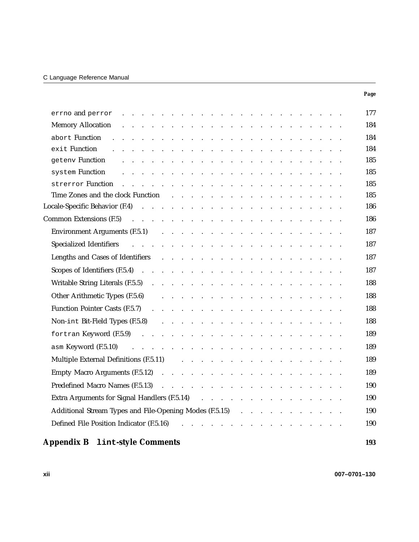## C Language Reference Manual

|                                                                                                                                                                                                                                | Page |
|--------------------------------------------------------------------------------------------------------------------------------------------------------------------------------------------------------------------------------|------|
|                                                                                                                                                                                                                                | 177  |
| <b>Memory Allocation</b><br>and the contract of the contract of the contract of the contract of the contract of                                                                                                                | 184  |
| abort Function<br>and the companion of the companion of the companion of the companion of the companion of the companion of the                                                                                                | 184  |
| exit Function<br>and a series of the contract of the contract of the contract of the contract of                                                                                                                               | 184  |
| geteny <b>Function</b><br>and a series of the contract of the contract of the contract of the contract of                                                                                                                      | 185  |
| system Function<br>and a series of the contract of the contract of the contract of the contract of the contract of the contract of                                                                                             | 185  |
| strerror Function research and response to the contract of the contract of the contract of the contract of the contract of the contract of the contract of the contract of the contract of the contract of the contract of the | 185  |
| Time Zones and the clock Function and the clock Function and the clock Function and the clock Function and the $\frac{1}{2}$                                                                                                   | 185  |
|                                                                                                                                                                                                                                | 186  |
| Common Extensions (F.5) (Eq. 2) (Eq. 2) (Eq. 2) (Eq. 2) (Eq. 2) (Eq. 2) (Eq. 2) (Eq. 2) (Eq. 2) (Eq. 2) (Eq. 2) (Eq. 2) (Eq. 2) (Eq. 2) (Eq. 2) (Eq. 2) (Eq. 2) (Eq. 2) (Eq. 2) (Eq. 2) (Eq. 2) (Eq. 2) (Eq. 2) (Eq. 2) (Eq. 2 | 186  |
| Environment Arguments (F.5.1) (and a contract of the contract of the contract of the contract of the contract of the contract of the contract of the contract of the contract of the contract of the contract of the contract  | 187  |
|                                                                                                                                                                                                                                | 187  |
| Lengths and Cases of Identifiers and a series and cases of Identifiers and a series and contact the series of $\alpha$                                                                                                         | 187  |
|                                                                                                                                                                                                                                | 187  |
|                                                                                                                                                                                                                                | 188  |
|                                                                                                                                                                                                                                | 188  |
|                                                                                                                                                                                                                                | 188  |
|                                                                                                                                                                                                                                | 188  |
|                                                                                                                                                                                                                                | 189  |
| asm Keyword (F.5.10)                                                                                                                                                                                                           | 189  |
| and the contract of the contract of the contract of the contract of the contract of                                                                                                                                            |      |
| Multiple External Definitions (F.5.11)<br>and the contract of the contract of the contract of the contract of                                                                                                                  | 189  |
|                                                                                                                                                                                                                                | 189  |
|                                                                                                                                                                                                                                | 190  |
| Extra Arguments for Signal Handlers (F.5.14) (Extra Fig. 2014) (F.5.14)                                                                                                                                                        | 190  |
| Additional Stream Types and File-Opening Modes (F.5.15)                                                                                                                                                                        | 190  |
|                                                                                                                                                                                                                                | 190  |
| <b>Appendix B</b><br><b>1int-style Comments</b>                                                                                                                                                                                | 193  |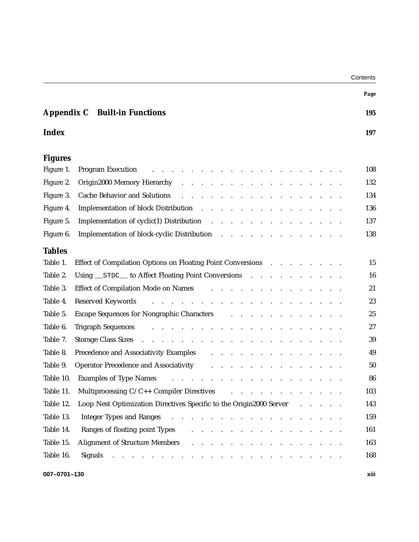| Contents |
|----------|
|----------|

|                                                                                                                                                                                                                                                                                          | Page |
|------------------------------------------------------------------------------------------------------------------------------------------------------------------------------------------------------------------------------------------------------------------------------------------|------|
| Appendix C<br><b>Built-in Functions</b>                                                                                                                                                                                                                                                  | 195  |
| <b>Index</b>                                                                                                                                                                                                                                                                             | 197  |
| <b>Figures</b>                                                                                                                                                                                                                                                                           |      |
| Figure 1.<br><b>Program Execution</b>                                                                                                                                                                                                                                                    | 108  |
| Figure 2.<br>Origin2000 Memory Hierarchy<br>والمناور والمناور والمناور والوالد والمناور والمناور والمناور والمناور                                                                                                                                                                       | 132  |
| Figure 3.<br><b>Cache Behavior and Solutions</b><br>and a strain and a strain and a                                                                                                                                                                                                      | 134  |
| Figure 4.<br>Implementation of block Distribution                                                                                                                                                                                                                                        | 136  |
| Implementation of cyclic(1) Distribution<br>Figure 5.<br>and the company of the company of the company of the company of the company of the company of the company of the company of the company of the company of the company of the company of the company of the company of the comp  | 137  |
| Implementation of block-cyclic Distribution<br>Figure 6.                                                                                                                                                                                                                                 | 138  |
| <b>Tables</b>                                                                                                                                                                                                                                                                            |      |
| Table 1.<br>Effect of Compilation Options on Floating Point Conversions                                                                                                                                                                                                                  | 15   |
| Table 2.<br>Using __STDC__ to Affect Floating Point Conversions                                                                                                                                                                                                                          | 16   |
| Table 3.<br>Effect of Compilation Mode on Names<br>and the contract of the contract of the                                                                                                                                                                                               | 21   |
| Table 4.<br>Reserved Keywords<br>and a series of the contract of the contract of the contract of the contract of                                                                                                                                                                         | 23   |
| Table 5.<br><b>Escape Sequences for Nongraphic Characters</b><br>and a strong control of the state of                                                                                                                                                                                    | 25   |
| Table 6.<br><b>Trigraph Sequences</b><br>and a series of the contract of the contract of the contract of                                                                                                                                                                                 | 27   |
| Table 7.<br><b>Storage Class Sizes</b><br>and the companion of the companion of the companion of the companion                                                                                                                                                                           | 39   |
| Table 8.<br>Precedence and Associativity Examples                                                                                                                                                                                                                                        | 49   |
| Table 9.<br><b>Operator Precedence and Associativity</b>                                                                                                                                                                                                                                 | 50   |
| Table 10.<br><b>Examples of Type Names</b><br>$\mathbf{r}$ and $\mathbf{r}$ and $\mathbf{r}$ and $\mathbf{r}$                                                                                                                                                                            | 86   |
| Multiprocessing C/C++ Compiler Directives<br>Table 11.<br>and the contract of the contract of the contract of the contract of the contract of the contract of the contract of the contract of the contract of the contract of the contract of the contract of the contract of the contra | 103  |
| Loop Nest Optimization Directives Specific to the Origin2000 Server<br>Table 12.                                                                                                                                                                                                         | 143  |
| Table 13.<br><b>Integer Types and Ranges</b><br>the second contract of the second contract of the second                                                                                                                                                                                 | 159  |
| Table 14.<br>Ranges of floating point Types<br>and a series of the contract of the contract of the                                                                                                                                                                                       | 161  |
| Table 15.<br>Alignment of Structure Members (Alignment of Structure Members) (Alignment of Structure Members)                                                                                                                                                                            | 163  |
| Table 16.<br><b>Signals</b><br>والمتعاون والمتعاون والمتعاون والمتعاون والمتعاون والمتعاون والمتعاون والمتعاون والمتعاون                                                                                                                                                                 | 168  |
| 007-0701-130                                                                                                                                                                                                                                                                             | xiii |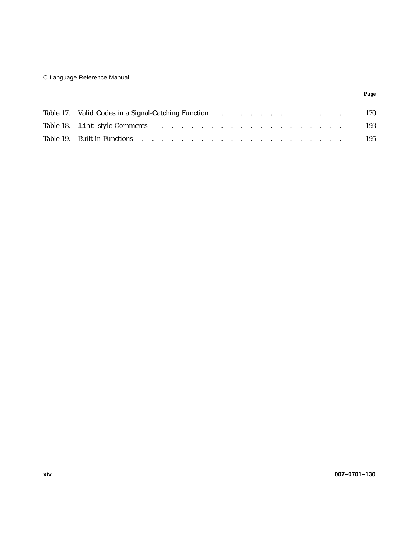| Table 17. Valid Codes in a Signal-Catching Function and a contract of the contract of the Codes in a Signal-Catching Function and a contract of the contract of the Codes in a Signal-Catching Function and a contract of the  |  |  |  |  |  | 170 |
|--------------------------------------------------------------------------------------------------------------------------------------------------------------------------------------------------------------------------------|--|--|--|--|--|-----|
| Table 18. lint-style Comments results in the case of the contract of the contract of the contract of the contract of the contract of the contract of the contract of the contract of the contract of the contract of the contr |  |  |  |  |  | 193 |
|                                                                                                                                                                                                                                |  |  |  |  |  | 195 |

*Page*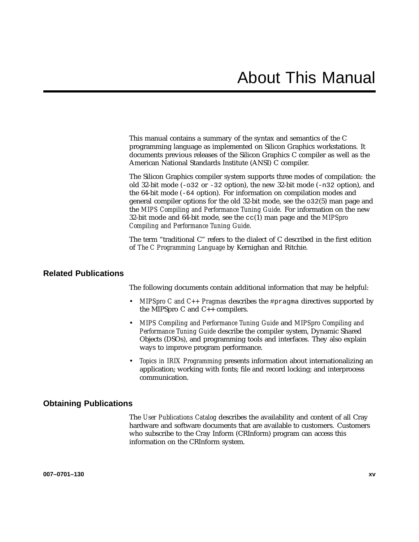This manual contains a summary of the syntax and semantics of the C programming language as implemented on Silicon Graphics workstations. It documents previous releases of the Silicon Graphics C compiler as well as the American National Standards Institute (ANSI) C compiler.

The Silicon Graphics compiler system supports three modes of compilation: the old 32-bit mode  $(-0.32 \text{ or } -32 \text{ option})$ , the new 32-bit mode  $(-n32 \text{ option})$ , and the 64-bit mode (-64 option). For information on compilation modes and general compiler options for the old 32-bit mode, see the o32(5) man page and the *MIPS Compiling and Performance Tuning Guide*. For information on the new 32-bit mode and 64-bit mode, see the cc(1) man page and the *MIPSpro Compiling and Performance Tuning Guide*.

The term "traditional C" refers to the dialect of C described in the first edition of *The C Programming Language* by Kernighan and Ritchie.

# **Related Publications**

The following documents contain additional information that may be helpful:

- *MIPSpro C and C++ Pragmas* describes the #pragma directives supported by the MIPSpro C and C++ compilers.
- *MIPS Compiling and Performance Tuning Guide* and *MIPSpro Compiling and Performance Tuning Guide* describe the compiler system, Dynamic Shared Objects (DSOs), and programming tools and interfaces. They also explain ways to improve program performance.
- *Topics in IRIX Programming* presents information about internationalizing an application; working with fonts; file and record locking; and interprocess communication.

## **Obtaining Publications**

The *User Publications Catalog* describes the availability and content of all Cray hardware and software documents that are available to customers. Customers who subscribe to the Cray Inform (CRInform) program can access this information on the CRInform system.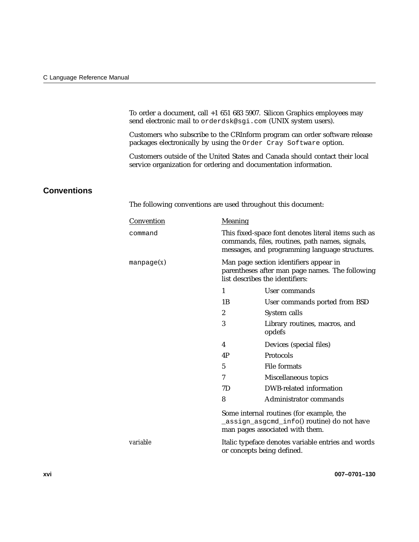To order a document, call +1 651 683 5907. Silicon Graphics employees may send electronic mail to orderdsk@sgi.com (UNIX system users).

Customers who subscribe to the CRInform program can order software release packages electronically by using the Order Cray Software option.

Customers outside of the United States and Canada should contact their local service organization for ordering and documentation information.

# **Conventions**

The following conventions are used throughout this document:

| Convention       | Meaning                                                                                                                                                  |                                         |  |  |  |
|------------------|----------------------------------------------------------------------------------------------------------------------------------------------------------|-----------------------------------------|--|--|--|
| command          | This fixed-space font denotes literal items such as<br>commands, files, routines, path names, signals,<br>messages, and programming language structures. |                                         |  |  |  |
| $m$ anpage $(x)$ | Man page section identifiers appear in<br>parentheses after man page names. The following<br>list describes the identifiers:                             |                                         |  |  |  |
|                  | 1                                                                                                                                                        | User commands                           |  |  |  |
|                  | 1B                                                                                                                                                       | User commands ported from BSD           |  |  |  |
|                  | $\boldsymbol{2}$                                                                                                                                         | System calls                            |  |  |  |
|                  | 3                                                                                                                                                        | Library routines, macros, and<br>opdefs |  |  |  |
|                  | 4                                                                                                                                                        | Devices (special files)                 |  |  |  |
|                  | 4P                                                                                                                                                       | Protocols                               |  |  |  |
|                  | <b>File formats</b><br>5                                                                                                                                 |                                         |  |  |  |
|                  | 7                                                                                                                                                        | Miscellaneous topics                    |  |  |  |
|                  | DWB-related information<br>7D                                                                                                                            |                                         |  |  |  |
|                  | 8<br>Administrator commands                                                                                                                              |                                         |  |  |  |
|                  | Some internal routines (for example, the<br>_assign_asgcmd_info() routine) do not have<br>man pages associated with them.                                |                                         |  |  |  |
| <i>variable</i>  | Italic typeface denotes variable entries and words<br>or concepts being defined.                                                                         |                                         |  |  |  |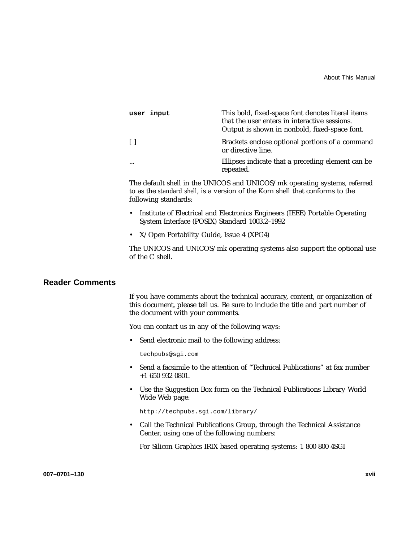| user input | This bold, fixed-space font denotes literal items<br>that the user enters in interactive sessions.<br>Output is shown in nonbold, fixed-space font. |
|------------|-----------------------------------------------------------------------------------------------------------------------------------------------------|
| -11        | Brackets enclose optional portions of a command<br>or directive line.                                                                               |
| $\cdots$   | Ellipses indicate that a preceding element can be<br>repeated.                                                                                      |

The default shell in the UNICOS and UNICOS/mk operating systems, referred to as the *standard shell*, is a version of the Korn shell that conforms to the following standards:

- Institute of Electrical and Electronics Engineers (IEEE) Portable Operating System Interface (POSIX) Standard 1003.2–1992
- X/Open Portability Guide, Issue 4 (XPG4)

The UNICOS and UNICOS/mk operating systems also support the optional use of the C shell.

# **Reader Comments**

If you have comments about the technical accuracy, content, or organization of this document, please tell us. Be sure to include the title and part number of the document with your comments.

You can contact us in any of the following ways:

• Send electronic mail to the following address:

techpubs@sgi.com

- Send a facsimile to the attention of "Technical Publications" at fax number +1 650 932 0801.
- Use the Suggestion Box form on the Technical Publications Library World Wide Web page:

http://techpubs.sgi.com/library/

• Call the Technical Publications Group, through the Technical Assistance Center, using one of the following numbers:

For Silicon Graphics IRIX based operating systems: 1 800 800 4SGI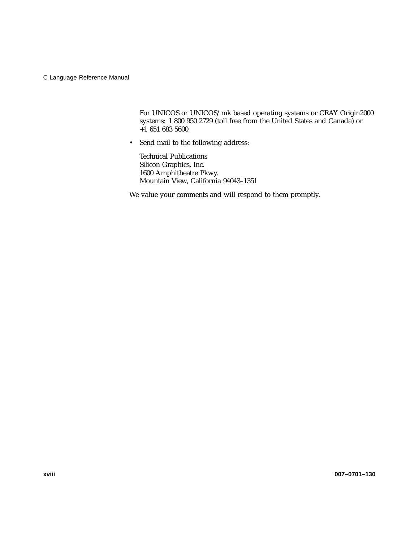For UNICOS or UNICOS/mk based operating systems or CRAY Origin2000 systems: 1 800 950 2729 (toll free from the United States and Canada) or  $+1$  651 683 5600

• Send mail to the following address:

Technical Publications Silicon Graphics, Inc. 1600 Amphitheatre Pkwy. Mountain View, California 94043–1351

We value your comments and will respond to them promptly.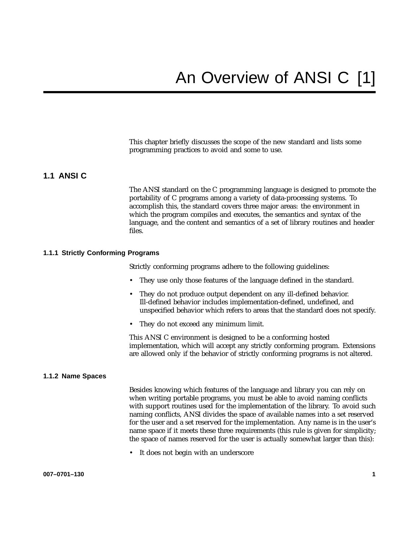This chapter briefly discusses the scope of the new standard and lists some programming practices to avoid and some to use.

## **1.1 ANSI C**

The ANSI standard on the C programming language is designed to promote the portability of C programs among a variety of data-processing systems. To accomplish this, the standard covers three major areas: the environment in which the program compiles and executes, the semantics and syntax of the language, and the content and semantics of a set of library routines and header files.

#### **1.1.1 Strictly Conforming Programs**

Strictly conforming programs adhere to the following guidelines:

- They use only those features of the language defined in the standard.
- They do not produce output dependent on any ill-defined behavior. Ill-defined behavior includes implementation-defined, undefined, and unspecified behavior which refers to areas that the standard does not specify.
- They do not exceed any minimum limit.

This ANSI C environment is designed to be a conforming hosted implementation, which will accept any strictly conforming program. Extensions are allowed only if the behavior of strictly conforming programs is not altered.

#### **1.1.2 Name Spaces**

Besides knowing which features of the language and library you can rely on when writing portable programs, you must be able to avoid naming conflicts with support routines used for the implementation of the library. To avoid such naming conflicts, ANSI divides the space of available names into a set reserved for the user and a set reserved for the implementation. Any name is in the user's name space if it meets these three requirements (this rule is given for simplicity; the space of names reserved for the user is actually somewhat larger than this):

• It does not begin with an underscore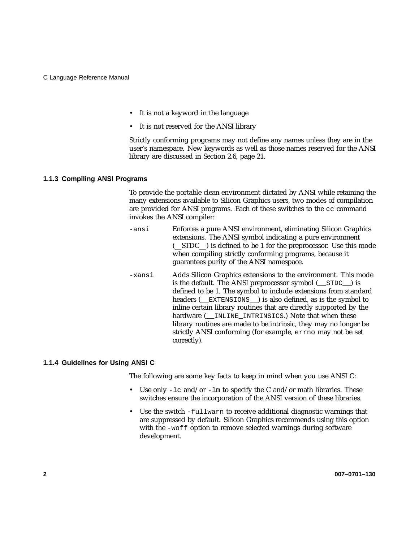- It is not a keyword in the language
- It is not reserved for the ANSI library

Strictly conforming programs may not define any names unless they are in the user's namespace. New keywords as well as those names reserved for the ANSI library are discussed in Section 2.6, page 21.

#### **1.1.3 Compiling ANSI Programs**

To provide the portable clean environment dictated by ANSI while retaining the many extensions available to Silicon Graphics users, two modes of compilation are provided for ANSI programs. Each of these switches to the cc command invokes the ANSI compiler:

- -ansi Enforces a pure ANSI environment, eliminating Silicon Graphics extensions. The ANSI symbol indicating a pure environment (\_\_STDC\_\_) is defined to be 1 for the preprocessor. Use this mode when compiling strictly conforming programs, because it guarantees purity of the ANSI namespace.
- -xansi Adds Silicon Graphics extensions to the environment. This mode is the default. The ANSI preprocessor symbol (\_\_STDC\_\_) is defined to be 1. The symbol to include extensions from standard headers (EXTENSIONS) is also defined, as is the symbol to inline certain library routines that are directly supported by the hardware ( INLINE INTRINSICS.) Note that when these library routines are made to be intrinsic, they may no longer be strictly ANSI conforming (for example, errno may not be set correctly).

#### **1.1.4 Guidelines for Using ANSI C**

The following are some key facts to keep in mind when you use ANSI C:

- Use only  $-1c$  and/or  $-1m$  to specify the C and/or math libraries. These switches ensure the incorporation of the ANSI version of these libraries.
- Use the switch  $-fullward$  to receive additional diagnostic warnings that are suppressed by default. Silicon Graphics recommends using this option with the -woff option to remove selected warnings during software development.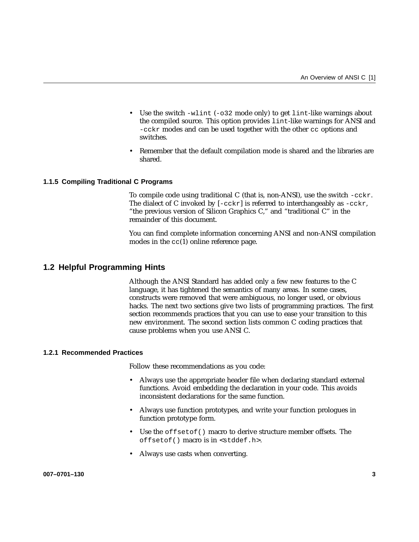- Use the switch -wlint (-032 mode only) to get lint-like warnings about the compiled source. This option provides lint-like warnings for ANSI and -cckr modes and can be used together with the other cc options and switches.
- Remember that the default compilation mode is shared and the libraries are shared.

#### **1.1.5 Compiling Traditional C Programs**

To compile code using traditional C (that is, non-ANSI), use the switch -cckr. The dialect of C invoked by  $[-cckr]$  is referred to interchangeably as  $-cckr$ , "the previous version of Silicon Graphics C," and "traditional C" in the remainder of this document.

You can find complete information concerning ANSI and non-ANSI compilation modes in the  $cc(1)$  online reference page.

## **1.2 Helpful Programming Hints**

Although the ANSI Standard has added only a few new features to the C language, it has tightened the semantics of many areas. In some cases, constructs were removed that were ambiguous, no longer used, or obvious hacks. The next two sections give two lists of programming practices. The first section recommends practices that you can use to ease your transition to this new environment. The second section lists common C coding practices that cause problems when you use ANSI C.

#### **1.2.1 Recommended Practices**

Follow these recommendations as you code:

- Always use the appropriate header file when declaring standard external functions. Avoid embedding the declaration in your code. This avoids inconsistent declarations for the same function.
- Always use function prototypes, and write your function prologues in function prototype form.
- Use the offsetof() macro to derive structure member offsets. The offsetof() macro is in <stddef.h>.
- Always use casts when converting.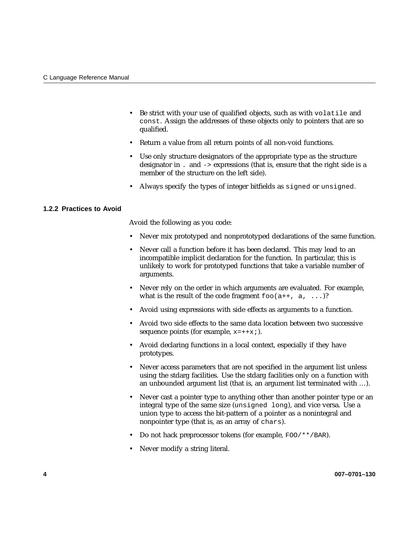- Be strict with your use of qualified objects, such as with volatile and const. Assign the addresses of these objects only to pointers that are so qualified.
- Return a value from all return points of all non-void functions.
- Use only structure designators of the appropriate type as the structure designator in . and -> expressions (that is, ensure that the right side is a member of the structure on the left side).
- Always specify the types of integer bitfields as signed or unsigned.

#### **1.2.2 Practices to Avoid**

Avoid the following as you code:

- Never mix prototyped and nonprototyped declarations of the same function.
- Never call a function before it has been declared. This may lead to an incompatible implicit declaration for the function. In particular, this is unlikely to work for prototyped functions that take a variable number of arguments.
- Never rely on the order in which arguments are evaluated. For example, what is the result of the code fragment  $f \circ \circ (a^{++}, a, \ldots)$ ?
- Avoid using expressions with side effects as arguments to a function.
- Avoid two side effects to the same data location between two successive sequence points (for example,  $x=++x;$ ).
- Avoid declaring functions in a local context, especially if they have prototypes.
- Never access parameters that are not specified in the argument list unless using the stdarg facilities. Use the stdarg facilities only on a function with an unbounded argument list (that is, an argument list terminated with …).
- Never cast a pointer type to anything other than another pointer type or an integral type of the same size (unsigned long), and vice versa. Use a union type to access the bit-pattern of a pointer as a nonintegral and nonpointer type (that is, as an array of chars).
- Do not hack preprocessor tokens (for example, FOO/\*\*/BAR).
- Never modify a string literal.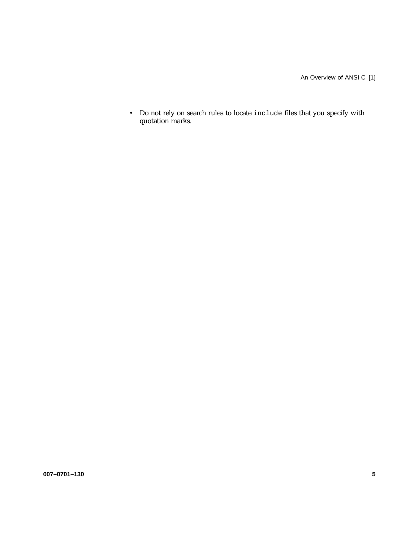• Do not rely on search rules to locate include files that you specify with quotation marks.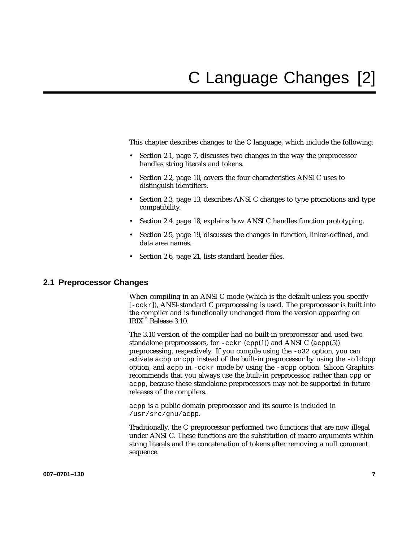This chapter describes changes to the C language, which include the following:

- Section 2.1, page 7, discusses two changes in the way the preprocessor handles string literals and tokens.
- Section 2.2, page 10, covers the four characteristics ANSI C uses to distinguish identifiers.
- Section 2.3, page 13, describes ANSI C changes to type promotions and type compatibility.
- Section 2.4, page 18, explains how ANSI C handles function prototyping.
- Section 2.5, page 19, discusses the changes in function, linker-defined, and data area names.
- Section 2.6, page 21, lists standard header files.

## **2.1 Preprocessor Changes**

When compiling in an ANSI C mode (which is the default unless you specify [-cckr]), ANSI-standard C preprocessing is used. The preprocessor is built into the compiler and is functionally unchanged from the version appearing on  $IRIX^{\mathbb{M}}$  Release 3.10.

The 3.10 version of the compiler had no built-in preprocessor and used two standalone preprocessors, for  $-cckr$  (cpp(1)) and ANSI C (acpp(5)) preprocessing, respectively. If you compile using the -o32 option, you can activate acpp or cpp instead of the built-in preprocessor by using the -oldcpp option, and acpp in -cckr mode by using the -acpp option. Silicon Graphics recommends that you always use the built-in preprocessor, rather than cpp or acpp, because these standalone preprocessors may not be supported in future releases of the compilers.

acpp is a public domain preprocessor and its source is included in /usr/src/gnu/acpp.

Traditionally, the C preprocessor performed two functions that are now illegal under ANSI C. These functions are the substitution of macro arguments within string literals and the concatenation of tokens after removing a null comment sequence.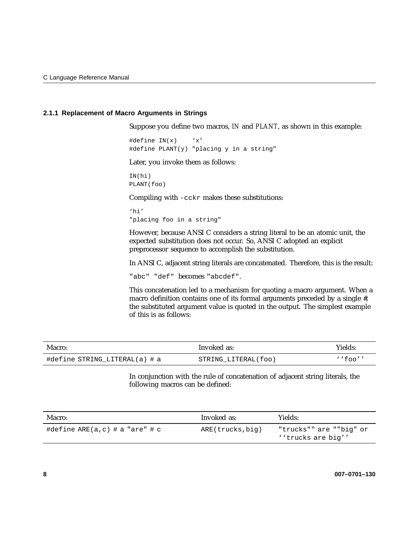#### **2.1.1 Replacement of Macro Arguments in Strings**

Suppose you define two macros, *IN* and *PLANT*, as shown in this example:

#define  $IN(x)$  'x' #define PLANT(y) "placing y in a string"

Later, you invoke them as follows:

IN(hi) PLANT(foo)

Compiling with -cckr makes these substitutions:

'hi' "placing foo in a string"

However, because ANSI C considers a string literal to be an atomic unit, the expected substitution does not occur. So, ANSI C adopted an explicit preprocessor sequence to accomplish the substitution.

In ANSI C, adjacent string literals are concatenated. Therefore, this is the result:

"abc" "def" becomes "abcdef".

This concatenation led to a mechanism for quoting a macro argument. When a macro definition contains one of its formal arguments preceded by a single #, the substituted argument value is quoted in the output. The simplest example of this is as follows:

| Macro:                        | Invoked as:         | Yields:   |
|-------------------------------|---------------------|-----------|
| #define STRING LITERAL(a) # a | STRING LITERAL(foo) | $'$ foo'' |

In conjunction with the rule of concatenation of adjacent string literals, the following macros can be defined:

| Macro:                         | Invoked as:      | Yields:                                       |  |  |
|--------------------------------|------------------|-----------------------------------------------|--|--|
| #define ARE(a,c) # a "are" # c | ARE(trucks, big) | "trucks"" are ""big" or<br>''trucks are big'' |  |  |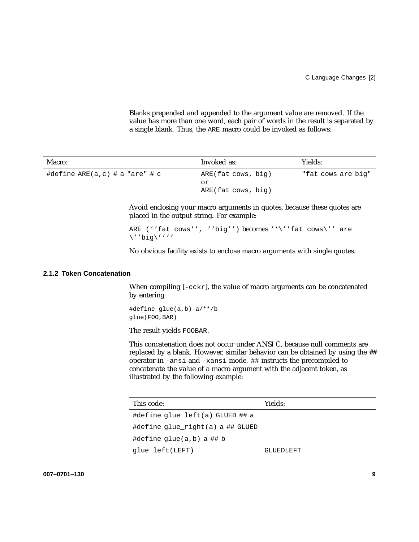Blanks prepended and appended to the argument value are removed. If the value has more than one word, each pair of words in the result is separated by a single blank. Thus, the ARE macro could be invoked as follows:

| Macro:                         | Invoked as:        | Yields:            |
|--------------------------------|--------------------|--------------------|
| #define ARE(a,c) # a "are" # c | ARE(fat cows, big) | "fat cows are big" |
|                                | or                 |                    |
|                                | ARE(fat cows, big) |                    |

Avoid enclosing your macro arguments in quotes, because these quotes are placed in the output string. For example:

```
ARE (''fat cows'', ''big'') becomes ''\''fat cows\'' are
\''big\''''
```
No obvious facility exists to enclose macro arguments with single quotes.

#### **2.1.2 Token Concatenation**

When compiling  $[-cckr]$ , the value of macro arguments can be concatenated by entering

#define glue(a,b) a/\*\*/b glue(FOO,BAR)

The result yields FOOBAR.

This concatenation does not occur under ANSI C, because null comments are replaced by a blank. However, similar behavior can be obtained by using the ## operator in -ansi and -xansi mode. ## instructs the precompiled to concatenate the value of a macro argument with the adjacent token, as illustrated by the following example:

| This code:                       | Yields:   |
|----------------------------------|-----------|
| #define glue left(a) GLUED ## a  |           |
| #define glue right(a) a ## GLUED |           |
| #define $qlue(a,b)$ a ## b       |           |
| glue left(LEFT)                  | GLUEDLEFT |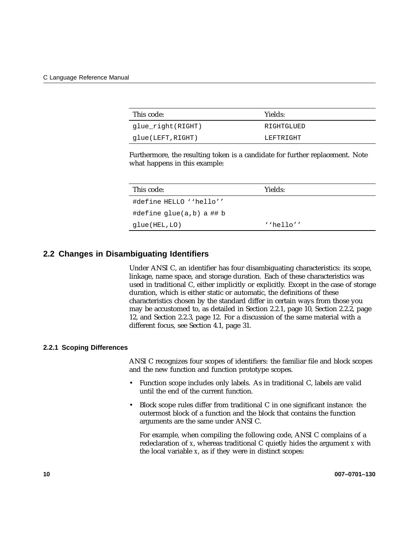| This code:        | Yields:    |
|-------------------|------------|
| glue_right(RIGHT) | RIGHTGLUED |
| glue(LEFT,RIGHT)  | LEFTRIGHT  |

Furthermore, the resulting token is a candidate for further replacement. Note what happens in this example:

| This code:               | Yields:     |
|--------------------------|-------------|
| #define HELLO ''hello''  |             |
| #define glue(a,b) a ## b |             |
| glue(HEL,LO)             | $'$ hello'' |

# **2.2 Changes in Disambiguating Identifiers**

Under ANSI C, an identifier has four disambiguating characteristics: its scope, linkage, name space, and storage duration. Each of these characteristics was used in traditional C, either implicitly or explicitly. Except in the case of storage duration, which is either static or automatic, the definitions of these characteristics chosen by the standard differ in certain ways from those you may be accustomed to, as detailed in Section 2.2.1, page 10, Section 2.2.2, page 12, and Section 2.2.3, page 12. For a discussion of the same material with a different focus, see Section 4.1, page 31.

#### **2.2.1 Scoping Differences**

ANSI C recognizes four scopes of identifiers: the familiar file and block scopes and the new function and function prototype scopes.

- Function scope includes only labels. As in traditional C, labels are valid until the end of the current function.
- Block scope rules differ from traditional C in one significant instance: the outermost block of a function and the block that contains the function arguments are the same under ANSI C.

For example, when compiling the following code, ANSI C complains of a redeclaration of *x*, whereas traditional C quietly hides the argument *x* with the local variable *x*, as if they were in distinct scopes: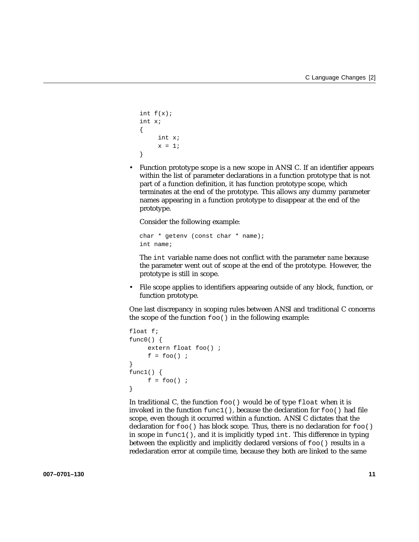```
int f(x);
int x;
{
     int x;
     x = 1;}
```
• Function prototype scope is a new scope in ANSI C. If an identifier appears within the list of parameter declarations in a function prototype that is not part of a function definition, it has function prototype scope, which terminates at the end of the prototype. This allows any dummy parameter names appearing in a function prototype to disappear at the end of the prototype.

Consider the following example:

```
char * getenv (const char * name);
int name;
```
The int variable name does not conflict with the parameter *name* because the parameter went out of scope at the end of the prototype. However, the prototype is still in scope.

• File scope applies to identifiers appearing outside of any block, function, or function prototype.

One last discrepancy in scoping rules between ANSI and traditional C concerns the scope of the function  $f \circ \circ$  () in the following example:

```
float f;
func0() \{extern float foo() ;
     f = foo();
}
func1() \{f = foo() ;
}
```
In traditional C, the function  $f \circ \circ$  ( ) would be of type  $f$  loat when it is invoked in the function func1(), because the declaration for foo() had file scope, even though it occurred within a function. ANSI C dictates that the declaration for  $f \circ \circ$  () has block scope. Thus, there is no declaration for  $f \circ \circ$  () in scope in  $func1()$ , and it is implicitly typed int. This difference in typing between the explicitly and implicitly declared versions of foo() results in a redeclaration error at compile time, because they both are linked to the same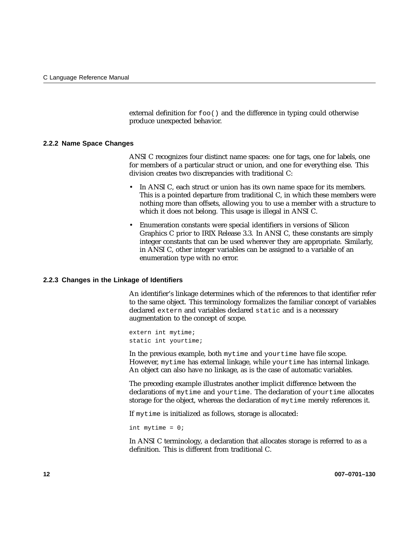external definition for foo() and the difference in typing could otherwise produce unexpected behavior.

#### **2.2.2 Name Space Changes**

ANSI C recognizes four distinct name spaces: one for tags, one for labels, one for members of a particular struct or union, and one for everything else. This division creates two discrepancies with traditional C:

- In ANSI C, each struct or union has its own name space for its members. This is a pointed departure from traditional C, in which these members were nothing more than offsets, allowing you to use a member with a structure to which it does not belong. This usage is illegal in ANSI C.
- Enumeration constants were special identifiers in versions of Silicon Graphics C prior to IRIX Release 3.3. In ANSI C, these constants are simply integer constants that can be used wherever they are appropriate. Similarly, in ANSI C, other integer variables can be assigned to a variable of an enumeration type with no error.

#### **2.2.3 Changes in the Linkage of Identifiers**

An identifier's linkage determines which of the references to that identifier refer to the same object. This terminology formalizes the familiar concept of variables declared extern and variables declared static and is a necessary augmentation to the concept of scope.

extern int mytime; static int yourtime;

In the previous example, both mytime and yourtime have file scope. However, mytime has external linkage, while yourtime has internal linkage. An object can also have no linkage, as is the case of automatic variables.

The preceding example illustrates another implicit difference between the declarations of mytime and yourtime. The declaration of yourtime allocates storage for the object, whereas the declaration of mytime merely references it.

If mytime is initialized as follows, storage is allocated:

int mytime = 0;

In ANSI C terminology, a declaration that allocates storage is referred to as a definition. This is different from traditional C.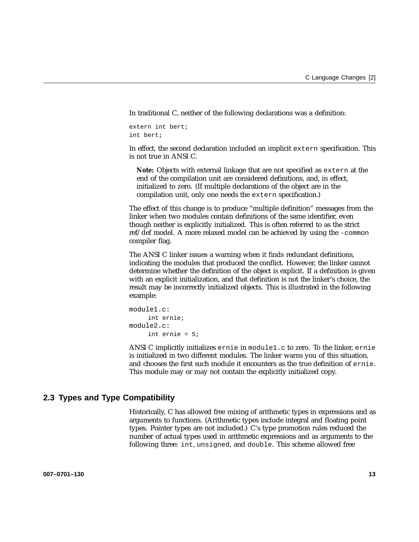In traditional C, neither of the following declarations was a definition:

```
extern int bert;
int bert;
```
In effect, the second declaration included an implicit extern specification. This is not true in ANSI C.

**Note:** Objects with external linkage that are not specified as extern at the end of the compilation unit are considered definitions, and, in effect, initialized to zero. (If multiple declarations of the object are in the compilation unit, only one needs the extern specification.)

The effect of this change is to produce "multiple definition" messages from the linker when two modules contain definitions of the same identifier, even though neither is explicitly initialized. This is often referred to as the strict ref/def model. A more relaxed model can be achieved by using the -common compiler flag.

The ANSI C linker issues a warning when it finds redundant definitions, indicating the modules that produced the conflict. However, the linker cannot determine whether the definition of the object is explicit. If a definition is given with an explicit initialization, and that definition is not the linker's choice, the result may be incorrectly initialized objects. This is illustrated in the following example:

```
module1.c:
     int ernie;
module2.c:
     int ernie = 5;
```
ANSI C implicitly initializes ernie in module1.c to zero. To the linker, ernie is initialized in two different modules. The linker warns you of this situation, and chooses the first such module it encounters as the true definition of ernie. This module may or may not contain the explicitly initialized copy.

# **2.3 Types and Type Compatibility**

Historically, C has allowed free mixing of arithmetic types in expressions and as arguments to functions. (Arithmetic types include integral and floating point types. Pointer types are not included.) C's type promotion rules reduced the number of actual types used in arithmetic expressions and as arguments to the following three: int, unsigned, and double. This scheme allowed free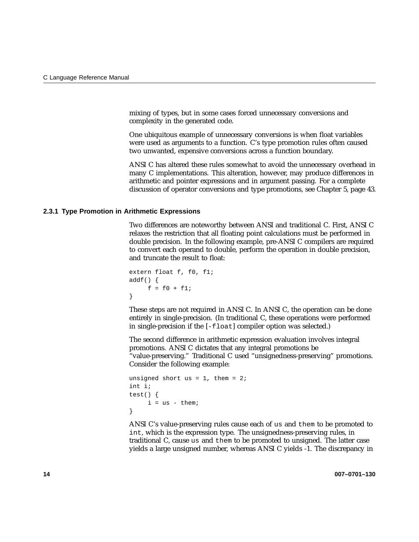mixing of types, but in some cases forced unnecessary conversions and complexity in the generated code.

One ubiquitous example of unnecessary conversions is when float variables were used as arguments to a function. C's type promotion rules often caused two unwanted, expensive conversions across a function boundary.

ANSI C has altered these rules somewhat to avoid the unnecessary overhead in many C implementations. This alteration, however, may produce differences in arithmetic and pointer expressions and in argument passing. For a complete discussion of operator conversions and type promotions, see Chapter 5, page 43.

#### **2.3.1 Type Promotion in Arithmetic Expressions**

Two differences are noteworthy between ANSI and traditional C. First, ANSI C relaxes the restriction that all floating point calculations must be performed in double precision. In the following example, pre-ANSI C compilers are required to convert each operand to double, perform the operation in double precision, and truncate the result to float:

```
extern float f, f0, f1;
addf() \{f = f0 + f1;}
```
These steps are not required in ANSI C. In ANSI C, the operation can be done entirely in single-precision. (In traditional C, these operations were performed in single-precision if the [-float] compiler option was selected.)

The second difference in arithmetic expression evaluation involves integral promotions. ANSI C dictates that any integral promotions be "value-preserving." Traditional C used "unsignedness-preserving" promotions. Consider the following example:

```
unsigned short us = 1, them = 2;
int i;
test() {
     i = us - them;}
```
ANSI C's value-preserving rules cause each of us and them to be promoted to int, which is the expression type. The unsignedness-preserving rules, in traditional C, cause us and them to be promoted to unsigned. The latter case yields a large unsigned number, whereas ANSI C yields -1. The discrepancy in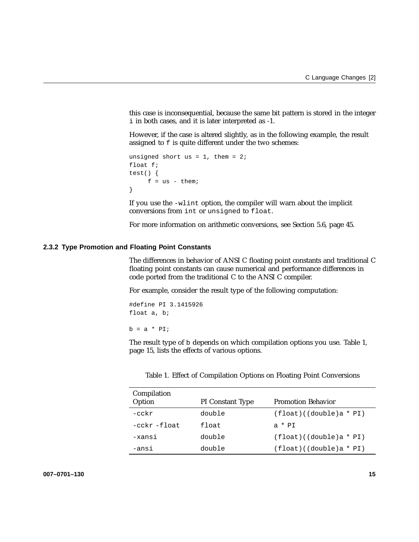this case is inconsequential, because the same bit pattern is stored in the integer i in both cases, and it is later interpreted as -1.

However, if the case is altered slightly, as in the following example, the result assigned to  $f$  is quite different under the two schemes:

```
unsigned short us = 1, them = 2;
float f;
test() {
    f = us - them}
```
If you use the -wlint option, the compiler will warn about the implicit conversions from int or unsigned to float.

For more information on arithmetic conversions, see Section 5.6, page 45.

### **2.3.2 Type Promotion and Floating Point Constants**

The differences in behavior of ANSI C floating point constants and traditional C floating point constants can cause numerical and performance differences in code ported from the traditional C to the ANSI C compiler.

For example, consider the result type of the following computation:

#define PI 3.1415926 float a, b;

 $b = a * PI;$ 

The result type of b depends on which compilation options you use. Table 1, page 15, lists the effects of various options.

| Compilation<br>Option | PI Constant Type | <b>Promotion Behavior</b>  |
|-----------------------|------------------|----------------------------|
| $-cckr$               | double           | $(fload)$ ((double)a * PI) |
| $-cckr$ -float        | float            | $a * PT$                   |
| -xansi                | double           | $(fload)$ ((double)a * PI) |
| -ansi                 | double           | $(fload)$ ((double)a * PI) |

Table 1. Effect of Compilation Options on Floating Point Conversions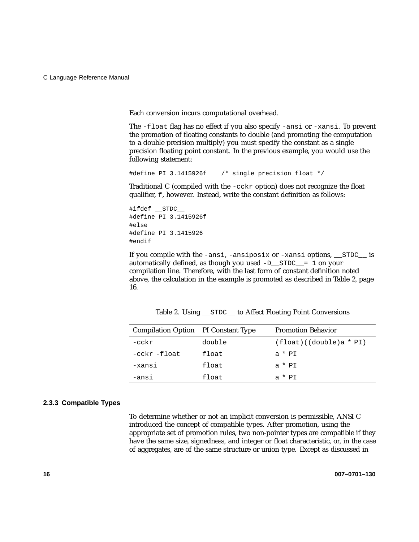Each conversion incurs computational overhead.

The -float flag has no effect if you also specify -ansi or -xansi. To prevent the promotion of floating constants to double (and promoting the computation to a double precision multiply) you must specify the constant as a single precision floating point constant. In the previous example, you would use the following statement:

#define PI 3.1415926f /\* single precision float \*/

Traditional C (compiled with the -cckr option) does not recognize the float qualifier, f, however. Instead, write the constant definition as follows:

#ifdef \_\_STDC\_\_ #define PI 3.1415926f #else #define PI 3.1415926 #endif

If you compile with the -ansi, -ansiposix or -xansi options, \_\_STDC\_\_ is automatically defined, as though you used -D\_\_STDC\_\_= 1 on your compilation line. Therefore, with the last form of constant definition noted above, the calculation in the example is promoted as described in Table 2, page 16.

| Compilation Option PI Constant Type |        | <b>Promotion Behavior</b>  |
|-------------------------------------|--------|----------------------------|
| -cckr                               | double | $(fload)$ ((double)a * PI) |
| -cckr -float                        | float  | $a * PI$                   |
| -xansi                              | float  | $a * PI$                   |
| -ansi                               | float  | $a * PT$                   |

Table 2. Using \_\_STDC\_\_ to Affect Floating Point Conversions

#### **2.3.3 Compatible Types**

To determine whether or not an implicit conversion is permissible, ANSI C introduced the concept of compatible types. After promotion, using the appropriate set of promotion rules, two non-pointer types are compatible if they have the same size, signedness, and integer or float characteristic, or, in the case of aggregates, are of the same structure or union type. Except as discussed in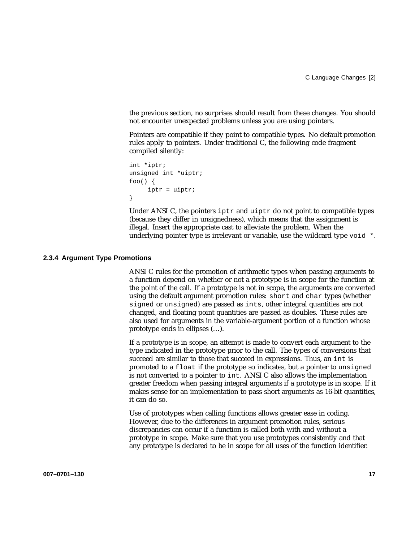the previous section, no surprises should result from these changes. You should not encounter unexpected problems unless you are using pointers.

Pointers are compatible if they point to compatible types. No default promotion rules apply to pointers. Under traditional C, the following code fragment compiled silently:

```
int *iptr;
unsigned int *uiptr;
foo() \{iptr = uiptr;
}
```
Under ANSI C, the pointers iptr and uiptr do not point to compatible types (because they differ in unsignedness), which means that the assignment is illegal. Insert the appropriate cast to alleviate the problem. When the underlying pointer type is irrelevant or variable, use the wildcard type  $\text{void} *$ .

#### **2.3.4 Argument Type Promotions**

ANSI C rules for the promotion of arithmetic types when passing arguments to a function depend on whether or not a prototype is in scope for the function at the point of the call. If a prototype is not in scope, the arguments are converted using the default argument promotion rules: short and char types (whether signed or unsigned) are passed as ints, other integral quantities are not changed, and floating point quantities are passed as doubles. These rules are also used for arguments in the variable-argument portion of a function whose prototype ends in ellipses (…).

If a prototype is in scope, an attempt is made to convert each argument to the type indicated in the prototype prior to the call. The types of conversions that succeed are similar to those that succeed in expressions. Thus, an int is promoted to a float if the prototype so indicates, but a pointer to unsigned is not converted to a pointer to int. ANSI C also allows the implementation greater freedom when passing integral arguments if a prototype is in scope. If it makes sense for an implementation to pass short arguments as 16-bit quantities, it can do so.

Use of prototypes when calling functions allows greater ease in coding. However, due to the differences in argument promotion rules, serious discrepancies can occur if a function is called both with and without a prototype in scope. Make sure that you use prototypes consistently and that any prototype is declared to be in scope for all uses of the function identifier.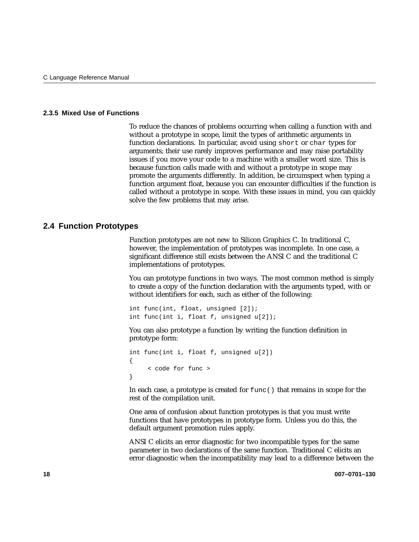### **2.3.5 Mixed Use of Functions**

To reduce the chances of problems occurring when calling a function with and without a prototype in scope, limit the types of arithmetic arguments in function declarations. In particular, avoid using short or char types for arguments; their use rarely improves performance and may raise portability issues if you move your code to a machine with a smaller word size. This is because function calls made with and without a prototype in scope may promote the arguments differently. In addition, be circumspect when typing a function argument float, because you can encounter difficulties if the function is called without a prototype in scope. With these issues in mind, you can quickly solve the few problems that may arise.

## **2.4 Function Prototypes**

Function prototypes are not new to Silicon Graphics C. In traditional C, however, the implementation of prototypes was incomplete. In one case, a significant difference still exists between the ANSI C and the traditional C implementations of prototypes.

You can prototype functions in two ways. The most common method is simply to create a copy of the function declaration with the arguments typed, with or without identifiers for each, such as either of the following:

```
int func(int, float, unsigned [2]);
int func(int i, float f, unsigned u[2]);
```
You can also prototype a function by writing the function definition in prototype form:

```
int func(int i, float f, unsigned u[2])
{
     < code for func >
}
```
In each case, a prototype is created for  $func()$  that remains in scope for the rest of the compilation unit.

One area of confusion about function prototypes is that you must write functions that have prototypes in prototype form. Unless you do this, the default argument promotion rules apply.

ANSI C elicits an error diagnostic for two incompatible types for the same parameter in two declarations of the same function. Traditional C elicits an error diagnostic when the incompatibility may lead to a difference between the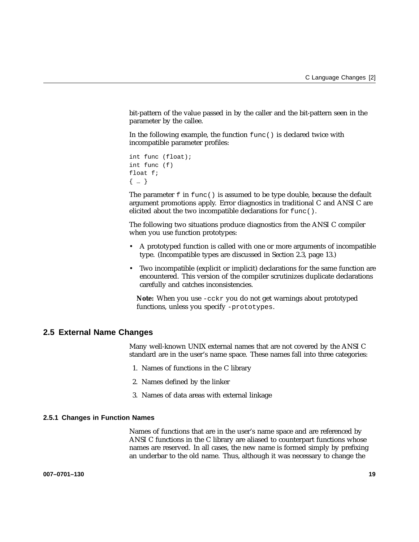bit-pattern of the value passed in by the caller and the bit-pattern seen in the parameter by the callee.

In the following example, the function func() is declared twice with incompatible parameter profiles:

```
int func (float);
int func (f)
float f;
{…}
```
The parameter  $f$  in  $func()$  is assumed to be type double, because the default argument promotions apply. Error diagnostics in traditional C and ANSI C are elicited about the two incompatible declarations for func().

The following two situations produce diagnostics from the ANSI C compiler when you use function prototypes:

- A prototyped function is called with one or more arguments of incompatible type. (Incompatible types are discussed in Section 2.3, page 13.)
- Two incompatible (explicit or implicit) declarations for the same function are encountered. This version of the compiler scrutinizes duplicate declarations carefully and catches inconsistencies.

**Note:** When you use -cckr you do not get warnings about prototyped functions, unless you specify -prototypes.

## **2.5 External Name Changes**

Many well-known UNIX external names that are not covered by the ANSI C standard are in the user's name space. These names fall into three categories:

- 1. Names of functions in the C library
- 2. Names defined by the linker
- 3. Names of data areas with external linkage

### **2.5.1 Changes in Function Names**

Names of functions that are in the user's name space and are referenced by ANSI C functions in the C library are aliased to counterpart functions whose names are reserved. In all cases, the new name is formed simply by prefixing an underbar to the old name. Thus, although it was necessary to change the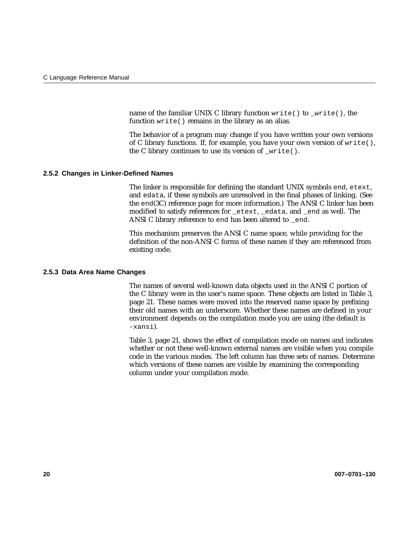name of the familiar UNIX C library function write() to \_write(), the function write() remains in the library as an alias.

The behavior of a program may change if you have written your own versions of C library functions. If, for example, you have your own version of write(), the C library continues to use its version of  $write()$ .

#### **2.5.2 Changes in Linker-Defined Names**

The linker is responsible for defining the standard UNIX symbols end, etext, and edata, if these symbols are unresolved in the final phases of linking. (See the end(3C) reference page for more information.) The ANSI C linker has been modified to satisfy references for \_etext, \_edata, and \_end as well. The ANSI C library reference to end has been altered to \_end.

This mechanism preserves the ANSI C name space, while providing for the definition of the non-ANSI C forms of these names if they are referenced from existing code.

#### **2.5.3 Data Area Name Changes**

The names of several well-known data objects used in the ANSI C portion of the C library were in the user's name space. These objects are listed in Table 3, page 21. These names were moved into the reserved name space by prefixing their old names with an underscore. Whether these names are defined in your environment depends on the compilation mode you are using (the default is -xansi).

Table 3, page 21, shows the effect of compilation mode on names and indicates whether or not these well-known external names are visible when you compile code in the various modes. The left column has three sets of names. Determine which versions of these names are visible by examining the corresponding column under your compilation mode.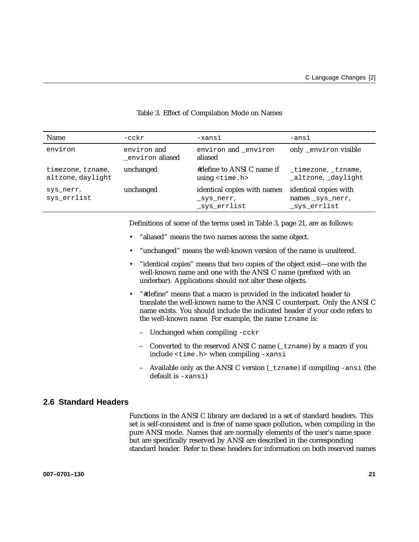| <b>Name</b>                            | $-cckr$                               | -xansi                                                   | -ansi                                                    |
|----------------------------------------|---------------------------------------|----------------------------------------------------------|----------------------------------------------------------|
| environ                                | environ and<br>environ <b>aliased</b> | environ and environ<br>aliased                           | only _environ visible                                    |
| timezone, tzname,<br>altzone, daylight | unchanged                             | #define to ANSI C name if<br>using $\tt$ ime.h>          | timezone, tzname,<br>_altzone, _daylight                 |
| sys nerr,<br>sys_errlist               | unchanged                             | identical copies with names<br>sys nerr,<br>_sys_errlist | identical copies with<br>names sys nerr,<br>_sys_errlist |

### Table 3. Effect of Compilation Mode on Names

Definitions of some of the terms used in Table 3, page 21, are as follows:

- "aliased" means the two names access the same object.
- "unchanged" means the well-known version of the name is unaltered.
- "identical copies" means that two copies of the object exist—one with the well-known name and one with the ANSI C name (prefixed with an underbar). Applications should not alter these objects.
- "#define" means that a macro is provided in the indicated header to translate the well-known name to the ANSI C counterpart. Only the ANSI C name exists. You should include the indicated header if your code refers to the well-known name. For example, the name tzname is:
	- Unchanged when compiling -cckr
	- Converted to the reserved ANSI C name (\_tzname) by a macro if you include <time.h> when compiling -xansi
	- Available only as the ANSI C version (\_tzname) if compiling -ansi (the default is -xansi)

### **2.6 Standard Headers**

Functions in the ANSI C library are declared in a set of standard headers. This set is self-consistent and is free of name space pollution, when compiling in the pure ANSI mode. Names that are normally elements of the user's name space but are specifically reserved by ANSI are described in the corresponding standard header. Refer to these headers for information on both reserved names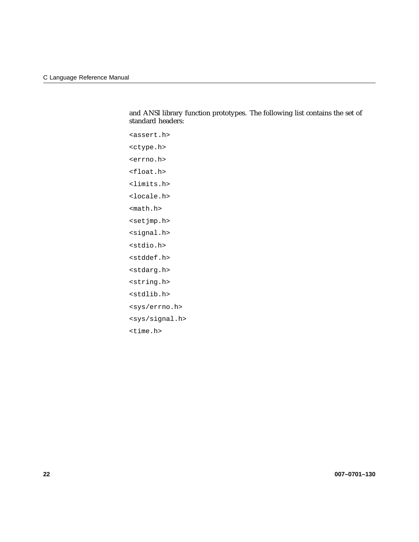and ANSI library function prototypes. The following list contains the set of standard headers:

```
<assert.h>
<ctype.h>
<errno.h>
<float.h>
<limits.h>
<locale.h>
<math.h>
<setjmp.h>
<signal.h>
<stdio.h>
<stddef.h>
<stdarg.h>
<string.h>
<stdlib.h>
<sys/errno.h>
<sys/signal.h>
<time.h>
```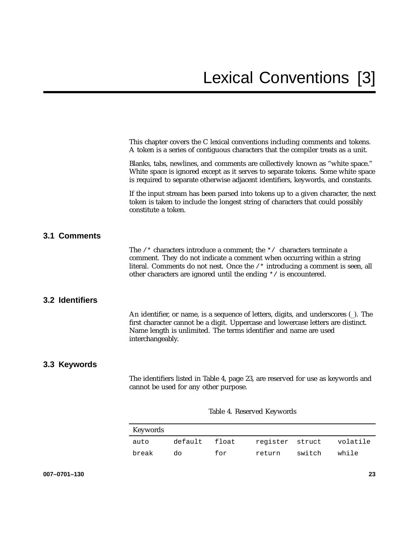This chapter covers the C lexical conventions including comments and tokens. A token is a series of contiguous characters that the compiler treats as a unit.

Blanks, tabs, newlines, and comments are collectively known as "white space." White space is ignored except as it serves to separate tokens. Some white space is required to separate otherwise adjacent identifiers, keywords, and constants.

If the input stream has been parsed into tokens up to a given character, the next token is taken to include the longest string of characters that could possibly constitute a token.

## **3.1 Comments**

The  $/*$  characters introduce a comment; the  $*/$  characters terminate a comment. They do not indicate a comment when occurring within a string literal. Comments do not nest. Once the /\* introducing a comment is seen, all other characters are ignored until the ending \*/ is encountered.

## **3.2 Identifiers**

An identifier, or name, is a sequence of letters, digits, and underscores  $\bigcup$ . The first character cannot be a digit. Uppercase and lowercase letters are distinct. Name length is unlimited. The terms identifier and name are used interchangeably.

## **3.3 Keywords**

The identifiers listed in Table 4, page 23, are reserved for use as keywords and cannot be used for any other purpose.

| Keywords |               |     |                 |        |          |
|----------|---------------|-----|-----------------|--------|----------|
| auto     | default float |     | register struct |        | volatile |
| break    | do            | for | return          | switch | while    |

Table 4. Reserved Keywords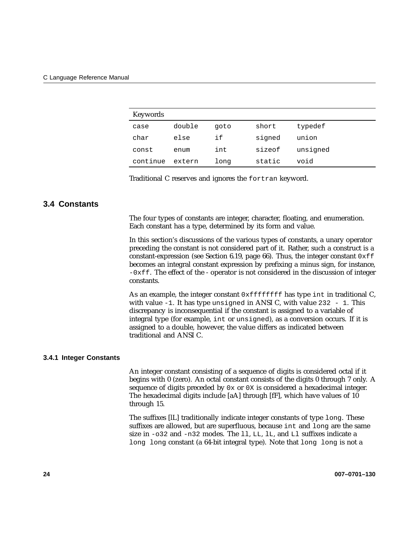| Keywords |        |      |        |          |
|----------|--------|------|--------|----------|
| case     | double | goto | short  | typedef  |
| char     | else   | if   | signed | union    |
| const    | enum   | int  | sizeof | unsigned |
| continue | extern | long | static | void     |

Traditional C reserves and ignores the fortran keyword.

## **3.4 Constants**

The four types of constants are integer, character, floating, and enumeration. Each constant has a type, determined by its form and value.

In this section's discussions of the various types of constants, a unary operator preceding the constant is not considered part of it. Rather, such a construct is a constant-expression (see Section 6.19, page 66). Thus, the integer constant  $0xff$ becomes an integral constant expression by prefixing a minus sign, for instance,  $-0x$  f. The effect of the - operator is not considered in the discussion of integer constants.

As an example, the integer constant  $0 \times$  ffffffff has type int in traditional C, with value  $-1$ . It has type unsigned in ANSI C, with value 232  $-1$ . This discrepancy is inconsequential if the constant is assigned to a variable of integral type (for example, int or unsigned), as a conversion occurs. If it is assigned to a double, however, the value differs as indicated between traditional and ANSI C.

### **3.4.1 Integer Constants**

An integer constant consisting of a sequence of digits is considered octal if it begins with 0 (zero). An octal constant consists of the digits 0 through 7 only. A sequence of digits preceded by 0x or 0X is considered a hexadecimal integer. The hexadecimal digits include [aA] through [fF], which have values of 10 through 15.

The suffixes [lL] traditionally indicate integer constants of type long. These suffixes are allowed, but are superfluous, because int and long are the same size in -o32 and -n32 modes. The ll, LL, lL, and Ll suffixes indicate a long long constant (a 64-bit integral type). Note that long long is not a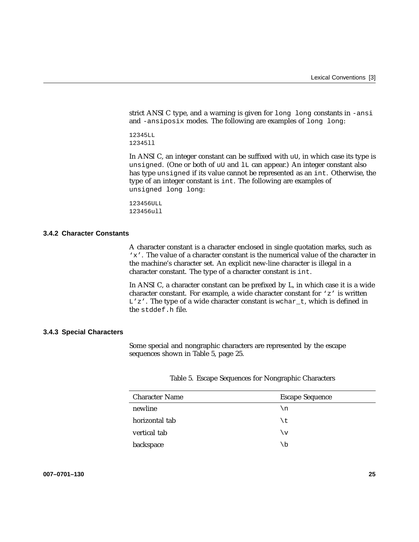strict ANSI C type, and a warning is given for long long constants in -ansi and -ansiposix modes. The following are examples of long long:

12345LL 12345ll

In ANSI C, an integer constant can be suffixed with uU, in which case its type is unsigned. (One or both of uU and lL can appear.) An integer constant also has type unsigned if its value cannot be represented as an int. Otherwise, the type of an integer constant is int. The following are examples of unsigned long long:

123456ULL 123456ull

### **3.4.2 Character Constants**

A character constant is a character enclosed in single quotation marks, such as 'x'. The value of a character constant is the numerical value of the character in the machine's character set. An explicit new-line character is illegal in a character constant. The type of a character constant is int.

In ANSI C, a character constant can be prefixed by L, in which case it is a wide character constant. For example, a wide character constant for 'z' is written  $L'z'$ . The type of a wide character constant is wchar\_t, which is defined in the stddef.h file.

#### **3.4.3 Special Characters**

Some special and nongraphic characters are represented by the escape sequences shown in Table 5, page 25.

Table 5. Escape Sequences for Nongraphic Characters

| <b>Character Name</b> | <b>Escape Sequence</b> |
|-----------------------|------------------------|
| newline               | ۱n                     |
| horizontal tab        | \t                     |
| vertical tab          | \v                     |
| backspace             | \b                     |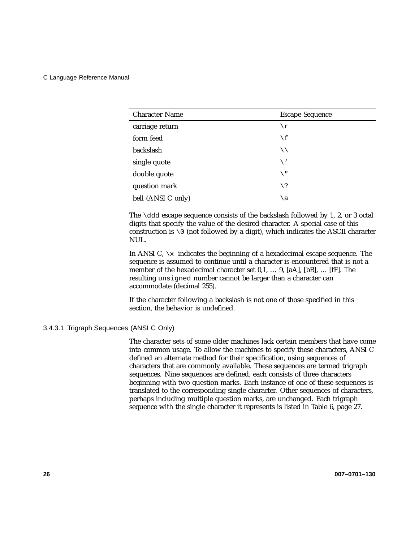| <b>Character Name</b> | <b>Escape Sequence</b> |
|-----------------------|------------------------|
| carriage return       | \r                     |
| form feed             | $\setminus f$          |
| backslash             | ∖∖                     |
| single quote          | \'                     |
| double quote          | \ "                    |
| question mark         | \?                     |
| bell (ANSI C only)    | ١a                     |

The  $\ddot{\text{d}}$  escape sequence consists of the backslash followed by 1, 2, or 3 octal digits that specify the value of the desired character. A special case of this construction is  $\setminus 0$  (not followed by a digit), which indicates the ASCII character NUL.

In ANSI C,  $\chi$  indicates the beginning of a hexadecimal escape sequence. The sequence is assumed to continue until a character is encountered that is not a member of the hexadecimal character set 0,1, … 9, [aA], [bB], … [fF]. The resulting unsigned number cannot be larger than a character can accommodate (decimal 255).

If the character following a backslash is not one of those specified in this section, the behavior is undefined.

### 3.4.3.1 Trigraph Sequences (ANSI C Only)

The character sets of some older machines lack certain members that have come into common usage. To allow the machines to specify these characters, ANSI C defined an alternate method for their specification, using sequences of characters that are commonly available. These sequences are termed trigraph sequences. Nine sequences are defined; each consists of three characters beginning with two question marks. Each instance of one of these sequences is translated to the corresponding single character. Other sequences of characters, perhaps including multiple question marks, are unchanged. Each trigraph sequence with the single character it represents is listed in Table 6, page 27.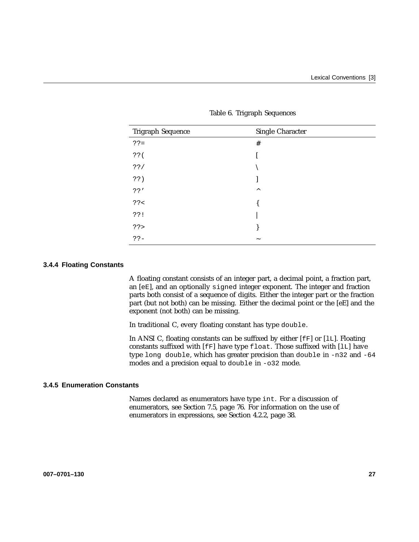| Trigraph Sequence | Single Character          |
|-------------------|---------------------------|
| $?? =$            | $\#$                      |
| 33(               |                           |
| ??/               |                           |
| ??)               |                           |
| ??'               | $\wedge$                  |
| ?? <              |                           |
| ??!               |                           |
| ??                |                           |
| $?? -$            | $\widetilde{\phantom{m}}$ |

Table 6. Trigraph Sequences

### **3.4.4 Floating Constants**

A floating constant consists of an integer part, a decimal point, a fraction part, an [eE], and an optionally signed integer exponent. The integer and fraction parts both consist of a sequence of digits. Either the integer part or the fraction part (but not both) can be missing. Either the decimal point or the [eE] and the exponent (not both) can be missing.

In traditional C, every floating constant has type double.

In ANSI C, floating constants can be suffixed by either [fF] or [lL]. Floating constants suffixed with [fF] have type float. Those suffixed with [lL] have type long double, which has greater precision than double in -n32 and -64 modes and a precision equal to double in -o32 mode.

#### **3.4.5 Enumeration Constants**

Names declared as enumerators have type int. For a discussion of enumerators, see Section 7.5, page 76. For information on the use of enumerators in expressions, see Section 4.2.2, page 38.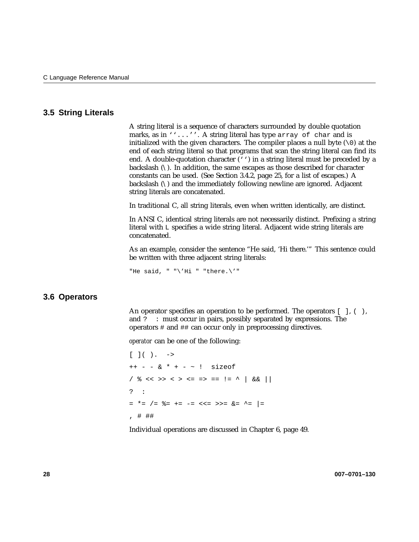## **3.5 String Literals**

A string literal is a sequence of characters surrounded by double quotation marks, as in ''...''. A string literal has type array of char and is initialized with the given characters. The compiler places a null byte  $(\nabla \theta)$  at the end of each string literal so that programs that scan the string literal can find its end. A double-quotation character  $(')$  in a string literal must be preceded by a backslash  $(\cdot)$ . In addition, the same escapes as those described for character constants can be used. (See Section 3.4.2, page 25, for a list of escapes.) A backslash (\) and the immediately following newline are ignored. Adjacent string literals are concatenated.

In traditional C, all string literals, even when written identically, are distinct.

In ANSI C, identical string literals are not necessarily distinct. Prefixing a string literal with L specifies a wide string literal. Adjacent wide string literals are concatenated.

As an example, consider the sentence "He said, 'Hi there.'" This sentence could be written with three adjacent string literals:

"He said, " " $\forall$ 'Hi " "there. $\forall$ '"

### **3.6 Operators**

An operator specifies an operation to be performed. The operators  $[ \ ]$ ,  $( \ )$ , and ? : must occur in pairs, possibly separated by expressions. The operators # and ## can occur only in preprocessing directives.

*operator* can be one of the following:

 $[ ] ( ) . - >$  $++ - -$  & \* + - ~ ! sizeof /  $% << >> < > < = = > == ! = ^ \wedge$   $% << \wedge$ ? :  $=$  \*= /= %= += -= <<= >>= &= ^= |= , # ##

Individual operations are discussed in Chapter 6, page 49.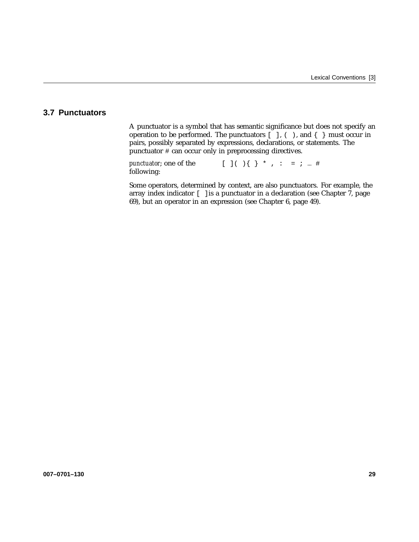# **3.7 Punctuators**

A punctuator is a symbol that has semantic significance but does not specify an operation to be performed. The punctuators  $[$  ],  $($   $)$ , and  $\{$   $\}$  must occur in pairs, possibly separated by expressions, declarations, or statements. The punctuator # can occur only in preprocessing directives.

*punctuator*; one of the following:  $[ ] ( ) \{ \} * , : = ; ...#$ 

Some operators, determined by context, are also punctuators. For example, the array index indicator  $\lceil \ \ \rceil$  is a punctuator in a declaration (see Chapter 7, page 69), but an operator in an expression (see Chapter 6, page 49).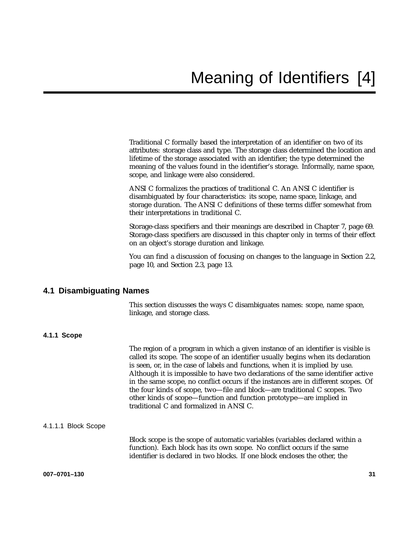Traditional C formally based the interpretation of an identifier on two of its attributes: storage class and type. The storage class determined the location and lifetime of the storage associated with an identifier; the type determined the meaning of the values found in the identifier's storage. Informally, name space, scope, and linkage were also considered.

ANSI C formalizes the practices of traditional C. An ANSI C identifier is disambiguated by four characteristics: its scope, name space, linkage, and storage duration. The ANSI C definitions of these terms differ somewhat from their interpretations in traditional C.

Storage-class specifiers and their meanings are described in Chapter 7, page 69. Storage-class specifiers are discussed in this chapter only in terms of their effect on an object's storage duration and linkage.

You can find a discussion of focusing on changes to the language in Section 2.2, page 10, and Section 2.3, page 13.

## **4.1 Disambiguating Names**

This section discusses the ways C disambiguates names: scope, name space, linkage, and storage class.

## **4.1.1 Scope**

The region of a program in which a given instance of an identifier is visible is called its scope. The scope of an identifier usually begins when its declaration is seen, or, in the case of labels and functions, when it is implied by use. Although it is impossible to have two declarations of the same identifier active in the same scope, no conflict occurs if the instances are in different scopes. Of the four kinds of scope, two—file and block—are traditional C scopes. Two other kinds of scope—function and function prototype—are implied in traditional C and formalized in ANSI C.

#### 4.1.1.1 Block Scope

Block scope is the scope of automatic variables (variables declared within a function). Each block has its own scope. No conflict occurs if the same identifier is declared in two blocks. If one block encloses the other, the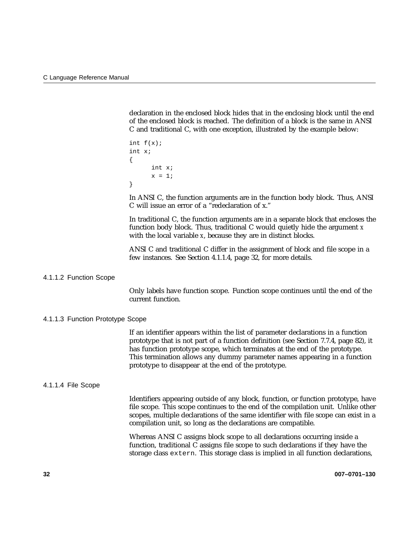declaration in the enclosed block hides that in the enclosing block until the end of the enclosed block is reached. The definition of a block is the same in ANSI C and traditional C, with one exception, illustrated by the example below:

```
int f(x);
int x;
{
      int x;
      x = 1;
}
```
In ANSI C, the function arguments are in the function body block. Thus, ANSI C will issue an error of a "redeclaration of x."

In traditional C, the function arguments are in a separate block that encloses the function body block. Thus, traditional C would quietly hide the argument *x* with the local variable *x*, because they are in distinct blocks.

ANSI C and traditional C differ in the assignment of block and file scope in a few instances. See Section 4.1.1.4, page 32, for more details.

4.1.1.2 Function Scope

Only labels have function scope. Function scope continues until the end of the current function.

### 4.1.1.3 Function Prototype Scope

If an identifier appears within the list of parameter declarations in a function prototype that is not part of a function definition (see Section 7.7.4, page 82), it has function prototype scope, which terminates at the end of the prototype. This termination allows any dummy parameter names appearing in a function prototype to disappear at the end of the prototype.

#### 4.1.1.4 File Scope

Identifiers appearing outside of any block, function, or function prototype, have file scope. This scope continues to the end of the compilation unit. Unlike other scopes, multiple declarations of the same identifier with file scope can exist in a compilation unit, so long as the declarations are compatible.

Whereas ANSI C assigns block scope to all declarations occurring inside a function, traditional C assigns file scope to such declarations if they have the storage class extern. This storage class is implied in all function declarations,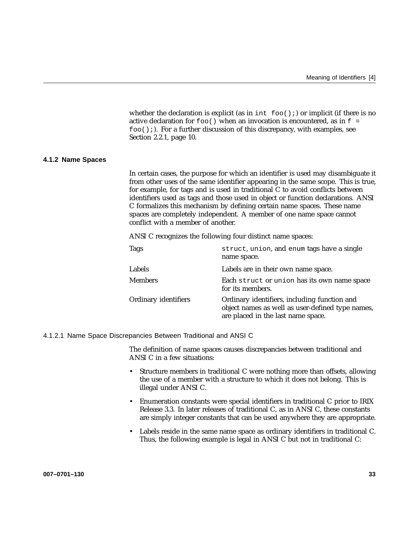whether the declaration is explicit (as in int  $f \circ \circ (x)$ ) or implicit (if there is no active declaration for  $f \circ \circ$  () when an invocation is encountered, as in  $f =$  $foo()$ ;). For a further discussion of this discrepancy, with examples, see Section 2.2.1, page 10.

### **4.1.2 Name Spaces**

In certain cases, the purpose for which an identifier is used may disambiguate it from other uses of the same identifier appearing in the same scope. This is true, for example, for tags and is used in traditional C to avoid conflicts between identifiers used as tags and those used in object or function declarations. ANSI C formalizes this mechanism by defining certain name spaces. These name spaces are completely independent. A member of one name space cannot conflict with a member of another.

ANSI C recognizes the following four distinct name spaces:

| <b>Tags</b>          | struct, union, and enum tags have a single<br>name space.                                                                              |
|----------------------|----------------------------------------------------------------------------------------------------------------------------------------|
| Labels               | Labels are in their own name space.                                                                                                    |
| <b>Members</b>       | Each struct or union has its own name space<br>for its members.                                                                        |
| Ordinary identifiers | Ordinary identifiers, including function and<br>object names as well as user-defined type names,<br>are placed in the last name space. |

### 4.1.2.1 Name Space Discrepancies Between Traditional and ANSI C

The definition of name spaces causes discrepancies between traditional and ANSI C in a few situations:

- Structure members in traditional C were nothing more than offsets, allowing the use of a member with a structure to which it does not belong. This is illegal under ANSI C.
- Enumeration constants were special identifiers in traditional C prior to IRIX Release 3.3. In later releases of traditional C, as in ANSI C, these constants are simply integer constants that can be used anywhere they are appropriate.
- Labels reside in the same name space as ordinary identifiers in traditional C. Thus, the following example is legal in ANSI C but not in traditional C: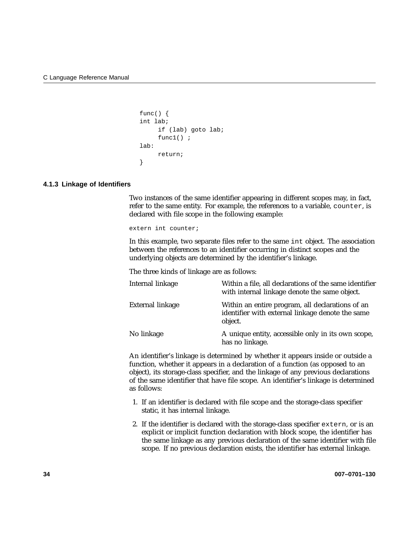```
func() \{int lab;
     if (lab) goto lab;
     func1();
lab:
     return;
}
```
### **4.1.3 Linkage of Identifiers**

Two instances of the same identifier appearing in different scopes may, in fact, refer to the same entity. For example, the references to a variable, counter, is declared with file scope in the following example:

extern int counter;

In this example, two separate files refer to the same int object. The association between the references to an identifier occurring in distinct scopes and the underlying objects are determined by the identifier's linkage.

The three kinds of linkage are as follows:

| Internal linkage | Within a file, all declarations of the same identifier<br>with internal linkage denote the same object.         |
|------------------|-----------------------------------------------------------------------------------------------------------------|
| External linkage | Within an entire program, all declarations of an<br>identifier with external linkage denote the same<br>object. |
| No linkage       | A unique entity, accessible only in its own scope,<br>has no linkage.                                           |

An identifier's linkage is determined by whether it appears inside or outside a function, whether it appears in a declaration of a function (as opposed to an object), its storage-class specifier, and the linkage of any previous declarations of the same identifier that have file scope. An identifier's linkage is determined as follows:

- 1. If an identifier is declared with file scope and the storage-class specifier static, it has internal linkage.
- 2. If the identifier is declared with the storage-class specifier extern, or is an explicit or implicit function declaration with block scope, the identifier has the same linkage as any previous declaration of the same identifier with file scope. If no previous declaration exists, the identifier has external linkage.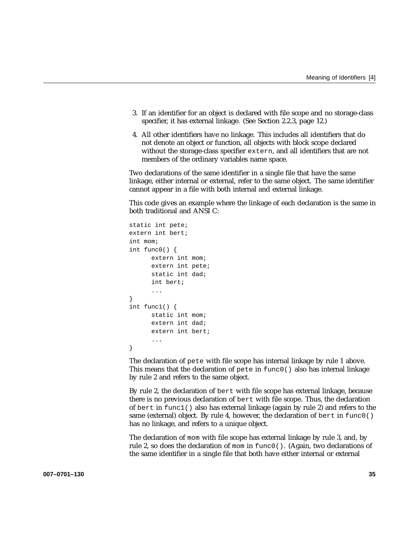- 3. If an identifier for an object is declared with file scope and no storage-class specifier, it has external linkage. (See Section 2.2.3, page 12.)
- 4. All other identifiers have no linkage. This includes all identifiers that do not denote an object or function, all objects with block scope declared without the storage-class specifier extern, and all identifiers that are not members of the ordinary variables name space.

Two declarations of the same identifier in a single file that have the same linkage, either internal or external, refer to the same object. The same identifier cannot appear in a file with both internal and external linkage.

This code gives an example where the linkage of each declaration is the same in both traditional and ANSI C:

```
static int pete;
extern int bert;
int mom;
int func0() {
      extern int mom;
      extern int pete;
      static int dad;
      int bert;
      ...
}
int func1() {
      static int mom;
      extern int dad;
      extern int bert;
      ...
}
```
The declaration of pete with file scope has internal linkage by rule 1 above. This means that the declaration of pete in func0() also has internal linkage by rule 2 and refers to the same object.

By rule 2, the declaration of bert with file scope has external linkage, because there is no previous declaration of bert with file scope. Thus, the declaration of bert in  $func1()$  also has external linkage (again by rule 2) and refers to the same (external) object. By rule 4, however, the declaration of bert in  $func()()$ has no linkage, and refers to a unique object.

The declaration of mom with file scope has external linkage by rule 3, and, by rule 2, so does the declaration of mom in func0(). (Again, two declarations of the same identifier in a single file that both have either internal or external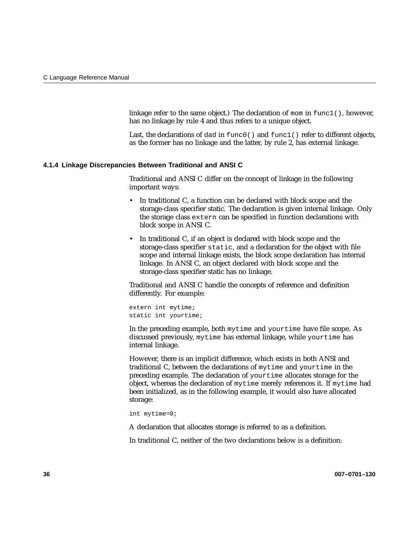linkage refer to the same object.) The declaration of mom in func1(), however, has no linkage by rule 4 and thus refers to a unique object.

Last, the declarations of dad in func0() and func1() refer to different objects, as the former has no linkage and the latter, by rule 2, has external linkage.

### **4.1.4 Linkage Discrepancies Between Traditional and ANSI C**

Traditional and ANSI C differ on the concept of linkage in the following important ways:

- In traditional C, a function can be declared with block scope and the storage-class specifier static. The declaration is given internal linkage. Only the storage class extern can be specified in function declarations with block scope in ANSI C.
- In traditional C, if an object is declared with block scope and the storage-class specifier static, and a declaration for the object with file scope and internal linkage exists, the block scope declaration has internal linkage. In ANSI C, an object declared with block scope and the storage-class specifier static has no linkage.

Traditional and ANSI C handle the concepts of reference and definition differently. For example:

extern int mytime; static int yourtime;

In the preceding example, both mytime and yourtime have file scope. As discussed previously, mytime has external linkage, while yourtime has internal linkage.

However, there is an implicit difference, which exists in both ANSI and traditional C, between the declarations of mytime and yourtime in the preceding example. The declaration of yourtime allocates storage for the object, whereas the declaration of mytime merely references it. If mytime had been initialized, as in the following example, it would also have allocated storage:

int mytime=0;

A declaration that allocates storage is referred to as a definition.

In traditional C, neither of the two declarations below is a definition: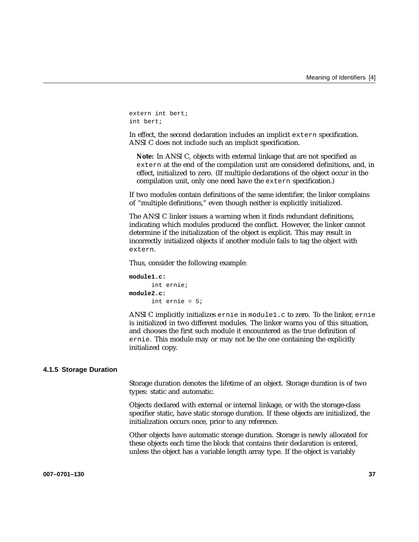extern int bert; int bert;

In effect, the second declaration includes an implicit extern specification. ANSI C does not include such an implicit specification.

**Note:** In ANSI C, objects with external linkage that are not specified as extern at the end of the compilation unit are considered definitions, and, in effect, initialized to zero. (If multiple declarations of the object occur in the compilation unit, only one need have the extern specification.)

If two modules contain definitions of the same identifier, the linker complains of "multiple definitions," even though neither is explicitly initialized.

The ANSI C linker issues a warning when it finds redundant definitions, indicating which modules produced the conflict. However, the linker cannot determine if the initialization of the object is explicit. This may result in incorrectly initialized objects if another module fails to tag the object with extern.

Thus, consider the following example:

```
module1.c:
      int ernie;
module2.c:
      int ernie = 5;
```
ANSI C implicitly initializes ernie in module1.c to zero. To the linker, ernie is initialized in two different modules. The linker warns you of this situation, and chooses the first such module it encountered as the true definition of ernie. This module may or may not be the one containing the explicitly initialized copy.

#### **4.1.5 Storage Duration**

Storage duration denotes the lifetime of an object. Storage duration is of two types: static and automatic.

Objects declared with external or internal linkage, or with the storage-class specifier static, have static storage duration. If these objects are initialized, the initialization occurs once, prior to any reference.

Other objects have automatic storage duration. Storage is newly allocated for these objects each time the block that contains their declaration is entered, unless the object has a variable length array type. If the object is variably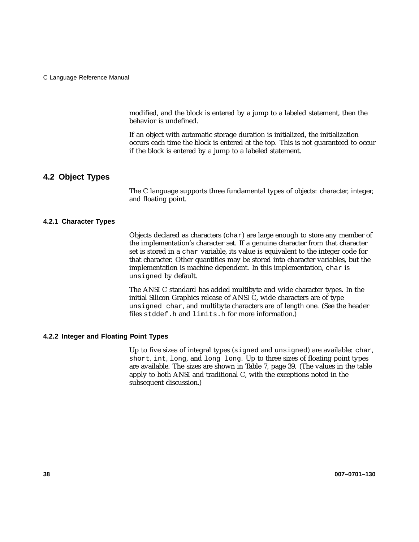modified, and the block is entered by a jump to a labeled statement, then the behavior is undefined.

If an object with automatic storage duration is initialized, the initialization occurs each time the block is entered at the top. This is not guaranteed to occur if the block is entered by a jump to a labeled statement.

## **4.2 Object Types**

The C language supports three fundamental types of objects: character, integer, and floating point.

### **4.2.1 Character Types**

Objects declared as characters (char) are large enough to store any member of the implementation's character set. If a genuine character from that character set is stored in a char variable, its value is equivalent to the integer code for that character. Other quantities may be stored into character variables, but the implementation is machine dependent. In this implementation, char is unsigned by default.

The ANSI C standard has added multibyte and wide character types. In the initial Silicon Graphics release of ANSI C, wide characters are of type unsigned char, and multibyte characters are of length one. (See the header files stddef.h and limits.h for more information.)

### **4.2.2 Integer and Floating Point Types**

Up to five sizes of integral types (signed and unsigned) are available: char, short, int, long, and long long. Up to three sizes of floating point types are available. The sizes are shown in Table 7, page 39. (The values in the table apply to both ANSI and traditional C, with the exceptions noted in the subsequent discussion.)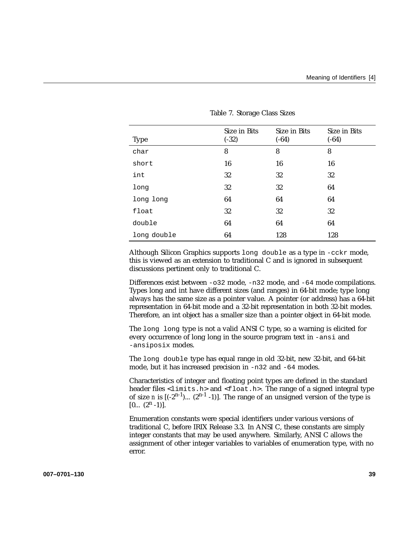| <b>Type</b> | Size in Bits<br>$(-32)$ | Size in Bits<br>$(-64)$ | Size in Bits<br>$(-64)$ |
|-------------|-------------------------|-------------------------|-------------------------|
| char        | 8                       | 8                       | 8                       |
| short       | 16                      | 16                      | 16                      |
| int         | 32                      | 32                      | 32                      |
| long        | 32                      | 32                      | 64                      |
| long long   | 64                      | 64                      | 64                      |
| float       | 32                      | 32                      | 32                      |
| double      | 64                      | 64                      | 64                      |
| long double | 64                      | 128                     | 128                     |

Table 7. Storage Class Sizes

Although Silicon Graphics supports long double as a type in -cckr mode, this is viewed as an extension to traditional C and is ignored in subsequent discussions pertinent only to traditional C.

Differences exist between -o32 mode, -n32 mode, and -64 mode compilations. Types long and int have different sizes (and ranges) in 64-bit mode; type long always has the same size as a pointer value. A pointer (or address) has a 64-bit representation in 64-bit mode and a 32-bit representation in both 32-bit modes. Therefore, an int object has a smaller size than a pointer object in 64-bit mode.

The long long type is not a valid ANSI C type, so a warning is elicited for every occurrence of long long in the source program text in -ansi and -ansiposix modes.

The long double type has equal range in old 32-bit, new 32-bit, and 64-bit mode, but it has increased precision in -n32 and -64 modes.

Characteristics of integer and floating point types are defined in the standard header files  $\langle$ limits.h> and  $\langle$ float.h>. The range of a signed integral type of size *n* is  $[(-2^{n-1})$ ...  $(2^{n-1}-1)$ . The range of an unsigned version of the type is  $[0... (2<sup>n</sup> -1)].$ 

Enumeration constants were special identifiers under various versions of traditional C, before IRIX Release 3.3. In ANSI C, these constants are simply integer constants that may be used anywhere. Similarly, ANSI C allows the assignment of other integer variables to variables of enumeration type, with no error.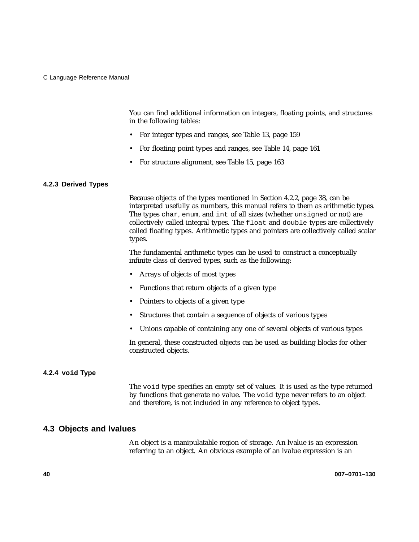You can find additional information on integers, floating points, and structures in the following tables:

- For integer types and ranges, see Table 13, page 159
- For floating point types and ranges, see Table 14, page 161
- For structure alignment, see Table 15, page 163

### **4.2.3 Derived Types**

Because objects of the types mentioned in Section 4.2.2, page 38, can be interpreted usefully as numbers, this manual refers to them as arithmetic types. The types char, enum, and int of all sizes (whether unsigned or not) are collectively called integral types. The float and double types are collectively called floating types. Arithmetic types and pointers are collectively called scalar types.

The fundamental arithmetic types can be used to construct a conceptually infinite class of derived types, such as the following:

- Arrays of objects of most types
- Functions that return objects of a given type
- Pointers to objects of a given type
- Structures that contain a sequence of objects of various types
- Unions capable of containing any one of several objects of various types

In general, these constructed objects can be used as building blocks for other constructed objects.

### **4.2.4 void Type**

The void type specifies an empty set of values. It is used as the type returned by functions that generate no value. The void type never refers to an object and therefore, is not included in any reference to object types.

## **4.3 Objects and lvalues**

An object is a manipulatable region of storage. An lvalue is an expression referring to an object. An obvious example of an lvalue expression is an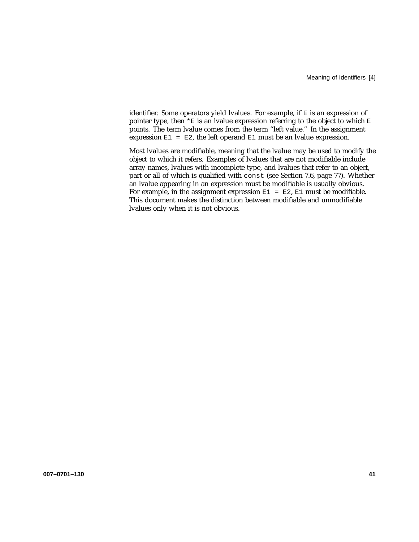identifier. Some operators yield lvalues. For example, if E is an expression of pointer type, then  $*E$  is an lvalue expression referring to the object to which  $E$ points. The term lvalue comes from the term "left value." In the assignment expression  $E1 = E2$ , the left operand  $E1$  must be an lyalue expression.

Most lvalues are modifiable, meaning that the lvalue may be used to modify the object to which it refers. Examples of lvalues that are not modifiable include array names, lvalues with incomplete type, and lvalues that refer to an object, part or all of which is qualified with const (see Section 7.6, page 77). Whether an lvalue appearing in an expression must be modifiable is usually obvious. For example, in the assignment expression  $E1 = E2$ ,  $E1$  must be modifiable. This document makes the distinction between modifiable and unmodifiable lvalues only when it is not obvious.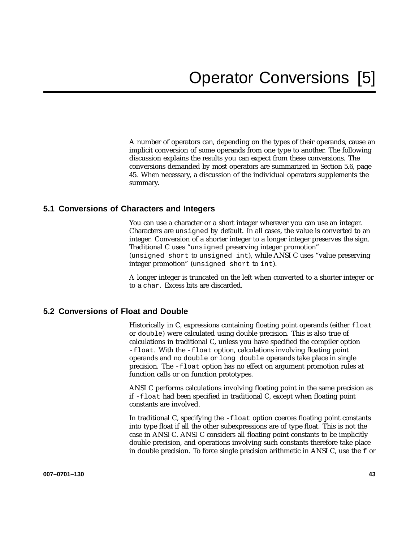A number of operators can, depending on the types of their operands, cause an implicit conversion of some operands from one type to another. The following discussion explains the results you can expect from these conversions. The conversions demanded by most operators are summarized in Section 5.6, page 45. When necessary, a discussion of the individual operators supplements the summary.

## **5.1 Conversions of Characters and Integers**

You can use a character or a short integer wherever you can use an integer. Characters are unsigned by default. In all cases, the value is converted to an integer. Conversion of a shorter integer to a longer integer preserves the sign. Traditional C uses "unsigned preserving integer promotion"

(unsigned short to unsigned int), while ANSI C uses "value preserving integer promotion" (unsigned short to int).

A longer integer is truncated on the left when converted to a shorter integer or to a char. Excess bits are discarded.

### **5.2 Conversions of Float and Double**

Historically in C, expressions containing floating point operands (either  $f$ loat or double) were calculated using double precision. This is also true of calculations in traditional C, unless you have specified the compiler option -float. With the -float option, calculations involving floating point operands and no double or long double operands take place in single precision. The -float option has no effect on argument promotion rules at function calls or on function prototypes.

ANSI C performs calculations involving floating point in the same precision as if -float had been specified in traditional C, except when floating point constants are involved.

In traditional C, specifying the -float option coerces floating point constants into type float if all the other subexpressions are of type float. This is not the case in ANSI C. ANSI C considers all floating point constants to be implicitly double precision, and operations involving such constants therefore take place in double precision. To force single precision arithmetic in ANSI C, use the f or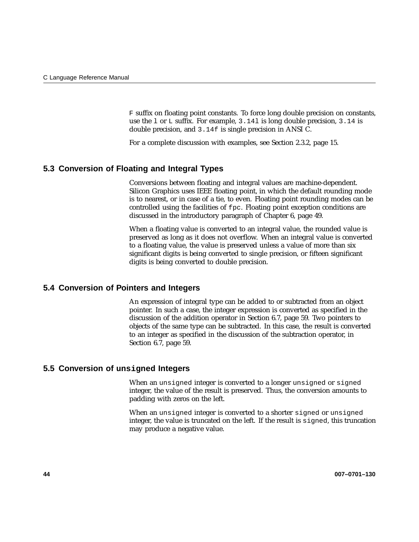F suffix on floating point constants. To force long double precision on constants, use the l or L suffix. For example, 3.14l is long double precision, 3.14 is double precision, and 3.14f is single precision in ANSI C.

For a complete discussion with examples, see Section 2.3.2, page 15.

## **5.3 Conversion of Floating and Integral Types**

Conversions between floating and integral values are machine-dependent. Silicon Graphics uses IEEE floating point, in which the default rounding mode is to nearest, or in case of a tie, to even. Floating point rounding modes can be controlled using the facilities of fpc. Floating point exception conditions are discussed in the introductory paragraph of Chapter 6, page 49.

When a floating value is converted to an integral value, the rounded value is preserved as long as it does not overflow. When an integral value is converted to a floating value, the value is preserved unless a value of more than six significant digits is being converted to single precision, or fifteen significant digits is being converted to double precision.

### **5.4 Conversion of Pointers and Integers**

An expression of integral type can be added to or subtracted from an object pointer. In such a case, the integer expression is converted as specified in the discussion of the addition operator in Section 6.7, page 59. Two pointers to objects of the same type can be subtracted. In this case, the result is converted to an integer as specified in the discussion of the subtraction operator, in Section 6.7, page 59.

## **5.5 Conversion of unsigned Integers**

When an unsigned integer is converted to a longer unsigned or signed integer, the value of the result is preserved. Thus, the conversion amounts to padding with zeros on the left.

When an unsigned integer is converted to a shorter signed or unsigned integer, the value is truncated on the left. If the result is signed, this truncation may produce a negative value.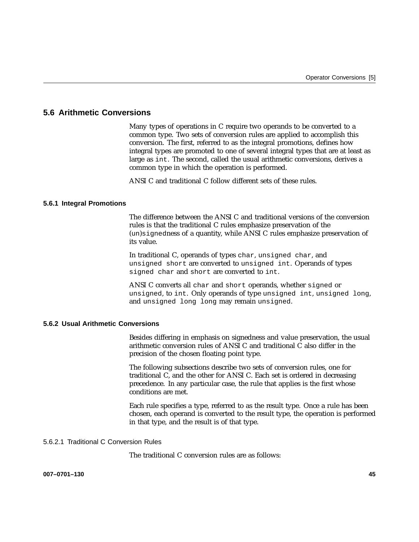## **5.6 Arithmetic Conversions**

Many types of operations in C require two operands to be converted to a common type. Two sets of conversion rules are applied to accomplish this conversion. The first, referred to as the integral promotions, defines how integral types are promoted to one of several integral types that are at least as large as int. The second, called the usual arithmetic conversions, derives a common type in which the operation is performed.

ANSI C and traditional C follow different sets of these rules.

### **5.6.1 Integral Promotions**

The difference between the ANSI C and traditional versions of the conversion rules is that the traditional C rules emphasize preservation of the (un)signedness of a quantity, while ANSI C rules emphasize preservation of its value.

In traditional C, operands of types char, unsigned char, and unsigned short are converted to unsigned int. Operands of types signed char and short are converted to int.

ANSI C converts all char and short operands, whether signed or unsigned, to int. Only operands of type unsigned int, unsigned long, and unsigned long long may remain unsigned.

### **5.6.2 Usual Arithmetic Conversions**

Besides differing in emphasis on signedness and value preservation, the usual arithmetic conversion rules of ANSI C and traditional C also differ in the precision of the chosen floating point type.

The following subsections describe two sets of conversion rules, one for traditional C, and the other for ANSI C. Each set is ordered in decreasing precedence. In any particular case, the rule that applies is the first whose conditions are met.

Each rule specifies a type, referred to as the result type. Once a rule has been chosen, each operand is converted to the result type, the operation is performed in that type, and the result is of that type.

### 5.6.2.1 Traditional C Conversion Rules

The traditional C conversion rules are as follows: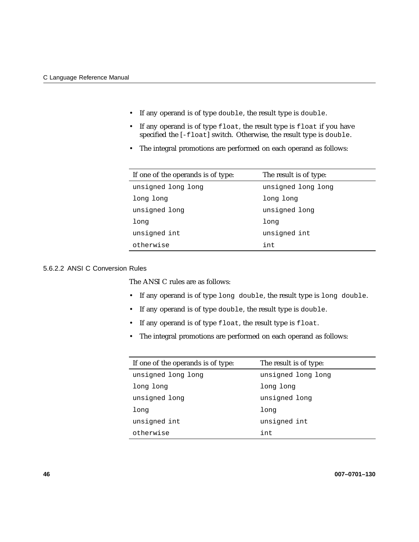- If any operand is of type double, the result type is double.
- If any operand is of type float, the result type is float if you have specified the [-float] switch. Otherwise, the result type is double.
- The integral promotions are performed on each operand as follows:

| If one of the operands is of type: | The result is of type: |
|------------------------------------|------------------------|
| unsigned long long                 | unsigned long long     |
| long long                          | long long              |
| unsigned long                      | unsigned long          |
| long                               | long                   |
| unsigned int                       | unsigned int           |
| otherwise                          | int                    |

## 5.6.2.2 ANSI C Conversion Rules

The ANSI C rules are as follows:

- If any operand is of type long double, the result type is long double.
- If any operand is of type double, the result type is double.
- If any operand is of type float, the result type is float.
- The integral promotions are performed on each operand as follows:

| If one of the operands is of type: | The result is of type: |
|------------------------------------|------------------------|
| unsigned long long                 | unsigned long long     |
| long long                          | long long              |
| unsigned long                      | unsigned long          |
| long                               | long                   |
| unsigned int                       | unsigned int           |
| otherwise                          | int                    |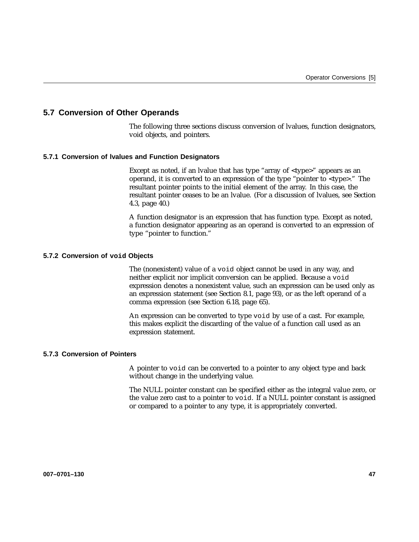## **5.7 Conversion of Other Operands**

The following three sections discuss conversion of lvalues, function designators, void objects, and pointers.

### **5.7.1 Conversion of lvalues and Function Designators**

Except as noted, if an lvalue that has type "array of <type>" appears as an operand, it is converted to an expression of the type "pointer to <type>." The resultant pointer points to the initial element of the array. In this case, the resultant pointer ceases to be an lvalue. (For a discussion of lvalues, see Section 4.3, page 40.)

A function designator is an expression that has function type. Except as noted, a function designator appearing as an operand is converted to an expression of type "pointer to function."

### **5.7.2 Conversion of void Objects**

The (nonexistent) value of a void object cannot be used in any way, and neither explicit nor implicit conversion can be applied. Because a void expression denotes a nonexistent value, such an expression can be used only as an expression statement (see Section 8.1, page 93), or as the left operand of a comma expression (see Section 6.18, page 65).

An expression can be converted to type void by use of a cast. For example, this makes explicit the discarding of the value of a function call used as an expression statement.

### **5.7.3 Conversion of Pointers**

A pointer to void can be converted to a pointer to any object type and back without change in the underlying value.

The NULL pointer constant can be specified either as the integral value zero, or the value zero cast to a pointer to void. If a NULL pointer constant is assigned or compared to a pointer to any type, it is appropriately converted.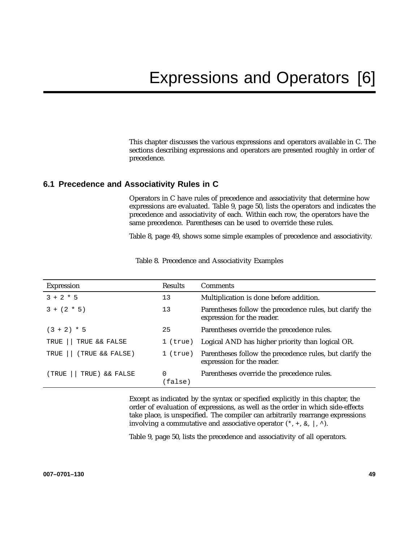This chapter discusses the various expressions and operators available in C. The sections describing expressions and operators are presented roughly in order of precedence.

## **6.1 Precedence and Associativity Rules in C**

Operators in C have rules of precedence and associativity that determine how expressions are evaluated. Table 9, page 50, lists the operators and indicates the precedence and associativity of each. Within each row, the operators have the same precedence. Parentheses can be used to override these rules.

Table 8, page 49, shows some simple examples of precedence and associativity.

| <b>Expression</b>       | <b>Results</b> | <b>Comments</b>                                                                        |
|-------------------------|----------------|----------------------------------------------------------------------------------------|
| $3 + 2 * 5$             | 13             | Multiplication is done before addition.                                                |
| $3 + (2 * 5)$           | 13             | Parentheses follow the precedence rules, but clarify the<br>expression for the reader. |
| $(3 + 2) * 5$           | 25             | Parentheses override the precedence rules.                                             |
| TRUE && FALSE<br>TRUE   | $1$ (true)     | Logical AND has higher priority than logical OR.                                       |
| (TRUE && FALSE)<br>TRUE | $1$ (true)     | Parentheses follow the precedence rules, but clarify the<br>expression for the reader. |
| TRUE) && FALSE<br>(TRUE | 0<br>(false)   | Parentheses override the precedence rules.                                             |

Table 8. Precedence and Associativity Examples

Except as indicated by the syntax or specified explicitly in this chapter, the order of evaluation of expressions, as well as the order in which side-effects take place, is unspecified. The compiler can arbitrarily rearrange expressions involving a commutative and associative operator  $(*, +, \&, |, \wedge)$ .

Table 9, page 50, lists the precedence and associativity of all operators.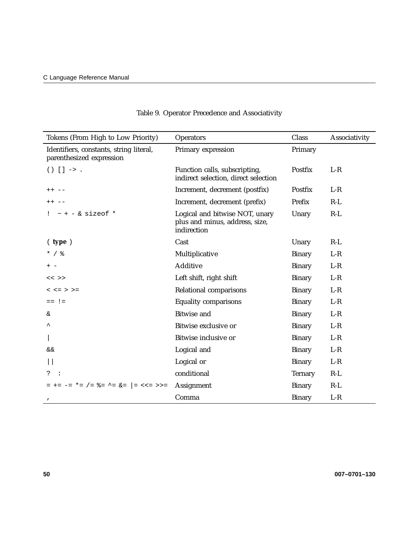| Tokens (From High to Low Priority)                                  | <b>Operators</b>                                                                | Class          | Associativity |
|---------------------------------------------------------------------|---------------------------------------------------------------------------------|----------------|---------------|
| Identifiers, constants, string literal,<br>parenthesized expression | Primary expression                                                              | Primary        |               |
| $() [ ] -> .$                                                       | Function calls, subscripting,<br>indirect selection, direct selection           | Postfix        | $L-R$         |
| $++ - -$                                                            | Increment, decrement (postfix)                                                  | Postfix        | $L-R$         |
| $++ - -$                                                            | Increment, decrement (prefix)                                                   | Prefix         | $R-L$         |
| $:$ $\sim$ + - & sizeof *                                           | Logical and bitwise NOT, unary<br>plus and minus, address, size,<br>indirection | Unary          | $R-L$         |
| ( type )                                                            | Cast                                                                            | Unary          | $R-L$         |
| $*$ / $\frac{6}{6}$                                                 | Multiplicative                                                                  | <b>Binary</b>  | $L-R$         |
| $+ -$                                                               | <b>Additive</b>                                                                 | <b>Binary</b>  | $L-R$         |
| $<<$ >>                                                             | Left shift, right shift                                                         | <b>Binary</b>  | $L-R$         |
| $<<=>>=$                                                            | Relational comparisons                                                          | <b>Binary</b>  | $L-R$         |
| $==$ ! =                                                            | <b>Equality comparisons</b>                                                     | <b>Binary</b>  | $L-R$         |
| &.                                                                  | <b>Bitwise and</b>                                                              | <b>Binary</b>  | $L-R$         |
|                                                                     | Bitwise exclusive or                                                            | <b>Binary</b>  | $L-R$         |
|                                                                     | Bitwise inclusive or                                                            | <b>Binary</b>  | $L-R$         |
| &&                                                                  | Logical and                                                                     | <b>Binary</b>  | $L-R$         |
|                                                                     | Logical or                                                                      | <b>Binary</b>  | $L-R$         |
| ?                                                                   | conditional                                                                     | <b>Ternary</b> | $R-L$         |
| = += -= *= /= $\&=$ ^= $\&=$  = <<= >>=                             | Assignment                                                                      | <b>Binary</b>  | $R-L$         |
|                                                                     | Comma                                                                           | <b>Binary</b>  | $L-R$         |

# Table 9. Operator Precedence and Associativity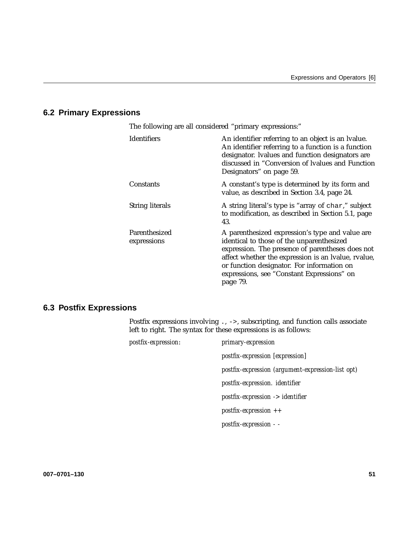# **6.2 Primary Expressions**

| The following are all considered "primary expressions:" |                                                                                                                                                                                                                                                                                                                 |  |
|---------------------------------------------------------|-----------------------------------------------------------------------------------------------------------------------------------------------------------------------------------------------------------------------------------------------------------------------------------------------------------------|--|
| <b>Identifiers</b>                                      | An identifier referring to an object is an Ivalue.<br>An identifier referring to a function is a function<br>designator. Ivalues and function designators are<br>discussed in "Conversion of Ivalues and Function<br>Designators" on page 59.                                                                   |  |
| Constants                                               | A constant's type is determined by its form and<br>value, as described in Section 3.4, page 24.                                                                                                                                                                                                                 |  |
| <b>String literals</b>                                  | A string literal's type is "array of char," subject<br>to modification, as described in Section 5.1, page<br>43.                                                                                                                                                                                                |  |
| Parenthesized<br>expressions                            | A parenthesized expression's type and value are<br>identical to those of the unparenthesized<br>expression. The presence of parentheses does not<br>affect whether the expression is an Ivalue, rvalue,<br>or function designator. For information on<br>expressions, see "Constant Expressions" on<br>page 79. |  |

# **6.3 Postfix Expressions**

Postfix expressions involving ., ->, subscripting, and function calls associate left to right. The syntax for these expressions is as follows:

| postfix-expression: | primary-expression                                |
|---------------------|---------------------------------------------------|
|                     | postfix-expression [expression]                   |
|                     | postfix-expression (argument-expression-list opt) |
|                     | postfix-expression. identifier                    |
|                     | $postfix-expression$ -> identifier                |
|                     | $postfix-expression$ ++                           |
|                     | postfix-expression - -                            |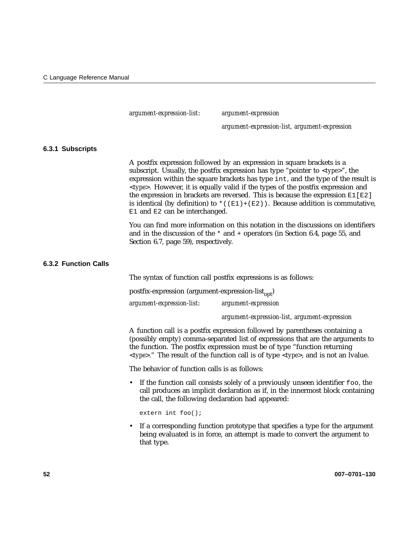*argument-expression-list*: *argument-expression*

*argument-expression-list, argument-expression*

#### **6.3.1 Subscripts**

A postfix expression followed by an expression in square brackets is a subscript. Usually, the postfix expression has type "pointer to <*type*>", the expression within the square brackets has type int, and the type of the result is <*type*>. However, it is equally valid if the types of the postfix expression and the expression in brackets are reversed. This is because the expression  $E1[E2]$ is identical (by definition) to  $*(E1)+(E2)$ ). Because addition is commutative, E1 and E2 can be interchanged.

You can find more information on this notation in the discussions on identifiers and in the discussion of the \* and + operators (in Section 6.4, page 55, and Section 6.7, page 59), respectively.

#### **6.3.2 Function Calls**

The syntax of function call postfix expressions is as follows:

postfix-expression (argument-expression-list $_{\text{out}}$ ) *argument-expression-list*: *argument-expression*

*argument-expression-list, argument-expression*

A function call is a postfix expression followed by parentheses containing a (possibly empty) comma-separated list of expressions that are the arguments to the function. The postfix expression must be of type "function returning <*type*>." The result of the function call is of type <*type*>, and is not an lvalue.

The behavior of function calls is as follows:

• If the function call consists solely of a previously unseen identifier foo, the call produces an implicit declaration as if, in the innermost block containing the call, the following declaration had appeared:

extern int foo();

• If a corresponding function prototype that specifies a type for the argument being evaluated is in force, an attempt is made to convert the argument to that type.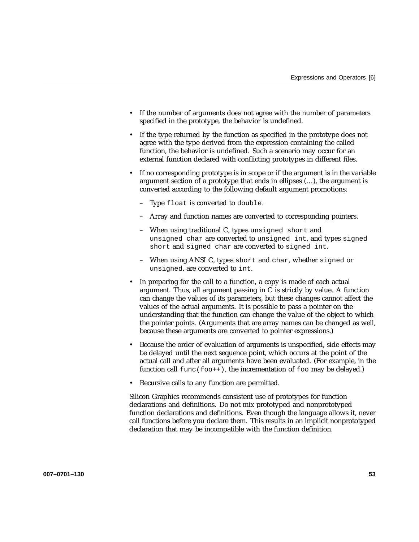- If the number of arguments does not agree with the number of parameters specified in the prototype, the behavior is undefined.
- If the type returned by the function as specified in the prototype does not agree with the type derived from the expression containing the called function, the behavior is undefined. Such a scenario may occur for an external function declared with conflicting prototypes in different files.
- If no corresponding prototype is in scope or if the argument is in the variable argument section of a prototype that ends in ellipses (…), the argument is converted according to the following default argument promotions:
	- Type float is converted to double.
	- Array and function names are converted to corresponding pointers.
	- When using traditional C, types unsigned short and unsigned char are converted to unsigned int, and types signed short and signed char are converted to signed int.
	- When using ANSI C, types short and char, whether signed or unsigned, are converted to int.
- In preparing for the call to a function, a copy is made of each actual argument. Thus, all argument passing in C is strictly by value. A function can change the values of its parameters, but these changes cannot affect the values of the actual arguments. It is possible to pass a pointer on the understanding that the function can change the value of the object to which the pointer points. (Arguments that are array names can be changed as well, because these arguments are converted to pointer expressions.)
- Because the order of evaluation of arguments is unspecified, side effects may be delayed until the next sequence point, which occurs at the point of the actual call and after all arguments have been evaluated. (For example, in the function call  $func(foot+)$ , the incrementation of  $foo$  may be delayed.)
- Recursive calls to any function are permitted.

Silicon Graphics recommends consistent use of prototypes for function declarations and definitions. Do not mix prototyped and nonprototyped function declarations and definitions. Even though the language allows it, never call functions before you declare them. This results in an implicit nonprototyped declaration that may be incompatible with the function definition.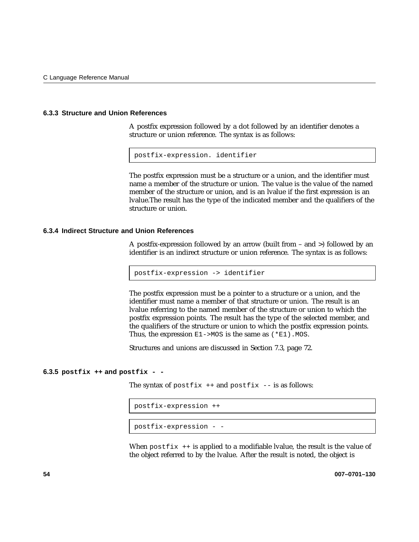#### **6.3.3 Structure and Union References**

A postfix expression followed by a dot followed by an identifier denotes a structure or union reference. The syntax is as follows:

postfix-expression. identifier

The postfix expression must be a structure or a union, and the identifier must name a member of the structure or union. The value is the value of the named member of the structure or union, and is an lvalue if the first expression is an lvalue.The result has the type of the indicated member and the qualifiers of the structure or union.

#### **6.3.4 Indirect Structure and Union References**

A postfix-expression followed by an arrow (built from – and >) followed by an identifier is an indirect structure or union reference. The syntax is as follows:

postfix-expression -> identifier

The postfix expression must be a pointer to a structure or a union, and the identifier must name a member of that structure or union. The result is an lvalue referring to the named member of the structure or union to which the postfix expression points. The result has the type of the selected member, and the qualifiers of the structure or union to which the postfix expression points. Thus, the expression  $E1$ ->MOS is the same as  $(*E1)$ . MOS.

Structures and unions are discussed in Section 7.3, page 72.

#### **6.3.5 postfix ++ and postfix - -**

The syntax of postfix  $++$  and postfix  $--$  is as follows:

```
postfix-expression ++
```

```
postfix-expression - -
```
When  $postfix$  ++ is applied to a modifiable lvalue, the result is the value of the object referred to by the lvalue. After the result is noted, the object is

**54 007–0701–130**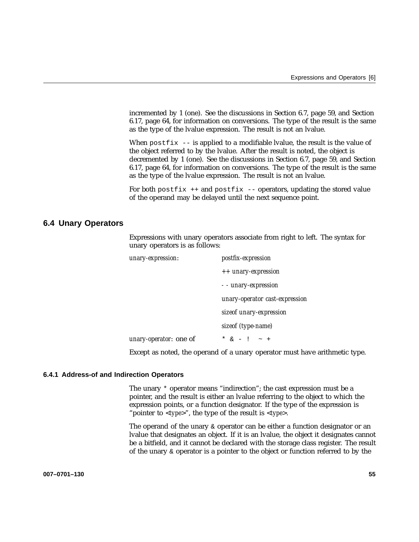incremented by 1 (one). See the discussions in Section 6.7, page 59, and Section 6.17, page 64, for information on conversions. The type of the result is the same as the type of the lvalue expression. The result is not an lvalue.

When  $postfix$  -- is applied to a modifiable lvalue, the result is the value of the object referred to by the lvalue. After the result is noted, the object is decremented by 1 (one). See the discussions in Section 6.7, page 59, and Section 6.17, page 64, for information on conversions. The type of the result is the same as the type of the lvalue expression. The result is not an lvalue.

For both postfix  $++$  and postfix  $--$  operators, updating the stored value of the operand may be delayed until the next sequence point.

## **6.4 Unary Operators**

Expressions with unary operators associate from right to left. The syntax for unary operators is as follows:

| unary-expression:      | postfix-expression             |
|------------------------|--------------------------------|
|                        | ++ unary-expression            |
|                        | - - unary-expression           |
|                        | unary-operator cast-expression |
|                        | sizeof unary-expression        |
|                        | sizeof (type-name)             |
| unary-operator: one of | * $\& - 1 - \sim +$            |
|                        |                                |

Except as noted, the operand of a unary operator must have arithmetic type.

#### **6.4.1 Address-of and Indirection Operators**

The unary \* operator means "indirection"; the cast expression must be a pointer, and the result is either an lvalue referring to the object to which the expression points, or a function designator. If the type of the expression is "pointer to <*type*>", the type of the result is <*type*>.

The operand of the unary & operator can be either a function designator or an lvalue that designates an object. If it is an lvalue, the object it designates cannot be a bitfield, and it cannot be declared with the storage class register. The result of the unary & operator is a pointer to the object or function referred to by the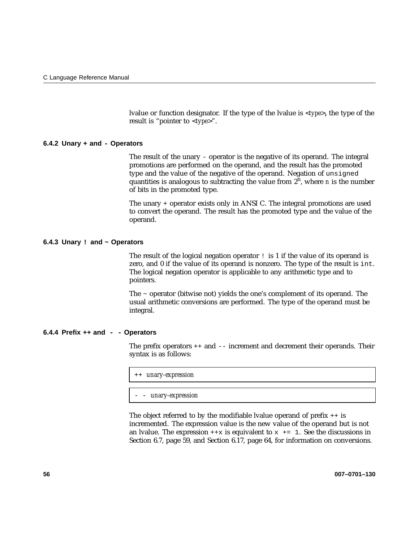lvalue or function designator. If the type of the lvalue is <*type*>**,** the type of the result is "pointer to <*type*>".

#### **6.4.2 Unary + and - Operators**

The result of the unary - operator is the negative of its operand. The integral promotions are performed on the operand, and the result has the promoted type and the value of the negative of the operand. Negation of unsigned quantities is analogous to subtracting the value from  $2<sup>n</sup>$ , where *n* is the number of bits in the promoted type.

The unary + operator exists only in ANSI C. The integral promotions are used to convert the operand. The result has the promoted type and the value of the operand.

#### **6.4.3 Unary ! and ~ Operators**

The result of the logical negation operator ! is 1 if the value of its operand is zero, and 0 if the value of its operand is nonzero. The type of the result is int. The logical negation operator is applicable to any arithmetic type and to pointers.

The ~ operator (bitwise not) yields the one's complement of its operand. The usual arithmetic conversions are performed. The type of the operand must be integral.

#### **6.4.4 Prefix ++ and - - Operators**

The prefix operators ++ and -- increment and decrement their operands. Their syntax is as follows:

++ *unary-expression*

- - *unary-expression*

The object referred to by the modifiable lyalue operand of prefix  $++$  is incremented. The expression value is the new value of the operand but is not an lyalue. The expression  $+x$  is equivalent to  $x \leftarrow 1$ . See the discussions in Section 6.7, page 59, and Section 6.17, page 64, for information on conversions.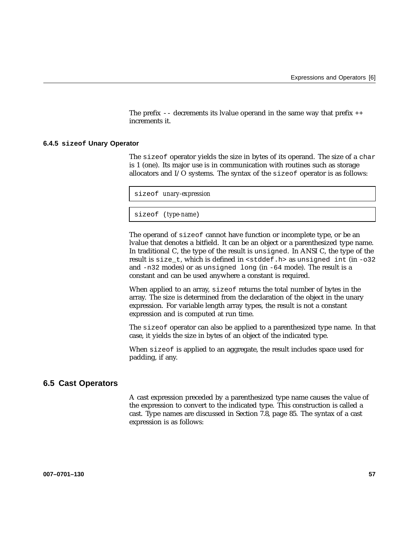The prefix  $--$  decrements its lvalue operand in the same way that prefix  $++$ increments it.

#### **6.4.5 sizeof Unary Operator**

The sizeof operator yields the size in bytes of its operand. The size of a char is 1 (one). Its major use is in communication with routines such as storage allocators and I/O systems. The syntax of the sizeof operator is as follows:

sizeof *unary-expression*

sizeof (*type-name*)

The operand of sizeof cannot have function or incomplete type, or be an lvalue that denotes a bitfield. It can be an object or a parenthesized type name. In traditional C, the type of the result is unsigned. In ANSI C, the type of the result is size\_t, which is defined in <stddef.h> as unsigned int (in -o32 and -n32 modes) or as unsigned long (in -64 mode). The result is a constant and can be used anywhere a constant is required.

When applied to an array, sizeof returns the total number of bytes in the array. The size is determined from the declaration of the object in the unary expression. For variable length array types, the result is not a constant expression and is computed at run time.

The sizeof operator can also be applied to a parenthesized type name. In that case, it yields the size in bytes of an object of the indicated type.

When sizeof is applied to an aggregate, the result includes space used for padding, if any.

## **6.5 Cast Operators**

A cast expression preceded by a parenthesized type name causes the value of the expression to convert to the indicated type. This construction is called a cast. Type names are discussed in Section 7.8, page 85. The syntax of a cast expression is as follows: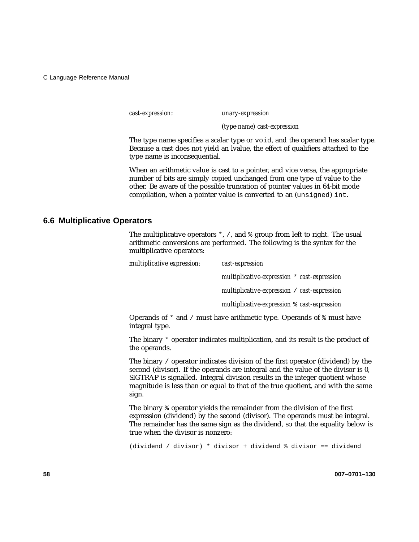*cast-expression*: *unary-expression*

(*type-name*) *cast-expression*

The type name specifies a scalar type or void, and the operand has scalar type. Because a cast does not yield an lvalue, the effect of qualifiers attached to the type name is inconsequential.

When an arithmetic value is cast to a pointer, and vice versa, the appropriate number of bits are simply copied unchanged from one type of value to the other. Be aware of the possible truncation of pointer values in 64-bit mode compilation, when a pointer value is converted to an (unsigned) int.

# **6.6 Multiplicative Operators**

The multiplicative operators  $\star$ ,  $\prime$ , and  $\ast$  group from left to right. The usual arithmetic conversions are performed. The following is the syntax for the multiplicative operators:

| multiplicative expression: | cast-expression                                         |
|----------------------------|---------------------------------------------------------|
|                            | multiplicative-expression * cast-expression             |
|                            | multiplicative-expression / cast-expression             |
|                            | multiplicative-expression $\frac{1}{2}$ cast-expression |

Operands of  $*$  and / must have arithmetic type. Operands of  $*$  must have integral type.

The binary \* operator indicates multiplication, and its result is the product of the operands.

The binary / operator indicates division of the first operator (dividend) by the second (divisor). If the operands are integral and the value of the divisor is 0, SIGTRAP is signalled. Integral division results in the integer quotient whose magnitude is less than or equal to that of the true quotient, and with the same sign.

The binary % operator yields the remainder from the division of the first expression (dividend) by the second (divisor). The operands must be integral. The remainder has the same sign as the dividend, so that the equality below is true when the divisor is nonzero:

(dividend / divisor) \* divisor + dividend % divisor == dividend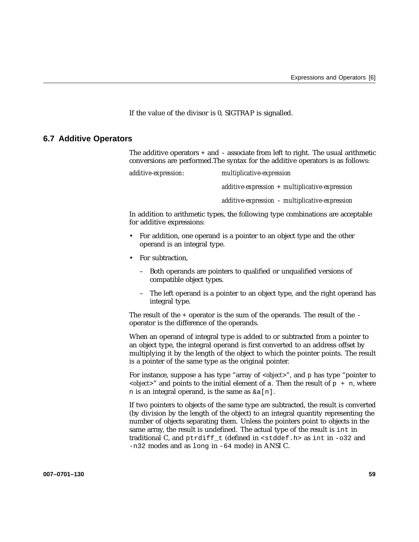If the value of the divisor is 0, SIGTRAP is signalled.

### **6.7 Additive Operators**

The additive operators  $+$  and  $-$  associate from left to right. The usual arithmetic conversions are performed.The syntax for the additive operators is as follows:

*additive-expression*: *multiplicative-expression additive-expression* + *multiplicative-expression additive-expression* - *multiplicative-expression*

In addition to arithmetic types, the following type combinations are acceptable for additive expressions:

- For addition, one operand is a pointer to an object type and the other operand is an integral type.
- For subtraction.
	- Both operands are pointers to qualified or unqualified versions of compatible object types.
	- The left operand is a pointer to an object type, and the right operand has integral type.

The result of the + operator is the sum of the operands. The result of the operator is the difference of the operands.

When an operand of integral type is added to or subtracted from a pointer to an object type, the integral operand is first converted to an address offset by multiplying it by the length of the object to which the pointer points. The result is a pointer of the same type as the original pointer.

For instance, suppose a has type "array of *<object>*", and p has type "pointer to  *and points to the initial element of a. Then the result of*  $p + n$ *, where* n is an integral operand, is the same as  $\&a[n]$ .

If two pointers to objects of the same type are subtracted, the result is converted (by division by the length of the object) to an integral quantity representing the number of objects separating them. Unless the pointers point to objects in the same array, the result is undefined. The actual type of the result is int in traditional C, and ptrdiff\_t (defined in <stddef.h> as int in -o32 and -n32 modes and as long in -64 mode) in ANSI C.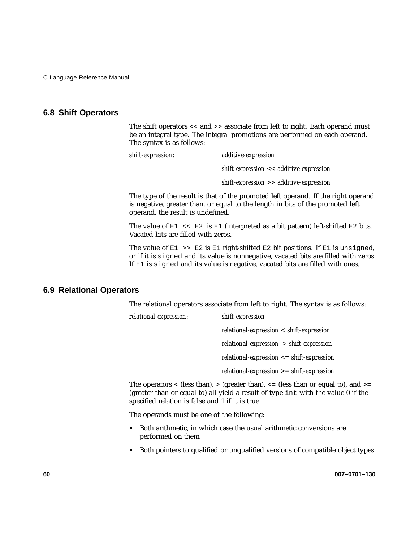# **6.8 Shift Operators**

The shift operators << and >> associate from left to right. Each operand must be an integral type. The integral promotions are performed on each operand. The syntax is as follows:

*shift-expression*: *additive-expression shift-expression* << *additive-expression shift-expression* >> *additive-expression*

The type of the result is that of the promoted left operand. If the right operand is negative, greater than, or equal to the length in bits of the promoted left operand, the result is undefined.

The value of  $E1 \leq E2$  is  $E1$  (interpreted as a bit pattern) left-shifted  $E2$  bits. Vacated bits are filled with zeros.

The value of  $E1 \gg E2$  is  $E1$  right-shifted  $E2$  bit positions. If  $E1$  is unsigned, or if it is signed and its value is nonnegative, vacated bits are filled with zeros. If E1 is signed and its value is negative, vacated bits are filled with ones.

## **6.9 Relational Operators**

The relational operators associate from left to right. The syntax is as follows:

| relational-expression: | shift-expression                             |
|------------------------|----------------------------------------------|
|                        | $relational-expression < shift-expression$   |
|                        | $relational-expression > shift-expression$   |
|                        | $relational-expression \le shift-expression$ |
|                        | $relational-expression \ge shift-expression$ |

The operators  $\langle$  (less than),  $\rangle$  (greater than),  $\langle$  = (less than or equal to), and  $\rangle$ = (greater than or equal to) all yield a result of type int with the value 0 if the specified relation is false and 1 if it is true.

The operands must be one of the following:

- Both arithmetic, in which case the usual arithmetic conversions are performed on them
- Both pointers to qualified or unqualified versions of compatible object types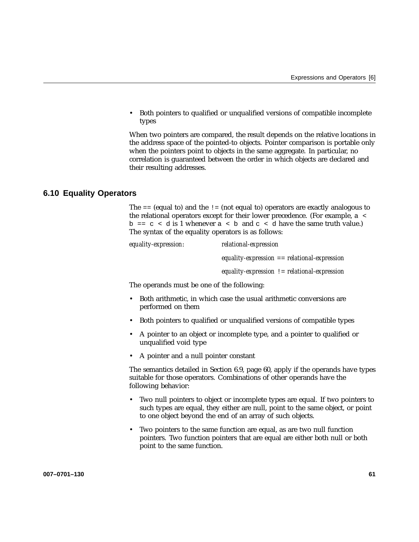• Both pointers to qualified or unqualified versions of compatible incomplete types

When two pointers are compared, the result depends on the relative locations in the address space of the pointed-to objects. Pointer comparison is portable only when the pointers point to objects in the same aggregate. In particular, no correlation is guaranteed between the order in which objects are declared and their resulting addresses.

## **6.10 Equality Operators**

The  $=$  (equal to) and the  $=$  (not equal to) operators are exactly analogous to the relational operators except for their lower precedence. (For example, a <  $b = c < d$  is 1 whenever  $a < b$  and  $c < d$  have the same truth value.) The syntax of the equality operators is as follows:

| equality-expression: | relational-expression                          |
|----------------------|------------------------------------------------|
|                      | $equality-expression == relational expression$ |
|                      | equality-expression $!=$ relational-expression |

The operands must be one of the following:

- Both arithmetic, in which case the usual arithmetic conversions are performed on them
- Both pointers to qualified or unqualified versions of compatible types
- A pointer to an object or incomplete type, and a pointer to qualified or unqualified void type
- A pointer and a null pointer constant

The semantics detailed in Section 6.9, page 60, apply if the operands have types suitable for those operators. Combinations of other operands have the following behavior:

- Two null pointers to object or incomplete types are equal. If two pointers to such types are equal, they either are null, point to the same object, or point to one object beyond the end of an array of such objects.
- Two pointers to the same function are equal, as are two null function pointers. Two function pointers that are equal are either both null or both point to the same function.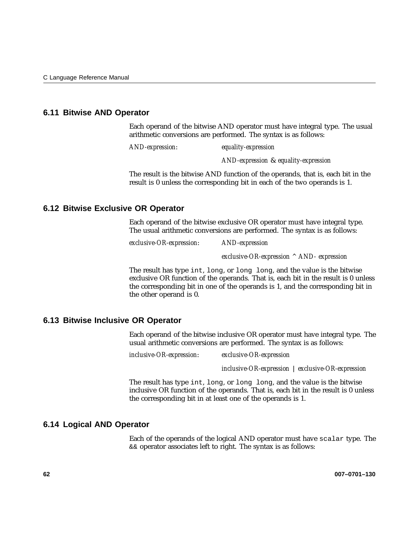## **6.11 Bitwise AND Operator**

Each operand of the bitwise AND operator must have integral type. The usual arithmetic conversions are performed. The syntax is as follows:

*AND-expression*: *equality-expression*

*AND-expression* & *equality-expression*

The result is the bitwise AND function of the operands, that is, each bit in the result is 0 unless the corresponding bit in each of the two operands is 1.

## **6.12 Bitwise Exclusive OR Operator**

Each operand of the bitwise exclusive OR operator must have integral type. The usual arithmetic conversions are performed. The syntax is as follows:

*exclusive-OR-expression*: *AND-expression*

*exclusive-OR-expression ^ AND- expression*

The result has type int, long, or long long, and the value is the bitwise exclusive OR function of the operands. That is, each bit in the result is 0 unless the corresponding bit in one of the operands is 1, and the corresponding bit in the other operand is 0.

## **6.13 Bitwise Inclusive OR Operator**

Each operand of the bitwise inclusive OR operator must have integral type. The usual arithmetic conversions are performed. The syntax is as follows:

*inclusive-OR-expression*: *exclusive-OR-expression*

*inclusive-OR-expression* | *exclusive-OR-expression*

The result has type int, long, or long long, and the value is the bitwise inclusive OR function of the operands. That is, each bit in the result is 0 unless the corresponding bit in at least one of the operands is 1.

#### **6.14 Logical AND Operator**

Each of the operands of the logical AND operator must have scalar type. The && operator associates left to right. The syntax is as follows: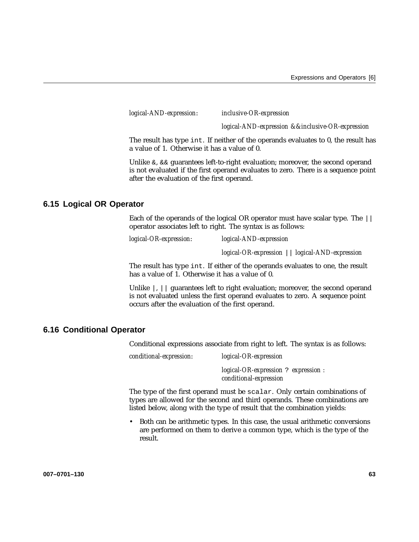*logical-AND-expression*: *inclusive-OR-expression*

*logical-AND-expression &&inclusive-OR-expression*

The result has type int. If neither of the operands evaluates to 0, the result has a value of 1. Otherwise it has a value of 0.

Unlike  $\&$ ,  $\&\&$  guarantees left-to-right evaluation; moreover, the second operand is not evaluated if the first operand evaluates to zero. There is a sequence point after the evaluation of the first operand.

## **6.15 Logical OR Operator**

Each of the operands of the logical OR operator must have scalar type. The || operator associates left to right. The syntax is as follows:

*logical-OR-expression*: *logical-AND-expression*

*logical-OR-expression* || *logical-AND-expression*

The result has type int. If either of the operands evaluates to one, the result has a value of 1. Otherwise it has a value of 0.

Unlike  $\vert, \vert\vert$  guarantees left to right evaluation; moreover, the second operand is not evaluated unless the first operand evaluates to zero. A sequence point occurs after the evaluation of the first operand.

### **6.16 Conditional Operator**

Conditional expressions associate from right to left. The syntax is as follows:

*conditional-expression*: *logical-OR-expression*

*logical-OR-expression* ? *expression : conditional-expression*

The type of the first operand must be scalar. Only certain combinations of types are allowed for the second and third operands. These combinations are listed below, along with the type of result that the combination yields:

• Both can be arithmetic types. In this case, the usual arithmetic conversions are performed on them to derive a common type, which is the type of the result.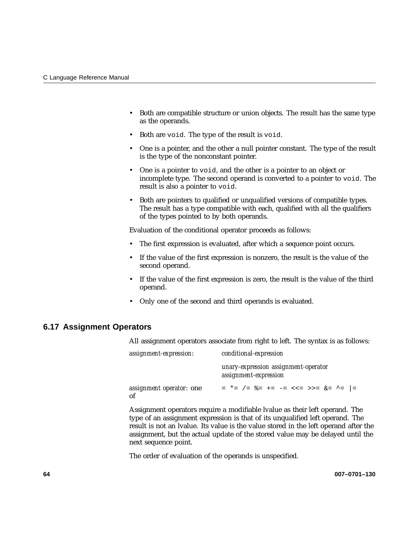- Both are compatible structure or union objects. The result has the same type as the operands.
- Both are void. The type of the result is void.
- One is a pointer, and the other a null pointer constant. The type of the result is the type of the nonconstant pointer.
- One is a pointer to void, and the other is a pointer to an object or incomplete type. The second operand is converted to a pointer to void. The result is also a pointer to void.
- Both are pointers to qualified or unqualified versions of compatible types. The result has a type compatible with each, qualified with all the qualifiers of the types pointed to by both operands.

Evaluation of the conditional operator proceeds as follows:

- The first expression is evaluated, after which a sequence point occurs.
- If the value of the first expression is nonzero, the result is the value of the second operand.
- If the value of the first expression is zero, the result is the value of the third operand.
- Only one of the second and third operands is evaluated.

## **6.17 Assignment Operators**

All assignment operators associate from right to left. The syntax is as follows:

| assignment-expression:         | conditional-expression                                        |  |
|--------------------------------|---------------------------------------------------------------|--|
|                                | unary-expression assignment-operator<br>assignment-expression |  |
| assignment operator: one<br>of | = *= /= $\&=$ += -= <<= >>= $\&=$ ^=  =                       |  |

Assignment operators require a modifiable lvalue as their left operand. The type of an assignment expression is that of its unqualified left operand. The result is not an lvalue. Its value is the value stored in the left operand after the assignment, but the actual update of the stored value may be delayed until the next sequence point.

The order of evaluation of the operands is unspecified.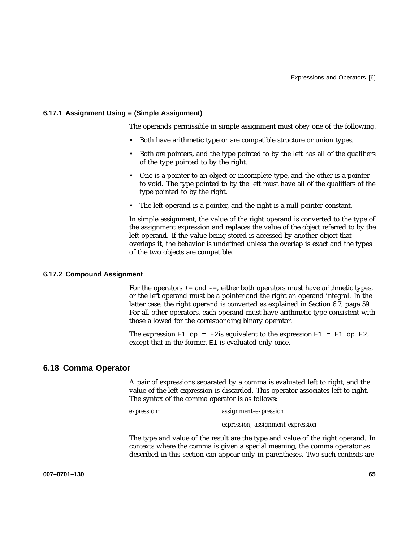#### **6.17.1 Assignment Using = (Simple Assignment)**

The operands permissible in simple assignment must obey one of the following:

- Both have arithmetic type or are compatible structure or union types.
- Both are pointers, and the type pointed to by the left has all of the qualifiers of the type pointed to by the right.
- One is a pointer to an object or incomplete type, and the other is a pointer to void. The type pointed to by the left must have all of the qualifiers of the type pointed to by the right.
- The left operand is a pointer, and the right is a null pointer constant.

In simple assignment, the value of the right operand is converted to the type of the assignment expression and replaces the value of the object referred to by the left operand. If the value being stored is accessed by another object that overlaps it, the behavior is undefined unless the overlap is exact and the types of the two objects are compatible.

#### **6.17.2 Compound Assignment**

For the operators  $+=$  and  $-=$ , either both operators must have arithmetic types, or the left operand must be a pointer and the right an operand integral. In the latter case, the right operand is converted as explained in Section 6.7, page 59. For all other operators, each operand must have arithmetic type consistent with those allowed for the corresponding binary operator.

The expression  $E1$  op = E2is equivalent to the expression  $E1 = E1$  op E2, except that in the former, E1 is evaluated only once.

## **6.18 Comma Operator**

A pair of expressions separated by a comma is evaluated left to right, and the value of the left expression is discarded. This operator associates left to right. The syntax of the comma operator is as follows:

*expression*: *assignment-expression*

*expression, assignment-expression*

The type and value of the result are the type and value of the right operand. In contexts where the comma is given a special meaning, the comma operator as described in this section can appear only in parentheses. Two such contexts are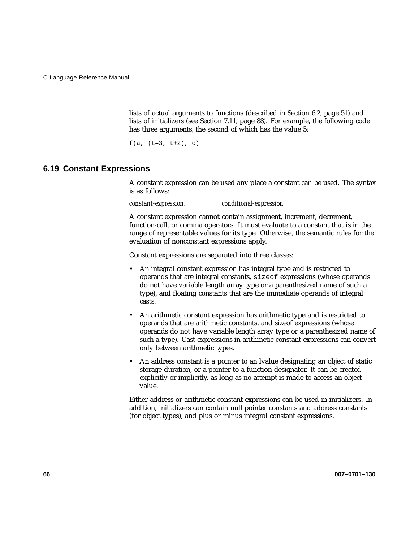lists of actual arguments to functions (described in Section 6.2, page 51) and lists of initializers (see Section 7.11, page 88). For example, the following code has three arguments, the second of which has the value 5:

 $f(a, (t=3, t+2), c)$ 

## **6.19 Constant Expressions**

A constant expression can be used any place a constant can be used. The syntax is as follows:

*constant-expression*: *conditional-expression*

A constant expression cannot contain assignment, increment, decrement, function-call, or comma operators. It must evaluate to a constant that is in the range of representable values for its type. Otherwise, the semantic rules for the evaluation of nonconstant expressions apply.

Constant expressions are separated into three classes:

- An integral constant expression has integral type and is restricted to operands that are integral constants, sizeof expressions (whose operands do not have variable length array type or a parenthesized name of such a type), and floating constants that are the immediate operands of integral casts.
- An arithmetic constant expression has arithmetic type and is restricted to operands that are arithmetic constants, and sizeof expressions (whose operands do not have variable length array type or a parenthesized name of such a type). Cast expressions in arithmetic constant expressions can convert only between arithmetic types.
- An address constant is a pointer to an lvalue designating an object of static storage duration, or a pointer to a function designator. It can be created explicitly or implicitly, as long as no attempt is made to access an object value.

Either address or arithmetic constant expressions can be used in initializers. In addition, initializers can contain null pointer constants and address constants (for object types), and plus or minus integral constant expressions.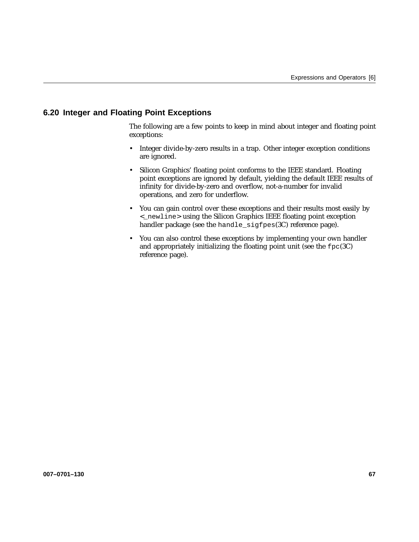# **6.20 Integer and Floating Point Exceptions**

The following are a few points to keep in mind about integer and floating point exceptions:

- Integer divide-by-zero results in a trap. Other integer exception conditions are ignored.
- Silicon Graphics' floating point conforms to the IEEE standard. Floating point exceptions are ignored by default, yielding the default IEEE results of infinity for divide-by-zero and overflow, not-a-number for invalid operations, and zero for underflow.
- You can gain control over these exceptions and their results most easily by <\_newline> using the Silicon Graphics IEEE floating point exception handler package (see the handle\_sigfpes(3C) reference page).
- You can also control these exceptions by implementing your own handler and appropriately initializing the floating point unit (see the fpc(3C) reference page).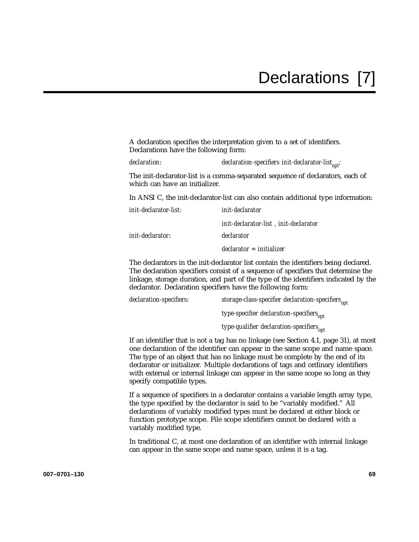A declaration specifies the interpretation given to a set of identifiers. Declarations have the following form:

*declaration*: *declaration-specifiers init-declarator-list*<sub>oni</sub>;

The init-declarator-list is a comma-separated sequence of declarators, each of which can have an initializer.

In ANSI C, the init-declarator-list can also contain additional type information:

| <i>init-declarator-list:</i> | init-declarator                        |
|------------------------------|----------------------------------------|
|                              | init-declarator-list . init-declarator |
| <i>init-declarator:</i>      | declarator                             |
|                              | $\gamma$ declarator = initializer      |

The declarators in the init-declarator list contain the identifiers being declared. The declaration specifiers consist of a sequence of specifiers that determine the linkage, storage duration, and part of the type of the identifiers indicated by the declarator. Declaration specifiers have the following form:

| declaration-specifiers: | storage-class-specifier declaration-specifiers <sub>opt</sub> |
|-------------------------|---------------------------------------------------------------|
|                         | type-specifier declaration-specifiers <sub>ont</sub>          |
|                         | type-qualifier declaration-specifiers <sub>opt</sub>          |

If an identifier that is not a tag has no linkage (see Section 4.1, page 31), at most one declaration of the identifier can appear in the same scope and name space. The type of an object that has no linkage must be complete by the end of its declarator or initializer. Multiple declarations of tags and ordinary identifiers with external or internal linkage can appear in the same scope so long as they specify compatible types.

If a sequence of specifiers in a declarator contains a variable length array type, the type specified by the declarator is said to be "variably modified." All declarations of variably modified types must be declared at either block or function prototype scope. File scope identifiers cannot be declared with a variably modified type.

In traditional C, at most one declaration of an identifier with internal linkage can appear in the same scope and name space, unless it is a tag.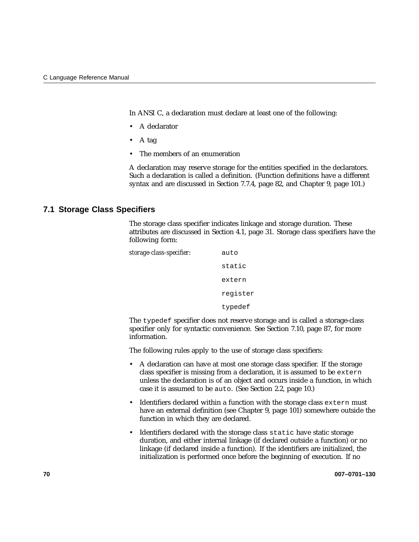In ANSI C, a declaration must declare at least one of the following:

- A declarator
- A tag
- The members of an enumeration

A declaration may reserve storage for the entities specified in the declarators. Such a declaration is called a definition. (Function definitions have a different syntax and are discussed in Section 7.7.4, page 82, and Chapter 9, page 101.)

### **7.1 Storage Class Specifiers**

The storage class specifier indicates linkage and storage duration. These attributes are discussed in Section 4.1, page 31. Storage class specifiers have the following form:



The typedef specifier does not reserve storage and is called a storage-class specifier only for syntactic convenience. See Section 7.10, page 87, for more information.

The following rules apply to the use of storage class specifiers:

- A declaration can have at most one storage class specifier. If the storage class specifier is missing from a declaration, it is assumed to be extern unless the declaration is of an object and occurs inside a function, in which case it is assumed to be auto. (See Section 2.2, page 10.)
- Identifiers declared within a function with the storage class extern must have an external definition (see Chapter 9, page 101) somewhere outside the function in which they are declared.
- Identifiers declared with the storage class static have static storage duration, and either internal linkage (if declared outside a function) or no linkage (if declared inside a function). If the identifiers are initialized, the initialization is performed once before the beginning of execution. If no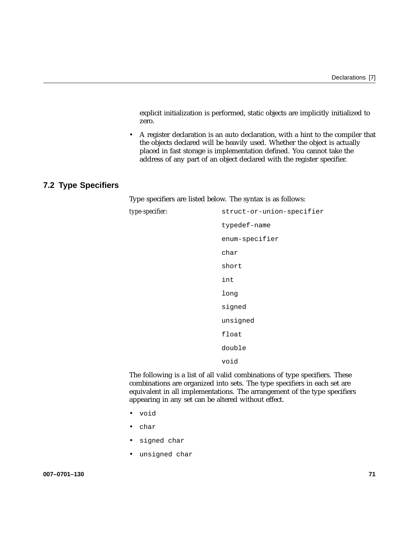explicit initialization is performed, static objects are implicitly initialized to zero.

• A register declaration is an auto declaration, with a hint to the compiler that the objects declared will be heavily used. Whether the object is actually placed in fast storage is implementation defined. You cannot take the address of any part of an object declared with the register specifier.

# **7.2 Type Specifiers**

Type specifiers are listed below. The syntax is as follows:

| type-specifier: | struct-or-union-specifier |
|-----------------|---------------------------|
|                 | typedef-name              |
|                 | enum-specifier            |
|                 | char                      |
|                 | short                     |
|                 | int                       |
|                 | long                      |
|                 | signed                    |
|                 | unsigned                  |
|                 | float                     |
|                 | double                    |
|                 | void                      |
|                 |                           |

The following is a list of all valid combinations of type specifiers. These combinations are organized into sets. The type specifiers in each set are equivalent in all implementations. The arrangement of the type specifiers appearing in any set can be altered without effect.

- void
- char
- signed char
- unsigned char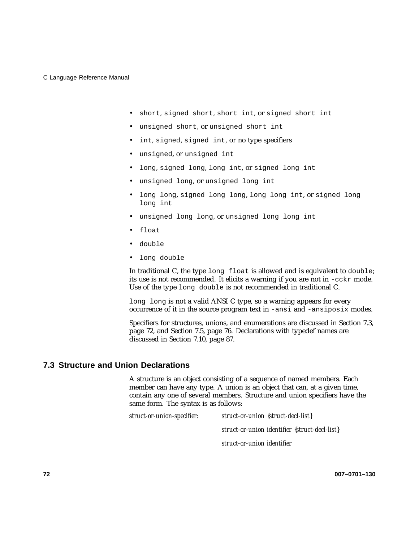- short, signed short, short int, or signed short int
- unsigned short, or unsigned short int
- int, signed, signed int, or no type specifiers
- unsigned, or unsigned int
- long, signed long, long int, or signed long int
- unsigned long, or unsigned long int
- long long, signed long long, long long int, or signed long long int
- unsigned long long, or unsigned long long int
- float
- double
- long double

In traditional C, the type long float is allowed and is equivalent to double; its use is not recommended. It elicits a warning if you are not in -cckr mode. Use of the type long double is not recommended in traditional C.

long long is not a valid ANSI C type, so a warning appears for every occurrence of it in the source program text in -ansi and -ansiposix modes.

Specifiers for structures, unions, and enumerations are discussed in Section 7.3, page 72, and Section 7.5, page 76. Declarations with typedef names are discussed in Section 7.10, page 87.

# **7.3 Structure and Union Declarations**

A structure is an object consisting of a sequence of named members. Each member can have any type. A union is an object that can, at a given time, contain any one of several members. Structure and union specifiers have the same form. The syntax is as follows:

*struct-or-union-specifier*: *struct-or-union* {*struct-decl-list*} *struct-or-union identifier* {*struct-decl-list*} *struct-or-union identifier*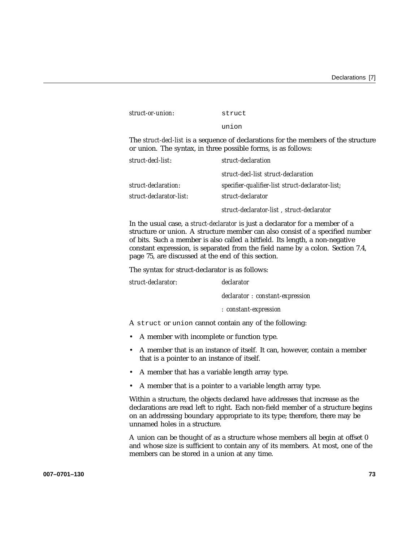| struct-or-union: | struct |
|------------------|--------|
|                  | union  |

The *struct-decl-list* is a sequence of declarations for the members of the structure or union. The syntax, in three possible forms, is as follows:

| struct-decl-list:       | struct-declaration                               |
|-------------------------|--------------------------------------------------|
|                         | struct-decl-list struct-declaration              |
| struct-declaration:     | specifier-qualifier-list struct-declarator-list; |
| struct-declarator-list: | struct-declarator                                |
|                         | struct-declarator-list, struct-declarator        |

In the usual case, a *struct-declarator* is just a declarator for a member of a structure or union. A structure member can also consist of a specified number of bits. Such a member is also called a bitfield. Its length, a non-negative constant expression, is separated from the field name by a colon. Section 7.4, page 75, are discussed at the end of this section.

The syntax for struct-declarator is as follows:

| struct-declarator: | declarator |
|--------------------|------------|
|                    |            |

*declarator : constant-expression*

*: constant-expression*

A struct or union cannot contain any of the following:

- A member with incomplete or function type.
- A member that is an instance of itself. It can, however, contain a member that is a pointer to an instance of itself.
- A member that has a variable length array type.
- A member that is a pointer to a variable length array type.

Within a structure, the objects declared have addresses that increase as the declarations are read left to right. Each non-field member of a structure begins on an addressing boundary appropriate to its type; therefore, there may be unnamed holes in a structure.

A union can be thought of as a structure whose members all begin at offset 0 and whose size is sufficient to contain any of its members. At most, one of the members can be stored in a union at any time.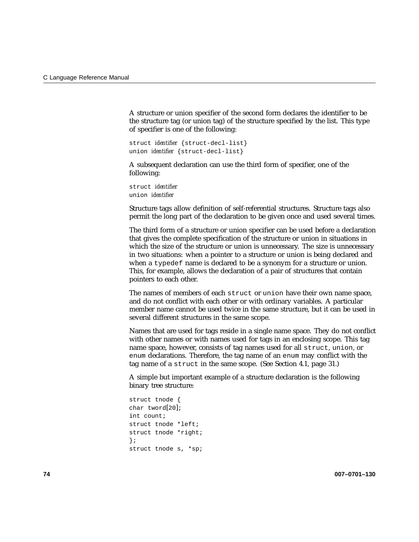A structure or union specifier of the second form declares the identifier to be the structure tag (or union tag) of the structure specified by the list. This type of specifier is one of the following:

```
struct identifier {struct-decl-list}
union identifier {struct-decl-list}
```
A subsequent declaration can use the third form of specifier, one of the following:

struct *identifier* union *identifier*

Structure tags allow definition of self-referential structures. Structure tags also permit the long part of the declaration to be given once and used several times.

The third form of a structure or union specifier can be used before a declaration that gives the complete specification of the structure or union in situations in which the size of the structure or union is unnecessary. The size is unnecessary in two situations: when a pointer to a structure or union is being declared and when a typedef name is declared to be a synonym for a structure or union. This, for example, allows the declaration of a pair of structures that contain pointers to each other.

The names of members of each struct or union have their own name space, and do not conflict with each other or with ordinary variables. A particular member name cannot be used twice in the same structure, but it can be used in several different structures in the same scope.

Names that are used for tags reside in a single name space. They do not conflict with other names or with names used for tags in an enclosing scope. This tag name space, however, consists of tag names used for all struct, union, or enum declarations. Therefore, the tag name of an enum may conflict with the tag name of a struct in the same scope. (See Section 4.1, page 31.)

A simple but important example of a structure declaration is the following binary tree structure:

```
struct tnode {
char tword[20];
int count;
struct tnode *left;
struct tnode *right;
};
struct tnode s, *sp;
```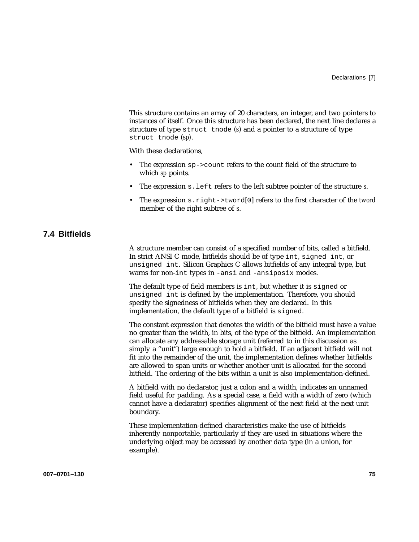This structure contains an array of 20 characters, an integer, and two pointers to instances of itself. Once this structure has been declared, the next line declares a structure of type struct tnode (*s*) and a pointer to a structure of type struct tnode (*sp)*.

With these declarations,

- The expression  $sp > count$  refers to the count field of the structure to which *sp* points.
- The expression s.left refers to the left subtree pointer of the structure *s*.
- The expression s.right->tword[0] refers to the first character of the *tword* member of the right subtree of *s*.

# **7.4 Bitfields**

A structure member can consist of a specified number of bits, called a bitfield. In strict ANSI C mode, bitfields should be of type int, signed int, or unsigned int. Silicon Graphics C allows bitfields of any integral type, but warns for non-int types in -ansi and -ansiposix modes.

The default type of field members is int, but whether it is signed or unsigned int is defined by the implementation. Therefore, you should specify the signedness of bitfields when they are declared. In this implementation, the default type of a bitfield is signed.

The constant expression that denotes the width of the bitfield must have a value no greater than the width, in bits, of the type of the bitfield. An implementation can allocate any addressable storage unit (referred to in this discussion as simply a "unit") large enough to hold a bitfield. If an adjacent bitfield will not fit into the remainder of the unit, the implementation defines whether bitfields are allowed to span units or whether another unit is allocated for the second bitfield. The ordering of the bits within a unit is also implementation-defined.

A bitfield with no declarator, just a colon and a width, indicates an unnamed field useful for padding. As a special case, a field with a width of zero (which cannot have a declarator) specifies alignment of the next field at the next unit boundary.

These implementation-defined characteristics make the use of bitfields inherently nonportable, particularly if they are used in situations where the underlying object may be accessed by another data type (in a union, for example).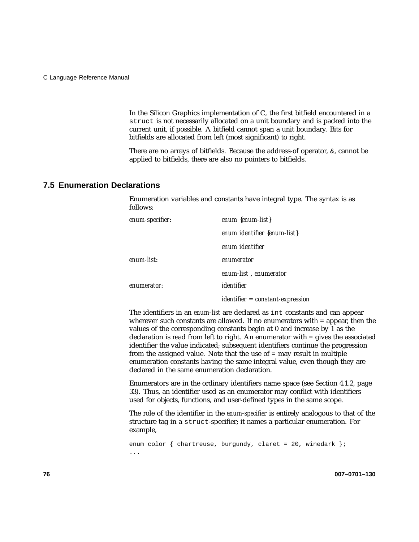In the Silicon Graphics implementation of C, the first bitfield encountered in a struct is not necessarily allocated on a unit boundary and is packed into the current unit, if possible. A bitfield cannot span a unit boundary. Bits for bitfields are allocated from left (most significant) to right.

There are no arrays of bitfields. Because the address-of operator,  $\&\infty$ , cannot be applied to bitfields, there are also no pointers to bitfields.

## **7.5 Enumeration Declarations**

Enumeration variables and constants have integral type. The syntax is as follows:

| enum-specifier: | enum $\{enum\}$                    |
|-----------------|------------------------------------|
|                 | enum identifier {enum-list}        |
|                 | enum identifier                    |
| enum-list:      | enumerator                         |
|                 | enum-list, enumerator              |
| enumerator:     | identifier                         |
|                 | $identifier = constant-expression$ |

The identifiers in an *enum-list* are declared as int constants and can appear wherever such constants are allowed. If no enumerators with = appear, then the values of the corresponding constants begin at 0 and increase by 1 as the declaration is read from left to right. An enumerator with = gives the associated identifier the value indicated; subsequent identifiers continue the progression from the assigned value. Note that the use of = may result in multiple enumeration constants having the same integral value, even though they are declared in the same enumeration declaration.

Enumerators are in the ordinary identifiers name space (see Section 4.1.2, page 33). Thus, an identifier used as an enumerator may conflict with identifiers used for objects, functions, and user-defined types in the same scope.

The role of the identifier in the *enum-specifier* is entirely analogous to that of the structure tag in a struct-specifier; it names a particular enumeration. For example,

```
enum color { chartreuse, burgundy, claret = 20, winedark };
...
```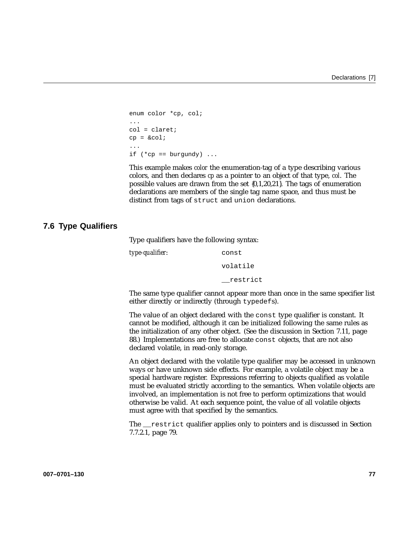```
enum color *cp, col;
...
col = cluster;cp = \&col;...
if (*cp == burgundy) ...
```
This example makes *color* the enumeration-tag of a type describing various colors, and then declares *cp* as a pointer to an object of that type, *col*. The possible values are drawn from the set {0,1,20,21}. The tags of enumeration declarations are members of the single tag name space, and thus must be distinct from tags of struct and union declarations.

## **7.6 Type Qualifiers**

Type qualifiers have the following syntax:

| type-qualifier: | const    |
|-----------------|----------|
|                 | volatile |
|                 | restrict |

The same type qualifier cannot appear more than once in the same specifier list either directly or indirectly (through typedefs).

The value of an object declared with the const type qualifier is constant. It cannot be modified, although it can be initialized following the same rules as the initialization of any other object. (See the discussion in Section 7.11, page 88.) Implementations are free to allocate const objects, that are not also declared volatile, in read-only storage.

An object declared with the volatile type qualifier may be accessed in unknown ways or have unknown side effects. For example, a volatile object may be a special hardware register. Expressions referring to objects qualified as volatile must be evaluated strictly according to the semantics. When volatile objects are involved, an implementation is not free to perform optimizations that would otherwise be valid. At each sequence point, the value of all volatile objects must agree with that specified by the semantics.

The \_\_restrict qualifier applies only to pointers and is discussed in Section 7.7.2.1, page 79.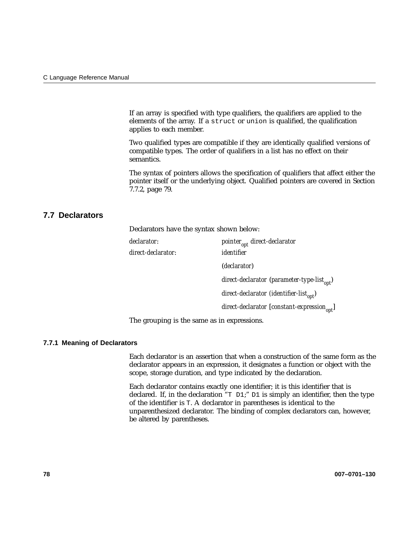If an array is specified with type qualifiers, the qualifiers are applied to the elements of the array. If a struct or union is qualified, the qualification applies to each member.

Two qualified types are compatible if they are identically qualified versions of compatible types. The order of qualifiers in a list has no effect on their semantics.

The syntax of pointers allows the specification of qualifiers that affect either the pointer itself or the underlying object. Qualified pointers are covered in Section 7.7.2, page 79.

## **7.7 Declarators**

Declarators have the syntax shown below:

*direct-declarator*: *identifier*

*declarator: pointer<sub>ont</sub> direct-declarator* (*declarator*) direct-declarator (parameter-type-list<sub>ont</sub>) direct-declarator (identifier-list<sub>opt</sub>) *direct-declarator* [*constant-expression*<sub>opt</sub>]

The grouping is the same as in expressions.

#### **7.7.1 Meaning of Declarators**

Each declarator is an assertion that when a construction of the same form as the declarator appears in an expression, it designates a function or object with the scope, storage duration, and type indicated by the declaration.

Each declarator contains exactly one identifier; it is this identifier that is declared. If, in the declaration "T D1;" D1 is simply an identifier, then the type of the identifier is T. A declarator in parentheses is identical to the unparenthesized declarator. The binding of complex declarators can, however, be altered by parentheses.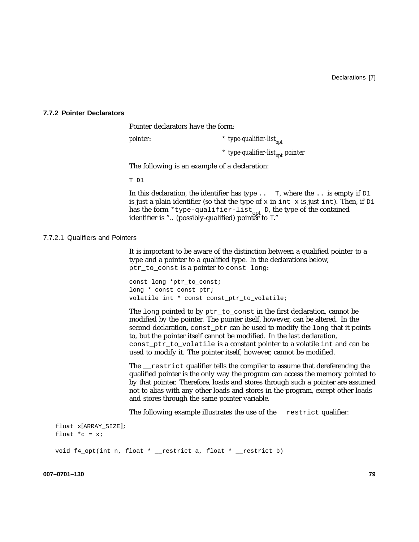#### **7.7.2 Pointer Declarators**

Pointer declarators have the form:

*pointer*: \* *type-qualifier-list<sub>opt</sub>* 

\* *type-qualifier-list<sub>opt</sub> pointer* 

The following is an example of a declaration:

T D1

In this declaration, the identifier has type . . T, where the . . is empty if  $DI$ is just a plain identifier (so that the type of x in int x is just int). Then, if  $D1$ has the form \*type-qualifier-list<sub>opt</sub> D, the type of the contained identifier is ".. (possibly-qualified) pointer to T."

#### 7.7.2.1 Qualifiers and Pointers

It is important to be aware of the distinction between a qualified pointer to a type and a pointer to a qualified type. In the declarations below, ptr\_to\_const is a pointer to const long:

const long \*ptr\_to\_const; long \* const const\_ptr; volatile int \* const const\_ptr\_to\_volatile;

The long pointed to by ptr\_to\_const in the first declaration, cannot be modified by the pointer. The pointer itself, however, can be altered. In the second declaration, const\_ptr can be used to modify the long that it points to, but the pointer itself cannot be modified. In the last declaration, const ptr to volatile is a constant pointer to a volatile int and can be used to modify it. The pointer itself, however, cannot be modified.

The restrict qualifier tells the compiler to assume that dereferencing the qualified pointer is the only way the program can access the memory pointed to by that pointer. Therefore, loads and stores through such a pointer are assumed not to alias with any other loads and stores in the program, except other loads and stores through the same pointer variable.

The following example illustrates the use of the <u>restrict</u> qualifier:

```
float x[ARRAY_SIZE];
float *c = xivoid f4_opt(int n, float * __restrict a, float * __restrict b)
```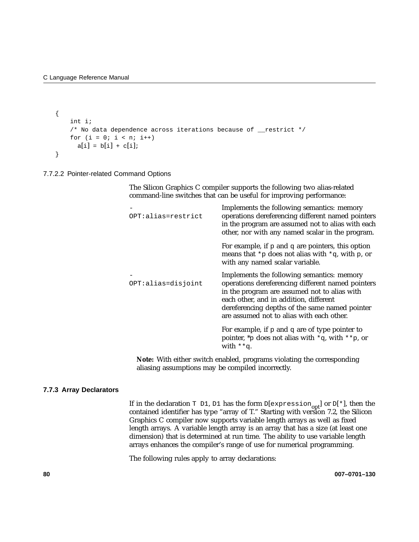```
{
    int i;
    /* No data dependence across iterations because of __restrict */
    for (i = 0; i < n; i++)a[i] = b[i] + c[i];}
```
7.7.2.2 Pointer-related Command Options

The Silicon Graphics C compiler supports the following two alias-related command-line switches that can be useful for improving performance:

| OPT:alias=restrict | Implements the following semantics: memory<br>operations dereferencing different named pointers<br>in the program are assumed not to alias with each<br>other, nor with any named scalar in the program.                                                                                 |
|--------------------|------------------------------------------------------------------------------------------------------------------------------------------------------------------------------------------------------------------------------------------------------------------------------------------|
|                    | For example, if $p$ and $q$ are pointers, this option<br>means that *p does not alias with *q, with p, or<br>with any named scalar variable.                                                                                                                                             |
| OPT:alias=disjoint | Implements the following semantics: memory<br>operations dereferencing different named pointers<br>in the program are assumed not to alias with<br>each other, and in addition, different<br>dereferencing depths of the same named pointer<br>are assumed not to alias with each other. |
|                    | For example, if $p$ and $q$ are of type pointer to<br>pointer, *p does not alias with *q, with **p, or<br>with $**q$ .                                                                                                                                                                   |
|                    |                                                                                                                                                                                                                                                                                          |

**Note:** With either switch enabled, programs violating the corresponding aliasing assumptions may be compiled incorrectly.

#### **7.7.3 Array Declarators**

If in the declaration  $\text{T}$  D1, D1 has the form D[expression<sub>opt</sub>] or D[\*], then the contained identifier has type "array of T." Starting with version 7.2, the Silicon Graphics C compiler now supports variable length arrays as well as fixed length arrays. A variable length array is an array that has a size (at least one dimension) that is determined at run time. The ability to use variable length arrays enhances the compiler's range of use for numerical programming.

The following rules apply to array declarations: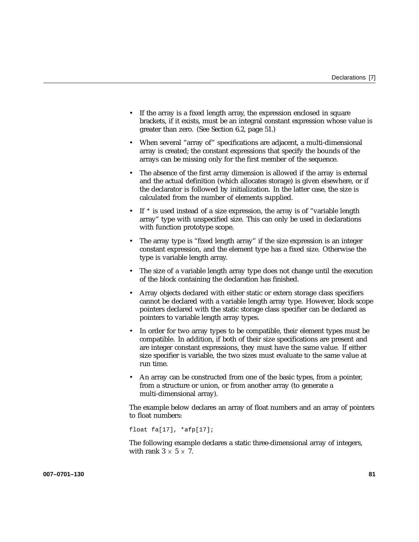- If the array is a fixed length array, the expression enclosed in square brackets, if it exists, must be an integral constant expression whose value is greater than zero. (See Section 6.2, page 51.)
- When several "array of" specifications are adjacent, a multi-dimensional array is created; the constant expressions that specify the bounds of the arrays can be missing only for the first member of the sequence.
- The absence of the first array dimension is allowed if the array is external and the actual definition (which allocates storage) is given elsewhere, or if the declarator is followed by initialization. In the latter case, the size is calculated from the number of elements supplied.
- If  $*$  is used instead of a size expression, the array is of "variable length" array" type with unspecified size. This can only be used in declarations with function prototype scope.
- The array type is "fixed length array" if the size expression is an integer constant expression, and the element type has a fixed size. Otherwise the type is variable length array.
- The size of a variable length array type does not change until the execution of the block containing the declaration has finished.
- Array objects declared with either static or extern storage class specifiers cannot be declared with a variable length array type. However, block scope pointers declared with the static storage class specifier can be declared as pointers to variable length array types.
- In order for two array types to be compatible, their element types must be compatible. In addition, if both of their size specifications are present and are integer constant expressions, they must have the same value. If either size specifier is variable, the two sizes must evaluate to the same value at run time.
- An array can be constructed from one of the basic types, from a pointer, from a structure or union, or from another array (to generate a multi-dimensional array).

The example below declares an array of float numbers and an array of pointers to float numbers:

float fa[17], \*afp[17];

The following example declares a static three-dimensional array of integers, with rank  $3 \times 5 \times 7$ .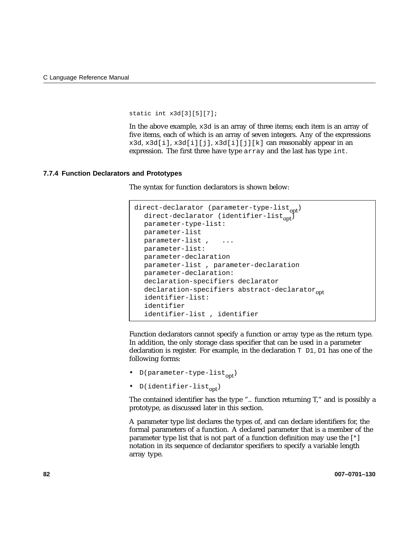static int x3d[3][5][7];

In the above example,  $x3d$  is an array of three items; each item is an array of five items, each of which is an array of seven integers. Any of the expressions x3d, x3d[i], x3d[i][j], x3d[i][j][k] can reasonably appear in an expression. The first three have type array and the last has type int.

#### **7.7.4 Function Declarators and Prototypes**

The syntax for function declarators is shown below:

```
direct-declarator (parameter-type-list<sub>opt</sub>)
  direct-declarator (identifier-list<sub>on</sub>)
  parameter-type-list:
  parameter-list
  parameter-list, ...
  parameter-list:
  parameter-declaration
  parameter-list , parameter-declaration
  parameter-declaration:
  declaration-specifiers declarator
  declaration-specifiers abstract-declarator<sub>opt</sub><br>identifier-list:
  identifier
  identifier-list , identifier
```
Function declarators cannot specify a function or array type as the return type. In addition, the only storage class specifier that can be used in a parameter declaration is register. For example, in the declaration T D1, D1 has one of the following forms:

- D(parameter-type-list<sub>ont</sub>)
- D(identifier-list<sub>opt</sub>)

The contained identifier has the type ".. function returning T," and is possibly a prototype, as discussed later in this section.

A parameter type list declares the types of, and can declare identifiers for, the formal parameters of a function. A declared parameter that is a member of the parameter type list that is not part of a function definition may use the [\*] notation in its sequence of declarator specifiers to specify a variable length array type.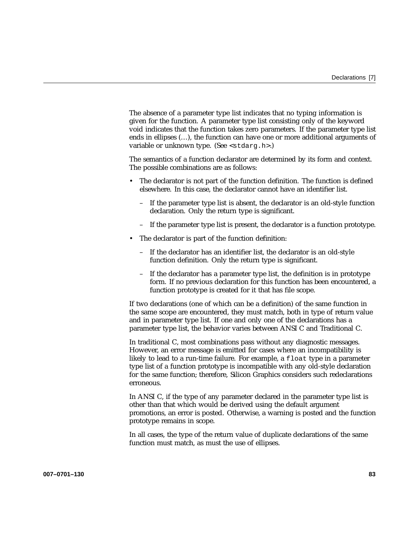The absence of a parameter type list indicates that no typing information is given for the function. A parameter type list consisting only of the keyword void indicates that the function takes zero parameters. If the parameter type list ends in ellipses (…), the function can have one or more additional arguments of variable or unknown type. (See <stdarg.h>.)

The semantics of a function declarator are determined by its form and context. The possible combinations are as follows:

- The declarator is not part of the function definition. The function is defined elsewhere. In this case, the declarator cannot have an identifier list.
	- If the parameter type list is absent, the declarator is an old-style function declaration. Only the return type is significant.
	- If the parameter type list is present, the declarator is a function prototype.
- The declarator is part of the function definition:
	- If the declarator has an identifier list, the declarator is an old-style function definition. Only the return type is significant.
	- If the declarator has a parameter type list, the definition is in prototype form. If no previous declaration for this function has been encountered, a function prototype is created for it that has file scope.

If two declarations (one of which can be a definition) of the same function in the same scope are encountered, they must match, both in type of return value and in parameter type list. If one and only one of the declarations has a parameter type list, the behavior varies between ANSI C and Traditional C.

In traditional C, most combinations pass without any diagnostic messages. However, an error message is emitted for cases where an incompatibility is likely to lead to a run-time failure. For example, a float type in a parameter type list of a function prototype is incompatible with any old-style declaration for the same function; therefore, Silicon Graphics considers such redeclarations erroneous.

In ANSI C, if the type of any parameter declared in the parameter type list is other than that which would be derived using the default argument promotions, an error is posted. Otherwise, a warning is posted and the function prototype remains in scope.

In all cases, the type of the return value of duplicate declarations of the same function must match, as must the use of ellipses.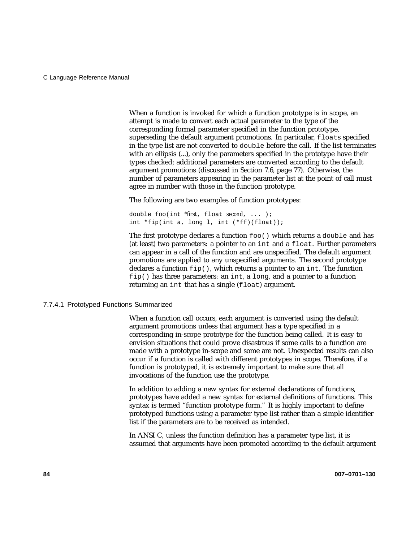When a function is invoked for which a function prototype is in scope, an attempt is made to convert each actual parameter to the type of the corresponding formal parameter specified in the function prototype, superseding the default argument promotions. In particular, floats specified in the type list are not converted to double before the call. If the list terminates with an ellipsis (...), only the parameters specified in the prototype have their types checked; additional parameters are converted according to the default argument promotions (discussed in Section 7.6, page 77). Otherwise, the number of parameters appearing in the parameter list at the point of call must agree in number with those in the function prototype.

The following are two examples of function prototypes:

double foo(int *\*first*, float *second*, ... ); int \*fip(int a, long l, int (\*ff)(float));

The first prototype declares a function  $f \circ \circ$  () which returns a double and has (at least) two parameters: a pointer to an int and a float. Further parameters can appear in a call of the function and are unspecified. The default argument promotions are applied to any unspecified arguments. The second prototype declares a function  $fip()$ , which returns a pointer to an int. The function  $fip()$  has three parameters: an int, a long, and a pointer to a function returning an int that has a single (float) argument.

#### 7.7.4.1 Prototyped Functions Summarized

When a function call occurs, each argument is converted using the default argument promotions unless that argument has a type specified in a corresponding in-scope prototype for the function being called. It is easy to envision situations that could prove disastrous if some calls to a function are made with a prototype in-scope and some are not. Unexpected results can also occur if a function is called with different prototypes in scope. Therefore, if a function is prototyped, it is extremely important to make sure that all invocations of the function use the prototype.

In addition to adding a new syntax for external declarations of functions, prototypes have added a new syntax for external definitions of functions. This syntax is termed "function prototype form." It is highly important to define prototyped functions using a parameter type list rather than a simple identifier list if the parameters are to be received as intended.

In ANSI C, unless the function definition has a parameter type list, it is assumed that arguments have been promoted according to the default argument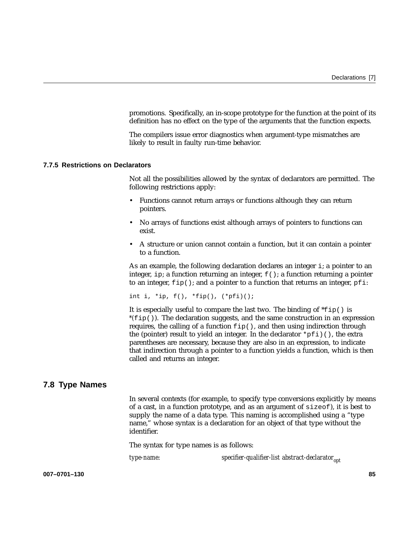promotions. Specifically, an in-scope prototype for the function at the point of its definition has no effect on the type of the arguments that the function expects.

The compilers issue error diagnostics when argument-type mismatches are likely to result in faulty run-time behavior.

#### **7.7.5 Restrictions on Declarators**

Not all the possibilities allowed by the syntax of declarators are permitted. The following restrictions apply:

- Functions cannot return arrays or functions although they can return pointers.
- No arrays of functions exist although arrays of pointers to functions can exist.
- A structure or union cannot contain a function, but it can contain a pointer to a function.

As an example, the following declaration declares an integer i; a pointer to an integer, ip; a function returning an integer,  $f(x)$ ; a function returning a pointer to an integer,  $fip()$ ; and a pointer to a function that returns an integer, pfi:

int i, \*ip,  $f()$ , \* $fip()$ ,  $(*pfi)($ ;

It is especially useful to compare the last two. The binding of  $*\text{fip}(\cdot)$  is *\*(*fip()). The declaration suggests, and the same construction in an expression requires, the calling of a function  $fip()$ , and then using indirection through the (pointer) result to yield an integer. In the declarator  $*$ pfi)(), the extra parentheses are necessary, because they are also in an expression, to indicate that indirection through a pointer to a function yields a function, which is then called and returns an integer.

## **7.8 Type Names**

In several contexts (for example, to specify type conversions explicitly by means of a cast, in a function prototype, and as an argument of sizeof), it is best to supply the name of a data type. This naming is accomplished using a "type name," whose syntax is a declaration for an object of that type without the identifier.

The syntax for type names is as follows:

*type-name: specifier-qualifier-list abstract-declarator*<sub>ont</sub>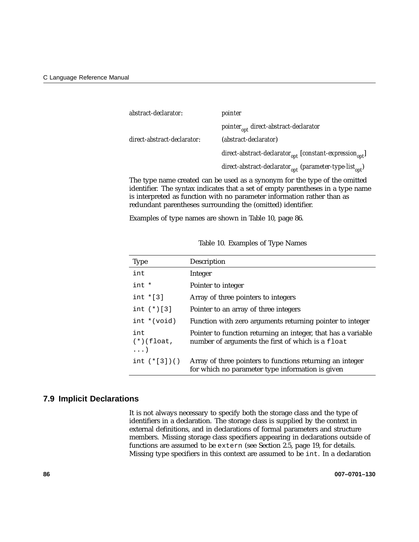| pointer                                                                  |
|--------------------------------------------------------------------------|
| $\emph{pointer}_{\emph{opt}}$ direct-abstract-declarator                 |
| (abstract-declarator)                                                    |
| $direct-abstract-declarator_{opt}$ [constant-expression <sub>opt</sub> ] |
| direct-abstract-declarator $_{opt}$ (parameter-type-list $_{opt}$ )      |
|                                                                          |

The type name created can be used as a synonym for the type of the omitted identifier. The syntax indicates that a set of empty parentheses in a type name is interpreted as function with no parameter information rather than as redundant parentheses surrounding the (omitted) identifier.

Examples of type names are shown in Table 10, page 86.

| <b>Type</b>                       | Description                                                                                                        |
|-----------------------------------|--------------------------------------------------------------------------------------------------------------------|
| int                               | Integer                                                                                                            |
| int *                             | Pointer to integer                                                                                                 |
| int $\star$ [3]                   | Array of three pointers to integers                                                                                |
| int $(*)$ [3]                     | Pointer to an array of three integers                                                                              |
| $int * (void)$                    | Function with zero arguments returning pointer to integer                                                          |
| int<br>$(*)(float,$<br>$\ldots$ ) | Pointer to function returning an integer, that has a variable<br>number of arguments the first of which is a float |
| int $(*[3])()$                    | Array of three pointers to functions returning an integer<br>for which no parameter type information is given      |

Table 10. Examples of Type Names

## **7.9 Implicit Declarations**

It is not always necessary to specify both the storage class and the type of identifiers in a declaration. The storage class is supplied by the context in external definitions, and in declarations of formal parameters and structure members. Missing storage class specifiers appearing in declarations outside of functions are assumed to be extern (see Section 2.5, page 19, for details. Missing type specifiers in this context are assumed to be int. In a declaration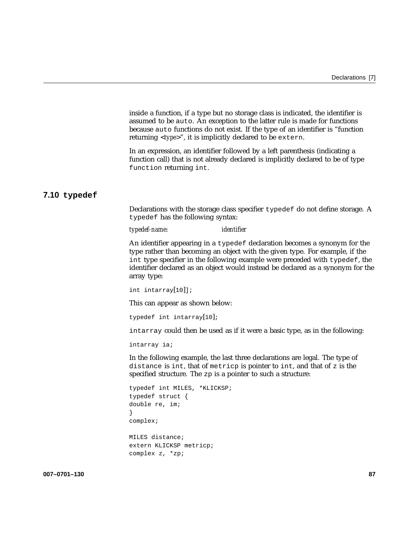inside a function, if a type but no storage class is indicated, the identifier is assumed to be auto. An exception to the latter rule is made for functions because auto functions do not exist. If the type of an identifier is "function returning <*type*>", it is implicitly declared to be extern.

In an expression, an identifier followed by a left parenthesis (indicating a function call) that is not already declared is implicitly declared to be of type function returning int.

# **7.10 typedef**

Declarations with the storage class specifier typedef do not define storage. A typedef has the following syntax:

*typedef-name*: *identifier*

An identifier appearing in a typedef declaration becomes a synonym for the type rather than becoming an object with the given type. For example, if the int type specifier in the following example were preceded with typedef, the identifier declared as an object would instead be declared as a synonym for the array type:

```
int intarray[10]];
```
This can appear as shown below:

```
typedef int intarray[10];
```
intarray could then be used as if it were a basic type, as in the following:

intarray ia;

In the following example, the last three declarations are legal. The type of distance is int, that of metricp is pointer to int, and that of z is the specified structure. The zp is a pointer to such a structure:

```
typedef int MILES, *KLICKSP;
typedef struct {
double re, im;
}
complex;
```
MILES distance; extern KLICKSP metricp; complex z, \*zp;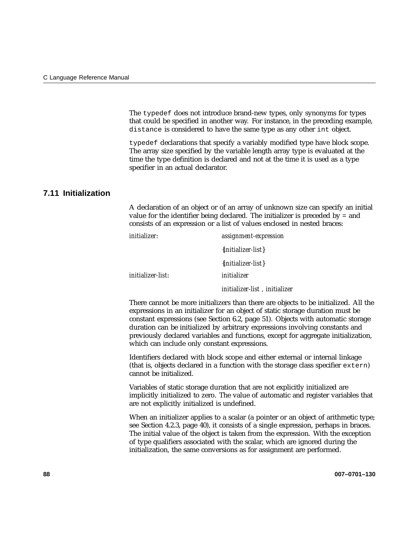The typedef does not introduce brand-new types, only synonyms for types that could be specified in another way. For instance, in the preceding example, distance is considered to have the same type as any other int object.

typedef declarations that specify a variably modified type have block scope. The array size specified by the variable length array type is evaluated at the time the type definition is declared and not at the time it is used as a type specifier in an actual declarator.

# **7.11 Initialization**

A declaration of an object or of an array of unknown size can specify an initial value for the identifier being declared. The initializer is preceded by = and consists of an expression or a list of values enclosed in nested braces:

| initializer:      | assignment-expression         |
|-------------------|-------------------------------|
|                   | { <i>initializer-list</i> }   |
|                   | $\{initializer-list\}$        |
| initializer-list: | initializer                   |
|                   | initializer-list, initializer |

There cannot be more initializers than there are objects to be initialized. All the expressions in an initializer for an object of static storage duration must be constant expressions (see Section 6.2, page 51). Objects with automatic storage duration can be initialized by arbitrary expressions involving constants and previously declared variables and functions, except for aggregate initialization, which can include only constant expressions.

Identifiers declared with block scope and either external or internal linkage (that is, objects declared in a function with the storage class specifier extern) cannot be initialized.

Variables of static storage duration that are not explicitly initialized are implicitly initialized to zero. The value of automatic and register variables that are not explicitly initialized is undefined.

When an initializer applies to a scalar (a pointer or an object of arithmetic type; see Section 4.2.3, page 40), it consists of a single expression, perhaps in braces. The initial value of the object is taken from the expression. With the exception of type qualifiers associated with the scalar, which are ignored during the initialization, the same conversions as for assignment are performed.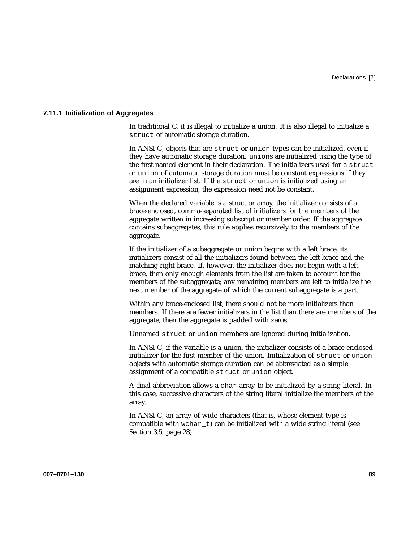## **7.11.1 Initialization of Aggregates**

In traditional C, it is illegal to initialize a union. It is also illegal to initialize a struct of automatic storage duration.

In ANSI C, objects that are struct or union types can be initialized, even if they have automatic storage duration. unions are initialized using the type of the first named element in their declaration. The initializers used for a struct or union of automatic storage duration must be constant expressions if they are in an initializer list. If the struct or union is initialized using an assignment expression, the expression need not be constant.

When the declared variable is a struct or array, the initializer consists of a brace-enclosed, comma-separated list of initializers for the members of the aggregate written in increasing subscript or member order. If the aggregate contains subaggregates, this rule applies recursively to the members of the aggregate.

If the initializer of a subaggregate or union begins with a left brace, its initializers consist of all the initializers found between the left brace and the matching right brace. If, however, the initializer does not begin with a left brace, then only enough elements from the list are taken to account for the members of the subaggregate; any remaining members are left to initialize the next member of the aggregate of which the current subaggregate is a part.

Within any brace-enclosed list, there should not be more initializers than members. If there are fewer initializers in the list than there are members of the aggregate, then the aggregate is padded with zeros.

Unnamed struct or union members are ignored during initialization.

In ANSI C, if the variable is a union, the initializer consists of a brace-enclosed initializer for the first member of the union. Initialization of struct or union objects with automatic storage duration can be abbreviated as a simple assignment of a compatible struct or union object.

A final abbreviation allows a char array to be initialized by a string literal. In this case, successive characters of the string literal initialize the members of the array.

In ANSI C, an array of wide characters (that is, whose element type is compatible with wchar  $t$ ) can be initialized with a wide string literal (see Section 3.5, page 28).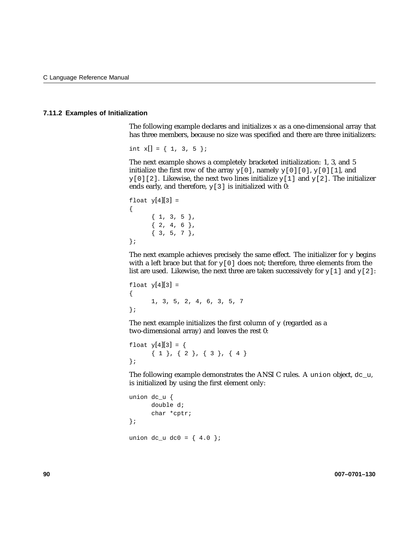### **7.11.2 Examples of Initialization**

The following example declares and initializes  $x$  as a one-dimensional array that has three members, because no size was specified and there are three initializers:

int  $x[] = \{ 1, 3, 5 \}$ 

The next example shows a completely bracketed initialization: 1, 3, and 5 initialize the first row of the array  $y[0]$ , namely  $y[0][0]$ ,  $y[0][1]$ , and  $y[0][2]$ . Likewise, the next two lines initialize  $y[1]$  and  $y[2]$ . The initializer ends early, and therefore,  $y[3]$  is initialized with 0:

```
float y[4][3] =
{
      { 1, 3, 5 },
      {2, 4, 6}{ 3, 5, 7 },
};
```
The next example achieves precisely the same effect. The initializer for  $\gamma$  begins with a left brace but that for  $y[0]$  does not; therefore, three elements from the list are used. Likewise, the next three are taken successively for  $y[1]$  and  $y[2]$ :

```
float y[4][3] =
{
      1, 3, 5, 2, 4, 6, 3, 5, 7
};
```
The next example initializes the first column of  $y$  (regarded as a two-dimensional array) and leaves the rest 0:

```
float y[4][3] = \{{ 1 } , { 2 } , { 3 } , { 4 }};
```
The following example demonstrates the ANSI C rules. A union object, dc\_u, is initialized by using the first element only:

```
union dc_u {
      double d;
      char *cptr;
};
union dc_u dc0 = { 4.0 };
```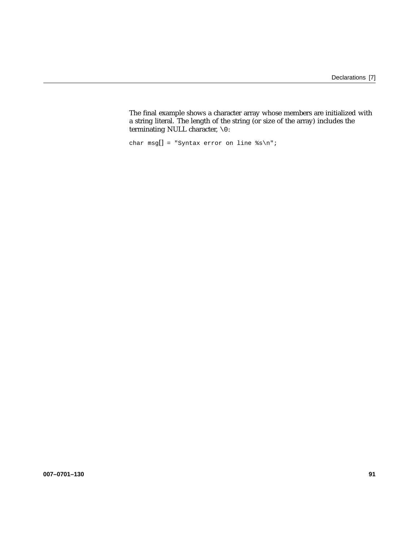The final example shows a character array whose members are initialized with a string literal. The length of the string (or size of the array) includes the terminating NULL character, \0:

char msg[] = "Syntax error on line  $s\n\cdot r$ ;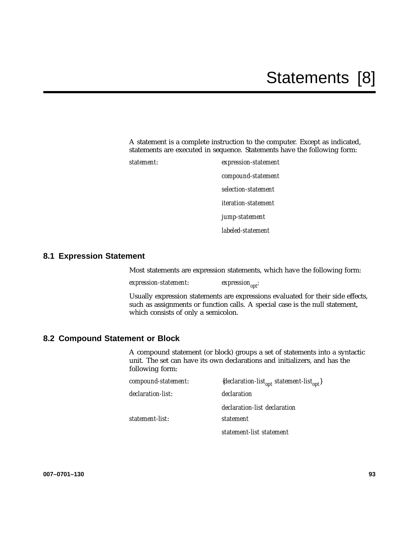A statement is a complete instruction to the computer. Except as indicated, statements are executed in sequence. Statements have the following form:

*statement*: *expression-statement compound-statement selection-statement iteration-statement jump-statement labeled-statement*

# **8.1 Expression Statement**

Most statements are expression statements, which have the following form:

 $\exp$ *expression-statement*: *expression*<sub>opt</sub>;

Usually expression statements are expressions evaluated for their side effects, such as assignments or function calls. A special case is the null statement, which consists of only a semicolon.

# **8.2 Compound Statement or Block**

A compound statement (or block) groups a set of statements into a syntactic unit. The set can have its own declarations and initializers, and has the following form:

| compound-statement: | {declaration-list <sub>opt</sub> statement-list <sub>opt</sub> } |
|---------------------|------------------------------------------------------------------|
| declaration-list:   | declaration                                                      |
|                     | declaration-list declaration                                     |
| statement-list:     | <i>statement</i>                                                 |
|                     | statement-list statement                                         |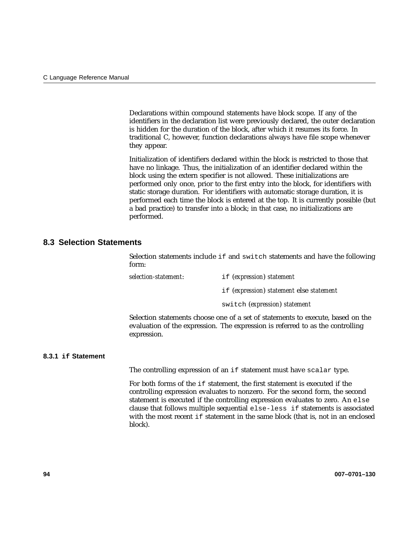Declarations within compound statements have block scope. If any of the identifiers in the declaration list were previously declared, the outer declaration is hidden for the duration of the block, after which it resumes its force. In traditional C, however, function declarations always have file scope whenever they appear.

Initialization of identifiers declared within the block is restricted to those that have no linkage. Thus, the initialization of an identifier declared within the block using the extern specifier is not allowed. These initializations are performed only once, prior to the first entry into the block, for identifiers with static storage duration. For identifiers with automatic storage duration, it is performed each time the block is entered at the top. It is currently possible (but a bad practice) to transfer into a block; in that case, no initializations are performed.

# **8.3 Selection Statements**

Selection statements include if and switch statements and have the following form:

*selection-statement*: if (*expression*) *statement* if (*expression*) *statement* else *statement*

switch (*expression*) *statement*

Selection statements choose one of a set of statements to execute, based on the evaluation of the expression. The expression is referred to as the controlling expression.

## **8.3.1 if Statement**

The controlling expression of an if statement must have scalar type.

For both forms of the if statement, the first statement is executed if the controlling expression evaluates to nonzero. For the second form, the second statement is executed if the controlling expression evaluates to zero. An else clause that follows multiple sequential else-less if statements is associated with the most recent if statement in the same block (that is, not in an enclosed block).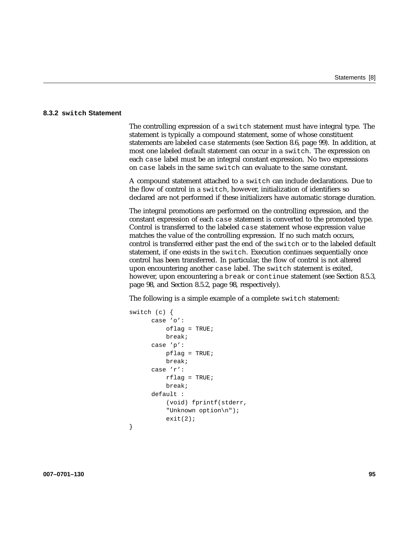### **8.3.2 switch Statement**

The controlling expression of a switch statement must have integral type. The statement is typically a compound statement, some of whose constituent statements are labeled case statements (see Section 8.6, page 99). In addition, at most one labeled default statement can occur in a switch. The expression on each case label must be an integral constant expression. No two expressions on case labels in the same switch can evaluate to the same constant.

A compound statement attached to a switch can include declarations. Due to the flow of control in a switch, however, initialization of identifiers so declared are not performed if these initializers have automatic storage duration.

The integral promotions are performed on the controlling expression, and the constant expression of each case statement is converted to the promoted type. Control is transferred to the labeled case statement whose expression value matches the value of the controlling expression. If no such match occurs, control is transferred either past the end of the switch or to the labeled default statement, if one exists in the switch. Execution continues sequentially once control has been transferred. In particular, the flow of control is not altered upon encountering another case label. The switch statement is exited, however, upon encountering a break or continue statement (see Section 8.5.3, page 98, and Section 8.5.2, page 98, respectively).

The following is a simple example of a complete switch statement:

```
switch (c) {
      case 'o':
          oflag = TRUE;
          break;
      case 'p':
          pflag = TRUE;
          break;
      case 'r':
          rflaq = TRUE;break;
      default :
          (void) fprintf(stderr,
          "Unknown option\n");
          exit(2);
```
}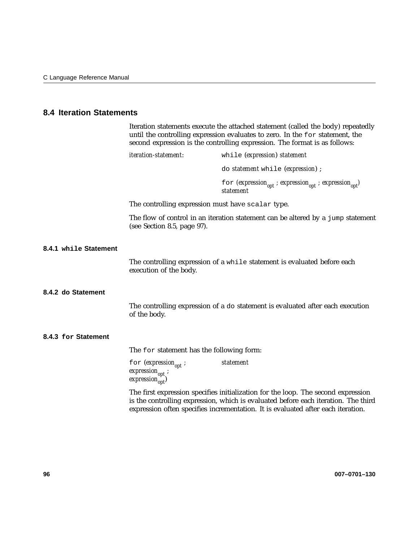# **8.4 Iteration Statements**

|                  |                                                   | Iteration statements execute the attached statement (called the body) repeatedly<br>until the controlling expression evaluates to zero. In the for statement, the<br>second expression is the controlling expression. The format is as follows: |  |
|------------------|---------------------------------------------------|-------------------------------------------------------------------------------------------------------------------------------------------------------------------------------------------------------------------------------------------------|--|
|                  | <i>iteration-statement:</i>                       | while (expression) statement                                                                                                                                                                                                                    |  |
|                  |                                                   | do <i>statement</i> while ( <i>expression</i> );                                                                                                                                                                                                |  |
|                  |                                                   | for (expression <sub>opt</sub> ; expression <sub>opt</sub> ; expression <sub>opt</sub> )<br>statement                                                                                                                                           |  |
|                  | The controlling expression must have scalar type. |                                                                                                                                                                                                                                                 |  |
|                  | (see Section 8.5, page $97$ ).                    | The flow of control in an iteration statement can be altered by a jump statement                                                                                                                                                                |  |
| <b>Statement</b> |                                                   |                                                                                                                                                                                                                                                 |  |

# **8.4.1** while Stater

The controlling expression of a while statement is evaluated before each execution of the body.

## **8.4.2 do Statement**

The controlling expression of a do statement is evaluated after each execution of the body.

## **8.4.3 for Statement**

The for statement has the following form:

for  $(expression_{opt}$ ; *expression<sub>opt</sub>*;  $expression<sub>opt</sub>$ <sup>†</sup> *statement*

The first expression specifies initialization for the loop. The second expression is the controlling expression, which is evaluated before each iteration. The third expression often specifies incrementation. It is evaluated after each iteration.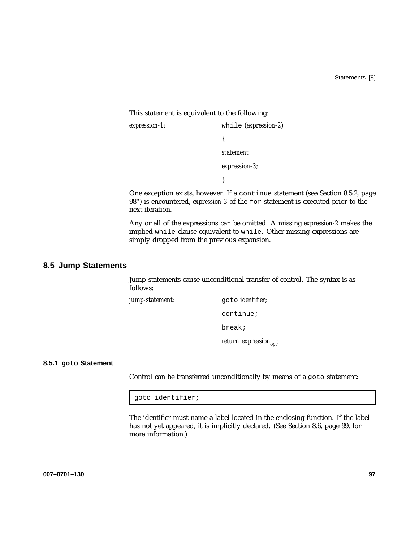This statement is equivalent to the following:

*expression-1*; while (*expression-2*) { *statement expression-3*; }

One exception exists, however. If a continue statement (see Section 8.5.2, page 98") is encountered, *expression-3* of the for statement is executed prior to the next iteration.

Any or all of the expressions can be omitted. A missing *expression-2* makes the implied while clause equivalent to while. Other missing expressions are simply dropped from the previous expansion.

## **8.5 Jump Statements**

Jump statements cause unconditional transfer of control. The syntax is as follows:

*jump-statement*: goto *identifier*;

continue;

break;

*return expression*<sub>opt</sub>;

### **8.5.1 goto Statement**

Control can be transferred unconditionally by means of a goto statement:

goto identifier;

The identifier must name a label located in the enclosing function. If the label has not yet appeared, it is implicitly declared. (See Section 8.6, page 99, for more information.)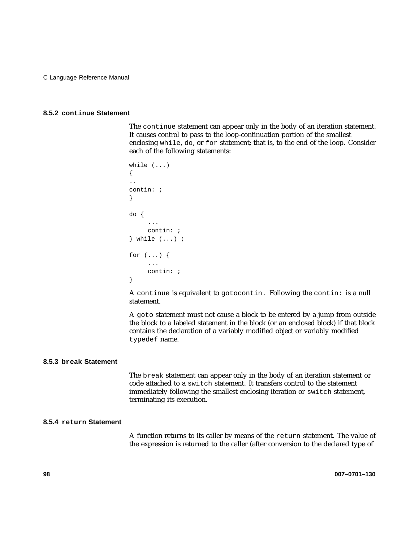### **8.5.2 continue Statement**

The continue statement can appear only in the body of an iteration statement. It causes control to pass to the loop-continuation portion of the smallest enclosing while, do, or for statement; that is, to the end of the loop. Consider each of the following statements:

```
while ( \ldots ){
..
contin: ;
}
do {
      ...
     contin: ;
} while (...) ;
for (...) {
     ...
     contin: ;
}
```
A continue is equivalent to gotocontin. Following the contin: is a null statement.

A goto statement must not cause a block to be entered by a jump from outside the block to a labeled statement in the block (or an enclosed block) if that block contains the declaration of a variably modified object or variably modified typedef name.

### **8.5.3 break Statement**

The break statement can appear only in the body of an iteration statement or code attached to a switch statement. It transfers control to the statement immediately following the smallest enclosing iteration or switch statement, terminating its execution.

## **8.5.4 return Statement**

A function returns to its caller by means of the return statement. The value of the expression is returned to the caller (after conversion to the declared type of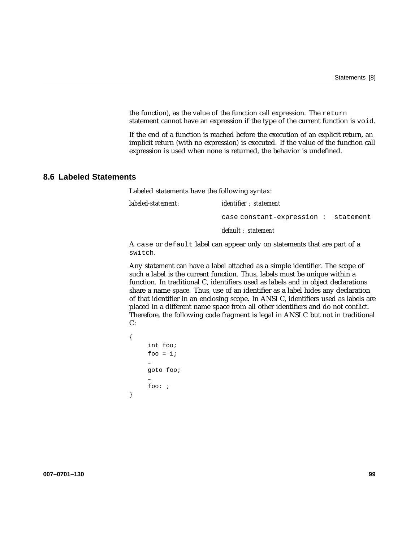the function), as the value of the function call expression. The return statement cannot have an expression if the type of the current function is void.

If the end of a function is reached before the execution of an explicit return, an implicit return (with no expression) is executed. If the value of the function call expression is used when none is returned, the behavior is undefined.

## **8.6 Labeled Statements**

Labeled statements have the following syntax:

| labeled-statement: | <i>identifier : statement</i>       |  |
|--------------------|-------------------------------------|--|
|                    | case constant-expression: statement |  |
|                    | default : statement                 |  |

A case or default label can appear only on statements that are part of a switch.

Any statement can have a label attached as a simple identifier. The scope of such a label is the current function. Thus, labels must be unique within a function. In traditional C, identifiers used as labels and in object declarations share a name space. Thus, use of an identifier as a label hides any declaration of that identifier in an enclosing scope. In ANSI C, identifiers used as labels are placed in a different name space from all other identifiers and do not conflict. Therefore, the following code fragment is legal in ANSI C but not in traditional C:

```
{
     int foo;
     foo = 1;
     …
     goto foo;
     …
     foo: ;
}
```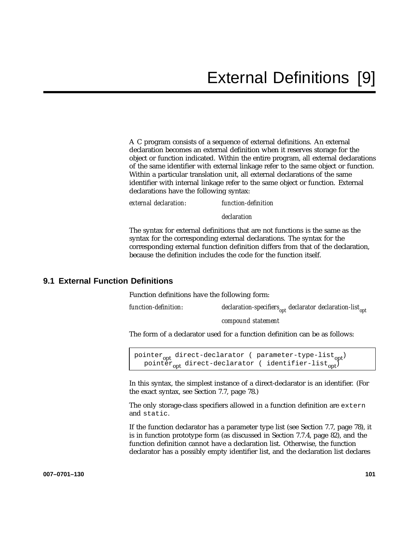A C program consists of a sequence of external definitions. An external declaration becomes an external definition when it reserves storage for the object or function indicated. Within the entire program, all external declarations of the same identifier with external linkage refer to the same object or function. Within a particular translation unit, all external declarations of the same identifier with internal linkage refer to the same object or function. External declarations have the following syntax:

*external declaration*: *function-definition*

*declaration*

The syntax for external definitions that are not functions is the same as the syntax for the corresponding external declarations. The syntax for the corresponding external function definition differs from that of the declaration, because the definition includes the code for the function itself.

# **9.1 External Function Definitions**

Function definitions have the following form:

*function-definition*: *declaration-specifiers*<sub>opt</sub> *declarator declaration-list*<sub>opt</sub>

*compound statement*

The form of a declarator used for a function definition can be as follows:

```
pointer<sub>opt</sub> direct-declarator ( parameter-type-list<sub>opt</sub>)
   pointer<sub>opt</sub> direct-declarator ( identifier-list<sub>opt</sub>)
```
In this syntax, the simplest instance of a direct-declarator is an identifier. (For the exact syntax, see Section 7.7, page 78.)

The only storage-class specifiers allowed in a function definition are extern and static.

If the function declarator has a parameter type list (see Section 7.7, page 78), it is in function prototype form (as discussed in Section 7.7.4, page 82), and the function definition cannot have a declaration list. Otherwise, the function declarator has a possibly empty identifier list, and the declaration list declares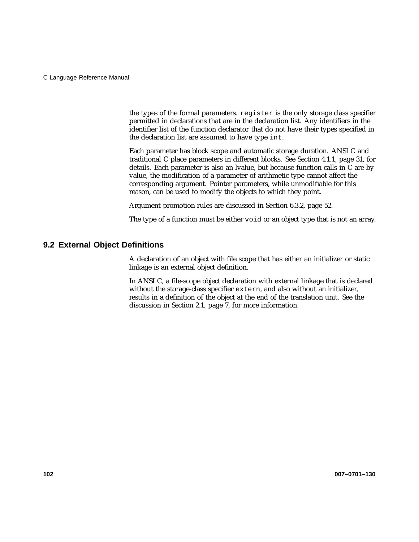the types of the formal parameters. register is the only storage class specifier permitted in declarations that are in the declaration list. Any identifiers in the identifier list of the function declarator that do not have their types specified in the declaration list are assumed to have type int.

Each parameter has block scope and automatic storage duration. ANSI C and traditional C place parameters in different blocks. See Section 4.1.1, page 31, for details. Each parameter is also an lvalue, but because function calls in C are by value, the modification of a parameter of arithmetic type cannot affect the corresponding argument. Pointer parameters, while unmodifiable for this reason, can be used to modify the objects to which they point.

Argument promotion rules are discussed in Section 6.3.2, page 52.

The type of a function must be either void or an object type that is not an array.

## **9.2 External Object Definitions**

A declaration of an object with file scope that has either an initializer or static linkage is an external object definition.

In ANSI C, a file-scope object declaration with external linkage that is declared without the storage-class specifier extern, and also without an initializer, results in a definition of the object at the end of the translation unit. See the discussion in Section 2.1, page 7, for more information.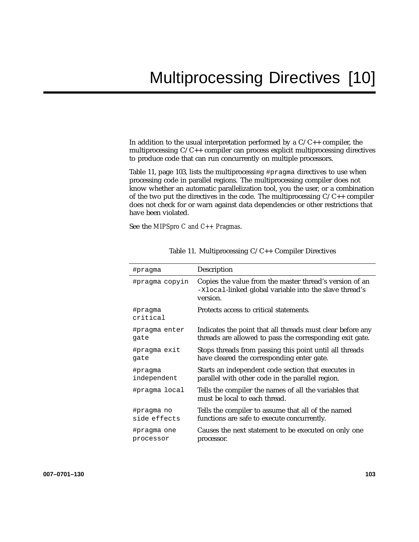In addition to the usual interpretation performed by a  $C/C++$  compiler, the multiprocessing C/C++ compiler can process explicit multiprocessing directives to produce code that can run concurrently on multiple processors.

Table 11, page 103, lists the multiprocessing #pragma directives to use when processing code in parallel regions. The multiprocessing compiler does not know whether an automatic parallelization tool, you the user, or a combination of the two put the directives in the code. The multiprocessing  $C/C++$  compiler does not check for or warn against data dependencies or other restrictions that have been violated.

See the *MIPSpro C and C++ Pragmas*.

| #pragma             | Description                                                                                                                   |
|---------------------|-------------------------------------------------------------------------------------------------------------------------------|
| #pragma copyin      | Copies the value from the master thread's version of an<br>-Xlocal-linked global variable into the slave thread's<br>version. |
| #pragma<br>critical | Protects access to critical statements.                                                                                       |
| #pragma enter       | Indicates the point that all threads must clear before any                                                                    |
| gate                | threads are allowed to pass the corresponding exit gate.                                                                      |
| #pragma exit        | Stops threads from passing this point until all threads                                                                       |
| gate                | have cleared the corresponding enter gate.                                                                                    |
| #pragma             | Starts an independent code section that executes in                                                                           |
| independent         | parallel with other code in the parallel region.                                                                              |
| #pragma local       | Tells the compiler the names of all the variables that<br>must be local to each thread.                                       |
| #pragma no          | Tells the compiler to assume that all of the named                                                                            |
| side effects        | functions are safe to execute concurrently.                                                                                   |
| #pragma one         | Causes the next statement to be executed on only one                                                                          |
| processor           | processor.                                                                                                                    |

Table 11. Multiprocessing C/C++ Compiler Directives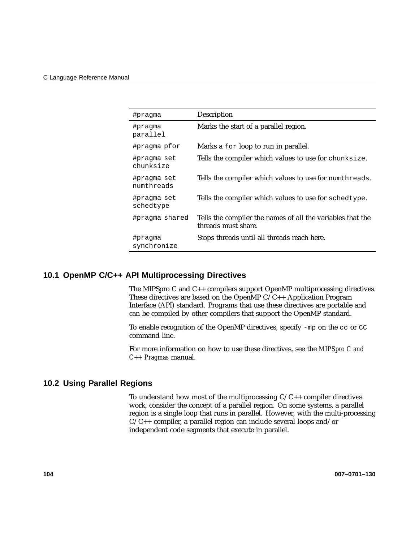| #pragma                   | Description                                                                       |
|---------------------------|-----------------------------------------------------------------------------------|
| #pragma<br>parallel       | Marks the start of a parallel region.                                             |
| #pragma pfor              | Marks a for loop to run in parallel.                                              |
| #pragma set<br>chunksize  | Tells the compiler which values to use for chunksize.                             |
| #pragma set<br>numthreads | Tells the compiler which values to use for numthreads.                            |
| #pragma set<br>schedtype  | Tells the compiler which values to use for schedtype.                             |
| #pragma shared            | Tells the compiler the names of all the variables that the<br>threads must share. |
| #pragma<br>synchronize    | Stops threads until all threads reach here.                                       |

# **10.1 OpenMP C/C++ API Multiprocessing Directives**

The MIPSpro C and C++ compilers support OpenMP multiprocessing directives. These directives are based on the OpenMP C/C++ Application Program Interface (API) standard. Programs that use these directives are portable and can be compiled by other compilers that support the OpenMP standard.

To enable recognition of the OpenMP directives, specify -mp on the cc or CC command line.

For more information on how to use these directives, see the *MIPSpro C and C++ Pragmas* manual.

## **10.2 Using Parallel Regions**

To understand how most of the multiprocessing  $C/C++$  compiler directives work, consider the concept of a parallel region. On some systems, a parallel region is a single loop that runs in parallel. However, with the multi-processing  $C/C++$  compiler, a parallel region can include several loops and/or independent code segments that execute in parallel.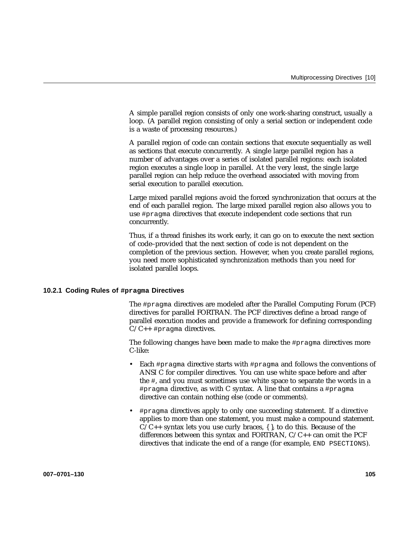A simple parallel region consists of only one work-sharing construct, usually a loop. (A parallel region consisting of only a serial section or independent code is a waste of processing resources.)

A parallel region of code can contain sections that execute sequentially as well as sections that execute concurrently. A single large parallel region has a number of advantages over a series of isolated parallel regions: each isolated region executes a single loop in parallel. At the very least, the single large parallel region can help reduce the overhead associated with moving from serial execution to parallel execution.

Large mixed parallel regions avoid the forced synchronization that occurs at the end of each parallel region. The large mixed parallel region also allows you to use #pragma directives that execute independent code sections that run concurrently.

Thus, if a thread finishes its work early, it can go on to execute the next section of code–provided that the next section of code is not dependent on the completion of the previous section. However, when you create parallel regions, you need more sophisticated synchronization methods than you need for isolated parallel loops.

#### **10.2.1 Coding Rules of #pragma Directives**

The #pragma directives are modeled after the Parallel Computing Forum (PCF) directives for parallel FORTRAN. The PCF directives define a broad range of parallel execution modes and provide a framework for defining corresponding  $C/C_{++}$  #pragma directives.

The following changes have been made to make the #pragma directives more C-like:

- Each #pragma directive starts with #pragma and follows the conventions of ANSI C for compiler directives. You can use white space before and after the #, and you must sometimes use white space to separate the words in a #pragma directive, as with C syntax. A line that contains a #pragma directive can contain nothing else (code or comments).
- #pragma directives apply to only one succeeding statement. If a directive applies to more than one statement, you must make a compound statement.  $C/C++$  syntax lets you use curly braces,  $\{ \}$ , to do this. Because of the differences between this syntax and FORTRAN,  $C/C_{++}$  can omit the PCF directives that indicate the end of a range (for example, END PSECTIONS).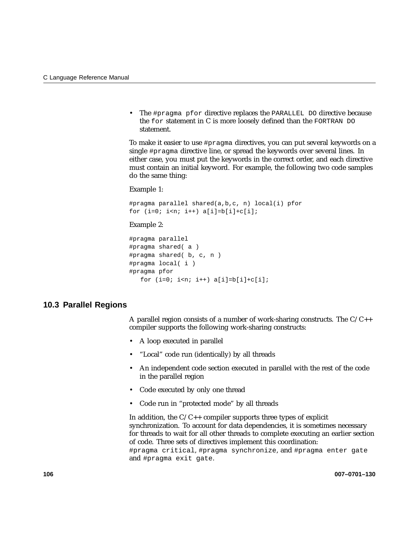• The #pragma pfor directive replaces the PARALLEL DO directive because the for statement in C is more loosely defined than the FORTRAN DO statement.

To make it easier to use #pragma directives, you can put several keywords on a single #pragma directive line, or spread the keywords over several lines. In either case, you must put the keywords in the correct order, and each directive must contain an initial keyword. For example, the following two code samples do the same thing:

Example 1:

#pragma parallel shared(a,b,c, n) local(i) pfor for  $(i=0; i a[i]=b[i]+c[i];$ 

#### Example 2:

```
#pragma parallel
#pragma shared( a )
#pragma shared( b, c, n )
#pragma local( i )
#pragma pfor
   for (i=0; i \le n; i++) a[i]=b[i]+c[i];
```
## **10.3 Parallel Regions**

A parallel region consists of a number of work-sharing constructs. The  $C/C++$ compiler supports the following work-sharing constructs:

- A loop executed in parallel
- "Local" code run (identically) by all threads
- An independent code section executed in parallel with the rest of the code in the parallel region
- Code executed by only one thread
- Code run in "protected mode" by all threads

In addition, the  $C/C++$  compiler supports three types of explicit synchronization. To account for data dependencies, it is sometimes necessary for threads to wait for all other threads to complete executing an earlier section of code. Three sets of directives implement this coordination: #pragma critical, #pragma synchronize, and #pragma enter gate and #pragma exit gate.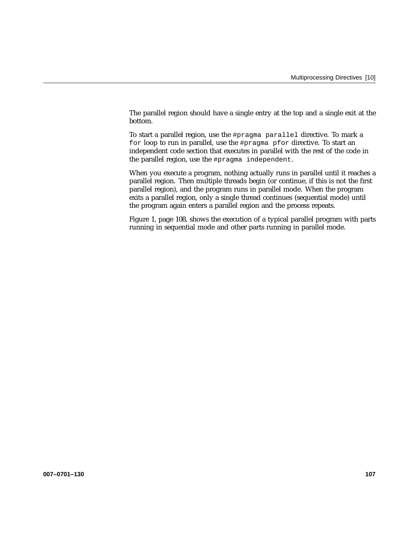The parallel region should have a single entry at the top and a single exit at the bottom.

To start a parallel region, use the #pragma parallel directive. To mark a for loop to run in parallel, use the #pragma pfor directive. To start an independent code section that executes in parallel with the rest of the code in the parallel region, use the #pragma independent.

When you execute a program, nothing actually runs in parallel until it reaches a parallel region. Then multiple threads begin (or continue, if this is not the first parallel region), and the program runs in parallel mode. When the program exits a parallel region, only a single thread continues (sequential mode) until the program again enters a parallel region and the process repeats.

Figure 1, page 108, shows the execution of a typical parallel program with parts running in sequential mode and other parts running in parallel mode.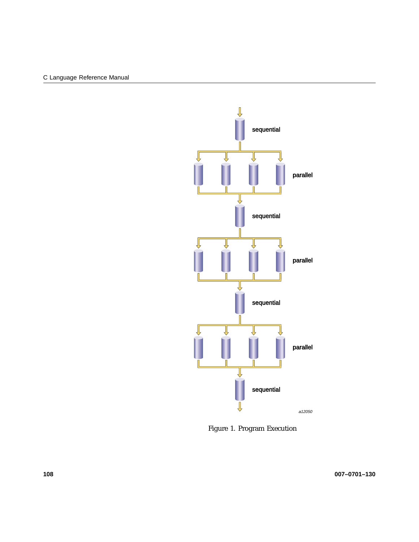

Figure 1. Program Execution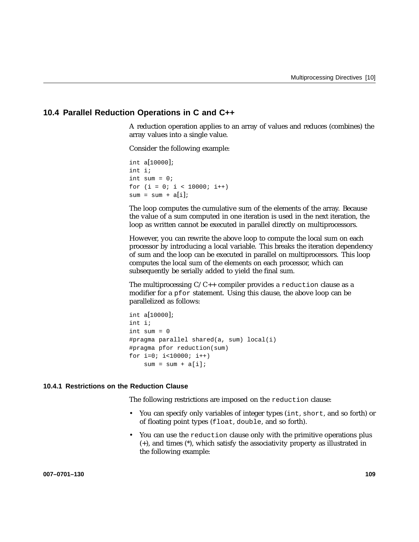# **10.4 Parallel Reduction Operations in C and C++**

A reduction operation applies to an array of values and reduces (combines) the array values into a single value.

Consider the following example:

```
int a[10000];
int i;
int sum = 0;for (i = 0; i < 10000; i++)sum = sum + a[i];
```
The loop computes the cumulative sum of the elements of the array. Because the value of a sum computed in one iteration is used in the next iteration, the loop as written cannot be executed in parallel directly on multiprocessors.

However, you can rewrite the above loop to compute the local sum on each processor by introducing a local variable. This breaks the iteration dependency of sum and the loop can be executed in parallel on multiprocessors. This loop computes the local sum of the elements on each processor, which can subsequently be serially added to yield the final sum.

The multiprocessing  $C/C_{++}$  compiler provides a reduction clause as a modifier for a pfor statement. Using this clause, the above loop can be parallelized as follows:

```
int a[10000];
int i;
int sum = 0#pragma parallel shared(a, sum) local(i)
#pragma pfor reduction(sum)
for i=0; i<10000; i++)sum = sum + a[i];
```
### **10.4.1 Restrictions on the Reduction Clause**

The following restrictions are imposed on the reduction clause:

- You can specify only variables of integer types (int, short, and so forth) or of floating point types (float, double, and so forth).
- You can use the reduction clause only with the primitive operations plus (+), and times (\*), which satisfy the associativity property as illustrated in the following example: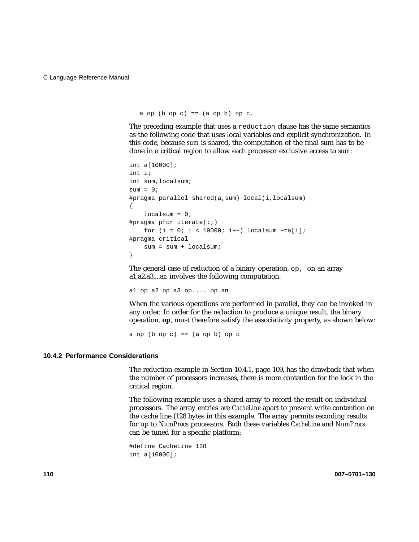```
a op (b op c) == (a op b) op c.
```
The preceding example that uses a reduction clause has the same semantics as the following code that uses local variables and explicit synchronization. In this code, because *sum* is shared, the computation of the final sum has to be done in a critical region to allow each processor exclusive access to *sum*:

```
int a[10000];
int i;
int sum,localsum;
sum = 0;#pragma parallel shared(a,sum) local(i,localsum)
{
    localsum = 0;#pragma pfor iterate(;i)
    for (i = 0; i < 10000; i++) localsum +=a[i];
#pragma critical
    sum = sum + localsum;
}
```
The general case of reduction of a binary operation, op, on an array a1,a2,a3,...a*n* involves the following computation:

a1 op a2 op a3 op.... op a**n**

When the various operations are performed in parallel, they can be invoked in any order. In order for the reduction to produce a unique result, the binary operation, **op**, must therefore satisfy the associativity property, as shown below:

a op  $(b$  op  $c)$  ==  $(a$  op  $b)$  op  $c$ 

#### **10.4.2 Performance Considerations**

The reduction example in Section 10.4.1, page 109, has the drawback that when the number of processors increases, there is more contention for the lock in the critical region.

The following example uses a shared array to record the result on individual processors. The array entries are *CacheLine* apart to prevent write contention on the cache line (128 bytes in this example. The array permits recording results for up to *NumProcs* processors. Both these variables *CacheLine* and *NumProcs* can be tuned for a specific platform:

```
#define CacheLine 128
int a[10000];
```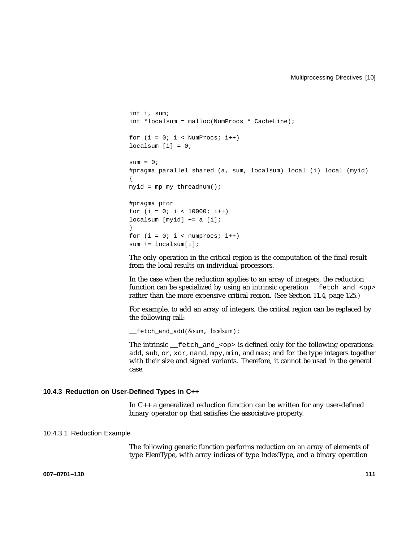```
int i, sum;
int *localsum = malloc(NumProcs * CacheLine);
for (i = 0; i < NumProcs; i++)
localsum [i] = 0;sum = 0;#pragma parallel shared (a, sum, localsum) local (i) local (myid)
{
myid = mp_my_threadnum();
#pragma pfor
for (i = 0; i < 10000; i++)localsum [myid] += a [i];}
for (i = 0; i < number>numprocess; i++)
```
sum += localsum[i];

The only operation in the critical region is the computation of the final result from the local results on individual processors.

In the case when the reduction applies to an array of integers, the reduction function can be specialized by using an intrinsic operation  $\epsilon$  fetch and  $\langle op \rangle$ rather than the more expensive critical region. (See Section 11.4, page 125.)

For example, to add an array of integers, the critical region can be replaced by the following call:

\_\_fetch\_and\_add(*&sum*, *localsum*);

The intrinsic  $f(t)$  fetch and  $\langle s \rangle$  is defined only for the following operations: add, sub, or, xor, nand, mpy, min, and max; and for the type integers together with their size and signed variants. Therefore, it cannot be used in the general case.

### **10.4.3 Reduction on User-Defined Types in C++**

In C++ a generalized reduction function can be written for any user-defined binary operator op that satisfies the associative property.

#### 10.4.3.1 Reduction Example

The following generic function performs reduction on an array of elements of type ElemType, with array indices of type IndexType, and a binary operation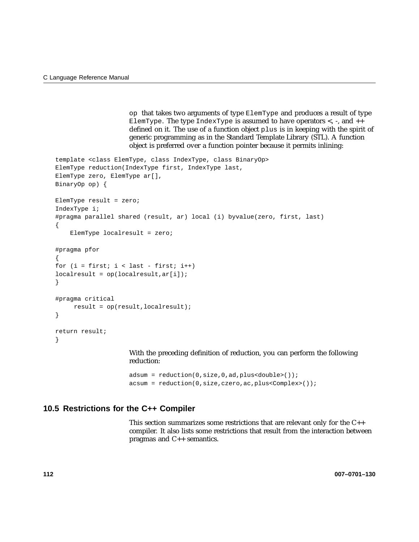op that takes two arguments of type ElemType and produces a result of type ElemType. The type IndexType is assumed to have operators  $\lt$ ,  $\lt$ , and  $++$ defined on it. The use of a function object plus is in keeping with the spirit of generic programming as in the Standard Template Library (STL). A function object is preferred over a function pointer because it permits inlining:

```
template <class ElemType, class IndexType, class BinaryOp>
ElemType reduction(IndexType first, IndexType last,
ElemType zero, ElemType ar[],
BinaryOp op) {
ElemType result = zero;
IndexType i;
#pragma parallel shared (result, ar) local (i) byvalue(zero, first, last)
{
    ElemType localresult = zero;
#pragma pfor
{
for (i = first; i < last - first; i++)localresult = op(localresult,ar[i]);
}
#pragma critical
     result = op(result,localresult);
}
return result;
}
                     With the preceding definition of reduction, you can perform the following
                     reduction:
```
adsum = reduction(0,size,0,ad,plus<double>()); acsum = reduction(0,size,czero,ac,plus<Complex>());

# **10.5 Restrictions for the C++ Compiler**

This section summarizes some restrictions that are relevant only for the C++ compiler. It also lists some restrictions that result from the interaction between pragmas and C++ semantics.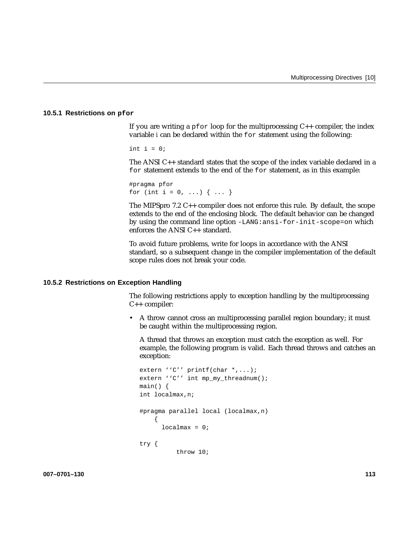### **10.5.1 Restrictions on pfor**

If you are writing a  $pfor$  loop for the multiprocessing  $C++$  compiler, the index variable *i* can be declared within the for statement using the following:

int  $i = 0$ ;

The ANSI C++ standard states that the scope of the index variable declared in a for statement extends to the end of the for statement, as in this example:

#pragma pfor for (int i = 0, ...) { ... }

The MIPSpro 7.2  $C_{++}$  compiler does not enforce this rule. By default, the scope extends to the end of the enclosing block. The default behavior can be changed by using the command line option -LANG:ansi-for-init-scope=on which enforces the ANSI C++ standard.

To avoid future problems, write for loops in accordance with the ANSI standard, so a subsequent change in the compiler implementation of the default scope rules does not break your code.

#### **10.5.2 Restrictions on Exception Handling**

The following restrictions apply to exception handling by the multiprocessing C++ compiler:

• A throw cannot cross an multiprocessing parallel region boundary; it must be caught within the multiprocessing region.

A thread that throws an exception must catch the exception as well. For example, the following program is valid. Each thread throws and catches an exception:

```
extern ''C'' printf(char *,...);
extern ''C'' int mp_my_threadnum();
main() {
int localmax,n;
#pragma parallel local (localmax,n)
    {
     localmax = 0;try {
          throw 10;
```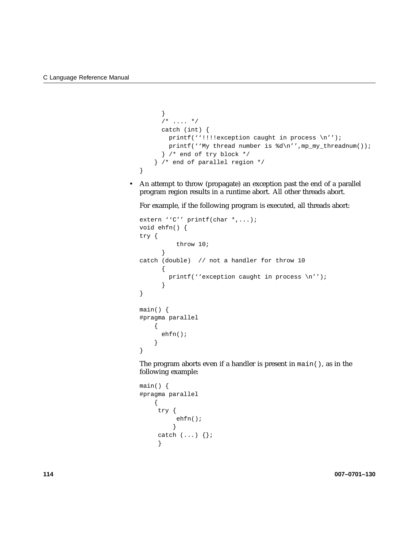}

```
}
 /* .... */
 catch (int) {
   printf(''!!!!exception caught in process \n'');
   printf(''My thread number is d\n''',mp_my_threadnum());
  } /* end of try block */
} /* end of parallel region */
```
• An attempt to throw (propagate) an exception past the end of a parallel program region results in a runtime abort. All other threads abort.

For example, if the following program is executed, all threads abort:

```
extern ''C'' printf(char *,...);
void ehfn() {
try {
          throw 10;
      }
catch (double) // not a handler for throw 10
      {
        printf(''exception caught in process \n'');
      }
}
main() {
#pragma parallel
    {
      ehfn();
    }
}
```
The program aborts even if a handler is present in  $main($ ), as in the following example:

```
main() {
#pragma parallel
   {
    try {
          ehfn();
         }
     catch (...) \};
     }
```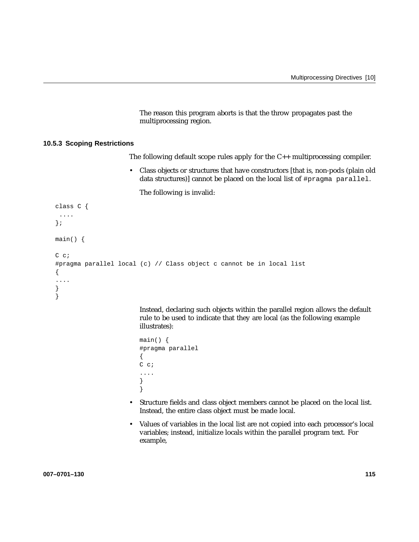The reason this program aborts is that the throw propagates past the multiprocessing region.

### **10.5.3 Scoping Restrictions**

The following default scope rules apply for the C++ multiprocessing compiler.

• Class objects or structures that have constructors [that is, non-pods (plain old data structures)] cannot be placed on the local list of #pragma parallel.

The following is invalid:

```
class C {
 ....
};
main() {
C c;
#pragma parallel local (c) // Class object c cannot be in local list
{
....
}
}
```
Instead, declaring such objects within the parallel region allows the default rule to be used to indicate that they are local (as the following example illustrates):

```
main() {
#pragma parallel
{
C c;
....
}
}
```
- Structure fields and class object members cannot be placed on the local list. Instead, the entire class object must be made local.
- Values of variables in the local list are not copied into each processor's local variables; instead, initialize locals within the parallel program text. For example,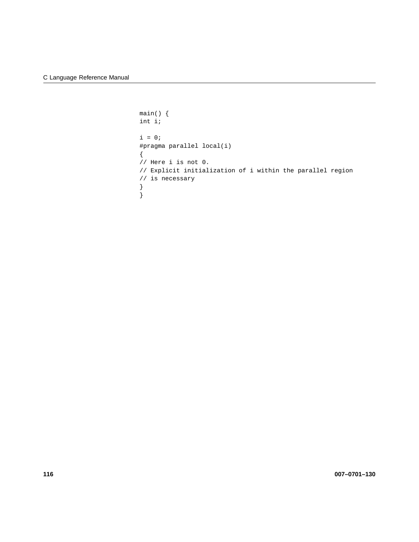```
main() {
int i;
i = 0;#pragma parallel local(i)
{
// Here i is not 0.
// Explicit initialization of i within the parallel region
// is necessary
}
}
```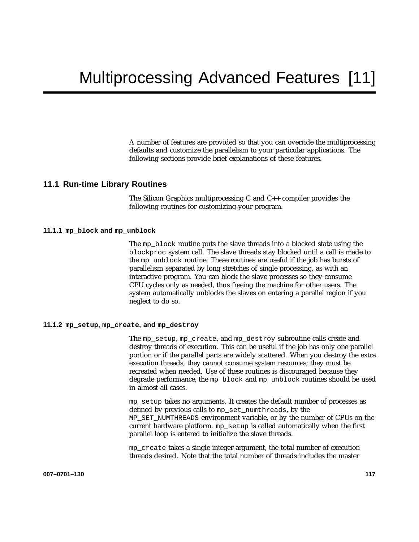A number of features are provided so that you can override the multiprocessing defaults and customize the parallelism to your particular applications. The following sections provide brief explanations of these features.

# **11.1 Run-time Library Routines**

The Silicon Graphics multiprocessing C and C++ compiler provides the following routines for customizing your program.

## **11.1.1 mp\_block and mp\_unblock**

The mp\_block routine puts the slave threads into a blocked state using the blockproc system call. The slave threads stay blocked until a call is made to the mp\_unblock routine. These routines are useful if the job has bursts of parallelism separated by long stretches of single processing, as with an interactive program. You can block the slave processes so they consume CPU cycles only as needed, thus freeing the machine for other users. The system automatically unblocks the slaves on entering a parallel region if you neglect to do so.

### **11.1.2 mp\_setup, mp\_create, and mp\_destroy**

The mp\_setup, mp\_create, and mp\_destroy subroutine calls create and destroy threads of execution. This can be useful if the job has only one parallel portion or if the parallel parts are widely scattered. When you destroy the extra execution threads, they cannot consume system resources; they must be recreated when needed. Use of these routines is discouraged because they degrade performance; the mp\_block and mp\_unblock routines should be used in almost all cases.

mp\_setup takes no arguments. It creates the default number of processes as defined by previous calls to mp\_set\_numthreads, by the MP\_SET\_NUMTHREADS environment variable, or by the number of CPUs on the current hardware platform. mp\_setup is called automatically when the first parallel loop is entered to initialize the slave threads.

mp\_create takes a single integer argument, the total number of execution threads desired. Note that the total number of threads includes the master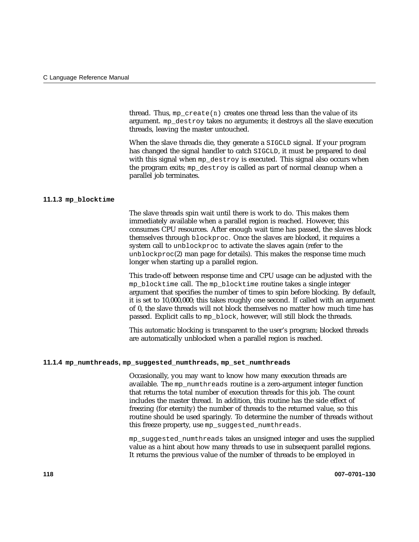thread. Thus,  $mp\_create(n)$  creates one thread less than the value of its argument. mp\_destroy takes no arguments; it destroys all the slave execution threads, leaving the master untouched.

When the slave threads die, they generate a SIGCLD signal. If your program has changed the signal handler to catch SIGCLD, it must be prepared to deal with this signal when mp\_destroy is executed. This signal also occurs when the program exits; mp\_destroy is called as part of normal cleanup when a parallel job terminates.

## **11.1.3 mp\_blocktime**

The slave threads spin wait until there is work to do. This makes them immediately available when a parallel region is reached. However, this consumes CPU resources. After enough wait time has passed, the slaves block themselves through blockproc. Once the slaves are blocked, it requires a system call to unblockproc to activate the slaves again (refer to the unblockproc(2) man page for details). This makes the response time much longer when starting up a parallel region.

This trade-off between response time and CPU usage can be adjusted with the mp\_blocktime call. The mp\_blocktime routine takes a single integer argument that specifies the number of times to spin before blocking. By default, it is set to 10,000,000; this takes roughly one second. If called with an argument of 0, the slave threads will not block themselves no matter how much time has passed. Explicit calls to mp\_block, however, will still block the threads.

This automatic blocking is transparent to the user's program; blocked threads are automatically unblocked when a parallel region is reached.

#### **11.1.4 mp\_numthreads, mp\_suggested\_numthreads, mp\_set\_numthreads**

Occasionally, you may want to know how many execution threads are available. The mp\_numthreads routine is a zero-argument integer function that returns the total number of execution threads for this job. The count includes the master thread. In addition, this routine has the side effect of freezing (for eternity) the number of threads to the returned value, so this routine should be used sparingly. To determine the number of threads without this freeze property, use mp\_suggested\_numthreads.

mp\_suggested\_numthreads takes an unsigned integer and uses the supplied value as a hint about how many threads to use in subsequent parallel regions. It returns the previous value of the number of threads to be employed in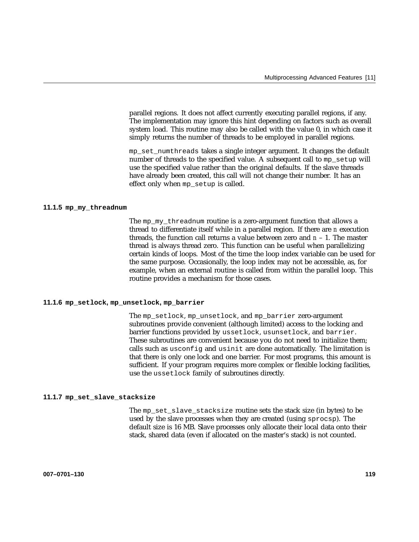parallel regions. It does not affect currently executing parallel regions, if any. The implementation may ignore this hint depending on factors such as overall system load. This routine may also be called with the value 0, in which case it simply returns the number of threads to be employed in parallel regions.

mp\_set\_numthreads takes a single integer argument. It changes the default number of threads to the specified value. A subsequent call to mp\_setup will use the specified value rather than the original defaults. If the slave threads have already been created, this call will not change their number. It has an effect only when mp\_setup is called.

#### **11.1.5 mp\_my\_threadnum**

The mp\_my\_threadnum routine is a zero-argument function that allows a thread to differentiate itself while in a parallel region. If there are *n* execution threads, the function call returns a value between zero and *n* – 1. The master thread is always thread zero. This function can be useful when parallelizing certain kinds of loops. Most of the time the loop index variable can be used for the same purpose. Occasionally, the loop index may not be accessible, as, for example, when an external routine is called from within the parallel loop. This routine provides a mechanism for those cases.

#### **11.1.6 mp\_setlock, mp\_unsetlock, mp\_barrier**

The mp\_setlock, mp\_unsetlock, and mp\_barrier zero-argument subroutines provide convenient (although limited) access to the locking and barrier functions provided by ussetlock, usunsetlock, and barrier. These subroutines are convenient because you do not need to initialize them; calls such as usconfig and usinit are done automatically. The limitation is that there is only one lock and one barrier. For most programs, this amount is sufficient. If your program requires more complex or flexible locking facilities, use the ussetlock family of subroutines directly.

#### **11.1.7 mp\_set\_slave\_stacksize**

The mp\_set\_slave\_stacksize routine sets the stack size (in bytes) to be used by the slave processes when they are created (using sprocsp). The default size is 16 MB. Slave processes only allocate their local data onto their stack, shared data (even if allocated on the master's stack) is not counted.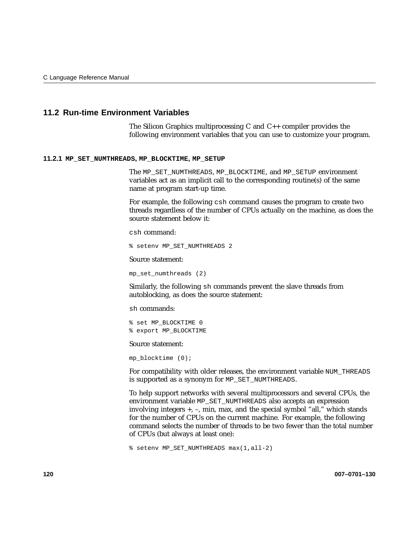# **11.2 Run-time Environment Variables**

The Silicon Graphics multiprocessing C and C++ compiler provides the following environment variables that you can use to customize your program.

#### **11.2.1 MP\_SET\_NUMTHREADS, MP\_BLOCKTIME, MP\_SETUP**

The MP\_SET\_NUMTHREADS, MP\_BLOCKTIME, and MP\_SETUP environment variables act as an implicit call to the corresponding routine(s) of the same name at program start-up time.

For example, the following csh command causes the program to create two threads regardless of the number of CPUs actually on the machine, as does the source statement below it:

csh command:

% setenv MP\_SET\_NUMTHREADS 2

Source statement:

mp\_set\_numthreads (2)

Similarly, the following sh commands prevent the slave threads from autoblocking, as does the source statement:

sh commands:

% set MP\_BLOCKTIME 0 % export MP\_BLOCKTIME

Source statement:

mp  $blocktime (0);$ 

For compatibility with older releases, the environment variable NUM\_THREADS is supported as a synonym for MP\_SET\_NUMTHREADS.

To help support networks with several multiprocessors and several CPUs, the environment variable MP\_SET\_NUMTHREADS also accepts an expression involving integers +, –, min, max, and the special symbol "all," which stands for the number of CPUs on the current machine. For example, the following command selects the number of threads to be two fewer than the total number of CPUs (but always at least one):

% setenv MP\_SET\_NUMTHREADS max(1,all-2)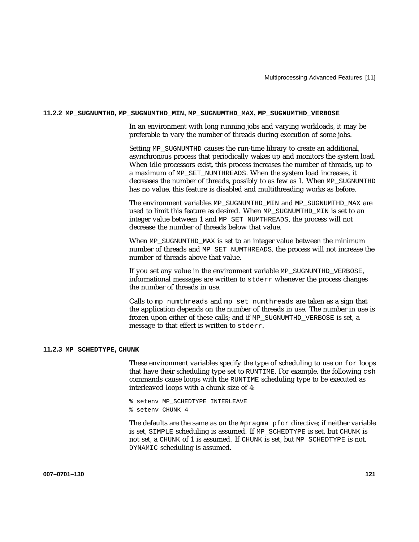#### **11.2.2 MP\_SUGNUMTHD, MP\_SUGNUMTHD\_MIN, MP\_SUGNUMTHD\_MAX, MP\_SUGNUMTHD\_VERBOSE**

In an environment with long running jobs and varying workloads, it may be preferable to vary the number of threads during execution of some jobs.

Setting MP\_SUGNUMTHD causes the run-time library to create an additional, asynchronous process that periodically wakes up and monitors the system load. When idle processors exist, this process increases the number of threads, up to a maximum of MP\_SET\_NUMTHREADS. When the system load increases, it decreases the number of threads, possibly to as few as 1. When MP\_SUGNUMTHD has no value, this feature is disabled and multithreading works as before.

The environment variables MP\_SUGNUMTHD\_MIN and MP\_SUGNUMTHD\_MAX are used to limit this feature as desired. When MP\_SUGNUMTHD\_MIN is set to an integer value between 1 and MP\_SET\_NUMTHREADS, the process will not decrease the number of threads below that value.

When MP\_SUGNUMTHD\_MAX is set to an integer value between the minimum number of threads and MP\_SET\_NUMTHREADS, the process will not increase the number of threads above that value.

If you set any value in the environment variable MP\_SUGNUMTHD\_VERBOSE, informational messages are written to stderr whenever the process changes the number of threads in use.

Calls to mp\_numthreads and mp\_set\_numthreads are taken as a sign that the application depends on the number of threads in use. The number in use is frozen upon either of these calls; and if MP\_SUGNUMTHD\_VERBOSE is set, a message to that effect is written to stderr.

#### **11.2.3 MP\_SCHEDTYPE, CHUNK**

These environment variables specify the type of scheduling to use on for loops that have their scheduling type set to RUNTIME. For example, the following csh commands cause loops with the RUNTIME scheduling type to be executed as interleaved loops with a chunk size of 4:

% setenv MP\_SCHEDTYPE INTERLEAVE % setenv CHUNK 4

The defaults are the same as on the #pragma pfor directive; if neither variable is set, SIMPLE scheduling is assumed. If MP\_SCHEDTYPE is set, but CHUNK is not set, a CHUNK of 1 is assumed. If CHUNK is set, but MP\_SCHEDTYPE is not, DYNAMIC scheduling is assumed.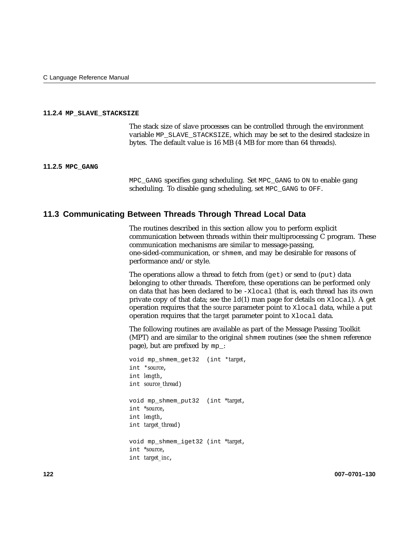### **11.2.4 MP\_SLAVE\_STACKSIZE**

The stack size of slave processes can be controlled through the environment variable MP\_SLAVE\_STACKSIZE, which may be set to the desired stacksize in bytes. The default value is 16 MB (4 MB for more than 64 threads).

#### **11.2.5 MPC\_GANG**

MPC\_GANG specifies gang scheduling. Set MPC\_GANG to ON to enable gang scheduling. To disable gang scheduling, set MPC\_GANG to OFF.

# **11.3 Communicating Between Threads Through Thread Local Data**

The routines described in this section allow you to perform explicit communication between threads within their multiprocessing C program. These communication mechanisms are similar to message-passing, one-sided-communication, or shmem, and may be desirable for reasons of performance and/or style.

The operations allow a thread to fetch from (get) or send to (put) data belonging to other threads. Therefore, these operations can be performed only on data that has been declared to be -Xlocal (that is, each thread has its own private copy of that data; see the  $ld(1)$  man page for details on  $x \log l$ ). A get operation requires that the *source* parameter point to Xlocal data, while a put operation requires that the *target* parameter point to Xlocal data.

The following routines are available as part of the Message Passing Toolkit (MPT) and are similar to the original shmem routines (see the shmem reference page), but are prefixed by mp\_:

void mp\_shmem\_get32 (int \**target*, int \**source*, int *length*, int *source\_thread*) void mp\_shmem\_put32 (int *\*target*, int *\*source*, int *length*, int *target\_thread*) void mp\_shmem\_iget32 (int *\*target*, int *\*source*, int *target\_inc*,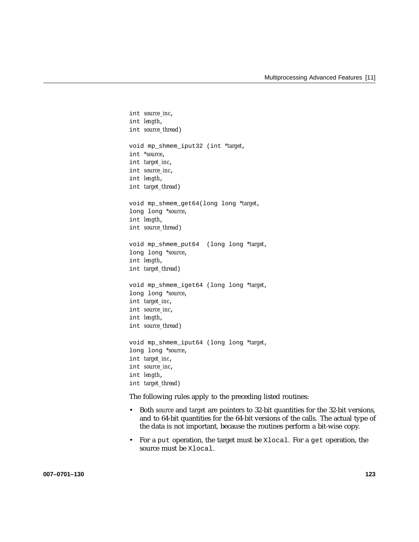```
int source_inc,
int length,
int source_thread)
void mp_shmem_iput32 (int *target,
int *source,
int target_inc,
int source_inc,
int length,
int target_thread)
void mp_shmem_get64(long long *target,
long long *source,
int length,
int source_thread)
void mp_shmem_put64 (long long *target,
long long *source,
int length,
int target_thread)
void mp_shmem_iget64 (long long *target,
long long *source,
int target_inc,
int source_inc,
int length,
int source_thread)
void mp_shmem_iput64 (long long *target,
long long *source,
int target_inc,
int source_inc,
int length,
int target_thread)
```
The following rules apply to the preceding listed routines:

- Both *source* and *target* are pointers to 32-bit quantities for the 32-bit versions, and to 64-bit quantities for the 64-bit versions of the calls. The actual type of the data is not important, because the routines perform a bit-wise copy.
- For a put operation, the target must be Xlocal. For a get operation, the source must be Xlocal.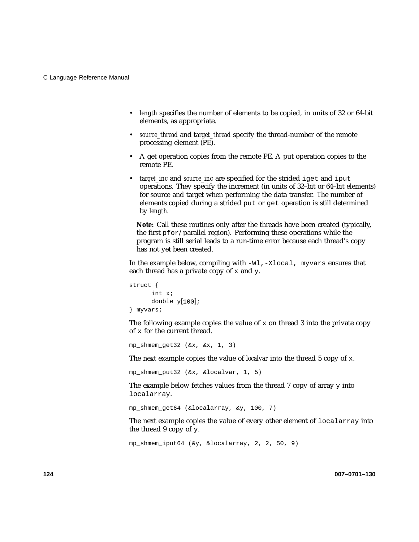- *length* specifies the number of elements to be copied, in units of 32 or 64-bit elements, as appropriate.
- *source\_thread* and *target\_thread* specify the thread-number of the remote processing element (PE).
- A get operation copies from the remote PE. A put operation copies to the remote PE.
- *target\_inc* and *source\_inc* are specified for the strided iget and iput operations. They specify the increment (in units of 32–bit or 64–bit elements) for source and target when performing the data transfer. The number of elements copied during a strided put or get operation is still determined by *length*.

**Note:** Call these routines only after the threads have been created (typically, the first pfor/parallel region). Performing these operations while the program is still serial leads to a run-time error because each thread's copy has not yet been created.

In the example below, compiling with -Wl,-Xlocal, myvars ensures that each thread has a private copy of  $x$  and  $y$ .

```
struct {
      int x;
      double y[100];
} myvars;
```
The following example copies the value of  $x$  on thread 3 into the private copy of x for the current thread.

mp\_shmem\_qet32  $(\&x, \&x, 1, 3)$ 

The next example copies the value of *localvar* into the thread 5 copy of x.

mp\_shmem\_put32 ( $&x, \&1ocalvar, 1, 5)$ )

The example below fetches values from the thread  $7$  copy of array  $\gamma$  into localarray.

mp shmem  $qet64$  (&localarray, &y, 100, 7)

The next example copies the value of every other element of localarray into the thread 9 copy of y.

```
mp_shmem_iput64 (&y, &localarray, 2, 2, 50, 9)
```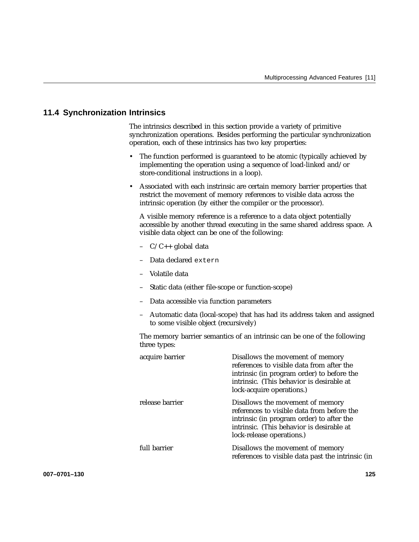# **11.4 Synchronization Intrinsics**

The intrinsics described in this section provide a variety of primitive synchronization operations. Besides performing the particular synchronization operation, each of these intrinsics has two key properties:

- The function performed is guaranteed to be atomic (typically achieved by implementing the operation using a sequence of load-linked and/or store-conditional instructions in a loop).
- Associated with each instrinsic are certain memory barrier properties that restrict the movement of memory references to visible data across the intrinsic operation (by either the compiler or the processor).

A visible memory reference is a reference to a data object potentially accessible by another thread executing in the same shared address space. A visible data object can be one of the following:

- $-C/C++$  global data
- Data declared extern
- Volatile data
- Static data (either file-scope or function-scope)
- Data accessible via function parameters
- Automatic data (local-scope) that has had its address taken and assigned to some visible object (recursively)

The memory barrier semantics of an intrinsic can be one of the following three types:

| acquire barrier | Disallows the movement of memory<br>references to visible data from after the<br>intrinsic (in program order) to before the<br>intrinsic. (This behavior is desirable at<br>lock-acquire operations.) |
|-----------------|-------------------------------------------------------------------------------------------------------------------------------------------------------------------------------------------------------|
| release barrier | Disallows the movement of memory<br>references to visible data from before the<br>intrinsic (in program order) to after the<br>intrinsic. (This behavior is desirable at<br>lock-release operations.) |
| full barrier    | Disallows the movement of memory<br>references to visible data past the intrinsic (in                                                                                                                 |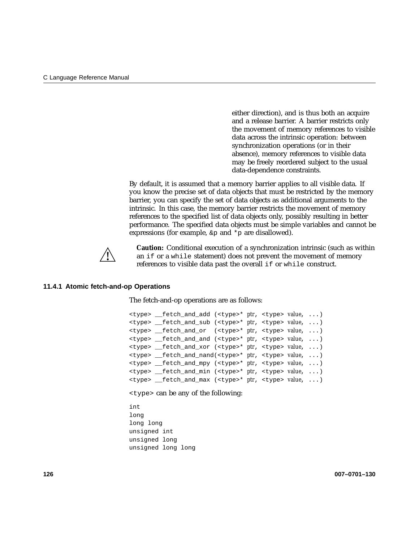either direction), and is thus both an acquire and a release barrier. A barrier restricts only the movement of memory references to visible data across the intrinsic operation: between synchronization operations (or in their absence), memory references to visible data may be freely reordered subject to the usual data-dependence constraints.

By default, it is assumed that a memory barrier applies to all visible data. If you know the precise set of data objects that must be restricted by the memory barrier, you can specify the set of data objects as additional arguments to the intrinsic. In this case, the memory barrier restricts the movement of memory references to the specified list of data objects only, possibly resulting in better performance. The specified data objects must be simple variables and cannot be expressions (for example,  $\&p$  and  $*_p$  are disallowed).



**Caution:** Conditional execution of a synchronization intrinsic (such as within an if or a while statement) does not prevent the movement of memory references to visible data past the overall if or while construct.

#### **11.4.1 Atomic fetch-and-op Operations**

The fetch-and-op operations are as follows:

<type> \_\_fetch\_and\_add (<type>\* *ptr*, <type> *value*, ...) <type> \_\_fetch\_and\_sub (<type>\* *ptr*, <type> *value*, ...) <type> \_\_fetch\_and\_or (<type>\* *ptr*, <type> *value*, ...) <type> \_\_fetch\_and\_and (<type>\* *ptr*, <type> *value*, ...) <type> \_\_fetch\_and\_xor (<type>\* *ptr*, <type> *value*, ...) <type> \_\_fetch\_and\_nand(<type>\* *ptr*, <type> *value*, ...) <type> \_\_fetch\_and\_mpy (<type>\* *ptr*, <type> *value*, ...) <type> \_\_fetch\_and\_min (<type>\* *ptr*, <type> *value*, ...) <type> \_\_fetch\_and\_max (<type>\* *ptr*, <type> *value*, ...)

<type> can be any of the following:

int long long long unsigned int unsigned long unsigned long long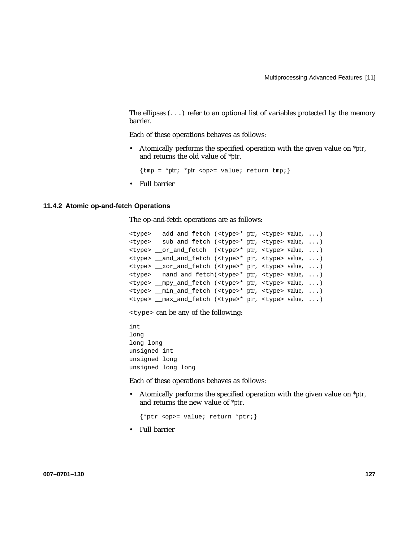The ellipses  $(\ldots)$  refer to an optional list of variables protected by the memory barrier.

Each of these operations behaves as follows:

• Atomically performs the specified operation with the given value on \**ptr*, and returns the old value of \**ptr*.

 ${\text{tmp = *ptr; *ptr} \text{}}}$ 

• Full barrier

#### **11.4.2 Atomic op-and-fetch Operations**

The op-and-fetch operations are as follows:

```
<type> __add_and_fetch (<type>* ptr, <type> value, ...)
<type> __sub_and_fetch (<type>* ptr, <type> value, ...)
<type> __or_and_fetch (<type>* ptr, <type> value, ...)
<type> __and_and_fetch (<type>* ptr, <type> value, ...)
<type> __xor_and_fetch (<type>* ptr, <type> value, ...)
<type> __nand_and_fetch(<type>* ptr, <type> value, ...)
<type> __mpy_and_fetch (<type>* ptr, <type> value, ...)
<type> __min_and_fetch (<type>* ptr, <type> value, ...)
<type> __max_and_fetch (<type>* ptr, <type> value, ...)
```
<type> can be any of the following:

int long long long unsigned int unsigned long unsigned long long

Each of these operations behaves as follows:

• Atomically performs the specified operation with the given value on *\*ptr*, and returns the new value of *\*ptr*.

{\*ptr <op>= value; return \*ptr;}

• Full barrier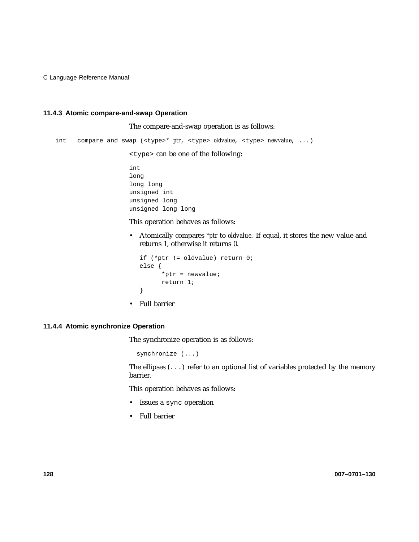# **11.4.3 Atomic compare-and-swap Operation**

The compare-and-swap operation is as follows:

int \_\_compare\_and\_swap (<type>\* *ptr*, <type> *oldvalue*, <type> *newvalue*, ...)

<type> can be one of the following:

int long long long unsigned int unsigned long unsigned long long

This operation behaves as follows:

• Atomically compares *\*ptr* to *oldvalue*. If equal, it stores the new value and returns 1, otherwise it returns 0.

```
if (*ptr != oldvalue) return 0;
else {
      *ptr = newvalue;
     return 1;
}
```
• Full barrier

## **11.4.4 Atomic synchronize Operation**

The synchronize operation is as follows:

\_\_synchronize (...)

The ellipses  $(\ldots)$  refer to an optional list of variables protected by the memory barrier.

This operation behaves as follows:

- Issues a sync operation
- Full barrier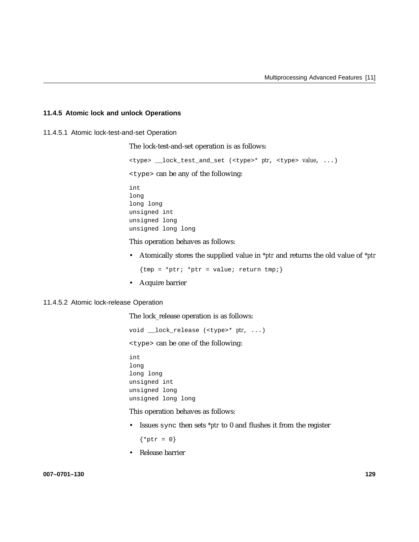## **11.4.5 Atomic lock and unlock Operations**

11.4.5.1 Atomic lock-test-and-set Operation

The lock-test-and-set operation is as follows:

<type> \_\_lock\_test\_and\_set (<type>\* *ptr*, <type> *value*, ...) <type> can be any of the following: int long long long unsigned int unsigned long unsigned long long

This operation behaves as follows:

• Atomically stores the supplied value in *\*ptr* and returns the old value of *\*ptr*

 ${tmp = *ptr; *ptr = value; return tmp; }$ 

• Acquire barrier

#### 11.4.5.2 Atomic lock-release Operation

The lock\_release operation is as follows:

void \_\_lock\_release (<type>\* *ptr*, ...)

<type> can be one of the following:

int long long long unsigned int unsigned long unsigned long long

This operation behaves as follows:

• Issues sync then sets *\*ptr* to 0 and flushes it from the register

 $\{ *ptr = 0\}$ 

• Release barrier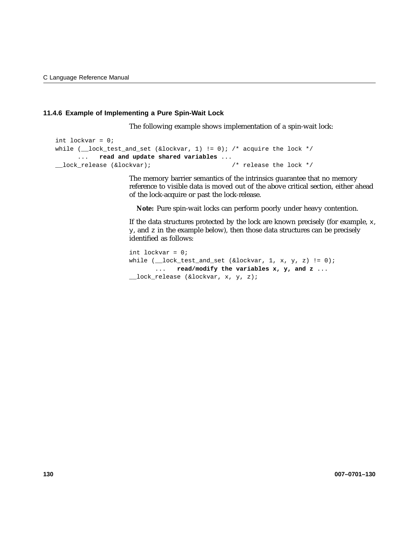## **11.4.6 Example of Implementing a Pure Spin-Wait Lock**

The following example shows implementation of a spin-wait lock:

```
int lockvar = 0;
while (\_lock_test_and_set (\&lockvar, 1) != 0); /* acquire the lock */
     ... read and update shared variables ...
__lock_release (&lockvar); /* release the lock */
```
The memory barrier semantics of the intrinsics guarantee that no memory reference to visible data is moved out of the above critical section, either ahead of the lock-acquire or past the lock-release.

**Note:** Pure spin-wait locks can perform poorly under heavy contention.

If the data structures protected by the lock are known precisely (for example, x, y, and z in the example below), then those data structures can be precisely identified as follows:

```
int lockvar = 0;
while (\_\text{lock_test_and_set} (&lockvar, 1, x, y, z) != 0);
       ... read/modify the variables x, y, and z ...
__lock_release (&lockvar, x, y, z);
```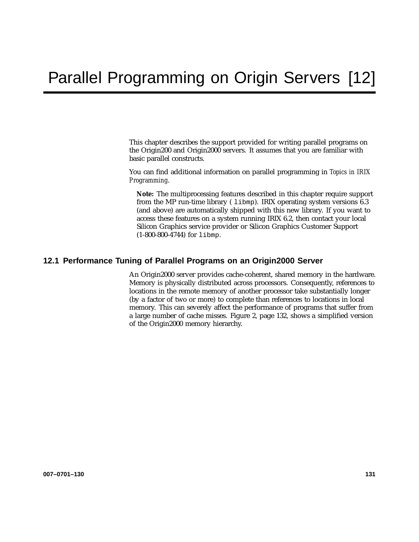This chapter describes the support provided for writing parallel programs on the Origin200 and Origin2000 servers. It assumes that you are familiar with basic parallel constructs.

You can find additional information on parallel programming in *Topics in IRIX Programming*.

**Note:** The multiprocessing features described in this chapter require support from the MP run-time library ( $1$ ibmp). IRIX operating system versions 6.3 (and above) are automatically shipped with this new library. If you want to access these features on a system running IRIX 6.2, then contact your local Silicon Graphics service provider or Silicon Graphics Customer Support (1-800-800-4744) for libmp.

# **12.1 Performance Tuning of Parallel Programs on an Origin2000 Server**

An Origin2000 server provides cache-coherent, shared memory in the hardware. Memory is physically distributed across processors. Consequently, references to locations in the remote memory of another processor take substantially longer (by a factor of two or more) to complete than references to locations in local memory. This can severely affect the performance of programs that suffer from a large number of cache misses. Figure 2, page 132, shows a simplified version of the Origin2000 memory hierarchy.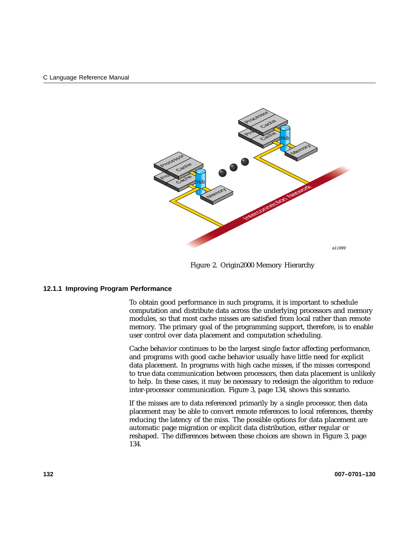

Figure 2. Origin2000 Memory Hierarchy

### **12.1.1 Improving Program Performance**

To obtain good performance in such programs, it is important to schedule computation and distribute data across the underlying processors and memory modules, so that most cache misses are satisfied from local rather than remote memory. The primary goal of the programming support, therefore, is to enable user control over data placement and computation scheduling.

Cache behavior continues to be the largest single factor affecting performance, and programs with good cache behavior usually have little need for explicit data placement. In programs with high cache misses, if the misses correspond to true data communication between processors, then data placement is unlikely to help. In these cases, it may be necessary to redesign the algorithm to reduce inter-processor communication. Figure 3, page 134, shows this scenario.

If the misses are to data referenced primarily by a single processor, then data placement may be able to convert remote references to local references, thereby reducing the latency of the miss. The possible options for data placement are automatic page migration or explicit data distribution, either regular or reshaped. The differences between these choices are shown in Figure 3, page 134.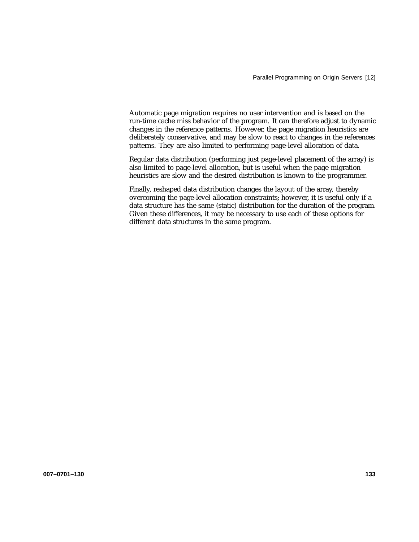Automatic page migration requires no user intervention and is based on the run-time cache miss behavior of the program. It can therefore adjust to dynamic changes in the reference patterns. However, the page migration heuristics are deliberately conservative, and may be slow to react to changes in the references patterns. They are also limited to performing page-level allocation of data.

Regular data distribution (performing just page-level placement of the array) is also limited to page-level allocation, but is useful when the page migration heuristics are slow and the desired distribution is known to the programmer.

Finally, reshaped data distribution changes the layout of the array, thereby overcoming the page-level allocation constraints; however, it is useful only if a data structure has the same (static) distribution for the duration of the program. Given these differences, it may be necessary to use each of these options for different data structures in the same program.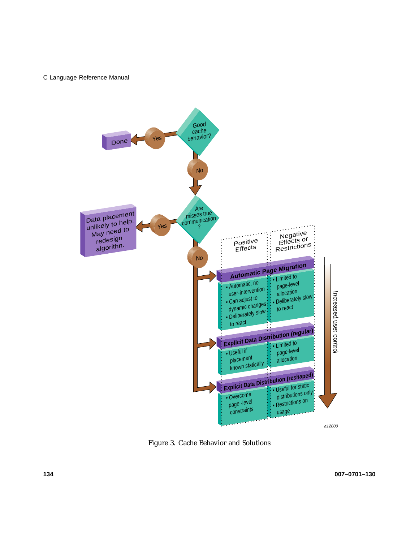

Figure 3. Cache Behavior and Solutions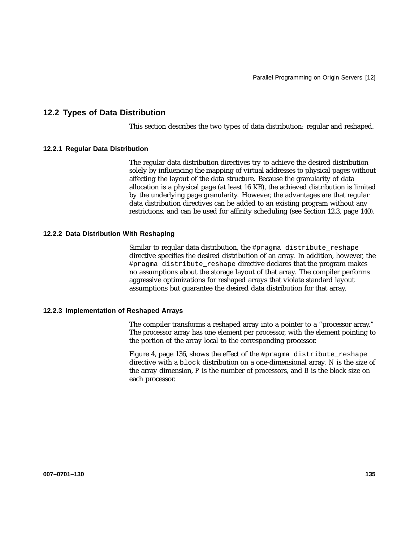# **12.2 Types of Data Distribution**

This section describes the two types of data distribution: regular and reshaped.

## **12.2.1 Regular Data Distribution**

The regular data distribution directives try to achieve the desired distribution solely by influencing the mapping of virtual addresses to physical pages without affecting the layout of the data structure. Because the granularity of data allocation is a physical page (at least 16 KB), the achieved distribution is limited by the underlying page granularity. However, the advantages are that regular data distribution directives can be added to an existing program without any restrictions, and can be used for affinity scheduling (see Section 12.3, page 140).

## **12.2.2 Data Distribution With Reshaping**

Similar to regular data distribution, the #pragma distribute\_reshape directive specifies the desired distribution of an array. In addition, however, the #pragma distribute\_reshape directive declares that the program makes no assumptions about the storage layout of that array. The compiler performs aggressive optimizations for reshaped arrays that violate standard layout assumptions but guarantee the desired data distribution for that array.

### **12.2.3 Implementation of Reshaped Arrays**

The compiler transforms a reshaped array into a pointer to a "processor array." The processor array has one element per processor, with the element pointing to the portion of the array local to the corresponding processor.

Figure 4, page 136, shows the effect of the #pragma distribute\_reshape directive with a block distribution on a one-dimensional array. *N* is the size of the array dimension, *P* is the number of processors, and *B* is the block size on each processor.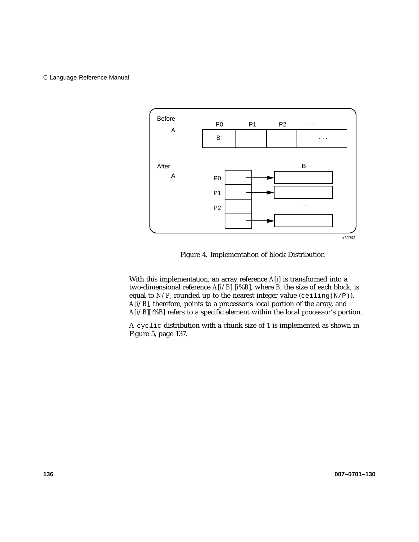

Figure 4. Implementation of block Distribution

With this implementation, an array reference *A*[*i*] is transformed into a two-dimensional reference *A*[*i*/*B*] [*i*%*B*], where *B*, the size of each block, is equal to  $N/P$ , rounded up to the nearest integer value (ceiling(N/P)). *A*[*i*/*B*], therefore, points to a processor's local portion of the array, and *A*[*i*/*B*][*i*%*B*] refers to a specific element within the local processor's portion.

A cyclic distribution with a chunk size of 1 is implemented as shown in Figure 5, page 137.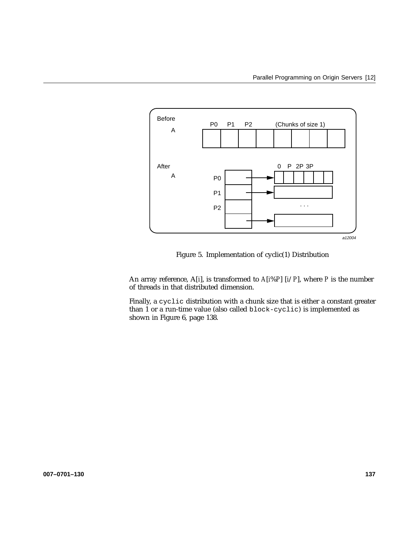

Figure 5. Implementation of cyclic(1) Distribution

An array reference, A[*i*], is transformed to *A*[*i*%*P*] [*i*/*P*], where *P* is the number of threads in that distributed dimension.

Finally, a cyclic distribution with a chunk size that is either a constant greater than 1 or a run-time value (also called block-cyclic) is implemented as shown in Figure 6, page 138.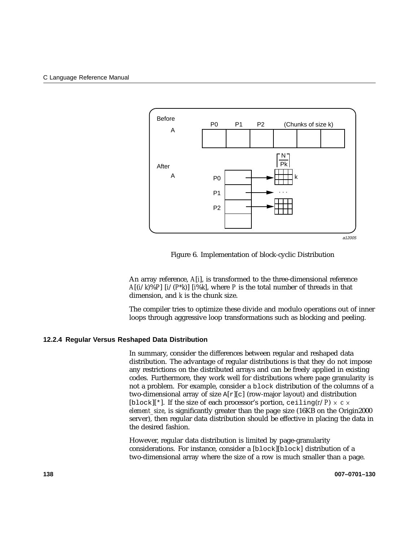

Figure 6. Implementation of block-cyclic Distribution

An array reference, *A*[*i*], is transformed to the three-dimensional reference *A*[ $(i/k)\%P$ ]  $[i/(P*K)]$  [ $i\%k$ ], where *P* is the total number of threads in that dimension, and *k* is the chunk size.

The compiler tries to optimize these divide and modulo operations out of inner loops through aggressive loop transformations such as blocking and peeling.

## **12.2.4 Regular Versus Reshaped Data Distribution**

In summary, consider the differences between regular and reshaped data distribution. The advantage of regular distributions is that they do not impose any restrictions on the distributed arrays and can be freely applied in existing codes. Furthermore, they work well for distributions where page granularity is not a problem. For example, consider a block distribution of the columns of a two-dimensional array of size A[r][c] (row-major layout) and distribution [block][\*]. If the size of each processor's portion, ceiling( $r/P$ )  $\times$   $c \times$ *element size*, is significantly greater than the page size (16KB on the Origin2000 server), then regular data distribution should be effective in placing the data in the desired fashion.

However, regular data distribution is limited by page-granularity considerations. For instance, consider a [block][block] distribution of a two-dimensional array where the size of a row is much smaller than a page.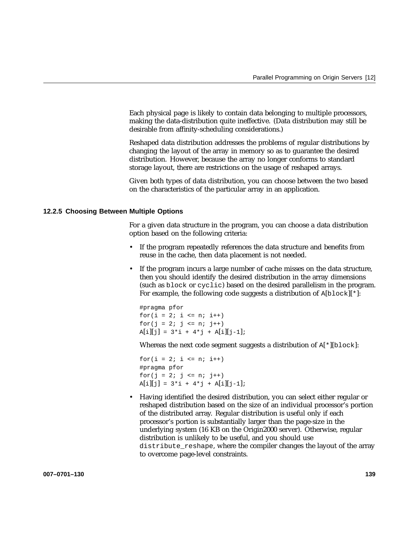Each physical page is likely to contain data belonging to multiple processors, making the data-distribution quite ineffective. (Data distribution may still be desirable from affinity-scheduling considerations.)

Reshaped data distribution addresses the problems of regular distributions by changing the layout of the array in memory so as to guarantee the desired distribution. However, because the array no longer conforms to standard storage layout, there are restrictions on the usage of reshaped arrays.

Given both types of data distribution, you can choose between the two based on the characteristics of the particular array in an application.

## **12.2.5 Choosing Between Multiple Options**

For a given data structure in the program, you can choose a data distribution option based on the following criteria:

- If the program repeatedly references the data structure and benefits from reuse in the cache, then data placement is not needed.
- If the program incurs a large number of cache misses on the data structure, then you should identify the desired distribution in the array dimensions (such as block or cyclic) based on the desired parallelism in the program. For example, the following code suggests a distribution of  $A[block][*]$ :

#pragma pfor for( $i = 2; i \le n; i++)$ for( $j = 2; j \le n; j++)$  $A[i][j] = 3 * i + 4 * j + A[i][j-1];$ 

Whereas the next code segment suggests a distribution of  $A[*][block]$ :

for $(i = 2; i \le n; i++)$ #pragma pfor for( $j = 2; j \le n; j++)$  $A[i][j] = 3 * i + 4 * j + A[i][j-1];$ 

• Having identified the desired distribution, you can select either regular or reshaped distribution based on the size of an individual processor's portion of the distributed array. Regular distribution is useful only if each processor's portion is substantially larger than the page-size in the underlying system (16 KB on the Origin2000 server). Otherwise, regular distribution is unlikely to be useful, and you should use distribute\_reshape, where the compiler changes the layout of the array to overcome page-level constraints.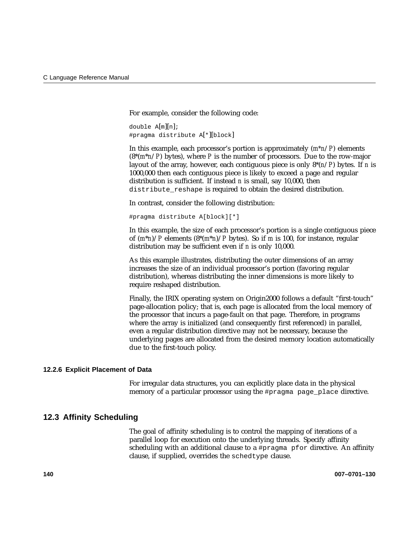For example, consider the following code:

double  $A[m][n]$ ; #pragma distribute A[\*][block]

In this example, each processor's portion is approximately (*m\*n*/*P*) elements (8\*(*m*\**n*/*P*) bytes), where *P* is the number of processors. Due to the row-major layout of the array, however, each contiguous piece is only 8\*(*n*/*P*) bytes. If *n* is 1000,000 then each contiguous piece is likely to exceed a page and regular distribution is sufficient. If instead *n* is small, say 10,000, then distribute reshape is required to obtain the desired distribution.

In contrast, consider the following distribution:

#pragma distribute A[block][\*]

In this example, the size of each processor's portion is a single contiguous piece of  $(m*n)/P$  elements  $(8*(m*n)/P$  bytes). So if *m* is 100, for instance, regular distribution may be sufficient even if *n* is only 10,000.

As this example illustrates, distributing the outer dimensions of an array increases the size of an individual processor's portion (favoring regular distribution), whereas distributing the inner dimensions is more likely to require reshaped distribution.

Finally, the IRIX operating system on Origin2000 follows a default "first-touch" page-allocation policy; that is, each page is allocated from the local memory of the processor that incurs a page-fault on that page. Therefore, in programs where the array is initialized (and consequently first referenced) in parallel, even a regular distribution directive may not be necessary, because the underlying pages are allocated from the desired memory location automatically due to the first-touch policy.

#### **12.2.6 Explicit Placement of Data**

For irregular data structures, you can explicitly place data in the physical memory of a particular processor using the #pragma page\_place directive.

## **12.3 Affinity Scheduling**

The goal of affinity scheduling is to control the mapping of iterations of a parallel loop for execution onto the underlying threads. Specify affinity scheduling with an additional clause to a #pragma pfor directive. An affinity clause, if supplied, overrides the schedtype clause.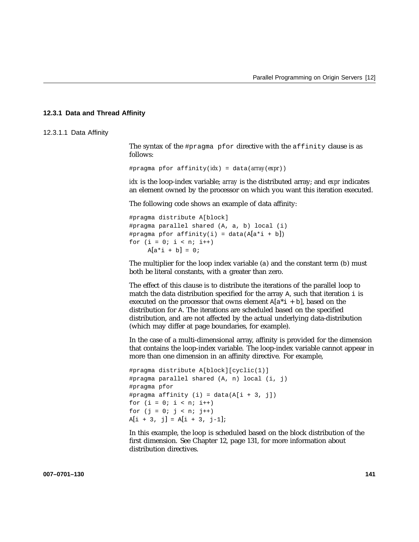### **12.3.1 Data and Thread Affinity**

12.3.1.1 Data Affinity

The syntax of the #pragma pfor directive with the affinity clause is as follows:

#pragma pfor affinity(*idx*) = data(*array*(*expr*))

*idx* is the loop-index variable; *array* is the distributed array; and *expr* indicates an element owned by the processor on which you want this iteration executed.

The following code shows an example of data affinity:

#pragma distribute A[block] #pragma parallel shared (A, a, b) local (i) #pragma pfor affinity(i) = data( $A[a^*i + b]$ ) for  $(i = 0; i < n; i++)$  $A[a * i + b] = 0;$ 

The multiplier for the loop index variable (a) and the constant term (b) must both be literal constants, with a greater than zero.

The effect of this clause is to distribute the iterations of the parallel loop to match the data distribution specified for the array  $A$ , such that iteration  $i$  is executed on the processor that owns element  $A[a^*i + b]$ , based on the distribution for A. The iterations are scheduled based on the specified distribution, and are not affected by the actual underlying data-distribution (which may differ at page boundaries, for example).

In the case of a multi-dimensional array, affinity is provided for the dimension that contains the loop-index variable. The loop-index variable cannot appear in more than one dimension in an affinity directive. For example,

```
#pragma distribute A[block][cyclic(1)]
#pragma parallel shared (A, n) local (i, j)
#pragma pfor
#pragma affinity (i) = data(A[i + 3, j])for (i = 0; i < n; i++)for (j = 0; j < n; j++)A[i + 3, j] = A[i + 3, j-1];
```
In this example, the loop is scheduled based on the block distribution of the first dimension. See Chapter 12, page 131, for more information about distribution directives.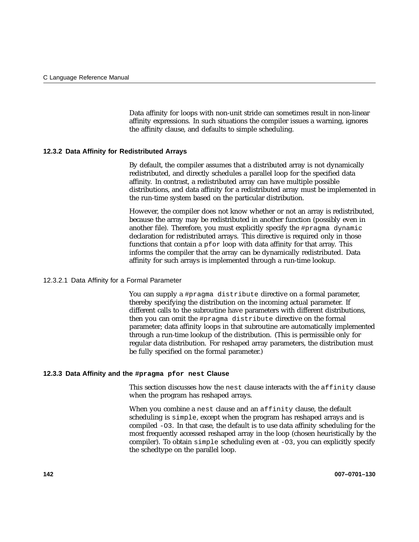Data affinity for loops with non-unit stride can sometimes result in non-linear affinity expressions. In such situations the compiler issues a warning, ignores the affinity clause, and defaults to simple scheduling.

## **12.3.2 Data Affinity for Redistributed Arrays**

By default, the compiler assumes that a distributed array is not dynamically redistributed, and directly schedules a parallel loop for the specified data affinity. In contrast, a redistributed array can have multiple possible distributions, and data affinity for a redistributed array must be implemented in the run-time system based on the particular distribution.

However, the compiler does not know whether or not an array is redistributed, because the array may be redistributed in another function (possibly even in another file). Therefore, you must explicitly specify the #pragma dynamic declaration for redistributed arrays. This directive is required only in those functions that contain a pfor loop with data affinity for that array. This informs the compiler that the array can be dynamically redistributed. Data affinity for such arrays is implemented through a run-time lookup.

## 12.3.2.1 Data Affinity for a Formal Parameter

You can supply a #pragma distribute directive on a formal parameter, thereby specifying the distribution on the incoming actual parameter. If different calls to the subroutine have parameters with different distributions, then you can omit the #pragma distribute directive on the formal parameter; data affinity loops in that subroutine are automatically implemented through a run-time lookup of the distribution. (This is permissible only for regular data distribution. For reshaped array parameters, the distribution must be fully specified on the formal parameter.)

#### **12.3.3 Data Affinity and the #pragma pfor nest Clause**

This section discusses how the nest clause interacts with the affinity clause when the program has reshaped arrays.

When you combine a nest clause and an affinity clause, the default scheduling is simple, except when the program has reshaped arrays and is compiled -O3. In that case, the default is to use data affinity scheduling for the most frequently accessed reshaped array in the loop (chosen heuristically by the compiler). To obtain simple scheduling even at -O3, you can explicitly specify the schedtype on the parallel loop.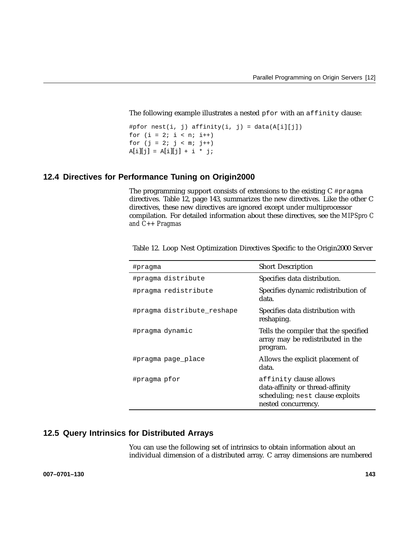The following example illustrates a nested pfor with an affinity clause:

```
#pfor nest(i, j) affinity(i, j) = data(A[i][j])
for (i = 2; i < n; i++)for (j = 2; j < m; j++)A[i][j] = A[i][j] + i * j;
```
# **12.4 Directives for Performance Tuning on Origin2000**

The programming support consists of extensions to the existing C #pragma directives. Table 12, page 143, summarizes the new directives. Like the other C directives, these new directives are ignored except under multiprocessor compilation. For detailed information about these directives, see the *MIPSpro C and C++ Pragmas*

| #pragma                    | <b>Short Description</b>                                                                                              |
|----------------------------|-----------------------------------------------------------------------------------------------------------------------|
| #pragma distribute         | Specifies data distribution.                                                                                          |
| #pragma redistribute       | Specifies dynamic redistribution of<br>data.                                                                          |
| #pragma distribute reshape | Specifies data distribution with<br>reshaping.                                                                        |
| #pragma dynamic            | Tells the compiler that the specified<br>array may be redistributed in the<br>program.                                |
| #pragma page place         | Allows the explicit placement of<br>data.                                                                             |
| #pragma pfor               | affinity clause allows<br>data-affinity or thread-affinity<br>scheduling; nest clause exploits<br>nested concurrency. |

Table 12. Loop Nest Optimization Directives Specific to the Origin2000 Server

# **12.5 Query Intrinsics for Distributed Arrays**

You can use the following set of intrinsics to obtain information about an individual dimension of a distributed array. C array dimensions are numbered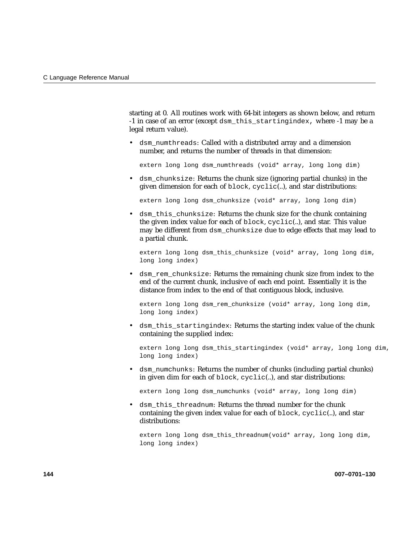starting at 0. All routines work with 64-bit integers as shown below, and return -1 in case of an error (except dsm\_this\_startingindex, where -1 may be a legal return value).

• dsm\_numthreads: Called with a distributed array and a dimension number, and returns the number of threads in that dimension:

extern long long dsm\_numthreads (void\* array, long long dim)

• dsm chunksize: Returns the chunk size (ignoring partial chunks) in the given dimension for each of block, cyclic(..), and star distributions:

extern long long dsm\_chunksize (void\* array, long long dim)

• dsm\_this\_chunksize: Returns the chunk size for the chunk containing the given index value for each of block, cyclic(..), and star. This value may be different from dsm\_chunksize due to edge effects that may lead to a partial chunk.

extern long long dsm\_this\_chunksize (void\* array, long long dim, long long index)

• dsm\_rem\_chunksize: Returns the remaining chunk size from index to the end of the current chunk, inclusive of each end point. Essentially it is the distance from index to the end of that contiguous block, inclusive.

extern long long dsm\_rem\_chunksize (void\* array, long long dim, long long index)

• dsm\_this\_startingindex: Returns the starting index value of the chunk containing the supplied index:

extern long long dsm\_this\_startingindex (void\* array, long long dim, long long index)

• dsm\_numchunks: Returns the number of chunks (including partial chunks) in given dim for each of block, cyclic(..), and star distributions:

extern long long dsm\_numchunks (void\* array, long long dim)

• dsm\_this\_threadnum: Returns the thread number for the chunk containing the given index value for each of block, cyclic(..), and star distributions:

extern long long dsm\_this\_threadnum(void\* array, long long dim, long long index)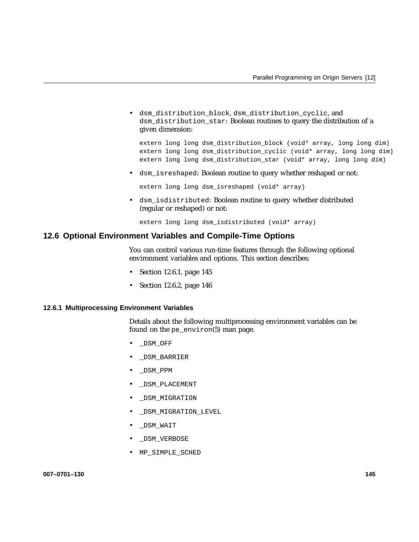• dsm\_distribution\_block, dsm\_distribution\_cyclic, and dsm\_distribution\_star: Boolean routines to query the distribution of a given dimension:

extern long long dsm\_distribution\_block (void\* array, long long dim) extern long long dsm\_distribution\_cyclic (void\* array, long long dim) extern long long dsm\_distribution\_star (void\* array, long long dim)

• dsm\_isreshaped: Boolean routine to query whether reshaped or not:

extern long long dsm\_isreshaped (void\* array)

• dsm\_isdistributed: Boolean routine to query whether distributed (regular or reshaped) or not:

extern long long dsm\_isdistributed (void\* array)

## **12.6 Optional Environment Variables and Compile-Time Options**

You can control various run-time features through the following optional environment variables and options. This section describes:

- Section 12.6.1, page 145
- Section 12.6.2, page 146

## **12.6.1 Multiprocessing Environment Variables**

Details about the following multiprocessing environment variables can be found on the pe\_environ(5) man page.

- \_DSM\_OFF
- \_DSM\_BARRIER
- \_DSM\_PPM
- \_DSM\_PLACEMENT
- \_DSM\_MIGRATION
- DSM\_MIGRATION\_LEVEL
- \_DSM\_WAIT
- \_DSM\_VERBOSE
- MP\_SIMPLE\_SCHED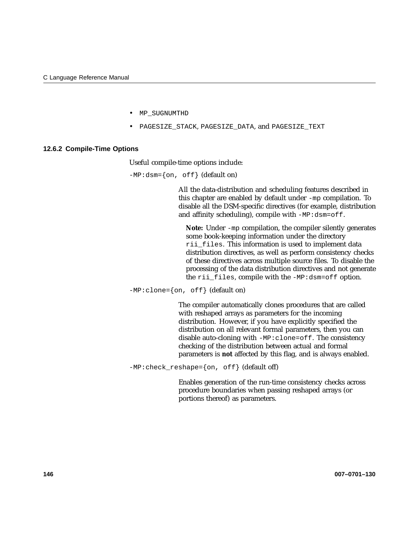- MP\_SUGNUMTHD
- PAGESIZE\_STACK, PAGESIZE\_DATA, and PAGESIZE\_TEXT

#### **12.6.2 Compile-Time Options**

Useful compile-time options include:

 $-MP:dsm = \{on, off\}$  (default on)

All the data-distribution and scheduling features described in this chapter are enabled by default under -mp compilation. To disable all the DSM-specific directives (for example, distribution and affinity scheduling), compile with -MP:dsm=off.

**Note:** Under -mp compilation, the compiler silently generates some book-keeping information under the directory rii\_files. This information is used to implement data distribution directives, as well as perform consistency checks of these directives across multiple source files. To disable the processing of the data distribution directives and not generate the rii\_files, compile with the -MP:dsm=off option.

 $-MP:clone={on, of f} (default on)$ 

The compiler automatically clones procedures that are called with reshaped arrays as parameters for the incoming distribution. However, if you have explicitly specified the distribution on all relevant formal parameters, then you can disable auto-cloning with -MP:clone=off. The consistency checking of the distribution between actual and formal parameters is **not** affected by this flag, and is always enabled.

-MP:check\_reshape={on, off} (default off)

Enables generation of the run-time consistency checks across procedure boundaries when passing reshaped arrays (or portions thereof) as parameters.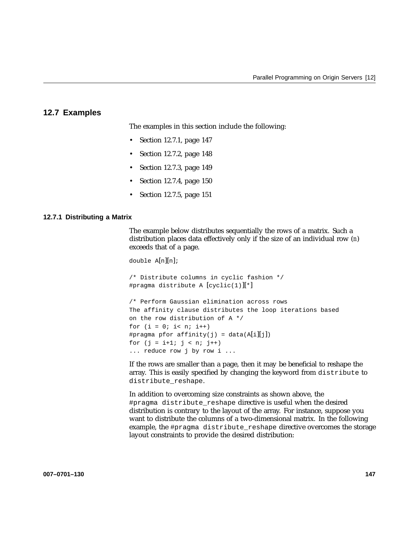# **12.7 Examples**

The examples in this section include the following:

- Section 12.7.1, page 147
- Section 12.7.2, page 148
- Section 12.7.3, page 149
- Section 12.7.4, page 150
- Section 12.7.5, page 151

... reduce row j by row i ...

#### **12.7.1 Distributing a Matrix**

The example below distributes sequentially the rows of a matrix. Such a distribution places data effectively only if the size of an individual row (*n*) exceeds that of a page.

```
double A[n][n];/* Distribute columns in cyclic fashion */
#pragma distribute A [cyclic(1)][*]
/* Perform Gaussian elimination across rows
The affinity clause distributes the loop iterations based
on the row distribution of A */
for (i = 0; i < n; i++)#pragma pfor affinity(j) = data(A[i][j])
for (j = i+1; j < n; j++)
```
If the rows are smaller than a page, then it may be beneficial to reshape the array. This is easily specified by changing the keyword from distribute to distribute\_reshape.

In addition to overcoming size constraints as shown above, the #pragma distribute reshape directive is useful when the desired distribution is contrary to the layout of the array. For instance, suppose you want to distribute the columns of a two-dimensional matrix. In the following example, the #pragma distribute\_reshape directive overcomes the storage layout constraints to provide the desired distribution: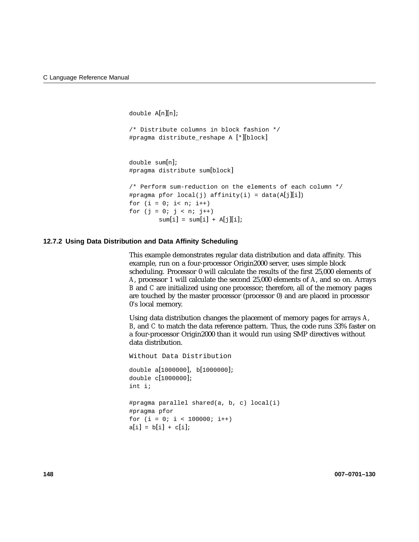double A[n][n];

```
/* Distribute columns in block fashion */
#pragma distribute reshape A [*][block]
```
double sum[n]; #pragma distribute sum[block]

```
/* Perform sum-reduction on the elements of each column */
#pragma pfor local(j) affinity(i) = data(A[j][i])
for (i = 0; i < n; i++)for (j = 0; j < n; j++)sum[i] = sum[i] + A[j][i];
```
## **12.7.2 Using Data Distribution and Data Affinity Scheduling**

This example demonstrates regular data distribution and data affinity. This example, run on a four-processor Origin2000 server, uses simple block scheduling. Processor 0 will calculate the results of the first 25,000 elements of *A*, processor 1 will calculate the second 25,000 elements of *A*, and so on. Arrays *B* and *C* are initialized using one processor; therefore, all of the memory pages are touched by the master processor (processor 0) and are placed in processor 0's local memory.

Using data distribution changes the placement of memory pages for arrays *A*, *B*, and *C* to match the data reference pattern. Thus, the code runs 33% faster on a four-processor Origin2000 than it would run using SMP directives without data distribution.

```
Without Data Distribution
double a[1000000], b[1000000];
double c[1000000];
int i;
#pragma parallel shared(a, b, c) local(i)
#pragma pfor
for (i = 0; i < 100000; i++)a[i] = b[i] + c[i];
```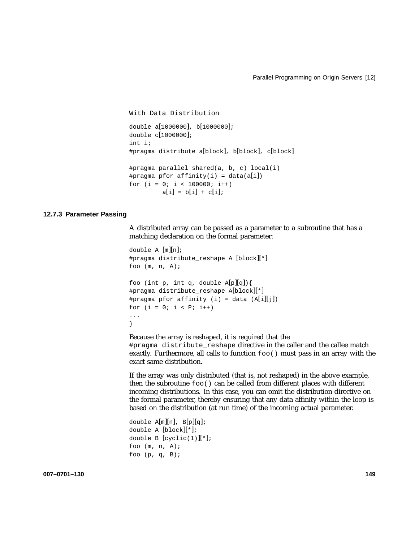```
With Data Distribution
double a[1000000], b[1000000];
double c[1000000];
int i;
#pragma distribute a[block], b[block], c[block]
#pragma parallel shared(a, b, c) local(i)
#pragma pfor affinity(i) = data(a[i])
for (i = 0; i < 100000; i++)a[i] = b[i] + c[i];
```
## **12.7.3 Parameter Passing**

A distributed array can be passed as a parameter to a subroutine that has a matching declaration on the formal parameter:

```
double A [m][n];
#pragma distribute_reshape A [block][*]
foo (m, n, A);
foo (int p, int q, double A[p][q]){
#pragma distribute_reshape A[block][*]
#pragma pfor affinity (i) = data (A[i][j])for (i = 0; i < p; i++)...
}
```
Because the array is reshaped, it is required that the #pragma distribute reshape directive in the caller and the callee match exactly. Furthermore, all calls to function  $f \circ \circ$  () must pass in an array with the exact same distribution.

If the array was only distributed (that is, not reshaped) in the above example, then the subroutine foo() can be called from different places with different incoming distributions. In this case, you can omit the distribution directive on the formal parameter, thereby ensuring that any data affinity within the loop is based on the distribution (at run time) of the incoming actual parameter.

```
double A[m][n], B[p][q];
double A [block][*];
double B [cyclic(1)][*];foo (m, n, A);
foo (p, q, B);
```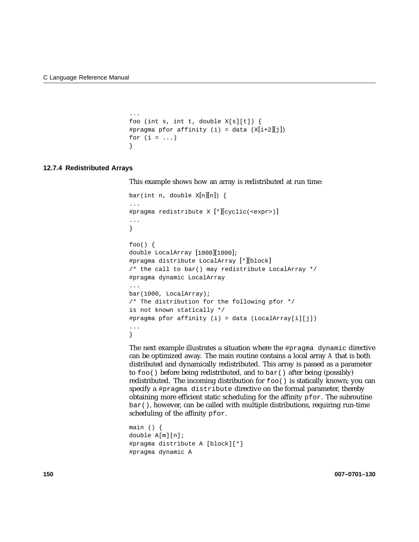...

```
foo (int s, int t, double X[s][t]) {
#pragma pfor affinity (i) = data (X[i+2][j])for (i = ...)}
```
### **12.7.4 Redistributed Arrays**

This example shows how an array is redistributed at run time:

```
bar(int n, double X[n][n]) {
...
#pragma redistribute X [*][cyclic(<expr>)]
...
}
foo() {
double LocalArray [1000][1000];
#pragma distribute LocalArray [*][block]
/* the call to bar() may redistribute LocalArray */
#pragma dynamic LocalArray
...
bar(1000, LocalArray);
/* The distribution for the following pfor */
is not known statically */
#pragma pfor affinity (i) = data (LocalArray[i][j])
...
}
```
The next example illustrates a situation where the #pragma dynamic directive can be optimized away. The main routine contains a local array *A* that is both distributed and dynamically redistributed. This array is passed as a parameter to foo() before being redistributed, and to bar() after being (possibly) redistributed. The incoming distribution for foo() is statically known; you can specify a #pragma distribute directive on the formal parameter, thereby obtaining more efficient static scheduling for the affinity  $pfor$ . The subroutine bar(), however, can be called with multiple distributions, requiring run-time scheduling of the affinity pfor.

```
main () {
double A[m][n];
#pragma distribute A [block][*]
#pragma dynamic A
```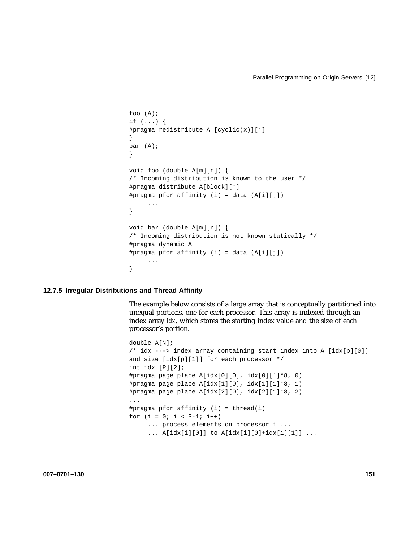```
foo (A);
if (...) {
#pragma redistribute A [cyclic(x)][*]
}
bar (A);
}
void foo (double A[m][n]) {
/* Incoming distribution is known to the user */
#pragma distribute A[block][*]
#pragma pfor affinity (i) = data (A[i][j])
     ...
}
void bar (double A[m][n]) {
/* Incoming distribution is not known statically */
#pragma dynamic A
#pragma pfor affinity (i) = data (A[i][j])
     ...
}
```
### **12.7.5 Irregular Distributions and Thread Affinity**

The example below consists of a large array that is conceptually partitioned into unequal portions, one for each processor. This array is indexed through an index array *idx*, which stores the starting index value and the size of each processor's portion.

```
double A[N];
/* idx ---> index array containing start index into A [idx[p][0]]
and size [idx[p][1]] for each processor */
int idx [P][2];
#pragma page_place A[idx[0][0], idx[0][1]*8, 0)
#pragma page_place A[idx[1][0], idx[1][1]*8, 1)
#pragma page_place A[idx[2][0], idx[2][1]*8, 2)
...
#pragma pfor affinity (i) = thread(i)
for (i = 0; i < p-1; i++)... process elements on processor i ...
     ... A[idx[i][0]] to A[idx[i][0]+idx[i][1]] ...
```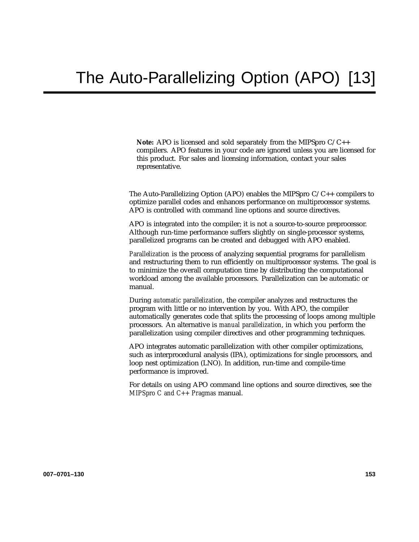**Note:** APO is licensed and sold separately from the MIPSpro C/C++ compilers. APO features in your code are ignored unless you are licensed for this product. For sales and licensing information, contact your sales representative.

The Auto-Parallelizing Option (APO) enables the MIPSpro C/C++ compilers to optimize parallel codes and enhances performance on multiprocessor systems. APO is controlled with command line options and source directives.

APO is integrated into the compiler; it is not a source-to-source preprocessor. Although run-time performance suffers slightly on single-processor systems, parallelized programs can be created and debugged with APO enabled.

*Parallelization* is the process of analyzing sequential programs for parallelism and restructuring them to run efficiently on multiprocessor systems. The goal is to minimize the overall computation time by distributing the computational workload among the available processors. Parallelization can be automatic or manual.

During *automatic parallelization*, the compiler analyzes and restructures the program with little or no intervention by you. With APO, the compiler automatically generates code that splits the processing of loops among multiple processors. An alternative is *manual parallelization*, in which you perform the parallelization using compiler directives and other programming techniques.

APO integrates automatic parallelization with other compiler optimizations, such as interprocedural analysis (IPA), optimizations for single processors, and loop nest optimization (LNO). In addition, run-time and compile-time performance is improved.

For details on using APO command line options and source directives, see the *MIPSpro C and C++ Pragmas* manual.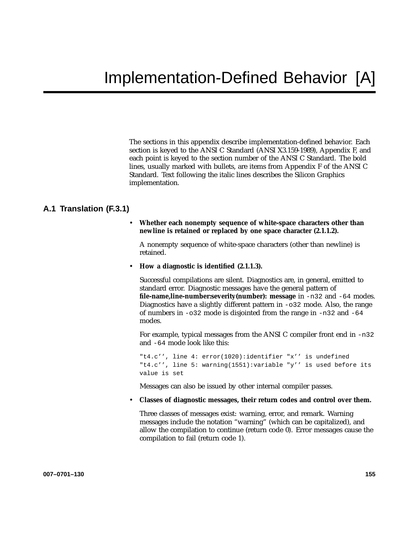The sections in this appendix describe implementation-defined behavior. Each section is keyed to the ANSI C Standard (ANSI X3.159-1989), Appendix F, and each point is keyed to the section number of the ANSI C Standard. The bold lines, usually marked with bullets, are items from Appendix F of the ANSI C Standard. Text following the italic lines describes the Silicon Graphics implementation.

# **A.1 Translation (F.3.1)**

• **Whether each nonempty sequence of white-space characters other than newline is retained or replaced by one space character (2.1.1.2).**

A nonempty sequence of white-space characters (other than newline) is retained.

• **How a diagnostic is identified (2.1.1.3).**

Successful compilations are silent. Diagnostics are, in general, emitted to standard error. Diagnostic messages have the general pattern of **file-name,line-number:severity(number): message** in -n32 and -64 modes. Diagnostics have a slightly different pattern in -o32 mode. Also, the range of numbers in -o32 mode is disjointed from the range in -n32 and -64 modes.

For example, typical messages from the ANSI C compiler front end in -n32 and -64 mode look like this:

"t4.c'', line 4: error(1020):identifier "x'' is undefined "t4.c'', line 5: warning(1551):variable "y'' is used before its value is set

Messages can also be issued by other internal compiler passes.

• **Classes of diagnostic messages, their return codes and control over them.**

Three classes of messages exist: warning, error, and remark. Warning messages include the notation "warning" (which can be capitalized), and allow the compilation to continue (return code 0). Error messages cause the compilation to fail (return code 1).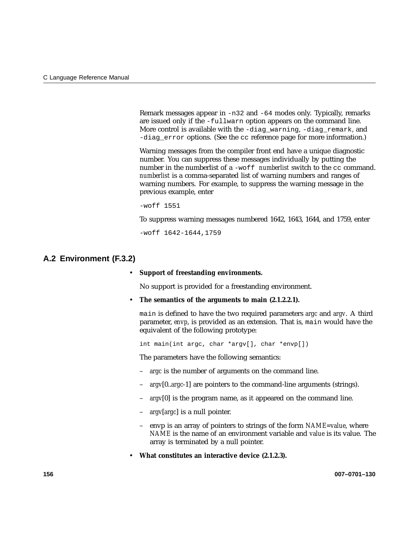Remark messages appear in -n32 and -64 modes only. Typically, remarks are issued only if the -fullwarn option appears on the command line. More control is available with the -diag warning, -diag remark, and -diag error options. (See the cc reference page for more information.)

Warning messages from the compiler front end have a unique diagnostic number. You can suppress these messages individually by putting the number in the numberlist of a -woff *numberlist* switch to the cc command. *numberlist* is a comma-separated list of warning numbers and ranges of warning numbers. For example, to suppress the warning message in the previous example, enter

-woff 1551

To suppress warning messages numbered 1642, 1643, 1644, and 1759, enter

-woff 1642-1644,1759

## **A.2 Environment (F.3.2)**

#### • **Support of freestanding environments.**

No support is provided for a freestanding environment.

• **The semantics of the arguments to main (2.1.2.2.1).**

main is defined to have the two required parameters *argc* and *argv*. A third parameter, *envp*, is provided as an extension. That is, main would have the equivalent of the following prototype:

int main(int argc, char \*argv[], char \*envp[])

The parameters have the following semantics:

- *argc* is the number of arguments on the command line.
- *argv*[0..*argc*-1] are pointers to the command-line arguments (strings).
- *argv*[0] is the program name, as it appeared on the command line.
- *argv*[*argc*] is a null pointer.
- envp is an array of pointers to strings of the form *NAME=value*, where *NAME* is the name of an environment variable and *value* is its value. The array is terminated by a null pointer.
- **What constitutes an interactive device (2.1.2.3).**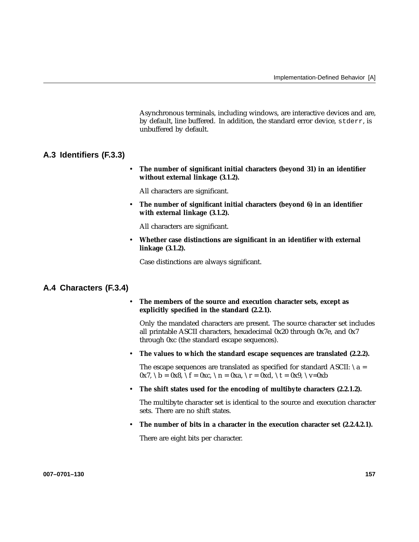Asynchronous terminals, including windows, are interactive devices and are, by default, line buffered. In addition, the standard error device, stderr, is unbuffered by default.

## **A.3 Identifiers (F.3.3)**

• **The number of significant initial characters (beyond 31) in an identifier without external linkage (3.1.2).**

All characters are significant.

• **The number of significant initial characters (beyond 6) in an identifier with external linkage (3.1.2).**

All characters are significant.

• **Whether case distinctions are significant in an identifier with external linkage (3.1.2).**

Case distinctions are always significant.

## **A.4 Characters (F.3.4)**

• **The members of the source and execution character sets, except as explicitly specified in the standard (2.2.1).**

Only the mandated characters are present. The source character set includes all printable ASCII characters, hexadecimal 0x20 through 0x7e, and 0x7 through 0xc (the standard escape sequences).

• **The values to which the standard escape sequences are translated (2.2.2).**

The escape sequences are translated as specified for standard ASCII:  $\a$  =  $0x7$ ,  $b = 0x8$ ,  $f = 0xc$ ,  $n = 0xa$ ,  $r = 0xd$ ,  $t = 0x9$ ,  $v=0xb$ 

• **The shift states used for the encoding of multibyte characters (2.2.1.2).**

The multibyte character set is identical to the source and execution character sets. There are no shift states.

• **The number of bits in a character in the execution character set (2.2.4.2.1).**

There are eight bits per character.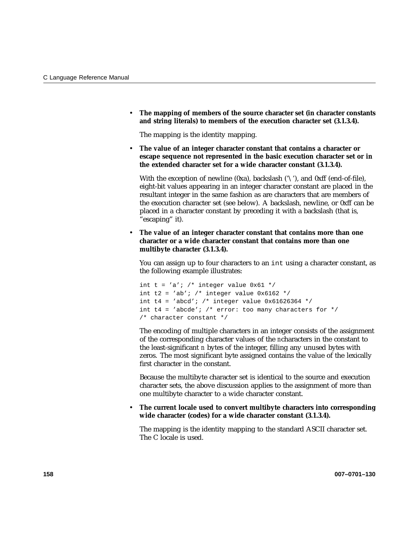• **The mapping of members of the source character set (in character constants and string literals) to members of the execution character set (3.1.3.4).**

The mapping is the identity mapping.

• **The value of an integer character constant that contains a character or escape sequence not represented in the basic execution character set or in the extended character set for a wide character constant (3.1.3.4).**

With the exception of newline (0xa), backslash ( $\langle \cdot \rangle$ ), and 0xff (end-of-file), eight-bit values appearing in an integer character constant are placed in the resultant integer in the same fashion as are characters that are members of the execution character set (see below). A backslash, newline, or 0xff can be placed in a character constant by preceding it with a backslash (that is, "escaping" it).

• **The value of an integer character constant that contains more than one character or a wide character constant that contains more than one multibyte character (3.1.3.4).**

You can assign up to four characters to an int using a character constant, as the following example illustrates:

```
int t = 'a'; /* integer value 0x61 */
int t2 = 'ab'; /* integer value 0x6162 */
int t4 = 'abcd'; /* integer value 0x61626364 */
int t4 = 'abcde'; /* error: too many characters for *//* character constant */
```
The encoding of multiple characters in an integer consists of the assignment of the corresponding character values of the *n*characters in the constant to the least-significant *n* bytes of the integer, filling any unused bytes with zeros. The most significant byte assigned contains the value of the lexically first character in the constant.

Because the multibyte character set is identical to the source and execution character sets, the above discussion applies to the assignment of more than one multibyte character to a wide character constant.

## • **The current locale used to convert multibyte characters into corresponding wide character (codes) for a wide character constant (3.1.3.4).**

The mapping is the identity mapping to the standard ASCII character set. The C locale is used.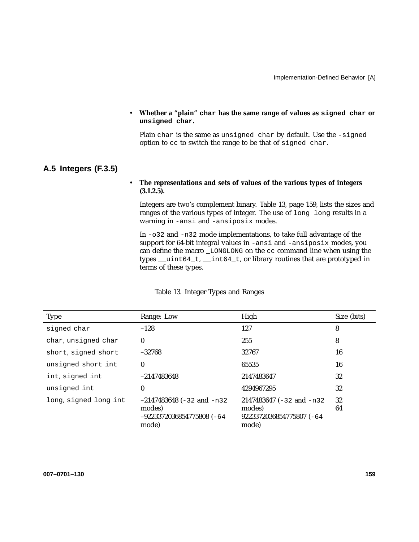### • **Whether a "plain" char has the same range of values as signed char or unsigned char.**

Plain char is the same as unsigned char by default. Use the -signed option to cc to switch the range to be that of signed char.

# **A.5 Integers (F.3.5)**

## • **The representations and sets of values of the various types of integers (3.1.2.5).**

Integers are two's complement binary. Table 13, page 159, lists the sizes and ranges of the various types of integer. The use of long long results in a warning in -ansi and -ansiposix modes.

In -o32 and -n32 mode implementations, to take full advantage of the support for 64-bit integral values in -ansi and -ansiposix modes, you can define the macro \_LONGLONG on the cc command line when using the types \_\_uint64\_t, \_\_int64\_t, or library routines that are prototyped in terms of these types.

| <b>Type</b>           | Range: Low                                                                    | High                                                                    | Size (bits) |
|-----------------------|-------------------------------------------------------------------------------|-------------------------------------------------------------------------|-------------|
| signed char           | $-128$                                                                        | 127                                                                     | 8           |
| char, unsigned char   | 0                                                                             | 255                                                                     | 8           |
| short, signed short   | $-32768$                                                                      | 32767                                                                   | 16          |
| unsigned short int    | 0                                                                             | 65535                                                                   | 16          |
| int, signed int       | $-2147483648$                                                                 | 2147483647                                                              | 32          |
| unsigned int          | 0                                                                             | 4294967295                                                              | 32          |
| long, signed long int | $-2147483648$ (-32 and -n32<br>modes)<br>$-9223372036854775808$ (-64<br>mode) | 2147483647 (-32 and -n32<br>modes)<br>9223372036854775807 (-64<br>mode) | 32<br>64    |

Table 13. Integer Types and Ranges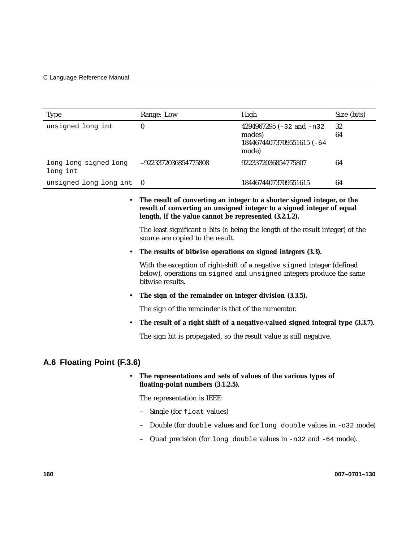| Type                                                               | Range: Low                                                                                                                                                                                                | High                                                                         | Size (bits) |
|--------------------------------------------------------------------|-----------------------------------------------------------------------------------------------------------------------------------------------------------------------------------------------------------|------------------------------------------------------------------------------|-------------|
| unsigned long int                                                  | $\bf{0}$                                                                                                                                                                                                  | 4294967295 $(-32$ and $-n32$<br>modes)<br>18446744073709551615 (-64<br>mode) | 32<br>64    |
| long long signed long<br>long int                                  | -9223372036854775808                                                                                                                                                                                      | 9223372036854775807                                                          | 64          |
| unsigned long long int                                             | $\bf{0}$                                                                                                                                                                                                  | 18446744073709551615                                                         | 64          |
|                                                                    | The result of converting an integer to a shorter signed integer, or the<br>result of converting an unsigned integer to a signed integer of equal<br>length, if the value cannot be represented (3.2.1.2). |                                                                              |             |
|                                                                    | The least significant $n$ bits ( $n$ being the length of the result integer) of the<br>source are copied to the result.                                                                                   |                                                                              |             |
|                                                                    | The results of bitwise operations on signed integers (3.3).                                                                                                                                               |                                                                              |             |
|                                                                    | With the exception of right-shift of a negative signed integer (defined<br>below), operations on signed and unsigned integers produce the same<br>bitwise results.                                        |                                                                              |             |
|                                                                    | The sign of the remainder on integer division (3.3.5).                                                                                                                                                    |                                                                              |             |
|                                                                    | The sign of the remainder is that of the numerator.                                                                                                                                                       |                                                                              |             |
|                                                                    | The result of a right shift of a negative-valued signed integral type (3.3.7).                                                                                                                            |                                                                              |             |
| The sign bit is propagated, so the result value is still negative. |                                                                                                                                                                                                           |                                                                              |             |
| A.6 Floating Point (F.3.6)                                         |                                                                                                                                                                                                           |                                                                              |             |
|                                                                    | The representations and sets of values of the various types of<br>floating-point numbers (3.1.2.5).                                                                                                       |                                                                              |             |
|                                                                    | The representation is IEEE:                                                                                                                                                                               |                                                                              |             |
|                                                                    | Single (for float values)                                                                                                                                                                                 |                                                                              |             |
|                                                                    |                                                                                                                                                                                                           | Double (for double values and for long double values in -032 mode)           |             |
|                                                                    |                                                                                                                                                                                                           | Quad precision (for long double values in $-n32$ and $-64$ mode).            |             |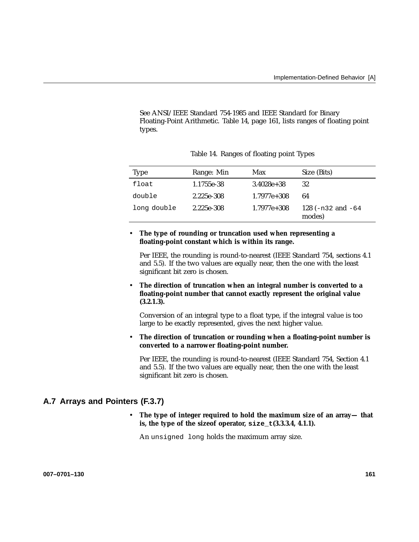See ANSI/IEEE Standard 754-1985 and IEEE Standard for Binary Floating-Point Arithmetic. Table 14, page 161, lists ranges of floating point types.

| Type        | Range: Min | Max             | Size (Bits)                        |
|-------------|------------|-----------------|------------------------------------|
| float       | 1.1755e-38 | $3.4028e + 38$  | 32                                 |
| double      | 2.225e-308 | $1.7977e + 308$ | 64                                 |
| long double | 2.225e-308 | $1.7977e + 308$ | 128 ( $-n32$ and $-64$ )<br>modes) |

Table 14. Ranges of floating point Types

• **The type of rounding or truncation used when representing a floating-point constant which is within its range.**

Per IEEE, the rounding is round-to-nearest (IEEE Standard 754, sections 4.1 and 5.5). If the two values are equally near, then the one with the least significant bit zero is chosen.

• **The direction of truncation when an integral number is converted to a floating-point number that cannot exactly represent the original value (3.2.1.3).**

Conversion of an integral type to a float type, if the integral value is too large to be exactly represented, gives the next higher value.

• **The direction of truncation or rounding when a floating-point number is converted to a narrower floating-point number.**

Per IEEE, the rounding is round-to-nearest (IEEE Standard 754, Section 4.1 and 5.5). If the two values are equally near, then the one with the least significant bit zero is chosen.

# **A.7 Arrays and Pointers (F.3.7)**

• **The type of integer required to hold the maximum size of an array— that is, the type of the sizeof operator, size\_t(3.3.3.4, 4.1.1).**

An unsigned long holds the maximum array size.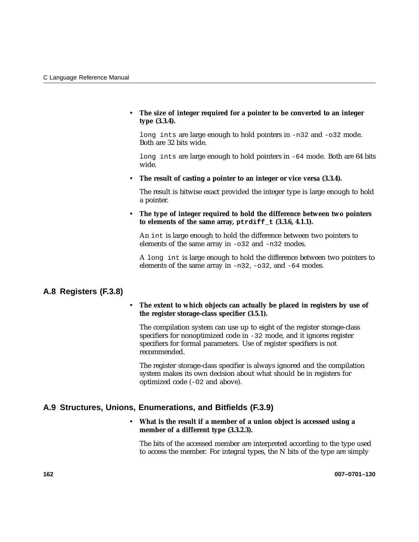• **The size of integer required for a pointer to be converted to an integer type (3.3.4).**

long ints are large enough to hold pointers in -n32 and -o32 mode. Both are 32 bits wide.

long ints are large enough to hold pointers in -64 mode. Both are 64 bits wide.

• **The result of casting a pointer to an integer or vice versa (3.3.4).**

The result is bitwise exact provided the integer type is large enough to hold a pointer.

• **The type of integer required to hold the difference between two pointers to elements of the same array, ptrdiff\_t (3.3.6, 4.1.1).**

An int is large enough to hold the difference between two pointers to elements of the same array in -o32 and -n32 modes.

A long int is large enough to hold the difference between two pointers to elements of the same array in  $-n32$ ,  $-032$ , and  $-64$  modes.

# **A.8 Registers (F.3.8)**

### • **The extent to which objects can actually be placed in registers by use of the register storage-class specifier (3.5.1).**

The compilation system can use up to eight of the register storage-class specifiers for nonoptimized code in -32 mode, and it ignores register specifiers for formal parameters. Use of register specifiers is not recommended.

The register storage-class specifier is always ignored and the compilation system makes its own decision about what should be in registers for optimized code (-O2 and above).

# **A.9 Structures, Unions, Enumerations, and Bitfields (F.3.9)**

# • **What is the result if a member of a union object is accessed using a member of a different type (3.3.2.3).**

The bits of the accessed member are interpreted according to the type used to access the member. For integral types, the N bits of the type are simply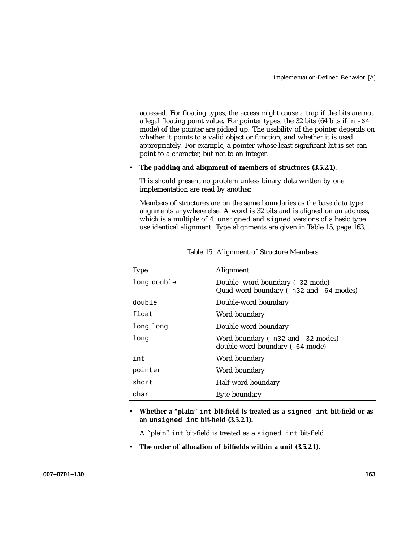accessed. For floating types, the access might cause a trap if the bits are not a legal floating point value. For pointer types, the  $32$  bits (64 bits if in  $-64$ mode) of the pointer are picked up. The usability of the pointer depends on whether it points to a valid object or function, and whether it is used appropriately. For example, a pointer whose least-significant bit is set can point to a character, but not to an integer.

#### • **The padding and alignment of members of structures (3.5.2.1).**

This should present no problem unless binary data written by one implementation are read by another.

Members of structures are on the same boundaries as the base data type alignments anywhere else. A word is 32 bits and is aligned on an address, which is a multiple of 4. unsigned and signed versions of a basic type use identical alignment. Type alignments are given in Table 15, page 163, .

| <b>Type</b> | Alignment                                                                   |
|-------------|-----------------------------------------------------------------------------|
| long double | Double- word boundary (-32 mode)<br>Quad-word boundary (-n32 and -64 modes) |
| double      | Double-word boundary                                                        |
| float       | Word boundary                                                               |
| long long   | Double-word boundary                                                        |
| long        | Word boundary $(-n32$ and $-32$ modes)<br>double-word boundary (-64 mode)   |
| int         | Word boundary                                                               |
| pointer     | Word boundary                                                               |
| short       | Half-word boundary                                                          |
| char        | Byte boundary                                                               |

Table 15. Alignment of Structure Members

• **Whether a "plain" int bit-field is treated as a signed int bit-field or as an unsigned int bit-field (3.5.2.1).**

A "plain" int bit-field is treated as a signed int bit-field.

• **The order of allocation of bitfields within a unit (3.5.2.1).**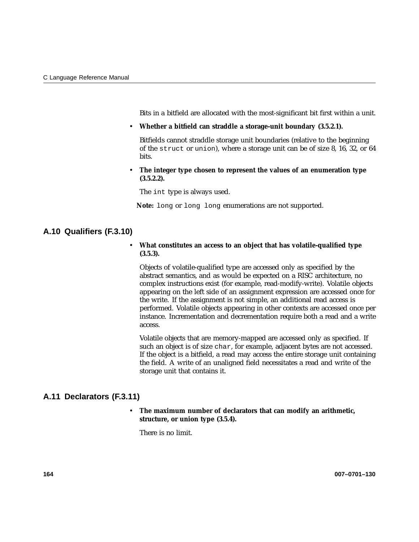Bits in a bitfield are allocated with the most-significant bit first within a unit.

• **Whether a bitfield can straddle a storage-unit boundary (3.5.2.1).**

Bitfields cannot straddle storage unit boundaries (relative to the beginning of the struct or union), where a storage unit can be of size 8, 16, 32, or 64 bits.

• **The integer type chosen to represent the values of an enumeration type (3.5.2.2).**

The int type is always used.

**Note:** long or long long enumerations are not supported.

# **A.10 Qualifiers (F.3.10)**

## • **What constitutes an access to an object that has volatile-qualified type (3.5.3).**

Objects of volatile-qualified type are accessed only as specified by the abstract semantics, and as would be expected on a RISC architecture, no complex instructions exist (for example, read-modify-write). Volatile objects appearing on the left side of an assignment expression are accessed once for the write. If the assignment is not simple, an additional read access is performed. Volatile objects appearing in other contexts are accessed once per instance. Incrementation and decrementation require both a read and a write access.

Volatile objects that are memory-mapped are accessed only as specified. If such an object is of size char, for example, adjacent bytes are not accessed. If the object is a bitfield, a read may access the entire storage unit containing the field. A write of an unaligned field necessitates a read and write of the storage unit that contains it.

# **A.11 Declarators (F.3.11)**

# • **The maximum number of declarators that can modify an arithmetic, structure, or union type (3.5.4).**

There is no limit.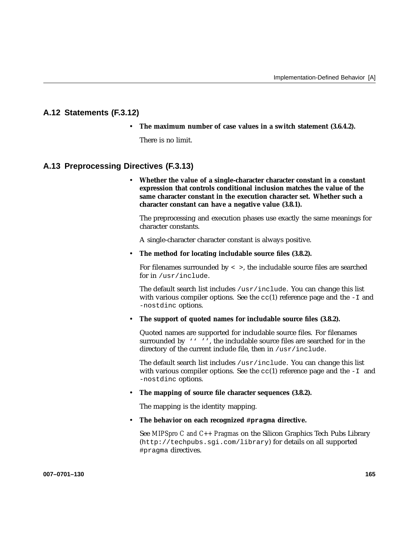# **A.12 Statements (F.3.12)**

• **The maximum number of case values in a switch statement (3.6.4.2).**

There is no limit.

# **A.13 Preprocessing Directives (F.3.13)**

• **Whether the value of a single-character character constant in a constant expression that controls conditional inclusion matches the value of the same character constant in the execution character set. Whether such a character constant can have a negative value (3.8.1).**

The preprocessing and execution phases use exactly the same meanings for character constants.

A single-character character constant is always positive.

#### • **The method for locating includable source files (3.8.2).**

For filenames surrounded by  $\langle \rangle$ , the includable source files are searched for in /usr/include.

The default search list includes /usr/include. You can change this list with various compiler options. See the  $cc(1)$  reference page and the  $-I$  and -nostdinc options.

• **The support of quoted names for includable source files (3.8.2).**

Quoted names are supported for includable source files. For filenames surrounded by '''', the includable source files are searched for in the directory of the current include file, then in /usr/include.

The default search list includes  $/usr/include$ . You can change this list with various compiler options. See the  $cc(1)$  reference page and the  $-I$  and -nostdinc options.

### • **The mapping of source file character sequences (3.8.2).**

The mapping is the identity mapping.

• **The behavior on each recognized #pragma directive.**

See *MIPSpro C and C++ Pragmas* on the Silicon Graphics Tech Pubs Library (http://techpubs.sgi.com/library) for details on all supported #pragma directives.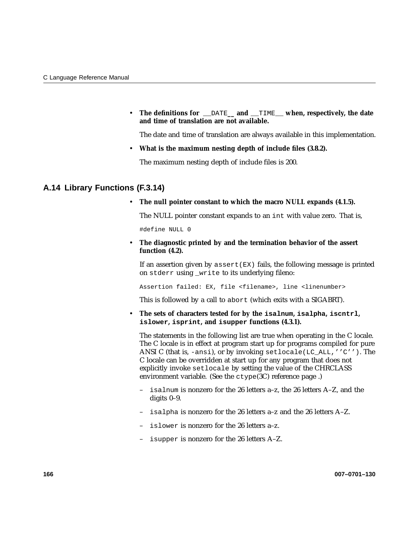• **The definitions for** \_\_DATE**\_\_ and** \_\_TIME\_\_ **when, respectively, the date and time of translation are not available.**

The date and time of translation are always available in this implementation.

• **What is the maximum nesting depth of include files (3.8.2).**

The maximum nesting depth of include files is 200.

# **A.14 Library Functions (F.3.14)**

• **The null pointer constant to which the macro NULL expands (4.1.5).**

The NULL pointer constant expands to an int with value zero. That is,

#define NULL 0

• **The diagnostic printed by and the termination behavior of the assert function (4.2).**

If an assertion given by  $\text{assert}(\mathbb{E}X)$  fails, the following message is printed on stderr using \_write to its underlying fileno:

Assertion failed: EX, file <filename>, line <linenumber>

This is followed by a call to abort (which exits with a SIGABRT).

• **The sets of characters tested for by the isalnum, isalpha, iscntrl, islower, isprint, and isupper functions (4.3.1).**

The statements in the following list are true when operating in the C locale. The C locale is in effect at program start up for programs compiled for pure ANSI C (that is, -ansi), or by invoking setlocale(LC\_ALL,''C''). The C locale can be overridden at start up for any program that does not explicitly invoke setlocale by setting the value of the CHRCLASS environment variable. (See the ctype(3C) reference page .)

- isalnum is nonzero for the 26 letters a–z, the 26 letters A–Z, and the digits 0–9.
- isalpha is nonzero for the 26 letters a–z and the 26 letters A–Z.
- islower is nonzero for the 26 letters a–z.
- isupper is nonzero for the 26 letters A–Z.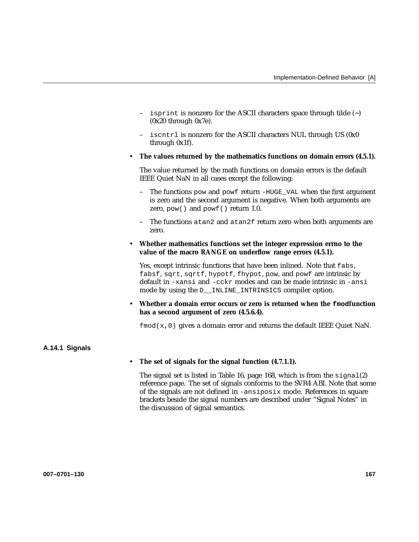- isprint is nonzero for the ASCII characters space through tilde  $(\sim)$ (0x20 through 0x7e).
- iscntrl is nonzero for the ASCII characters NUL through US (0x0 through 0x1f).
- **The values returned by the mathematics functions on domain errors (4.5.1).**

The value returned by the math functions on domain errors is the default IEEE Quiet NaN in all cases except the following:

- The functions pow and powf return -HUGE\_VAL when the first argument is zero and the second argument is negative. When both arguments are zero, pow() and powf() return 1.0.
- The functions atan2 and atan2f return zero when both arguments are zero.
- **Whether mathematics functions set the integer expression errno to the value of the macro RANGE on underflow range errors (4.5.1).**

Yes, except intrinsic functions that have been inlined. Note that fabs, fabsf, sqrt, sqrtf, hypotf, fhypot, pow, and powf are intrinsic by default in -xansi and -cckr modes and can be made intrinsic in -ansi mode by using the D\_\_INLINE\_INTRINSICS compiler option.

• **Whether a domain error occurs or zero is returned when the fmodfunction has a second argument of zero (4.5.6.4).**

 $fmod(x,0)$  gives a domain error and returns the default IEEE Quiet NaN.

### **A.14.1 Signals**

#### • **The set of signals for the signal function (4.7.1.1).**

The signal set is listed in Table 16, page 168, which is from the  $signal(2)$ reference page. The set of signals conforms to the SVR4 ABI. Note that some of the signals are not defined in -ansiposix mode. References in square brackets beside the signal numbers are described under "Signal Notes" in the discussion of signal semantics.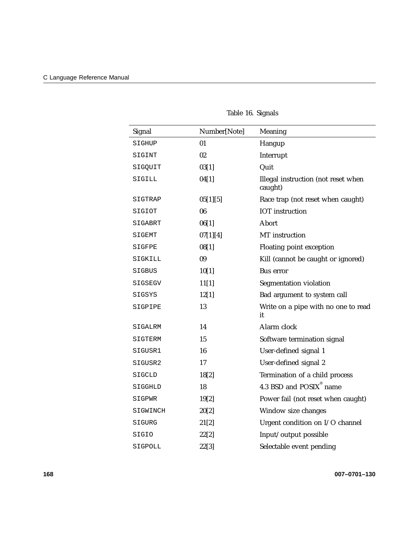| Signal   | Number[Note] | Meaning                                        |
|----------|--------------|------------------------------------------------|
| SIGHUP   | 01           | Hangup                                         |
| SIGINT   | 02           | Interrupt                                      |
| SIGQUIT  | 03[1]        | Quit                                           |
| SIGILL   | 04[1]        | Illegal instruction (not reset when<br>caught) |
| SIGTRAP  | 05[1][5]     | Race trap (not reset when caught)              |
| SIGIOT   | 06           | <b>IOT</b> instruction                         |
| SIGABRT  | 06[1]        | Abort                                          |
| SIGEMT   | 07[1][4]     | MT instruction                                 |
| SIGFPE   | 08[1]        | Floating point exception                       |
| SIGKILL  | 09           | Kill (cannot be caught or ignored)             |
| SIGBUS   | 10[1]        | <b>Bus</b> error                               |
| SIGSEGV  | 11[1]        | Segmentation violation                         |
| SIGSYS   | 12[1]        | Bad argument to system call                    |
| SIGPIPE  | 13           | Write on a pipe with no one to read<br>it      |
| SIGALRM  | 14           | Alarm clock                                    |
| SIGTERM  | 15           | Software termination signal                    |
| SIGUSR1  | 16           | User-defined signal 1                          |
| SIGUSR2  | 17           | User-defined signal 2                          |
| SIGCLD   | 18[2]        | Termination of a child process                 |
| SIGGHLD  | 18           | 4.3 BSD and POSIX <sup>®</sup> name            |
| SIGPWR   | 19[2]        | Power fail (not reset when caught)             |
| SIGWINCH | 20[2]        | Window size changes                            |
| SIGURG   | 21[2]        | Urgent condition on I/O channel                |
| SIGIO    | 22[2]        | Input/output possible                          |
| SIGPOLL  | 22[3]        | Selectable event pending                       |

# Table 16. Signals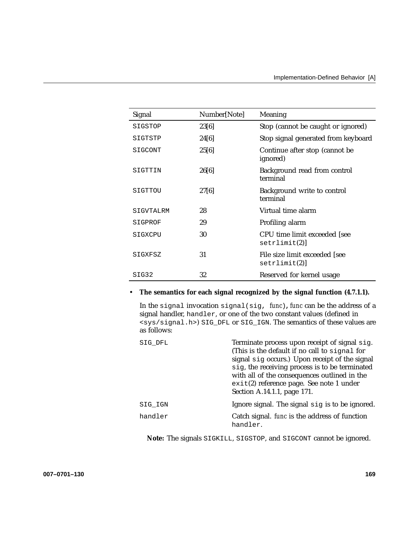| Signal    | Number[Note] | Meaning                                       |
|-----------|--------------|-----------------------------------------------|
| SIGSTOP   | 23[6]        | Stop (cannot be caught or ignored)            |
| SIGTSTP   | 24[6]        | Stop signal generated from keyboard           |
| SIGCONT   | 25[6]        | Continue after stop (cannot be<br>ignored)    |
| SIGTTIN   | 26[6]        | Background read from control<br>terminal      |
| SIGTTOU   | 27[6]        | Background write to control<br>terminal       |
| SIGVTALRM | 28           | Virtual time alarm                            |
| SIGPROF   | 29           | Profiling alarm                               |
| SIGXCPU   | 30           | CPU time limit exceeded [see<br>setrlimit(2)  |
| SIGXFSZ   | 31           | File size limit exceeded [see<br>setrlimit(2) |
| SIG32     | 32           | Reserved for kernel usage                     |

# • **The semantics for each signal recognized by the signal function (4.7.1.1).**

In the signal invocation signal(sig, *func*)**,** *func* can be the address of a signal handler, handler, or one of the two constant values (defined in <sys/signal.h>) SIG\_DFL or SIG\_IGN. The semantics of these values are as follows:

| SIG DFL | Terminate process upon receipt of signal sig.<br>(This is the default if no call to signal for<br>signal sig occurs.) Upon receipt of the signal<br>sig, the receiving process is to be terminated<br>with all of the consequences outlined in the<br>$exit(2)$ reference page. See note 1 under<br>Section A.14.1.1, page 171. |  |
|---------|---------------------------------------------------------------------------------------------------------------------------------------------------------------------------------------------------------------------------------------------------------------------------------------------------------------------------------|--|
| SIG IGN | Ignore signal. The signal sig is to be ignored.                                                                                                                                                                                                                                                                                 |  |
| handler | Catch signal. <i>func</i> is the address of function<br>handler.                                                                                                                                                                                                                                                                |  |

**Note:** The signals SIGKILL, SIGSTOP, and SIGCONT cannot be ignored.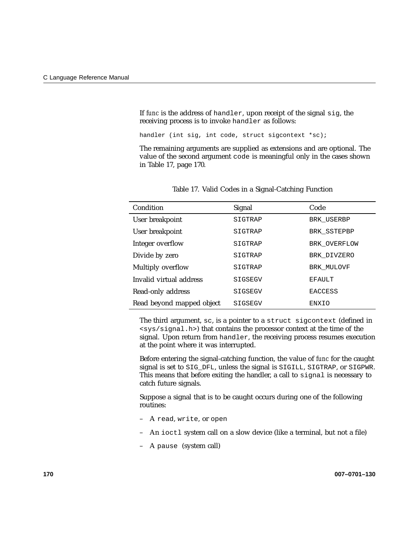If *func* is the address of handler, upon receipt of the signal sig, the receiving process is to invoke handler as follows:

handler (int sig, int code, struct sigcontext \*sc);

The remaining arguments are supplied as extensions and are optional. The value of the second argument code is meaningful only in the cases shown in Table 17, page 170.

| Condition                 | Signal  | Code           |
|---------------------------|---------|----------------|
| User breakpoint           | SIGTRAP | BRK USERBP     |
| User breakpoint           | SIGTRAP | BRK SSTEPBP    |
| Integer overflow          | SIGTRAP | BRK OVERFLOW   |
| Divide by zero            | SIGTRAP | BRK DIVZERO    |
| Multiply overflow         | SIGTRAP | BRK MULOVF     |
| Invalid virtual address   | SIGSEGV | <b>EFAULT</b>  |
| Read-only address         | SIGSEGV | <b>EACCESS</b> |
| Read beyond mapped object | SIGSEGV | ENXIO          |

Table 17. Valid Codes in a Signal-Catching Function

The third argument, sc, is a pointer to a struct sigcontext (defined in <sys/signal.h>) that contains the processor context at the time of the signal. Upon return from handler, the receiving process resumes execution at the point where it was interrupted.

Before entering the signal-catching function, the value of *func* for the caught signal is set to SIG\_DFL, unless the signal is SIGILL, SIGTRAP, or SIGPWR. This means that before exiting the handler, a call to signal is necessary to catch future signals.

Suppose a signal that is to be caught occurs during one of the following routines:

- A read, write, or open
- An ioctl system call on a slow device (like a terminal, but not a file)
- A pause (system call)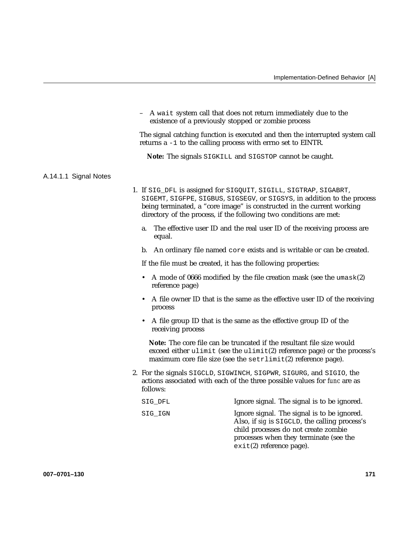– A wait system call that does not return immediately due to the existence of a previously stopped or zombie process

The signal catching function is executed and then the interrupted system call returns a -1 to the calling process with errno set to EINTR.

**Note:** The signals SIGKILL and SIGSTOP cannot be caught.

#### A.14.1.1 Signal Notes

- 1. If SIG\_DFL is assigned for SIGQUIT, SIGILL, SIGTRAP, SIGABRT, SIGEMT, SIGFPE, SIGBUS, SIGSEGV, or SIGSYS, in addition to the process being terminated, a "core image" is constructed in the current working directory of the process, if the following two conditions are met:
	- a. The effective user ID and the real user ID of the receiving process are equal.
	- b. An ordinary file named core exists and is writable or can be created.

If the file must be created, it has the following properties:

- A mode of 0666 modified by the file creation mask (see the umask(2) reference page)
- A file owner ID that is the same as the effective user ID of the receiving process
- A file group ID that is the same as the effective group ID of the receiving process

**Note:** The core file can be truncated if the resultant file size would exceed either ulimit (see the ulimit(2) reference page) or the process's maximum core file size (see the setrlimit(2) reference page).

- 2. For the signals SIGCLD, SIGWINCH, SIGPWR, SIGURG, and SIGIO, the actions associated with each of the three possible values for *func* are as follows:
	- SIG\_DFL **Ignore signal.** The signal is to be ignored. SIG\_IGN Ignore signal. The signal is to be ignored. Also, if *sig* is SIGCLD, the calling process's child processes do not create zombie processes when they terminate (see the exit(2) reference page).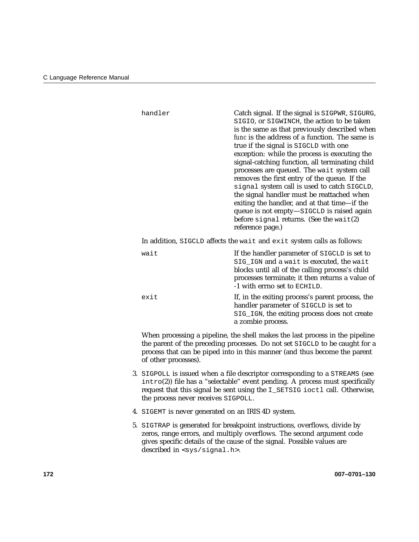| handler                                                                | Catch signal. If the signal is SIGPWR, SIGURG,<br>SIGIO, or SIGWINCH, the action to be taken<br>is the same as that previously described when<br>func is the address of a function. The same is<br>true if the signal is SIGCLD with one<br>exception: while the process is executing the<br>signal-catching function, all terminating child<br>processes are queued. The wait system call<br>removes the first entry of the queue. If the<br>signal system call is used to catch SIGCLD,<br>the signal handler must be reattached when<br>exiting the handler, and at that time-if the<br>queue is not empty-SIGCLD is raised again<br>before signal returns. (See the wait(2)<br>reference page.) |  |
|------------------------------------------------------------------------|-----------------------------------------------------------------------------------------------------------------------------------------------------------------------------------------------------------------------------------------------------------------------------------------------------------------------------------------------------------------------------------------------------------------------------------------------------------------------------------------------------------------------------------------------------------------------------------------------------------------------------------------------------------------------------------------------------|--|
| In addition, SIGCLD affects the wait and exit system calls as follows: |                                                                                                                                                                                                                                                                                                                                                                                                                                                                                                                                                                                                                                                                                                     |  |
| wait                                                                   | If the handler parameter of SIGCLD is set to<br>SIG_IGN and a wait is executed, the wait<br>blocks until all of the calling process's child<br>processes terminate; it then returns a value of<br>-1 with errno set to ECHILD.                                                                                                                                                                                                                                                                                                                                                                                                                                                                      |  |
| exit                                                                   | If, in the exiting process's parent process, the<br>handler parameter of SIGCLD is set to<br>SIG_IGN, the exiting process does not create<br>a zombie process.                                                                                                                                                                                                                                                                                                                                                                                                                                                                                                                                      |  |
| of other processes).                                                   | When processing a pipeline, the shell makes the last process in the pipeline<br>the parent of the preceding processes. Do not set SIGCLD to be caught for a<br>process that can be piped into in this manner (and thus become the parent                                                                                                                                                                                                                                                                                                                                                                                                                                                            |  |
|                                                                        |                                                                                                                                                                                                                                                                                                                                                                                                                                                                                                                                                                                                                                                                                                     |  |

- 3. SIGPOLL is issued when a file descriptor corresponding to a STREAMS (see intro(2)) file has a "selectable" event pending. A process must specifically request that this signal be sent using the I\_SETSIG ioctl call. Otherwise, the process never receives SIGPOLL.
- 4. SIGEMT is never generated on an IRIS 4D system.
- 5. SIGTRAP is generated for breakpoint instructions, overflows, divide by zeros, range errors, and multiply overflows. The second argument code gives specific details of the cause of the signal. Possible values are described in <sys/signal.h>.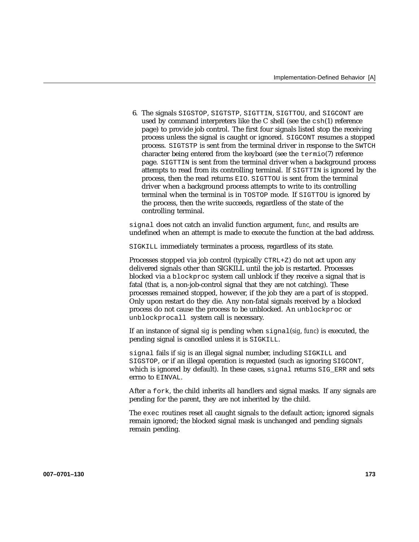6. The signals SIGSTOP, SIGTSTP, SIGTTIN, SIGTTOU, and SIGCONT are used by command interpreters like the C shell (see the csh(1) reference page) to provide job control. The first four signals listed stop the receiving process unless the signal is caught or ignored. SIGCONT resumes a stopped process. SIGTSTP is sent from the terminal driver in response to the SWTCH character being entered from the keyboard (see the termio(7) reference page. SIGTTIN is sent from the terminal driver when a background process attempts to read from its controlling terminal. If SIGTTIN is ignored by the process, then the read returns EIO. SIGTTOU is sent from the terminal driver when a background process attempts to write to its controlling terminal when the terminal is in TOSTOP mode. If SIGTTOU is ignored by the process, then the write succeeds, regardless of the state of the controlling terminal.

signal does not catch an invalid function argument, *func*, and results are undefined when an attempt is made to execute the function at the bad address.

SIGKILL immediately terminates a process, regardless of its state.

Processes stopped via job control (typically CTRL+Z) do not act upon any delivered signals other than SIGKILL until the job is restarted. Processes blocked via a blockproc system call unblock if they receive a signal that is fatal (that is, a non-job-control signal that they are not catching). These processes remained stopped, however, if the job they are a part of is stopped. Only upon restart do they die. Any non-fatal signals received by a blocked process do not cause the process to be unblocked. An unblockproc or unblockprocall system call is necessary.

If an instance of signal *sig* is pending when signal(*sig*, *func*) is executed, the pending signal is cancelled unless it is SIGKILL.

signal fails if *sig* is an illegal signal number, including SIGKILL and SIGSTOP, or if an illegal operation is requested (such as ignoring SIGCONT, which is ignored by default). In these cases, signal returns SIG\_ERR and sets errno to EINVAL.

After a fork, the child inherits all handlers and signal masks. If any signals are pending for the parent, they are not inherited by the child.

The exec routines reset all caught signals to the default action; ignored signals remain ignored; the blocked signal mask is unchanged and pending signals remain pending.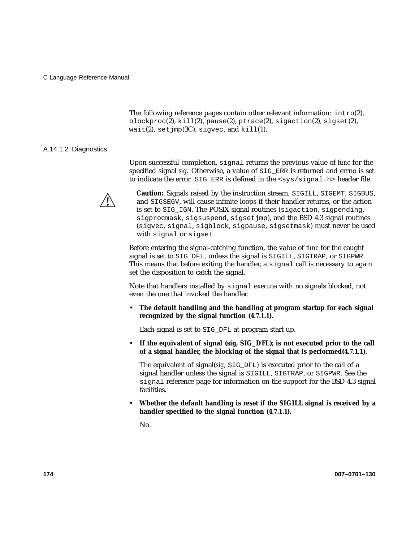The following reference pages contain other relevant information: intro(2), blockproc(2), kill(2), pause(2), ptrace(2), sigaction(2), sigset(2), wait(2), set  $\text{imp}(3C)$ , sigvec, and kill(1).

#### A.14.1.2 Diagnostics

Upon successful completion, signal returns the previous value of *func* for the specified signal *sig*. Otherwise, a value of SIG\_ERR is returned and errno is set to indicate the error. SIG\_ERR is defined in the <sys/signal.h> header file.



**Caution:** Signals raised by the instruction stream, SIGILL, SIGEMT, SIGBUS, and SIGSEGV, will cause infinite loops if their handler returns, or the action is set to SIG IGN. The POSIX signal routines (sigaction, sigpending, sigprocmask, sigsuspend, sigsetjmp), and the BSD 4.3 signal routines (sigvec, signal, sigblock, sigpause, sigsetmask) must never be used with signal or sigset.

Before entering the signal-catching function, the value of *func* for the caught signal is set to SIG\_DFL, unless the signal is SIGILL, SIGTRAP, or SIGPWR. This means that before exiting the handler, a signal call is necessary to again set the disposition to catch the signal.

Note that handlers installed by signal execute with no signals blocked, not even the one that invoked the handler.

• **The default handling and the handling at program startup for each signal recognized by the signal function (4.7.1.1).**

Each signal is set to SIG\_DFL at program start up.

• **If the equivalent of signal (sig, SIG\_DFL); is not executed prior to the call of a signal handler, the blocking of the signal that is performed(4.7.1.1).**

The equivalent of signal(*sig*, SIG\_DFL) is executed prior to the call of a signal handler unless the signal is SIGILL, SIGTRAP, or SIGPWR. See the signal reference page for information on the support for the BSD 4.3 signal facilities.

• **Whether the default handling is reset if the SIGILL signal is received by a handler specified to the signal function (4.7.1.1).**

No.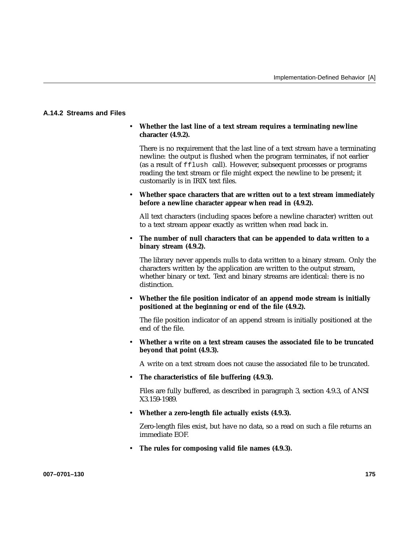# **A.14.2 Streams and Files**

#### • **Whether the last line of a text stream requires a terminating newline character (4.9.2).**

There is no requirement that the last line of a text stream have a terminating newline: the output is flushed when the program terminates, if not earlier (as a result of fflush call). However, subsequent processes or programs reading the text stream or file might expect the newline to be present; it customarily is in IRIX text files.

### • **Whether space characters that are written out to a text stream immediately before a newline character appear when read in (4.9.2).**

All text characters (including spaces before a newline character) written out to a text stream appear exactly as written when read back in.

### • **The number of null characters that can be appended to data written to a binary stream (4.9.2).**

The library never appends nulls to data written to a binary stream. Only the characters written by the application are written to the output stream, whether binary or text. Text and binary streams are identical: there is no distinction.

• **Whether the file position indicator of an append mode stream is initially positioned at the beginning or end of the file (4.9.2).**

The file position indicator of an append stream is initially positioned at the end of the file.

• **Whether a write on a text stream causes the associated file to be truncated beyond that point (4.9.3).**

A write on a text stream does not cause the associated file to be truncated.

• **The characteristics of file buffering (4.9.3).**

Files are fully buffered, as described in paragraph 3, section 4.9.3, of ANSI X3.159-1989.

• **Whether a zero-length file actually exists (4.9.3).**

Zero-length files exist, but have no data, so a read on such a file returns an immediate EOF.

• **The rules for composing valid file names (4.9.3).**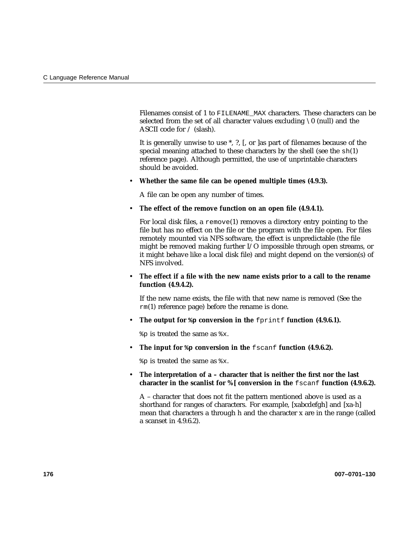Filenames consist of 1 to FILENAME\_MAX characters. These characters can be selected from the set of all character values excluding  $\setminus 0$  (null) and the ASCII code for / (slash).

It is generally unwise to use \*, ?, [, or ]as part of filenames because of the special meaning attached to these characters by the shell (see the sh(1) reference page). Although permitted, the use of unprintable characters should be avoided.

### • **Whether the same file can be opened multiple times (4.9.3).**

A file can be open any number of times.

• **The effect of the remove function on an open file (4.9.4.1).**

For local disk files, a  $r$ emove $(1)$  removes a directory entry pointing to the file but has no effect on the file or the program with the file open. For files remotely mounted via NFS software, the effect is unpredictable (the file might be removed making further I/O impossible through open streams, or it might behave like a local disk file) and might depend on the version(s) of NFS involved.

• **The effect if a file with the new name exists prior to a call to the rename function (4.9.4.2).**

If the new name exists, the file with that new name is removed (See the  $rm(1)$  reference page) before the rename is done.

• The output for  $\phi$  conversion in the fprintf function (4.9.6.1).

%p is treated the same as %x.

• **The input for %p conversion in the** fscanf **function (4.9.6.2).**

%p is treated the same as %x.

• **The interpretation of a – character that is neither the first nor the last character in the scanlist for %[ conversion in the** fscanf **function (4.9.6.2).**

A – character that does not fit the pattern mentioned above is used as a shorthand for ranges of characters. For example, [xabcdefgh] and [xa-h] mean that characters a through h and the character x are in the range (called a scanset in 4.9.6.2).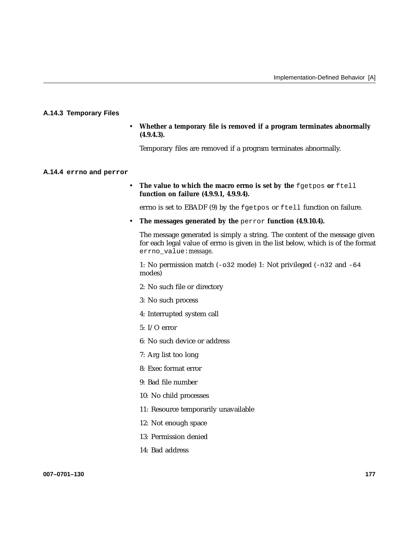# **A.14.3 Temporary Files**

• **Whether a temporary file is removed if a program terminates abnormally (4.9.4.3).**

Temporary files are removed if a program terminates abnormally.

#### **A.14.4 errno and perror**

• The value to which the macro errno is set by the fgetpos or ftell **function on failure (4.9.9.1, 4.9.9.4).**

errno is set to EBADF (9) by the fgetpos or ftell function on failure.

• **The messages generated by the** perror **function (4.9.10.4).**

The message generated is simply a string. The content of the message given for each legal value of errno is given in the list below, which is of the format errno\_value:*message*.

1: No permission match (-o32 mode) 1: Not privileged (-n32 and -64 modes)

- 2: No such file or directory
- 3: No such process
- 4: Interrupted system call
- 5: I/O error
- 6: No such device or address
- 7: Arg list too long
- 8: Exec format error
- 9: Bad file number
- 10: No child processes
- 11: Resource temporarily unavailable
- 12: Not enough space
- 13: Permission denied
- 14: Bad address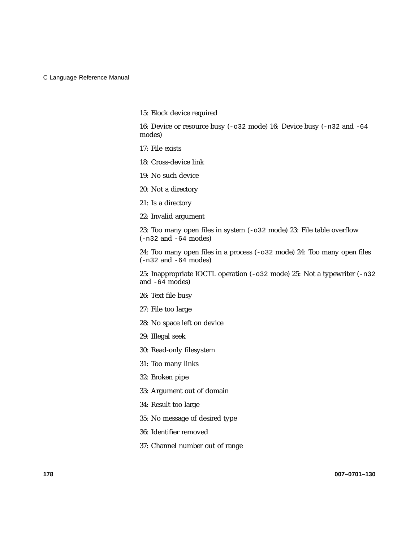15: Block device required

16: Device or resource busy (-o32 mode) 16: Device busy (-n32 and -64 modes)

- 17: File exists
- 18: Cross-device link
- 19: No such device
- 20: Not a directory
- 21: Is a directory
- 22: Invalid argument

23: Too many open files in system (-o32 mode) 23: File table overflow (-n32 and -64 modes)

24: Too many open files in a process (-o32 mode) 24: Too many open files (-n32 and -64 modes)

25: Inappropriate IOCTL operation (-o32 mode) 25: Not a typewriter (-n32 and -64 modes)

- 26: Text file busy
- 27: File too large
- 28: No space left on device
- 29: Illegal seek
- 30: Read-only filesystem
- 31: Too many links
- 32: Broken pipe
- 33: Argument out of domain
- 34: Result too large
- 35: No message of desired type
- 36: Identifier removed
- 37: Channel number out of range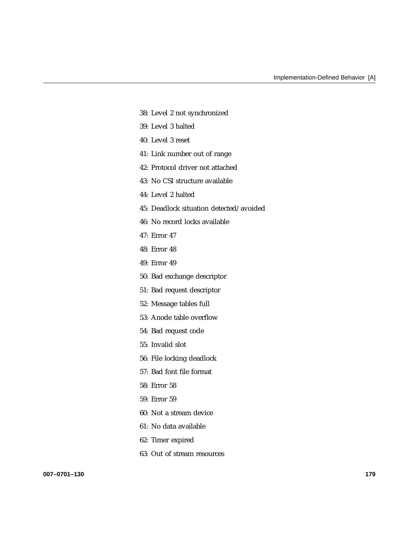- 38: Level 2 not synchronized
- 39: Level 3 halted
- 40: Level 3 reset
- 41: Link number out of range
- 42: Protocol driver not attached
- 43: No CSI structure available
- 44: Level 2 halted
- 45: Deadlock situation detected/avoided
- 46: No record locks available
- 47: Error 47
- 48: Error 48
- 49: Error 49
- 50: Bad exchange descriptor
- 51: Bad request descriptor
- 52: Message tables full
- 53: Anode table overflow
- 54: Bad request code
- 55: Invalid slot
- 56: File locking deadlock
- 57: Bad font file format
- 58: Error 58
- 59: Error 59
- 60: Not a stream device
- 61: No data available
- 62: Timer expired
- 63: Out of stream resources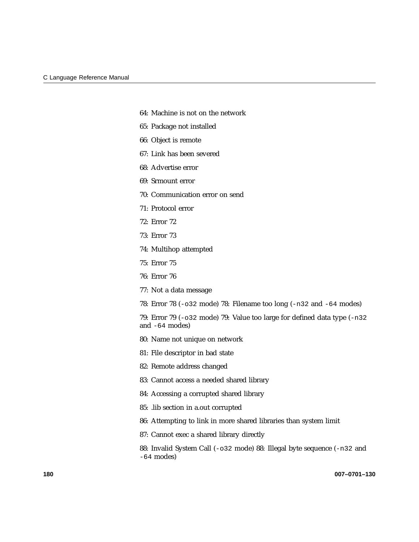- 64: Machine is not on the network
- 65: Package not installed
- 66: Object is remote
- 67: Link has been severed
- 68: Advertise error
- 69: Srmount error
- 70: Communication error on send
- 71: Protocol error
- 72: Error 72
- 73: Error 73
- 74: Multihop attempted
- 75: Error 75
- 76: Error 76
- 77: Not a data message
- 78: Error 78 (-o32 mode) 78: Filename too long (-n32 and -64 modes)
- 79: Error 79 (-o32 mode) 79: Value too large for defined data type (-n32 and -64 modes)
- 80: Name not unique on network
- 81: File descriptor in bad state
- 82: Remote address changed
- 83: Cannot access a needed shared library
- 84: Accessing a corrupted shared library
- 85: .lib section in a.out corrupted
- 86: Attempting to link in more shared libraries than system limit
- 87: Cannot exec a shared library directly
- 88: Invalid System Call (-o32 mode) 88: Illegal byte sequence (-n32 and -64 modes)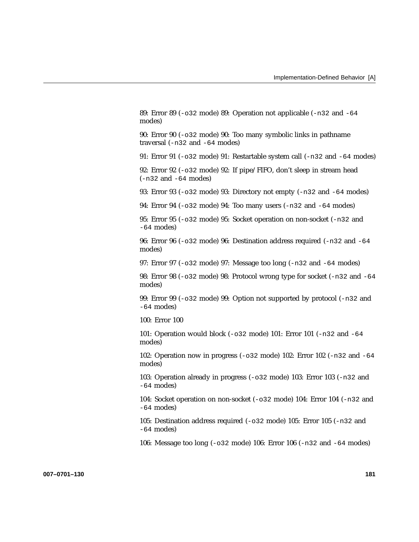89: Error 89 (-o32 mode) 89: Operation not applicable (-n32 and -64 modes) 90: Error 90 (-o32 mode) 90: Too many symbolic links in pathname traversal (-n32 and -64 modes) 91: Error 91 (-o32 mode) 91: Restartable system call (-n32 and -64 modes) 92: Error 92 (-o32 mode) 92: If pipe/FIFO, don't sleep in stream head (-n32 and -64 modes) 93: Error 93 (-o32 mode) 93: Directory not empty (-n32 and -64 modes) 94: Error 94 (-o32 mode) 94: Too many users (-n32 and -64 modes) 95: Error 95 (-o32 mode) 95: Socket operation on non-socket (-n32 and  $-64$  modes) 96: Error 96 (-o32 mode) 96: Destination address required (-n32 and -64 modes) 97: Error 97 (-o32 mode) 97: Message too long (-n32 and -64 modes) 98: Error 98 (-o32 mode) 98: Protocol wrong type for socket (-n32 and -64 modes) 99: Error 99 (-o32 mode) 99: Option not supported by protocol (-n32 and -64 modes) 100: Error 100 101: Operation would block (-o32 mode) 101: Error 101 (-n32 and -64 modes) 102: Operation now in progress  $(-0.32 \text{ mode})$  102: Error 102  $(-0.32 \text{ and } -64 \text{ cm})$ modes) 103: Operation already in progress (-o32 mode) 103: Error 103 (-n32 and  $-64$  modes) 104: Socket operation on non-socket (-o32 mode) 104: Error 104 (-n32 and -64 modes) 105: Destination address required (-o32 mode) 105: Error 105 (-n32 and -64 modes)

106: Message too long (-o32 mode) 106: Error 106 (-n32 and -64 modes)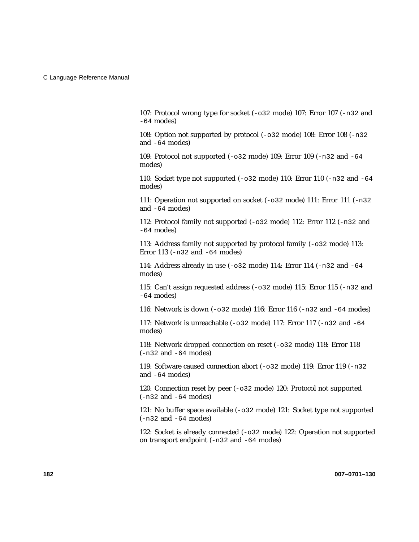107: Protocol wrong type for socket (-o32 mode) 107: Error 107 (-n32 and -64 modes)

108: Option not supported by protocol (-o32 mode) 108: Error 108 (-n32 and -64 modes)

109: Protocol not supported (-o32 mode) 109: Error 109 (-n32 and -64 modes)

110: Socket type not supported  $(-0.32 \text{ mode})$  110: Error 110  $(-0.32 \text{ and } -64 \text{ cm})$ modes)

111: Operation not supported on socket (-o32 mode) 111: Error 111 (-n32 and -64 modes)

112: Protocol family not supported (-o32 mode) 112: Error 112 (-n32 and -64 modes)

113: Address family not supported by protocol family (-o32 mode) 113: Error 113 (-n32 and -64 modes)

114: Address already in use (-o32 mode) 114: Error 114 (-n32 and -64 modes)

115: Can't assign requested address (-o32 mode) 115: Error 115 (-n32 and -64 modes)

116: Network is down (-o32 mode) 116: Error 116 (-n32 and -64 modes)

117: Network is unreachable (-o32 mode) 117: Error 117 (-n32 and -64 modes)

118: Network dropped connection on reset (-o32 mode) 118: Error 118 (-n32 and -64 modes)

119: Software caused connection abort (-o32 mode) 119: Error 119 (-n32 and -64 modes)

120: Connection reset by peer (-o32 mode) 120: Protocol not supported (-n32 and -64 modes)

121: No buffer space available (-o32 mode) 121: Socket type not supported (-n32 and -64 modes)

122: Socket is already connected (-o32 mode) 122: Operation not supported on transport endpoint (-n32 and -64 modes)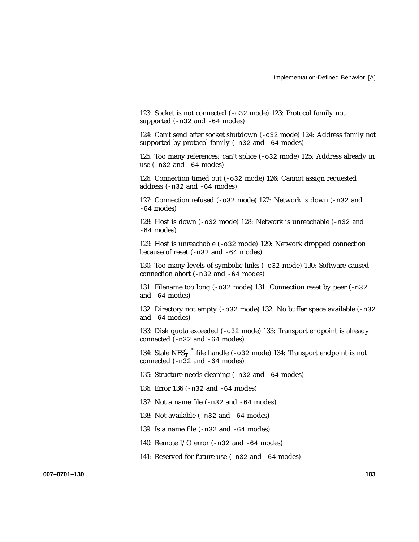123: Socket is not connected (-o32 mode) 123: Protocol family not supported (-n32 and -64 modes)

124: Can't send after socket shutdown (-o32 mode) 124: Address family not supported by protocol family (-n32 and -64 modes)

125: Too many references: can't splice (-o32 mode) 125: Address already in use  $(-n32$  and  $-64$  modes)

126: Connection timed out (-o32 mode) 126: Cannot assign requested address (-n32 and -64 modes)

127: Connection refused (-o32 mode) 127: Network is down (-n32 and -64 modes)

128: Host is down (-o32 mode) 128: Network is unreachable (-n32 and -64 modes)

129: Host is unreachable (-o32 mode) 129: Network dropped connection because of reset (-n32 and -64 modes)

130: Too many levels of symbolic links (-o32 mode) 130: Software caused connection abort (-n32 and -64 modes)

131: Filename too long  $(-0.32 \text{ mode})$  131: Connection reset by peer  $(-0.32 \text{ mo})$ and -64 modes)

132: Directory not empty (-o32 mode) 132: No buffer space available (-n32 and -64 modes)

133: Disk quota exceeded (-o32 mode) 133: Transport endpoint is already connected (-n32 and -64 modes)

134: Stale NFS $\frac{1}{4}$ <sup>®</sup> file handle (-032 mode) 134: Transport endpoint is not connected  $(-n32$  and  $-64$  modes)

135: Structure needs cleaning (-n32 and -64 modes)

136: Error 136 (-n32 and -64 modes)

137: Not a name file (-n32 and -64 modes)

138: Not available (-n32 and -64 modes)

139: Is a name file (-n32 and -64 modes)

140: Remote I/O error (-n32 and -64 modes)

141: Reserved for future use (-n32 and -64 modes)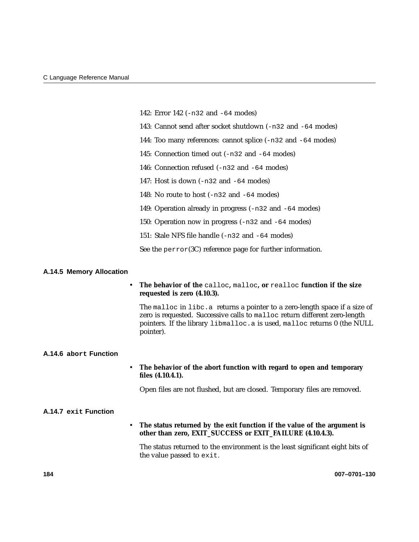|                          | 142: Error 142 (-n32 and -64 modes)                                                                                                                                                                                                                |              |
|--------------------------|----------------------------------------------------------------------------------------------------------------------------------------------------------------------------------------------------------------------------------------------------|--------------|
|                          | 143: Cannot send after socket shutdown (-n32 and -64 modes)                                                                                                                                                                                        |              |
|                          | 144: Too many references: cannot splice (-n32 and -64 modes)                                                                                                                                                                                       |              |
|                          | 145: Connection timed out (-n32 and -64 modes)                                                                                                                                                                                                     |              |
|                          | 146: Connection refused (-n32 and -64 modes)                                                                                                                                                                                                       |              |
|                          | 147: Host is down $(-n32$ and $-64$ modes)                                                                                                                                                                                                         |              |
|                          | 148: No route to host $(-n32$ and $-64$ modes)                                                                                                                                                                                                     |              |
|                          | 149: Operation already in progress (-n32 and -64 modes)                                                                                                                                                                                            |              |
|                          | 150: Operation now in progress (-n32 and -64 modes)                                                                                                                                                                                                |              |
|                          | 151: Stale NFS file handle (-n32 and -64 modes)                                                                                                                                                                                                    |              |
|                          | See the $\text{perror}(3C)$ reference page for further information.                                                                                                                                                                                |              |
| A.14.5 Memory Allocation |                                                                                                                                                                                                                                                    |              |
|                          | The behavior of the calloc, malloc, or realloc function if the size<br>requested is zero (4.10.3).                                                                                                                                                 |              |
|                          | The malloc in libc. a returns a pointer to a zero-length space if a size of<br>zero is requested. Successive calls to malloc return different zero-length<br>pointers. If the library libmalloc.a is used, malloc returns 0 (the NULL<br>pointer). |              |
| A.14.6 abort Function    |                                                                                                                                                                                                                                                    |              |
|                          | The behavior of the abort function with regard to open and temporary<br>files (4.10.4.1).                                                                                                                                                          |              |
|                          | Open files are not flushed, but are closed. Temporary files are removed.                                                                                                                                                                           |              |
| A.14.7 exit Function     |                                                                                                                                                                                                                                                    |              |
|                          | The status returned by the exit function if the value of the argument is<br>other than zero, EXIT_SUCCESS or EXIT_FAILURE (4.10.4.3).                                                                                                              |              |
|                          | The status returned to the environment is the least significant eight bits of<br>the value passed to exit.                                                                                                                                         |              |
| 184                      |                                                                                                                                                                                                                                                    | 007-0701-130 |
|                          |                                                                                                                                                                                                                                                    |              |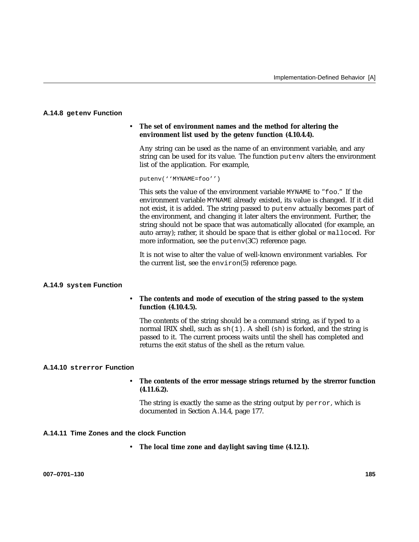#### **A.14.8 getenv Function**

#### • **The set of environment names and the method for altering the environment list used by the getenv function (4.10.4.4).**

Any string can be used as the name of an environment variable, and any string can be used for its value. The function putenv alters the environment list of the application. For example,

putenv(''MYNAME=foo'')

This sets the value of the environment variable MYNAME to "foo." If the environment variable MYNAME already existed, its value is changed. If it did not exist, it is added. The string passed to putenv actually becomes part of the environment, and changing it later alters the environment. Further, the string should not be space that was automatically allocated (for example, an auto array); rather, it should be space that is either global or malloced. For more information, see the putenv(3C) reference page.

It is not wise to alter the value of well-known environment variables. For the current list, see the environ(5) reference page.

#### **A.14.9 system Function**

### • **The contents and mode of execution of the string passed to the system function (4.10.4.5).**

The contents of the string should be a command string, as if typed to a normal IRIX shell, such as  $\text{sh}(1)$ . A shell (sh) is forked, and the string is passed to it. The current process waits until the shell has completed and returns the exit status of the shell as the return value.

#### **A.14.10 strerror Function**

#### • **The contents of the error message strings returned by the strerror function (4.11.6.2).**

The string is exactly the same as the string output by perror, which is documented in Section A.14.4, page 177.

### **A.14.11 Time Zones and the clock Function**

• **The local time zone and daylight saving time (4.12.1).**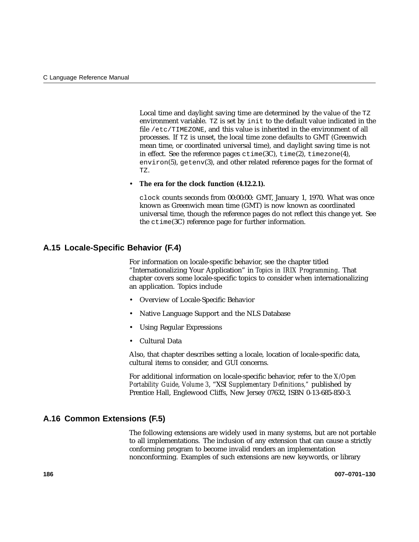Local time and daylight saving time are determined by the value of the TZ environment variable. TZ is set by init to the default value indicated in the file /etc/TIMEZONE, and this value is inherited in the environment of all processes. If TZ is unset, the local time zone defaults to GMT (Greenwich mean time, or coordinated universal time), and daylight saving time is not in effect. See the reference pages  $ctime(3C)$ ,  $time(2)$ ,  $timezone(4)$ , environ(5), getenv(3), and other related reference pages for the format of TZ.

#### • **The era for the clock function (4.12.2.1).**

clock counts seconds from 00:00:00: GMT, January 1, 1970. What was once known as Greenwich mean time (GMT) is now known as coordinated universal time, though the reference pages do not reflect this change yet. See the ctime(3C) reference page for further information.

# **A.15 Locale-Specific Behavior (F.4)**

For information on locale-specific behavior, see the chapter titled "Internationalizing Your Application" in *Topics in IRIX Programming*. That chapter covers some locale-specific topics to consider when internationalizing an application. Topics include

- Overview of Locale-Specific Behavior
- Native Language Support and the NLS Database
- Using Regular Expressions
- Cultural Data

Also, that chapter describes setting a locale, location of locale-specific data, cultural items to consider, and GUI concerns.

For additional information on locale-specific behavior, refer to the *X/Open Portability Guide*, *Volume 3*, "XSI *Supplementary Definitions,"* published by Prentice Hall, Englewood Cliffs, New Jersey 07632, ISBN 0-13-685-850-3.

# **A.16 Common Extensions (F.5)**

The following extensions are widely used in many systems, but are not portable to all implementations. The inclusion of any extension that can cause a strictly conforming program to become invalid renders an implementation nonconforming. Examples of such extensions are new keywords, or library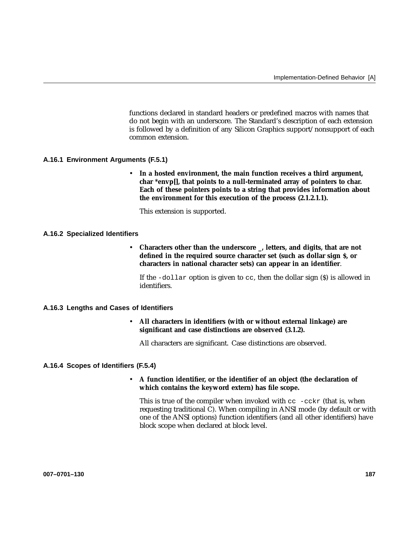functions declared in standard headers or predefined macros with names that do not begin with an underscore. The Standard's description of each extension is followed by a definition of any Silicon Graphics support/nonsupport of each common extension.

### **A.16.1 Environment Arguments (F.5.1)**

• **In a hosted environment, the main function receives a third argument, char \*envp[], that points to a null-terminated array of pointers to char. Each of these pointers points to a string that provides information about the environment for this execution of the process (2.1.2.1.1).**

This extension is supported.

#### **A.16.2 Specialized Identifiers**

• **Characters other than the underscore \_, letters, and digits, that are not defined in the required source character set (such as dollar sign \$, or characters in national character sets) can appear in an identifier**.

If the -dollar option is given to cc, then the dollar sign (\$) is allowed in identifiers.

# **A.16.3 Lengths and Cases of Identifiers**

• **All characters in identifiers (with or without external linkage) are significant and case distinctions are observed (3.1.2).**

All characters are significant. Case distinctions are observed.

#### **A.16.4 Scopes of Identifiers (F.5.4)**

### • **A function identifier, or the identifier of an object (the declaration of which contains the keyword extern) has file scope.**

This is true of the compiler when invoked with  $cc -cckr$  (that is, when requesting traditional C). When compiling in ANSI mode (by default or with one of the ANSI options) function identifiers (and all other identifiers) have block scope when declared at block level.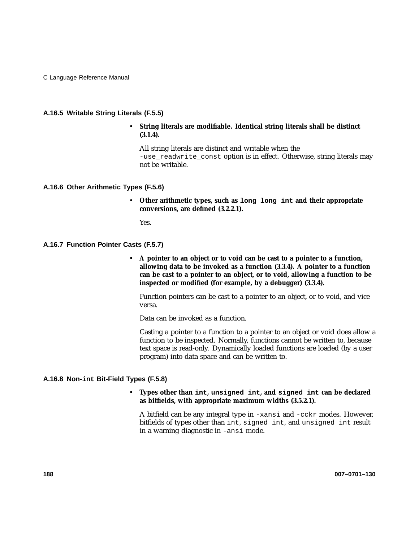### **A.16.5 Writable String Literals (F.5.5)**

• **String literals are modifiable. Identical string literals shall be distinct (3.1.4).**

All string literals are distinct and writable when the -use\_readwrite\_const option is in effect. Otherwise, string literals may not be writable.

#### **A.16.6 Other Arithmetic Types (F.5.6)**

• **Other arithmetic types, such as long long int and their appropriate conversions, are defined (3.2.2.1).**

Yes.

#### **A.16.7 Function Pointer Casts (F.5.7)**

• **A pointer to an object or to void can be cast to a pointer to a function, allowing data to be invoked as a function (3.3.4). A pointer to a function can be cast to a pointer to an object, or to void, allowing a function to be inspected or modified (for example, by a debugger) (3.3.4).**

Function pointers can be cast to a pointer to an object, or to void, and vice versa.

Data can be invoked as a function.

Casting a pointer to a function to a pointer to an object or void does allow a function to be inspected. Normally, functions cannot be written to, because text space is read-only. Dynamically loaded functions are loaded (by a user program) into data space and can be written to.

#### **A.16.8 Non-int Bit-Field Types (F.5.8)**

## • **Types other than int, unsigned int, and signed int can be declared as bitfields, with appropriate maximum widths (3.5.2.1).**

A bitfield can be any integral type in -xansi and -cckr modes. However, bitfields of types other than int, signed int, and unsigned int result in a warning diagnostic in -ansi mode.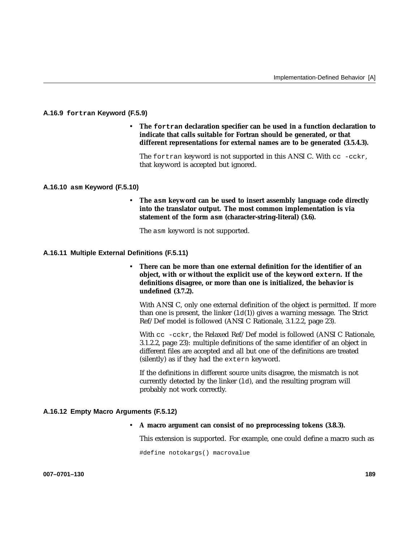### **A.16.9 fortran Keyword (F.5.9)**

• **The fortran declaration specifier can be used in a function declaration to indicate that calls suitable for Fortran should be generated, or that different representations for external names are to be generated (3.5.4.3).**

The fortran keyword is not supported in this ANSI C. With cc -cckr, that keyword is accepted but ignored.

#### **A.16.10 asm Keyword (F.5.10)**

• **The asm keyword can be used to insert assembly language code directly into the translator output. The most common implementation is via statement of the form asm (character-string-literal) (3.6).**

The asm keyword is not supported.

#### **A.16.11 Multiple External Definitions (F.5.11)**

• **There can be more than one external definition for the identifier of an object, with or without the explicit use of the keyword extern. If the definitions disagree, or more than one is initialized, the behavior is undefined (3.7.2).**

With ANSI C, only one external definition of the object is permitted. If more than one is present, the linker  $(\text{Id}(1))$  gives a warning message. The Strict Ref/Def model is followed (ANSI C Rationale, 3.1.2.2, page 23).

With cc -cckr, the Relaxed Ref/Def model is followed (ANSI C Rationale, 3.1.2.2, page 23): multiple definitions of the same identifier of an object in different files are accepted and all but one of the definitions are treated (silently) as if they had the extern keyword.

If the definitions in different source units disagree, the mismatch is not currently detected by the linker  $(1d)$ , and the resulting program will probably not work correctly.

### **A.16.12 Empty Macro Arguments (F.5.12)**

# • **A macro argument can consist of no preprocessing tokens (3.8.3).**

This extension is supported. For example, one could define a macro such as

#define notokargs() macrovalue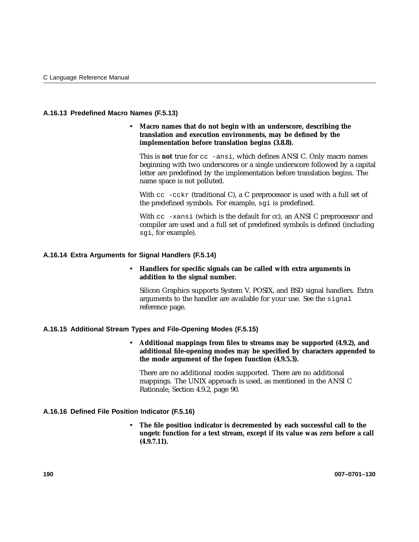### **A.16.13 Predefined Macro Names (F.5.13)**

### • **Macro names that do not begin with an underscore, describing the translation and execution environments, may be defined by the implementation before translation begins (3.8.8).**

This is **not** true for cc -ansi, which defines ANSI C. Only macro names beginning with two underscores or a single underscore followed by a capital letter are predefined by the implementation before translation begins. The name space is not polluted.

With  $cc$  -cckr (traditional C), a C preprocessor is used with a full set of the predefined symbols. For example, sgi is predefined.

With cc -xansi (which is the default for cc), an ANSI C preprocessor and compiler are used and a full set of predefined symbols is defined (including sgi, for example).

### **A.16.14 Extra Arguments for Signal Handlers (F.5.14)**

### • **Handlers for specific signals can be called with extra arguments in addition to the signal number.**

Silicon Graphics supports System V, POSIX, and BSD signal handlers. Extra arguments to the handler are available for your use. See the signal reference page.

### **A.16.15 Additional Stream Types and File-Opening Modes (F.5.15)**

• **Additional mappings from files to streams may be supported (4.9.2), and additional file-opening modes may be specified by characters appended to the mode argument of the fopen function (4.9.5.3).**

There are no additional modes supported. There are no additional mappings. The UNIX approach is used, as mentioned in the ANSI C Rationale, Section 4.9.2, page 90.

### **A.16.16 Defined File Position Indicator (F.5.16)**

• **The file position indicator is decremented by each successful call to the ungetc function for a text stream, except if its value was zero before a call (4.9.7.11).**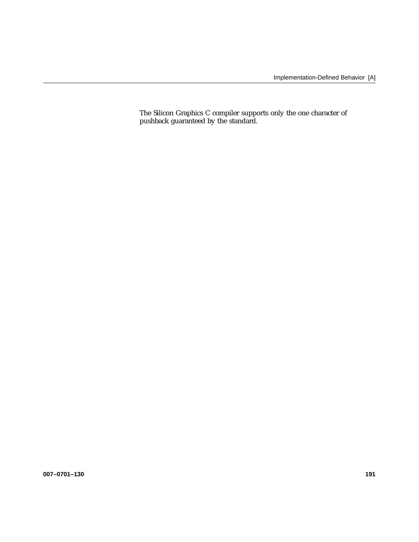The Silicon Graphics C compiler supports only the one character of pushback guaranteed by the standard.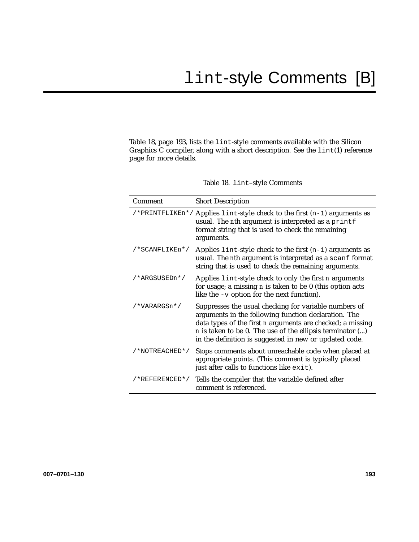Table 18, page 193, lists the lint-style comments available with the Silicon Graphics C compiler, along with a short description. See the lint(1) reference page for more details.

|  | Table 18. lint-style Comments |  |
|--|-------------------------------|--|
|--|-------------------------------|--|

| Comment        | <b>Short Description</b>                                                                                                                                                                                                                                                                                      |
|----------------|---------------------------------------------------------------------------------------------------------------------------------------------------------------------------------------------------------------------------------------------------------------------------------------------------------------|
|                | /*PRINTFLIKEn*/ Applies lint-style check to the first (n-1) arguments as<br>usual. The nth argument is interpreted as a printf<br>format string that is used to check the remaining<br>arguments.                                                                                                             |
| /*SCANFLIKEn*/ | Applies $\text{lint-style check}$ to the first $(n-1)$ arguments as<br>usual. The nth argument is interpreted as a scanf format<br>string that is used to check the remaining arguments.                                                                                                                      |
| /*ARGSUSEDn*/  | Applies lint-style check to only the first <i>n</i> arguments<br>for usage; a missing $n$ is taken to be 0 (this option acts<br>like the $-v$ option for the next function).                                                                                                                                  |
| /*VARARGSn*/   | Suppresses the usual checking for variable numbers of<br>arguments in the following function declaration. The<br>data types of the first <i>n</i> arguments are checked; a missing<br>$n$ is taken to be 0. The use of the ellipsis terminator $()$<br>in the definition is suggested in new or updated code. |
| /*NOTREACHED*/ | Stops comments about unreachable code when placed at<br>appropriate points. (This comment is typically placed<br>just after calls to functions like exit).                                                                                                                                                    |
| /*REFERENCED*/ | Tells the compiler that the variable defined after<br>comment is referenced.                                                                                                                                                                                                                                  |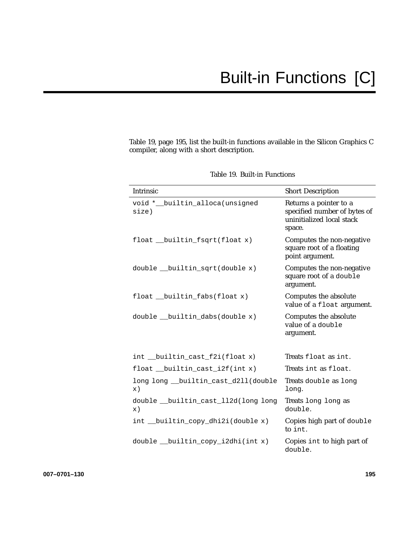Table 19, page 195, list the built-in functions available in the Silicon Graphics C compiler, along with a short description.

| Intrinsic                                             | <b>Short Description</b>                                                                      |
|-------------------------------------------------------|-----------------------------------------------------------------------------------------------|
| void *__builtin_alloca(unsigned<br>size)              | Returns a pointer to a<br>specified number of bytes of<br>uninitialized local stack<br>space. |
| float __builtin_fsqrt(float x)                        | Computes the non-negative<br>square root of a floating<br>point argument.                     |
| double builtin sqrt(double x)                         | Computes the non-negative<br>square root of a double<br>argument.                             |
| float __builtin_fabs(float x)                         | Computes the absolute<br>value of a float argument.                                           |
| double __builtin_dabs(double x)                       | Computes the absolute<br>value of a double<br>argument.                                       |
| int __builtin_cast_f2i(float x)                       | Treats float as int.                                                                          |
| float __builtin_cast_i2f(int x)                       | Treats int as float.                                                                          |
| long long __builtin_cast_d2ll(double<br>$\mathbf x$ ) | Treats double as long<br>long.                                                                |
| double __builtin_cast_ll2d(long long<br>$\mathbf x$ ) | Treats long long as<br>double.                                                                |
| int __builtin_copy_dhi2i(double x)                    | Copies high part of double<br>to int.                                                         |
| double __builtin_copy_i2dhi(int x)                    | Copies int to high part of<br>double.                                                         |

| Table 19. Built-in Functions |  |
|------------------------------|--|
|------------------------------|--|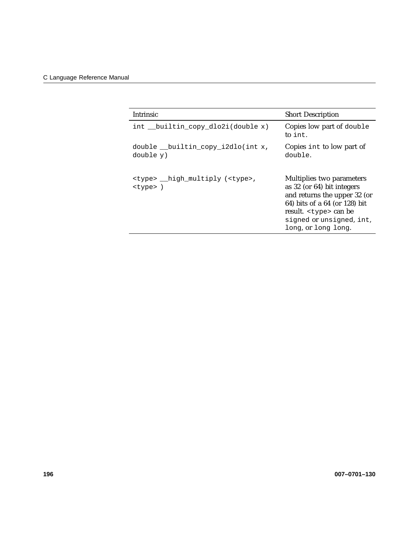| <b>Intrinsic</b>                                                 | <b>Short Description</b>                                                                                                                                                                                      |
|------------------------------------------------------------------|---------------------------------------------------------------------------------------------------------------------------------------------------------------------------------------------------------------|
| int builtin copy dlo2i(double x)                                 | Copies low part of double<br>to int.                                                                                                                                                                          |
| double builtin copy i2dlo(int x,<br>double y)                    | Copies int to low part of<br>double.                                                                                                                                                                          |
| <type> __high_multiply (<type>,<br/><type>)</type></type></type> | Multiplies two parameters<br>as 32 (or 64) bit integers<br>and returns the upper 32 (or<br>64) bits of a 64 (or 128) bit<br>result. <type> can be<br/>signed or unsigned, int.<br/>long, or long long.</type> |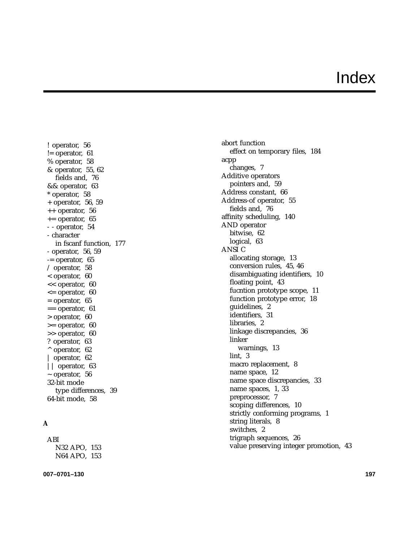# Index

! operator, 56  $!=$  operator, 61 % operator, 58 & operator, 55, 62 fields and, 76 && operator, 63 \* operator, 58 + operator, 56, 59 ++ operator, 56  $+=$  operator, 65 - - operator, 54 - character in fscanf function, 177 - operator, 56, 59 -= operator, 65 / operator, 58 < operator, 60 << operator, 60  $\epsilon$  = operator, 60  $=$  operator, 65  $==$  operator, 61 > operator, 60 >= operator, 60 >> operator, 60 ? operator, 63  $^{\wedge}$  operator, 62 | operator, 62 || operator, 63  $\sim$  operator, 56 32-bit mode type differences, 39 64-bit mode, 58

# **A**

ABI N32 APO, 153 N64 APO, 153

**007–0701–130 197**

abort function effect on temporary files, 184 acpp changes, 7 Additive operators pointers and, 59 Address constant, 66 Address-of operator, 55 fields and, 76 affinity scheduling, 140 AND operator bitwise, 62 logical, 63 ANSI C allocating storage, 13 conversion rules, 45, 46 disambiguating identifiers, 10 floating point, 43 fucntion prototype scope, 11 function prototype error, 18 guidelines, 2 identifiers, 31 libraries, 2 linkage discrepancies, 36 linker warnings, 13 lint, 3 macro replacement, 8 name space, 12 name space discrepancies, 33 name spaces, 1, 33 preprocessor, 7 scoping differences, 10 strictly conforming programs, 1 string literals, 8 switches, 2 trigraph sequences, 26 value preserving integer promotion, 43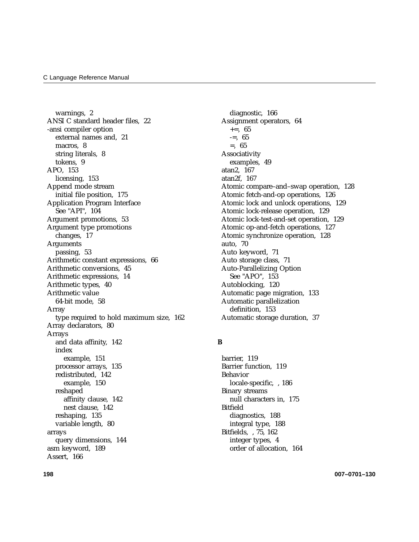warnings, 2 ANSI C standard header files, 22 -ansi compiler option external names and, 21 macros, 8 string literals, 8 tokens, 9 APO, 153 licensing, 153 Append mode stream initial file position, 175 Application Program Interface See "API", 104 Argument promotions, 53 Argument type promotions changes, 17 Arguments passing, 53 Arithmetic constant expressions, 66 Arithmetic conversions, 45 Arithmetic expressions, 14 Arithmetic types, 40 Arithmetic value 64-bit mode, 58 Array type required to hold maximum size, 162 Array declarators, 80 Arrays and data affinity, 142 index example, 151 processor arrays, 135 redistributed, 142 example, 150 reshaped affinity clause, 142 nest clause, 142 reshaping, 135 variable length, 80 arrays query dimensions, 144 asm keyword, 189 Assert, 166

diagnostic, 166 Assignment operators, 64  $+=, 65$  $=-5.65$ =, 65 Associativity examples, 49 atan2, 167 atan2f, 167 Atomic compare–and–swap operation, 128 Atomic fetch-and-op operations, 126 Atomic lock and unlock operations, 129 Atomic lock-release operation, 129 Atomic lock-test-and-set operation, 129 Atomic op-and-fetch operations, 127 Atomic synchronize operation, 128 auto, 70 Auto keyword, 71 Auto storage class, 71 Auto-Parallelizing Option See "APO", 153 Autoblocking, 120 Automatic page migration, 133 Automatic parallelization definition, 153 Automatic storage duration, 37

#### **B**

barrier, 119 Barrier function, 119 Behavior locale-specific, , 186 Binary streams null characters in, 175 Bitfield diagnostics, 188 integral type, 188 Bitfields, , 75, 162 integer types, 4 order of allocation, 164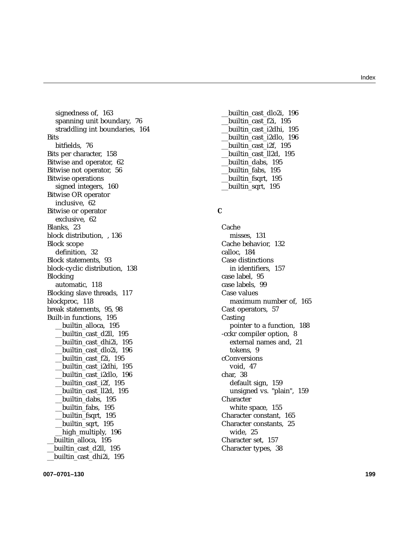signedness of, 163 spanning unit boundary, 76 straddling int boundaries, 164 **Bits** bitfields, 76 Bits per character, 158 Bitwise and operator, 62 Bitwise not operator, 56 Bitwise operations signed integers, 160 Bitwise OR operator inclusive, 62 Bitwise or operator exclusive, 62 Blanks, 23 block distribution, , 136 Block scope definition, 32 Block statements, 93 block-cyclic distribution, 138 Blocking automatic, 118 Blocking slave threads, 117 blockproc, 118 break statements, 95, 98 Built-in functions, 195 \_\_builtin\_alloca, 195 \_\_builtin\_cast\_d2ll, 195 \_\_builtin\_cast\_dhi2i, 195 \_\_builtin\_cast\_dlo2i, 196 \_\_builtin\_cast\_f2i, 195 \_\_builtin\_cast\_i2dhi, 195 \_\_builtin\_cast\_i2dlo, 196 \_\_builtin\_cast\_i2f, 195 \_\_builtin\_cast\_ll2d, 195 \_\_builtin\_dabs, 195 \_\_builtin\_fabs, 195 \_\_builtin\_fsqrt, 195 \_\_builtin\_sqrt, 195 high\_multiply, 196 \_\_builtin\_alloca, 195 \_\_builtin\_cast\_d2ll, 195 \_\_builtin\_cast\_dhi2i, 195

\_\_builtin\_cast\_dlo2i, 196 \_\_builtin\_cast\_f2i, 195 \_\_builtin\_cast\_i2dhi, 195 \_\_builtin\_cast\_i2dlo, 196 \_\_builtin\_cast\_i2f, 195 \_\_builtin\_cast\_ll2d, 195 \_\_builtin\_dabs, 195 \_\_builtin\_fabs, 195 builtin fsqrt, 195 \_\_builtin\_sqrt, 195

### **C**

Cache misses, 131 Cache behavior, 132 calloc, 184 Case distinctions in identifiers, 157 case label, 95 case labels, 99 Case values maximum number of, 165 Cast operators, 57 Casting pointer to a function, 188 -cckr compiler option, 8 external names and, 21 tokens, 9 cConversions void, 47 char, 38 default sign, 159 unsigned vs. "plain", 159 **Character** white space, 155 Character constant, 165 Character constants, 25 wide, 25 Character set, 157 Character types, 38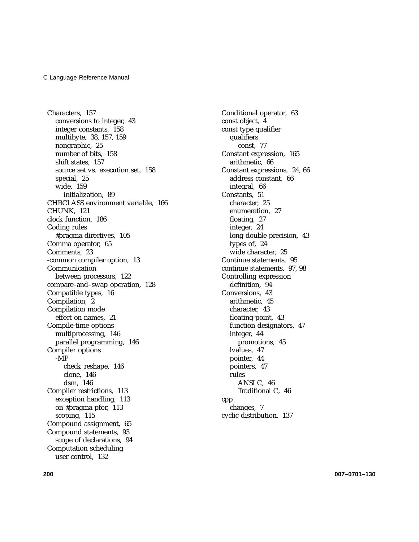Characters, 157 conversions to integer, 43 integer constants, 158 multibyte, 38, 157, 159 nongraphic, 25 number of bits, 158 shift states, 157 source set vs. execution set, 158 special, 25 wide, 159 initialization, 89 CHRCLASS environment variable, 166 CHUNK, 121 clock function, 186 Coding rules #pragma directives, 105 Comma operator, 65 Comments, 23 -common compiler option, 13 Communication between processors, 122 compare–and–swap operation, 128 Compatible types, 16 Compilation, 2 Compilation mode effect on names, 21 Compile-time options multiprocessing, 146 parallel programming, 146 Compiler options -MP check\_reshape, 146 clone, 146 dsm, 146 Compiler restrictions, 113 exception handling, 113 on #pragma pfor, 113 scoping, 115 Compound assignment, 65 Compound statements, 93 scope of declarations, 94 Computation scheduling user control, 132

Conditional operator, 63 const object, 4 const type qualifier qualifiers const, 77 Constant expression, 165 arithmetic, 66 Constant expressions, 24, 66 address constant, 66 integral, 66 Constants, 51 character, 25 enumeration, 27 floating, 27 integer, 24 long double precision, 43 types of, 24 wide character, 25 Continue statements, 95 continue statements, 97, 98 Controlling expression definition, 94 Conversions, 43 arithmetic, 45 character, 43 floating-point, 43 function designators, 47 integer, 44 promotions, 45 lvalues, 47 pointer, 44 pointers, 47 rules ANSI C, 46 Traditional C, 46 cpp changes, 7 cyclic distribution, 137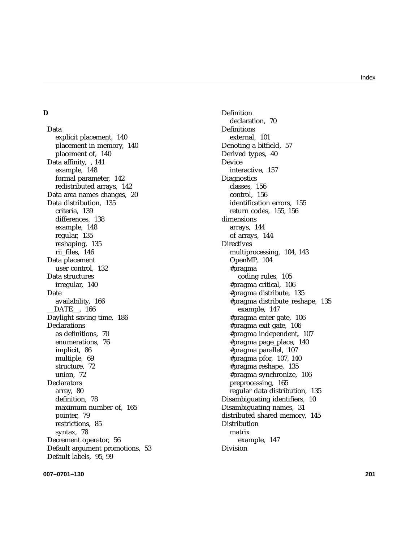#### Index

# **D**

Data explicit placement, 140 placement in memory, 140 placement of, 140 Data affinity, , 141 example, 148 formal parameter, 142 redistributed arrays, 142 Data area names changes, 20 Data distribution, 135 criteria, 139 differences, 138 example, 148 regular, 135 reshaping, 135 rii\_files, 146 Data placement user control, 132 Data structures irregular, 140 Date availability, 166 \_\_DATE\_\_, 166 Daylight saving time, 186 Declarations as definitions, 70 enumerations, 76 implicit, 86 multiple, 69 structure, 72 union, 72 **Declarators** array, 80 definition, 78 maximum number of, 165 pointer, 79 restrictions, 85 syntax, 78 Decrement operator, 56 Default argument promotions, 53 Default labels, 95, 99

Definition declaration, 70 Definitions external, 101 Denoting a bitfield, 57 Derived types, 40 Device interactive, 157 **Diagnostics** classes, 156 control, 156 identification errors, 155 return codes, 155, 156 dimensions arrays, 144 of arrays, 144 **Directives** multiprocessing, 104, 143 OpenMP, 104 #pragma coding rules, 105 #pragma critical, 106 #pragma distribute, 135 #pragma distribute\_reshape, 135 example, 147 #pragma enter gate, 106 #pragma exit gate, 106 #pragma independent, 107 #pragma page\_place, 140 #pragma parallel, 107 #pragma pfor, 107, 140 #pragma reshape, 135 #pragma synchronize, 106 preprocessing, 165 regular data distribution, 135 Disambiguating identifiers, 10 Disambiguating names, 31 distributed shared memory, 145 **Distribution** matrix example, 147 Division

**007–0701–130 201**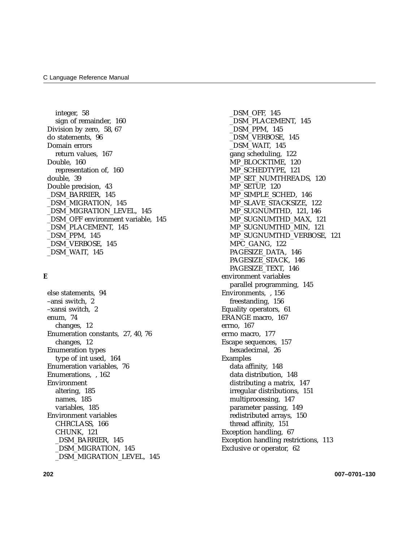integer, 58 sign of remainder, 160 Division by zero, 58, 67 do statements, 96 Domain errors return values, 167 Double, 160 representation of, 160 double, 39 Double precision, 43 \_DSM\_BARRIER, 145 \_DSM\_MIGRATION, 145 \_DSM\_MIGRATION\_LEVEL, 145 \_DSM\_OFF environment variable, 145 \_DSM\_PLACEMENT, 145 \_DSM\_PPM, 145 \_DSM\_VERBOSE, 145 \_DSM\_WAIT, 145

#### **E**

else statements, 94 –ansi switch, 2 –xansi switch, 2 enum, 74 changes, 12 Enumeration constants, 27, 40, 76 changes, 12 Enumeration types type of int used, 164 Enumeration variables, 76 Enumerations, , 162 Environment altering, 185 names, 185 variables, 185 Environment variables CHRCLASS, 166 CHUNK, 121 \_DSM\_BARRIER, 145 \_DSM\_MIGRATION, 145 \_DSM\_MIGRATION\_LEVEL, 145

\_DSM\_OFF, 145 \_DSM\_PLACEMENT, 145 \_DSM\_PPM, 145 \_DSM\_VERBOSE, 145 \_DSM\_WAIT, 145 gang scheduling, 122 MP\_BLOCKTIME, 120 MP\_SCHEDTYPE, 121 MP\_SET\_NUMTHREADS, 120 MP\_SETUP, 120 MP\_SIMPLE\_SCHED, 146 MP\_SLAVE\_STACKSIZE, 122 MP\_SUGNUMTHD, 121, 146 MP\_SUGNUMTHD\_MAX, 121 MP\_SUGNUMTHD\_MIN, 121 MP\_SUGNUMTHD\_VERBOSE, 121 MPC\_GANG, 122 PAGESIZE\_DATA, 146 PAGESIZE\_STACK, 146 PAGESIZE TEXT, 146 environment variables parallel programming, 145 Environments, , 156 freestanding, 156 Equality operators, 61 ERANGE macro, 167 errno, 167 errno macro, 177 Escape sequences, 157 hexadecimal, 26 Examples data affinity, 148 data distribution, 148 distributing a matrix, 147 irregular distributions, 151 multiprocessing, 147 parameter passing, 149 redistributed arrays, 150 thread affinity, 151 Exception handling, 67 Exception handling restrictions, 113 Exclusive or operator, 62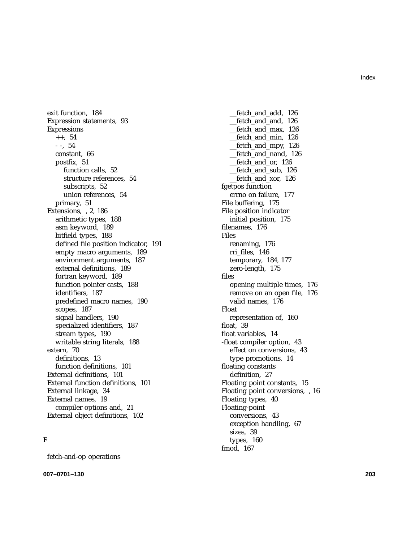exit function, 184 Expression statements, 93 Expressions  $++$ , 54 - -, 54 constant, 66 postfix, 51 function calls, 52 structure references, 54 subscripts, 52 union references, 54 primary, 51 Extensions, , 2, 186 arithmetic types, 188 asm keyword, 189 bitfield types, 188 defined file position indicator, 191 empty macro arguments, 189 environment arguments, 187 external definitions, 189 fortran keyword, 189 function pointer casts, 188 identifiers, 187 predefined macro names, 190 scopes, 187 signal handlers, 190 specialized identifiers, 187 stream types, 190 writable string literals, 188 extern, 70 definitions, 13 function definitions, 101 External definitions, 101 External function definitions, 101 External linkage, 34 External names, 19 compiler options and, 21 External object definitions, 102

#### **F**

fetch-and-op operations

**007–0701–130 203**

\_\_fetch\_and\_add, 126 \_\_fetch\_and\_and, 126 \_\_fetch\_and\_max, 126 \_\_fetch\_and\_min, 126 \_\_fetch\_and\_mpy, 126 \_\_fetch\_and\_nand, 126 \_\_fetch\_and\_or, 126 \_\_fetch\_and\_sub, 126 \_\_fetch\_and\_xor, 126 fgetpos function errno on failure, 177 File buffering, 175 File position indicator initial position, 175 filenames, 176 Files renaming, 176 rri\_files, 146 temporary, 184, 177 zero-length, 175 files opening multiple times, 176 remove on an open file, 176 valid names, 176 Float representation of, 160 float, 39 float variables, 14 -float compiler option, 43 effect on conversions, 43 type promotions, 14 floating constants definition, 27 Floating point constants, 15 Floating point conversions, , 16 Floating types, 40 Floating-point conversions, 43 exception handling, 67 sizes, 39 types, 160 fmod, 167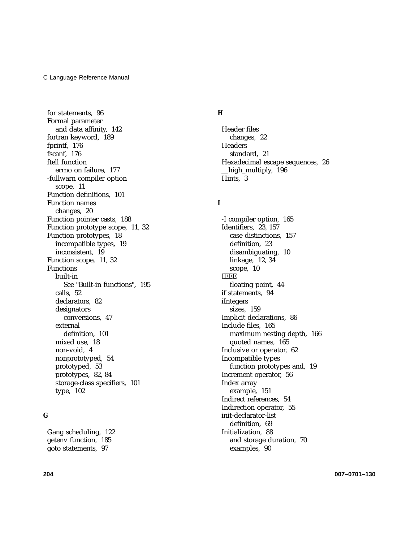for statements, 96 Formal parameter and data affinity, 142 fortran keyword, 189 fprintf, 176 fscanf, 176 ftell function errno on failure, 177 -fullwarn compiler option scope, 11 Function definitions, 101 Function names changes, 20 Function pointer casts, 188 Function prototype scope, 11, 32 Function prototypes, 18 incompatible types, 19 inconsistent, 19 Function scope, 11, 32 Functions built-in See "Built-in functions", 195 calls, 52 declarators, 82 designators conversions, 47 external definition, 101 mixed use, 18 non-void, 4 nonprototyped, 54 prototyped, 53 prototypes, 82, 84 storage-class specifiers, 101 type, 102

#### **G**

Gang scheduling, 122 getenv function, 185 goto statements, 97

#### **H**

Header files changes, 22 **Headers** standard, 21 Hexadecimal escape sequences, 26 high multiply, 196 Hints, 3

### **I**

-I compiler option, 165 Identifiers, 23, 157 case distinctions, 157 definition, 23 disambiguating, 10 linkage, 12, 34 scope, 10 IEEE floating point, 44 if statements, 94 iIntegers sizes, 159 Implicit declarations, 86 Include files, 165 maximum nesting depth, 166 quoted names, 165 Inclusive or operator, 62 Incompatible types function prototypes and, 19 Increment operator, 56 Index array example, 151 Indirect references, 54 Indirection operator, 55 init-declarator-list definition, 69 Initialization, 88 and storage duration, 70 examples, 90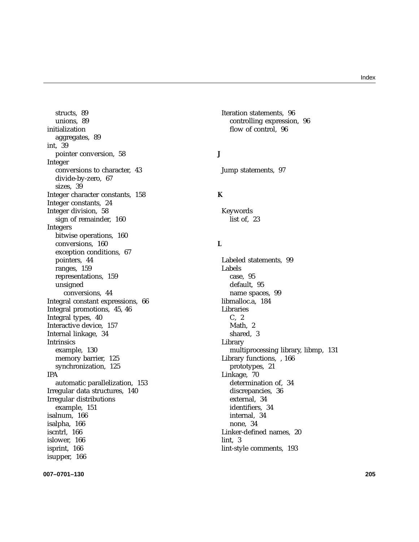structs, 89 unions, 89 initialization aggregates, 89 int, 39 pointer conversion, 58 Integer conversions to character, 43 divide-by-zero, 67 sizes, 39 Integer character constants, 158 Integer constants, 24 Integer division, 58 sign of remainder, 160 Integers bitwise operations, 160 conversions, 160 exception conditions, 67 pointers, 44 ranges, 159 representations, 159 unsigned conversions, 44 Integral constant expressions, 66 Integral promotions, 45, 46 Integral types, 40 Interactive device, 157 Internal linkage, 34 Intrinsics example, 130 memory barrier, 125 synchronization, 125 IPA automatic parallelization, 153 Irregular data structures, 140 Irregular distributions example, 151 isalnum, 166 isalpha, 166 iscntrl, 166 islower, 166 isprint, 166 isupper, 166

Iteration statements, 96 controlling expression, 96 flow of control, 96

#### **J**

Jump statements, 97

#### **K**

Keywords list of, 23

#### **L**

Labeled statements, 99 Labels case, 95 default, 95 name spaces, 99 libmalloc.a, 184 Libraries C, 2 Math, 2 shared, 3 Library multiprocessing library, libmp, 131 Library functions, , 166 prototypes, 21 Linkage, 70 determination of, 34 discrepancies, 36 external, 34 identifiers, 34 internal, 34 none, 34 Linker-defined names, 20 lint, 3 lint-style comments, 193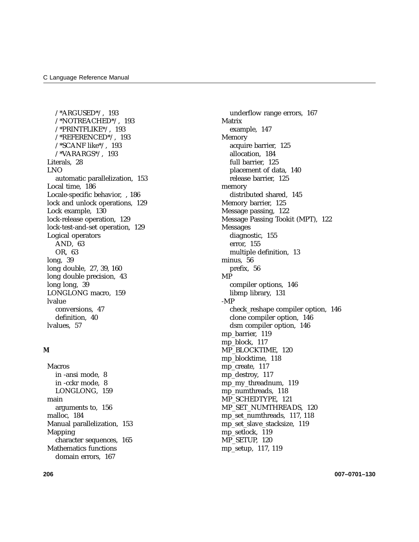/\*ARGUSED\*/, 193 /\*NOTREACHED\*/, 193 /\*PRINTFLIKE\*/, 193 /\*REFERENCED\*/, 193 /\*SCANF like\*/, 193 /\*VARARGS\*/, 193 Literals, 28 LNO automatic parallelization, 153 Local time, 186 Locale-specific behavior, , 186 lock and unlock operations, 129 Lock example, 130 lock-release operation, 129 lock-test-and-set operation, 129 Logical operators AND, 63 OR, 63 long, 39 long double, 27, 39, 160 long double precision, 43 long long, 39 LONGLONG macro, 159 lvalue conversions, 47 definition, 40 lvalues, 57

#### **M**

Macros in -ansi mode, 8 in -cckr mode, 8 LONGLONG, 159 main arguments to, 156 malloc, 184 Manual parallelization, 153 Mapping character sequences, 165 Mathematics functions domain errors, 167

underflow range errors, 167 Matrix example, 147 Memory acquire barrier, 125 allocation, 184 full barrier, 125 placement of data, 140 release barrier, 125 memory distributed shared, 145 Memory barrier, 125 Message passing, 122 Message Passing Tookit (MPT), 122 Messages diagnostic, 155 error, 155 multiple definition, 13 minus, 56 prefix, 56 MP compiler options, 146 libmp library, 131 -MP check\_reshape compiler option, 146 clone compiler option, 146 dsm compiler option, 146 mp\_barrier, 119 mp\_block, 117 MP\_BLOCKTIME, 120 mp\_blocktime, 118 mp\_create, 117 mp\_destroy, 117 mp\_my\_threadnum, 119 mp\_numthreads, 118 MP\_SCHEDTYPE, 121 MP\_SET\_NUMTHREADS, 120 mp\_set\_numthreads, 117, 118 mp\_set\_slave\_stacksize, 119 mp\_setlock, 119 MP\_SETUP, 120 mp\_setup, 117, 119

**206 007–0701–130**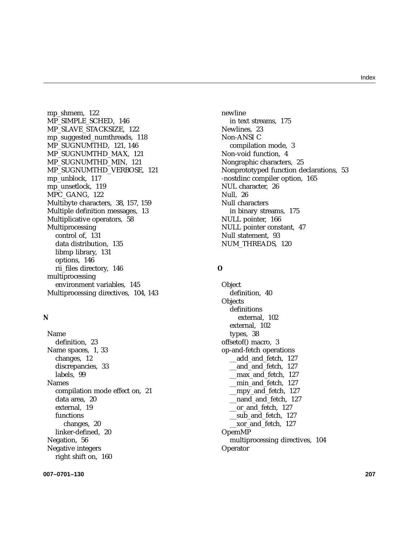mp\_shmem, 122 MP\_SIMPLE\_SCHED, 146 MP\_SLAVE\_STACKSIZE, 122 mp\_suggested\_numthreads, 118 MP\_SUGNUMTHD, 121, 146 MP\_SUGNUMTHD\_MAX, 121 MP\_SUGNUMTHD\_MIN, 121 MP\_SUGNUMTHD\_VERBOSE, 121 mp\_unblock, 117 mp\_unsetlock, 119 MPC\_GANG, 122 Multibyte characters, 38, 157, 159 Multiple definition messages, 13 Multiplicative operators, 58 Multiprocessing control of, 131 data distribution, 135 libmp library, 131 options, 146 rii\_files directory, 146 multiprocessing environment variables, 145 Multiprocessing directives, 104, 143

#### **N**

Name definition, 23 Name spaces, 1, 33 changes, 12 discrepancies, 33 labels, 99 Names compilation mode effect on, 21 data area, 20 external, 19 functions changes, 20 linker-defined, 20 Negation, 56 Negative integers right shift on, 160

newline in text streams, 175 Newlines, 23 Non-ANSI C compilation mode, 3 Non-void function, 4 Nongraphic characters, 25 Nonprototyped function declarations, 53 -nostdinc compiler option, 165 NUL character, 26 Null, 26 Null characters in binary streams, 175 NULL pointer, 166 NULL pointer constant, 47 Null statement, 93 NUM\_THREADS, 120

#### **O**

**Object** definition, 40 **Objects** definitions external, 102 external, 102 types, 38 offsetof() macro, 3 op-and-fetch operations \_\_add\_and\_fetch, 127 \_\_and\_and\_fetch, 127 \_\_max\_and\_fetch, 127 \_\_min\_and\_fetch, 127 \_\_mpy\_and\_fetch, 127 \_\_nand\_and\_fetch, 127 \_\_or\_and\_fetch, 127 \_\_sub\_and\_fetch, 127 \_\_xor\_and\_fetch, 127 OpemMP multiprocessing directives, 104 Operator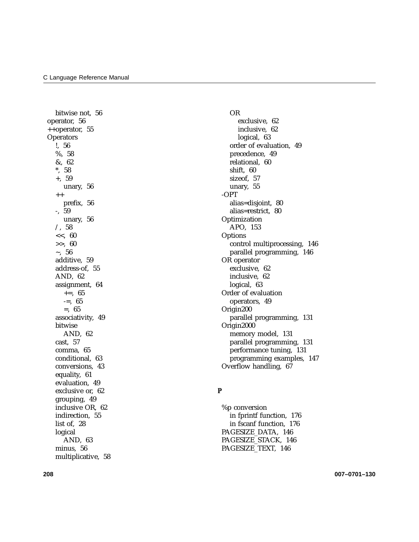bitwise not, 56 operator, 56 ++operator, 55 **Operators** !, 56 %, 58 &, 62 \*, 58 +, 59 unary, 56 ++ prefix, 56 -, 59 unary, 56  $/$ , 58 <<, 60 >>, 60  $\sim$ , 56 additive, 59 address-of, 55 AND, 62 assignment, 64  $+=, 65$  $=, 65$ =, 65 associativity, 49 bitwise AND, 62 cast, 57 comma, 65 conditional, 63 conversions, 43 equality, 61 evaluation, 49 exclusive or, 62 grouping, 49 inclusive OR, 62 indirection, 55 list of, 28 logical AND, 63 minus, 56 multiplicative, 58

OR exclusive, 62 inclusive, 62 logical, 63 order of evaluation, 49 precedence, 49 relational, 60 shift, 60 sizeof, 57 unary, 55 -OPT alias=disjoint, 80 alias=restrict, 80 Optimization APO, 153 **Options** control multiprocessing, 146 parallel programming, 146 OR operator exclusive, 62 inclusive, 62 logical, 63 Order of evaluation operators, 49 Origin200 parallel programming, 131 Origin2000 memory model, 131 parallel programming, 131 performance tuning, 131 programming examples, 147 Overflow handling, 67

#### **P**

%p conversion in fprintf function, 176 in fscanf function, 176 PAGESIZE\_DATA, 146 PAGESIZE\_STACK, 146 PAGESIZE\_TEXT, 146

**208 007–0701–130**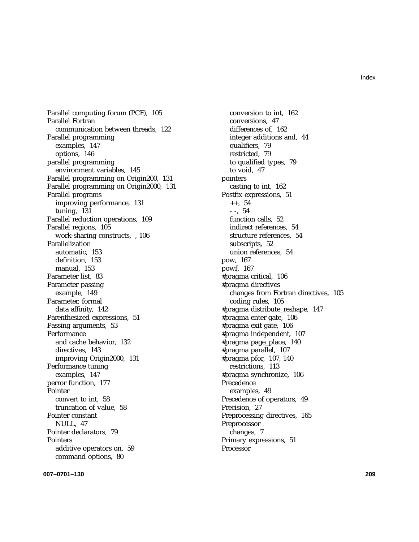Parallel computing forum (PCF), 105 Parallel Fortran communication between threads, 122 Parallel programming examples, 147 options, 146 parallel programming environment variables, 145 Parallel programming on Origin200, 131 Parallel programming on Origin2000, 131 Parallel programs improving performance, 131 tuning, 131 Parallel reduction operations, 109 Parallel regions, 105 work-sharing constructs, , 106 Parallelization automatic, 153 definition, 153 manual, 153 Parameter list, 83 Parameter passing example, 149 Parameter, formal data affinity, 142 Parenthesized expressions, 51 Passing arguments, 53 Performance and cache behavior, 132 directives, 143 improving Origin2000, 131 Performance tuning examples, 147 perror function, 177 Pointer convert to int, 58 truncation of value, 58 Pointer constant NULL, 47 Pointer declarators, 79 Pointers additive operators on, 59 command options, 80

conversion to int, 162 conversions, 47 differences of, 162 integer additions and, 44 qualifiers, 79 restricted, 79 to qualified types, 79 to void, 47 pointers casting to int, 162 Postfix expressions, 51  $++, 54$ - -, 54 function calls, 52 indirect references, 54 structure references, 54 subscripts, 52 union references, 54 pow, 167 powf, 167 #pragma critical, 106 #pragma directives changes from Fortran directives, 105 coding rules, 105 #pragma distribute\_reshape, 147 #pragma enter gate, 106 #pragma exit gate, 106 #pragma independent, 107 #pragma page\_place, 140 #pragma parallel, 107 #pragma pfor, 107, 140 restrictions, 113 #pragma synchronize, 106 Precedence examples, 49 Precedence of operators, 49 Precision, 27 Preprocessing directives, 165 Preprocessor changes, 7 Primary expressions, 51 Processor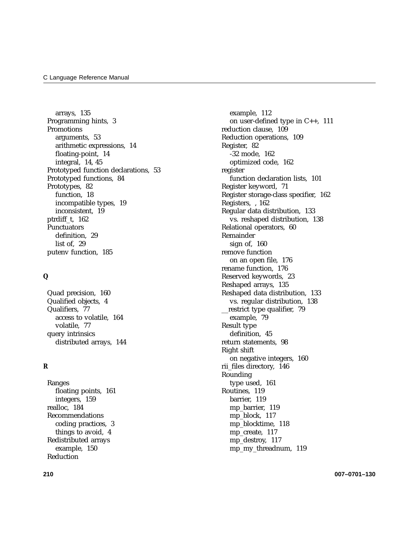arrays, 135 Programming hints, 3 Promotions arguments, 53 arithmetic expressions, 14 floating-point, 14 integral, 14, 45 Prototyped function declarations, 53 Prototyped functions, 84 Prototypes, 82 function, 18 incompatible types, 19 inconsistent, 19 ptrdiff\_t, 162 **Punctuators** definition, 29 list of, 29 putenv function, 185

#### **Q**

Quad precision, 160 Qualified objects, 4 Qualifiers, 77 access to volatile, 164 volatile, 77 query intrinsics distributed arrays, 144

#### **R**

Ranges floating points, 161 integers, 159 realloc, 184 Recommendations coding practices, 3 things to avoid, 4 Redistributed arrays example, 150 Reduction

example, 112 on user-defined type in C++, 111 reduction clause, 109 Reduction operations, 109 Register, 82 -32 mode, 162 optimized code, 162 register function declaration lists, 101 Register keyword, 71 Register storage-class specifier, 162 Registers, , 162 Regular data distribution, 133 vs. reshaped distribution, 138 Relational operators, 60 Remainder sign of, 160 remove function on an open file, 176 rename function, 176 Reserved keywords, 23 Reshaped arrays, 135 Reshaped data distribution, 133 vs. regular distribution, 138 \_\_restrict type qualifier, 79 example, 79 Result type definition, 45 return statements, 98 Right shift on negative integers, 160 rii\_files directory, 146 Rounding type used, 161 Routines, 119 barrier, 119 mp\_barrier, 119 mp\_block, 117 mp\_blocktime, 118 mp\_create, 117 mp\_destroy, 117 mp\_my\_threadnum, 119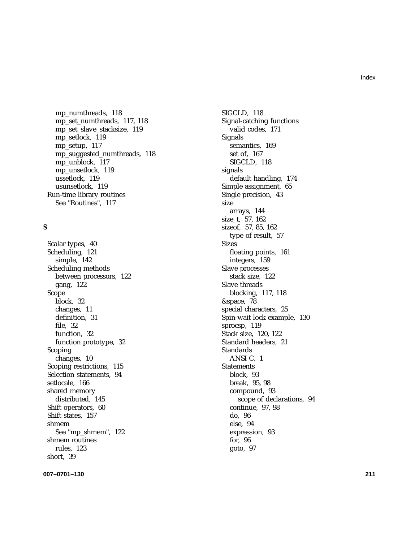mp\_numthreads, 118 mp\_set\_numthreads, 117, 118 mp\_set\_slave\_stacksize, 119 mp\_setlock, 119 mp\_setup, 117 mp\_suggested\_numthreads, 118 mp\_unblock, 117 mp\_unsetlock, 119 ussetlock, 119 usunsetlock, 119 Run-time library routines See "Routines", 117

### **S**

Scalar types, 40 Scheduling, 121 simple, 142 Scheduling methods between processors, 122 gang, 122 Scope block, 32 changes, 11 definition, 31 file, 32 function, 32 function prototype, 32 Scoping changes, 10 Scoping restrictions, 115 Selection statements, 94 setlocale, 166 shared memory distributed, 145 Shift operators, 60 Shift states, 157 shmem See "mp\_shmem", 122 shmem routines rules, 123 short, 39

SIGCLD, 118 Signal-catching functions valid codes, 171 Signals semantics, 169 set of, 167 SIGCLD, 118 signals default handling, 174 Simple assignment, 65 Single precision, 43 size arrays, 144 size\_t, 57, 162 sizeof, 57, 85, 162 type of result, 57 Sizes floating points, 161 integers, 159 Slave processes stack size, 122 Slave threads blocking, 117, 118 &space, 78 special characters, 25 Spin-wait lock example, 130 sprocsp, 119 Stack size, 120, 122 Standard headers, 21 Standards ANSI C, 1 **Statements** block, 93 break, 95, 98 compound, 93 scope of declarations, 94 continue, 97, 98 do, 96 else, 94 expression, 93 for, 96 goto, 97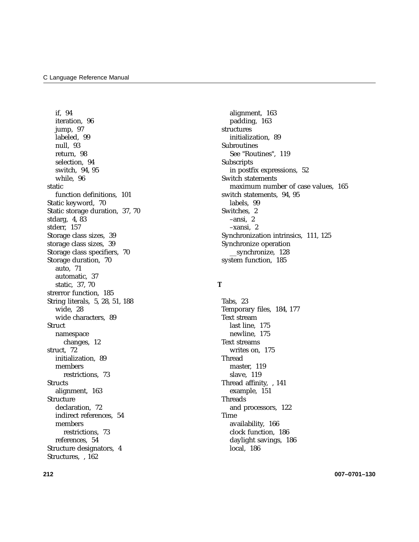if, 94 iteration, 96 jump, 97 labeled, 99 null, 93 return, 98 selection, 94 switch, 94, 95 while, 96 static function definitions, 101 Static keyword, 70 Static storage duration, 37, 70 stdarg, 4, 83 stderr, 157 Storage class sizes, 39 storage class sizes, 39 Storage class specifiers, 70 Storage duration, 70 auto, 71 automatic, 37 static, 37, 70 strerror function, 185 String literals, 5, 28, 51, 188 wide, 28 wide characters, 89 **Struct** namespace changes, 12 struct, 72 initialization, 89 members restrictions, 73 **Structs** alignment, 163 Structure declaration, 72 indirect references, 54 members restrictions, 73 references, 54 Structure designators, 4 Structures, , 162

alignment, 163 padding, 163 structures initialization, 89 Subroutines See "Routines", 119 Subscripts in postfix expressions, 52 Switch statements maximum number of case values, 165 switch statements, 94, 95 labels, 99 Switches, 2 –ansi, 2 –xansi, 2 Synchronization intrinsics, 111, 125 Synchronize operation \_\_synchronize, 128 system function, 185

#### **T**

Tabs, 23 Temporary files, 184, 177 Text stream last line, 175 newline, 175 Text streams writes on, 175 Thread master, 119 slave, 119 Thread affinity, , 141 example, 151 Threads and processors, 122 Time availability, 166 clock function, 186 daylight savings, 186 local, 186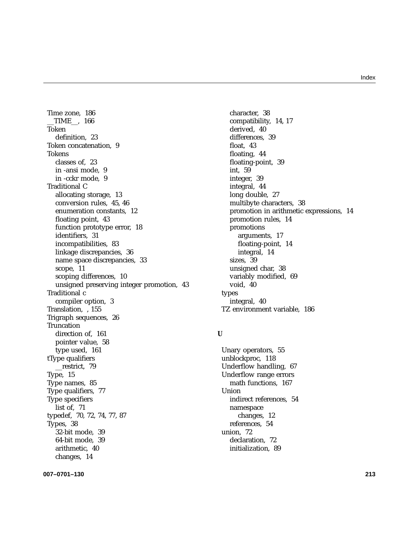Time zone, 186 \_\_TIME\_\_, 166 Token definition, 23 Token concatenation, 9 Tokens classes of, 23 in -ansi mode, 9 in -cckr mode, 9 Traditional C allocating storage, 13 conversion rules, 45, 46 enumeration constants, 12 floating point, 43 function prototype error, 18 identifiers, 31 incompatibilities, 83 linkage discrepancies, 36 name space discrepancies, 33 scope, 11 scoping differences, 10 unsigned preserving integer promotion, 43 Traditional c compiler option, 3 Translation, , 155 Trigraph sequences, 26 **Truncation** direction of, 161 pointer value, 58 type used, 161 tType qualifiers \_\_restrict, 79 Type, 15 Type names, 85 Type qualifiers, 77 Type specifiers list of, 71 typedef, 70, 72, 74, 77, 87 Types, 38 32-bit mode, 39 64-bit mode, 39 arithmetic, 40 changes, 14

character, 38 compatibility, 14, 17 derived, 40 differences, 39 float, 43 floating, 44 floating-point, 39 int, 59 integer, 39 integral, 44 long double, 27 multibyte characters, 38 promotion in arithmetic expressions, 14 promotion rules, 14 promotions arguments, 17 floating-point, 14 integral, 14 sizes, 39 unsigned char, 38 variably modified, 69 void, 40 types integral, 40 TZ environment variable, 186

#### **U**

Unary operators, 55 unblockproc, 118 Underflow handling, 67 Underflow range errors math functions, 167 **Union** indirect references, 54 namespace changes, 12 references, 54 union, 72 declaration, 72 initialization, 89